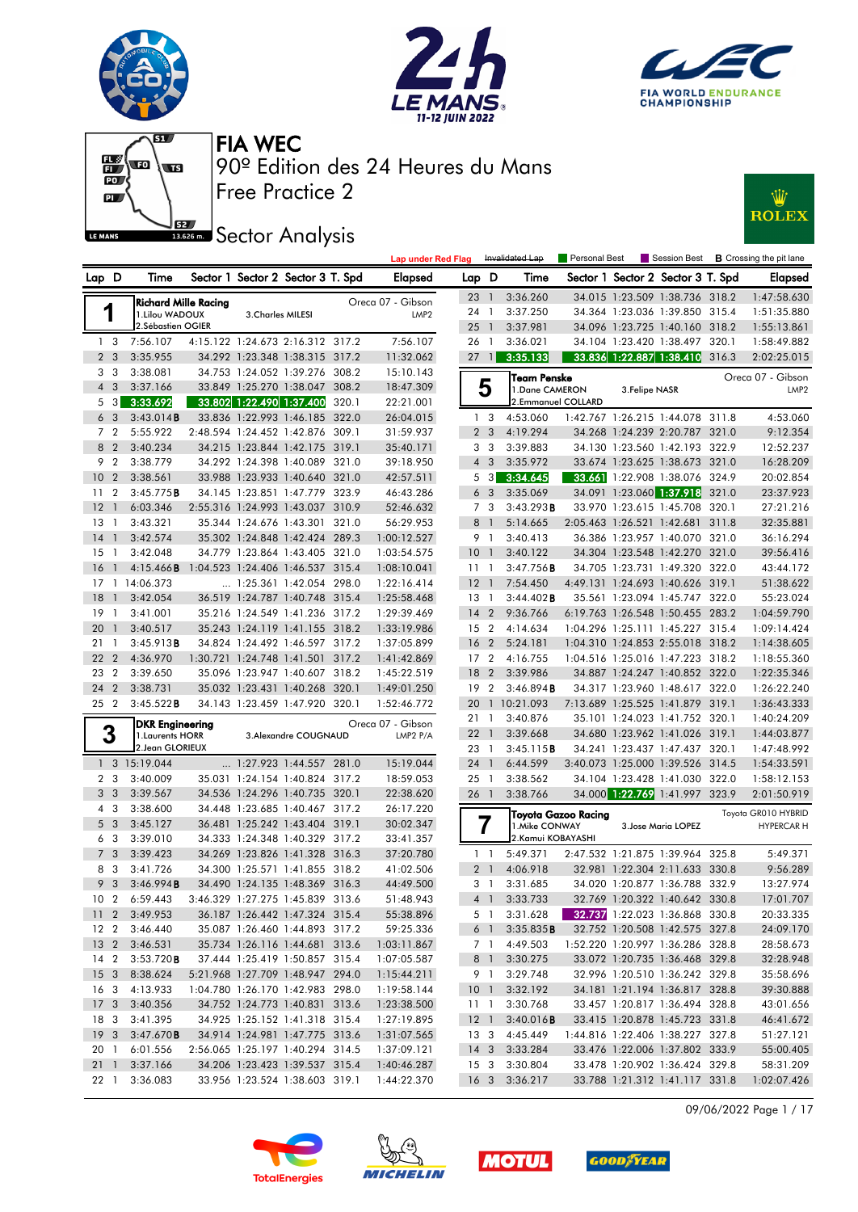











|                 |                 |                                         |                          |                                                                      |       | <b>Lap under Red Flag</b>  |                           |                             | Invalidated Lap                      | Personal Best              |                |                                                                  |       | Session Best <b>B</b> Crossing the pit lane |
|-----------------|-----------------|-----------------------------------------|--------------------------|----------------------------------------------------------------------|-------|----------------------------|---------------------------|-----------------------------|--------------------------------------|----------------------------|----------------|------------------------------------------------------------------|-------|---------------------------------------------|
| Lap D           |                 | Time                                    |                          | Sector 1 Sector 2 Sector 3 T. Spd                                    |       | <b>Elapsed</b>             | Lap D                     |                             | Time                                 |                            |                | Sector 1 Sector 2 Sector 3 T. Spd                                |       | <b>Elapsed</b>                              |
|                 |                 | <b>Richard Mille Racing</b>             |                          |                                                                      |       | Oreca 07 - Gibson          | 23 1                      |                             | 3:36.260                             |                            |                | 34.015 1:23.509 1:38.736 318.2                                   |       | 1:47:58.630                                 |
|                 | 1               | 1.Lilou WADOUX                          | 3. Charles MILESI        |                                                                      |       | LMP <sub>2</sub>           | 24 1                      |                             | 3:37.250                             |                            |                | 34.364 1:23.036 1:39.850 315.4                                   |       | 1:51:35.880                                 |
|                 |                 | 2.Sébastien OGIER                       |                          |                                                                      |       |                            | $25-1$                    |                             | 3:37.981                             |                            |                | 34.096 1:23.725 1:40.160 318.2                                   |       | 1:55:13.861                                 |
|                 | 1 <sub>3</sub>  | 7:56.107                                |                          | 4:15.122 1:24.673 2:16.312 317.2                                     |       | 7:56.107                   | 26                        | $\overline{1}$              | 3:36.021                             |                            |                | 34.104 1:23.420 1:38.497 320.1                                   |       | 1:58:49.882                                 |
|                 | 2 <sub>3</sub>  | 3:35.955                                |                          | 34.292 1:23.348 1:38.315 317.2                                       |       | 11:32.062                  | $27 \quad 1$              |                             | 3:35.133                             |                            |                | 33.836 1:22.887 1:38.410 316.3                                   |       | 2:02:25.015                                 |
|                 | 3 <sub>3</sub>  | 3:38.081                                |                          | 34.753 1:24.052 1:39.276 308.2                                       |       | 15:10.143                  |                           |                             | Team Penske                          |                            |                |                                                                  |       | Oreca 07 - Gibson                           |
|                 | $4 \quad 3$     | 3:37.166                                |                          | 33.849 1:25.270 1:38.047                                             | 308.2 | 18:47.309                  |                           | 5                           | 1.Dane CAMERON                       |                            | 3. Felipe NASR |                                                                  |       | LMP <sub>2</sub>                            |
|                 | $5 \quad 3$     | 3:33.692                                | 33.802 1:22.490 1:37.400 |                                                                      | 320.1 | 22:21.001                  |                           |                             | 2.Emmanuel COLLARD                   |                            |                |                                                                  |       |                                             |
|                 | 6 <sub>3</sub>  | 3:43.014B                               |                          | 33.836 1:22.993 1:46.185 322.0                                       |       | 26:04.015                  |                           | 1 <sub>3</sub>              | 4:53.060                             |                            |                | 1:42.767 1:26.215 1:44.078 311.8                                 |       | 4:53.060                                    |
|                 | 7 <sub>2</sub>  | 5:55.922                                |                          | 2:48.594 1:24.452 1:42.876 309.1                                     |       | 31:59.937                  |                           | 2 <sub>3</sub>              | 4:19.294                             |                            |                | 34.268 1:24.239 2:20.787 321.0                                   |       | 9:12.354                                    |
|                 | 8 2             | 3:40.234                                |                          | 34.215 1:23.844 1:42.175 319.1                                       |       | 35:40.171                  |                           | 3 3                         | 3:39.883                             |                            |                | 34.130 1:23.560 1:42.193 322.9                                   |       | 12:52.237                                   |
|                 | 9 2             | 3:38.779                                |                          | 34.292 1:24.398 1:40.089 321.0                                       |       | 39:18.950                  |                           | $4 \quad 3$                 | 3:35.972                             |                            |                | 33.674 1:23.625 1:38.673 321.0                                   |       | 16:28.209                                   |
| 10 <sub>2</sub> |                 | 3:38.561                                |                          | 33.988 1:23.933 1:40.640 321.0                                       |       | 42:57.511                  |                           | 5 3                         | 3:34.645                             |                            |                | 33.661 1:22.908 1:38.076 324.9                                   |       | 20:02.854                                   |
| 11              | $\overline{2}$  | 3:45.775B                               |                          | 34.145 1:23.851 1:47.779 323.9                                       |       | 46:43.286                  |                           | 6 <sub>3</sub>              | 3:35.069                             |                            |                | 34.091 1:23.060 1:37.918 321.0                                   |       | 23:37.923                                   |
| $12-1$          |                 | 6:03.346                                |                          | 2:55.316 1:24.993 1:43.037 310.9                                     |       | 52:46.632                  |                           | 7 3                         | 3:43.293B                            |                            |                | 33.970 1:23.615 1:45.708                                         | 320.1 | 27:21.216                                   |
| $13-1$          |                 | 3:43.321                                |                          | 35.344 1:24.676 1:43.301 321.0                                       |       | 56:29.953                  | 8                         | $\overline{1}$              | 5:14.665                             |                            |                | 2:05.463 1:26.521 1:42.681 311.8                                 |       | 32:35.881                                   |
| $14-1$          |                 | 3:42.574                                |                          | 35.302 1:24.848 1:42.424 289.3                                       |       | 1:00:12.527                | 9 1                       |                             | 3:40.413                             |                            |                | 36.386 1:23.957 1:40.070 321.0                                   |       | 36:16.294                                   |
| 15              | $\overline{1}$  | 3:42.048                                |                          | 34.779 1:23.864 1:43.405 321.0                                       |       | 1:03:54.575                | $10-1$                    |                             | 3:40.122                             |                            |                | 34.304 1:23.548 1:42.270 321.0                                   |       | 39:56.416                                   |
| 16              | $\overline{1}$  | 4:15.466B                               |                          | 1:04.523 1:24.406 1:46.537 315.4                                     |       | 1:08:10.041                | $11-1$                    |                             | $3:47.756$ B                         |                            |                | 34.705 1:23.731 1:49.320 322.0                                   |       | 43:44.172                                   |
|                 |                 | 17 1 14:06.373                          |                          | 1:25.361 1:42.054 298.0                                              |       | 1:22:16.414                | 12                        | $\overline{1}$              | 7:54.450                             |                            |                | 4:49.131 1:24.693 1:40.626 319.1                                 |       | 51:38.622                                   |
| 18              | $\overline{1}$  | 3:42.054                                |                          | 36.519 1:24.787 1:40.748 315.4                                       |       | 1:25:58.468                | $13-1$                    |                             | 3:44.402 B                           |                            |                | 35.561 1:23.094 1:45.747 322.0                                   |       | 55:23.024                                   |
| 19              | $\overline{1}$  | 3:41.001                                |                          | 35.216 1:24.549 1:41.236 317.2                                       |       | 1:29:39.469                | 14                        | 2                           | 9:36.766                             |                            |                | 6:19.763 1:26.548 1:50.455 283.2                                 |       | 1:04:59.790                                 |
| 20              | $\overline{1}$  | 3:40.517                                |                          | 35.243 1:24.119 1:41.155 318.2                                       |       | 1:33:19.986                | 15 <sub>2</sub>           |                             | 4:14.634                             |                            |                | 1:04.296 1:25.111 1:45.227 315.4                                 |       | 1:09:14.424                                 |
| 21 1            |                 | 3:45.913B                               |                          | 34.824 1:24.492 1:46.597 317.2                                       |       | 1:37:05.899                | 16 <sub>2</sub>           |                             | 5:24.181                             |                            |                | 1:04.310 1:24.853 2:55.018 318.2                                 |       | 1:14:38.605                                 |
| 22 2            |                 | 4:36.970                                |                          | 1:30.721 1:24.748 1:41.501 317.2                                     |       | 1:41:42.869                | 17 <sub>2</sub>           |                             | 4:16.755                             |                            |                | 1:04.516 1:25.016 1:47.223 318.2                                 |       | 1:18:55.360                                 |
| 23              | $\overline{2}$  | 3:39.650                                |                          | 35.096 1:23.947 1:40.607 318.2                                       |       | 1:45:22.519                | 18 2                      |                             | 3:39.986                             |                            |                | 34.887 1:24.247 1:40.852 322.0                                   |       | 1:22:35.346                                 |
| 24              | $\overline{2}$  | 3:38.731                                |                          | 35.032 1:23.431 1:40.268 320.1                                       |       | 1:49:01.250                | 19 2                      |                             | 3:46.894B                            |                            |                | 34.317 1:23.960 1:48.617 322.0                                   |       | 1:26:22.240                                 |
| 25 <sub>2</sub> |                 | 3:45.522B                               |                          | 34.143 1:23.459 1:47.920 320.1                                       |       | 1:52:46.772                | 20                        |                             | 1 10:21.093                          |                            |                | 7:13.689 1:25.525 1:41.879 319.1                                 |       | 1:36:43.333                                 |
|                 |                 | <b>DKR</b> Engineering                  |                          |                                                                      |       | Oreca 07 - Gibson          | 21 1                      |                             | 3:40.876                             |                            |                | 35.101 1:24.023 1:41.752 320.1                                   |       | 1:40:24.209                                 |
|                 | 3               | 1. Laurents HORR                        |                          | 3. Alexandre COUGNAUD                                                |       | LMP2 P/A                   | $22 \quad 1$              |                             | 3:39.668                             |                            |                | 34.680 1:23.962 1:41.026 319.1                                   |       | 1:44:03.877                                 |
|                 |                 | 2. Jean GLORIEUX                        |                          |                                                                      |       |                            | 23 1                      |                             | 3:45.115B                            |                            |                | 34.241 1:23.437 1:47.437 320.1                                   |       | 1:47:48.992                                 |
|                 |                 | 1 3 15:19.044                           |                          | 1:27.923 1:44.557 281.0                                              |       | 15:19.044                  | 24 1                      |                             | 6:44.599                             |                            |                | 3:40.073 1:25.000 1:39.526 314.5                                 |       | 1:54:33.591                                 |
|                 | 2 <sub>3</sub>  | 3:40.009                                |                          | 35.031 1:24.154 1:40.824 317.2                                       |       | 18:59.053                  | $25-1$                    |                             | 3:38.562                             |                            |                | 34.104 1:23.428 1:41.030 322.0                                   |       | 1:58:12.153                                 |
|                 | 3 <sub>3</sub>  | 3:39.567                                |                          | 34.536 1:24.296 1:40.735 320.1                                       |       | 22:38.620                  | 26 1                      |                             | 3:38.766                             |                            |                | 34.000 1:22.769 1:41.997 323.9                                   |       | 2:01:50.919                                 |
|                 | $4\quad3$       | 3:38.600                                |                          | 34.448 1:23.685 1:40.467 317.2                                       |       | 26:17.220                  |                           |                             |                                      | <b>Toyota Gazoo Racina</b> |                |                                                                  |       | Toyota GR010 HYBRID                         |
|                 | 5 <sub>3</sub>  | 3:45.127                                |                          | 36.481 1:25.242 1:43.404 319.1                                       |       | 30:02.347                  |                           | 7                           | 1. Mike CONWAY<br>2. Kamui KOBAYASHI |                            |                | 3. Jose Maria LOPEZ                                              |       | <b>HYPERCAR H</b>                           |
|                 | 6 3             | 3:39.010                                |                          | 34.333 1:24.348 1:40.329 317.2                                       |       | 33:41.357                  |                           |                             |                                      |                            |                |                                                                  |       |                                             |
|                 | 7 <sub>3</sub>  | 3:39.423                                |                          | 34.269 1:23.826 1:41.328 316.3                                       |       | 37:20.780                  | $1\quad$                  |                             | 5:49.371                             |                            |                | 2:47.532 1:21.875 1:39.964 325.8                                 |       | 5:49.371                                    |
|                 | 8 3             | 3:41.726                                |                          | 34.300 1:25.571 1:41.855 318.2                                       |       | 41:02.506                  | 2 <sub>1</sub>            |                             | 4:06.918<br>3:31.685                 |                            |                | 32.981 1:22.304 2:11.633 330.8                                   |       | 9:56.289                                    |
|                 | 9 3             | 3:46.994B                               |                          | 34.490 1:24.135 1:48.369 316.3                                       |       | 44:49.500                  |                           | 3 <sup>1</sup><br>$4\quad1$ |                                      |                            |                | 34.020 1:20.877 1:36.788 332.9                                   |       | 13:27.974<br>17:01.707                      |
|                 |                 | 10 2 6:59.443                           |                          | 3:46.329 1:27.275 1:45.839 313.6                                     |       | 51:48.943                  |                           |                             | 3:33.733                             |                            |                | 32.769 1:20.322 1:40.642 330.8                                   |       |                                             |
|                 |                 | 11 2 3:49.953                           |                          | 36.187 1:26.442 1:47.324 315.4                                       |       | 55:38.896                  |                           | 5 1                         | 3:31.628                             |                            |                | 32.737 1:22.023 1:36.868 330.8                                   |       | 20:33.335                                   |
|                 |                 | 12 2 3:46.440                           |                          | 35.087 1:26.460 1:44.893 317.2                                       |       | 59:25.336                  |                           | 6 1                         | 3:35.835B                            |                            |                | 32.752 1:20.508 1:42.575 327.8                                   |       | 24:09.170                                   |
|                 |                 | 13 2 3:46.531                           |                          | 35.734 1:26.116 1:44.681 313.6                                       |       | 1:03:11.867                |                           | 7 1                         | 4:49.503                             |                            |                | 1:52.220 1:20.997 1:36.286 328.8                                 |       | 28:58.673                                   |
|                 |                 | 14 2 3:53.720 <b>B</b><br>15 3 8:38.624 |                          | 37.444 1:25.419 1:50.857 315.4                                       |       | 1:07:05.587<br>1:15:44.211 |                           | 8 1                         | 3:30.275                             |                            |                | 33.072 1:20.735 1:36.468 329.8                                   |       | 32:28.948                                   |
| 16 <sub>3</sub> |                 | 4:13.933                                |                          | 5:21.968 1:27.709 1:48.947 294.0<br>1:04.780 1:26.170 1:42.983 298.0 |       |                            |                           | 9 1                         | 3:29.748                             |                            |                | 32.996 1:20.510 1:36.242 329.8                                   |       | 35:58.696                                   |
|                 | 17 <sub>3</sub> | 3:40.356                                |                          | 34.752 1:24.773 1:40.831 313.6                                       |       | 1:19:58.144<br>1:23:38.500 | 10 <sub>1</sub>           |                             | 3:32.192<br>3:30.768                 |                            |                | 34.181 1:21.194 1:36.817 328.8<br>33.457 1:20.817 1:36.494 328.8 |       | 39:30.888                                   |
| 18 3            |                 | 3:41.395                                |                          | 34.925 1:25.152 1:41.318 315.4                                       |       | 1:27:19.895                | $11-1$<br>12 <sup>1</sup> |                             | 3:40.016B                            |                            |                | 33.415 1:20.878 1:45.723 331.8                                   |       | 43:01.656<br>46:41.672                      |
|                 | 19 <sup>3</sup> | 3:47.670B                               |                          | 34.914 1:24.981 1:47.775 313.6                                       |       | 1:31:07.565                |                           |                             | 4:45.449                             |                            |                | 1:44.816 1:22.406 1:38.227 327.8                                 |       |                                             |
| 20 1            |                 | 6:01.556                                |                          | 2:56.065 1:25.197 1:40.294 314.5                                     |       | 1:37:09.121                | 13 3<br>$14 \quad 3$      |                             | 3:33.284                             |                            |                | 33.476 1:22.006 1:37.802 333.9                                   |       | 51:27.121<br>55:00.405                      |
| $21 \quad 1$    |                 | 3:37.166                                |                          | 34.206 1:23.423 1:39.537 315.4                                       |       | 1:40:46.287                |                           |                             | 15 3 3:30.804                        |                            |                | 33.478 1:20.902 1:36.424 329.8                                   |       | 58:31.209                                   |
|                 | 22 1            | 3:36.083                                |                          | 33.956 1:23.524 1:38.603 319.1                                       |       | 1:44:22.370                |                           |                             | 16 3 3:36.217                        |                            |                | 33.788 1:21.312 1:41.117 331.8                                   |       | 1:02:07.426                                 |

09/06/2022 Page 1 / 17





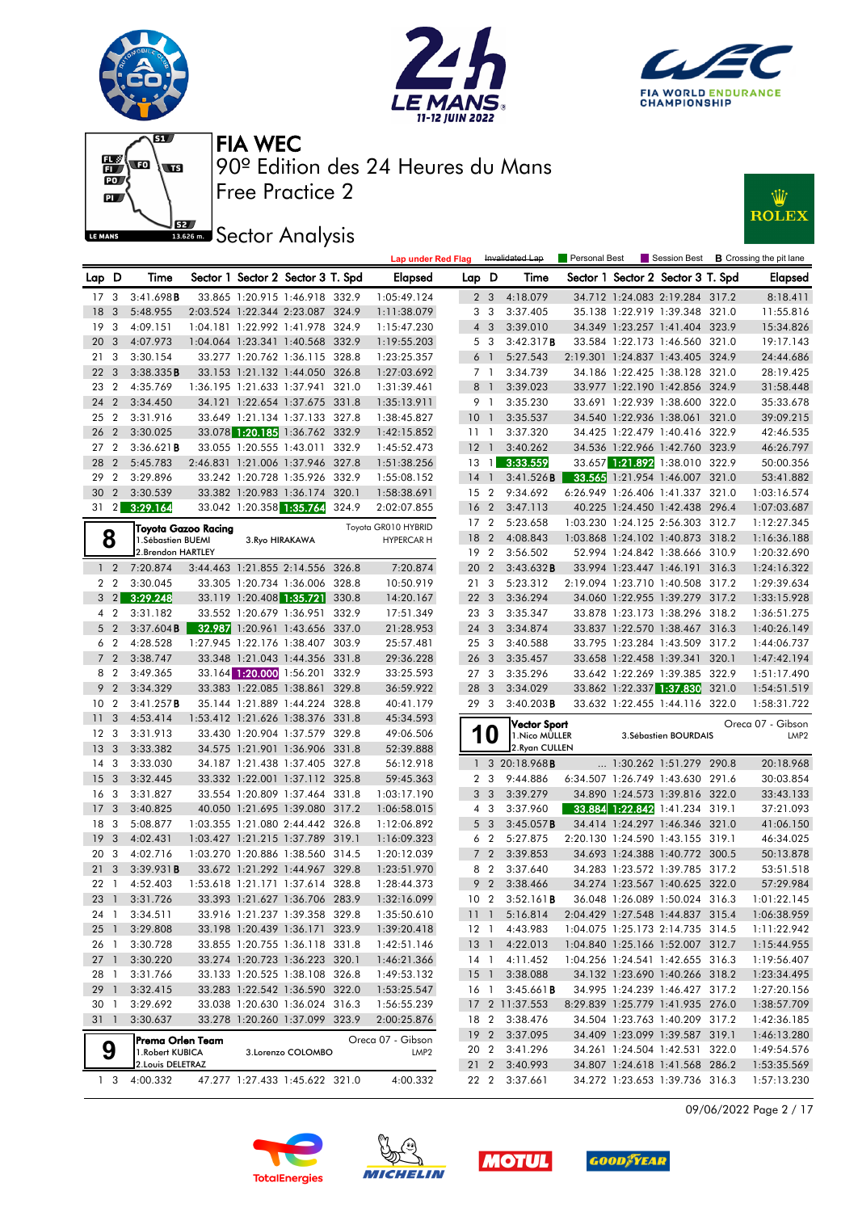











| Sector 1 Sector 2 Sector 3 T. Spd<br>Sector 1 Sector 2 Sector 3 T. Spd<br>Lap D<br>Time<br><b>Elapsed</b><br>Lap D<br>Time<br>Elapsed<br>3:41.698B<br>17 <sub>3</sub><br>33.865 1:20.915 1:46.918 332.9<br>1:05:49.124<br>2 <sub>3</sub><br>4:18.079<br>34.712 1:24.083 2:19.284 317.2<br>8:18.411<br>18<br>3<br>5:48.955<br>2:03.524 1:22.344 2:23.087 324.9<br>1:11:38.079<br>3 <sub>3</sub><br>3:37.405<br>35.138 1:22.919 1:39.348 321.0<br>11:55.816<br>19<br>$\overline{\mathbf{3}}$<br>4:09.151<br>1:04.181 1:22.992 1:41.978 324.9<br>$4 \quad 3$<br>3:39.010<br>34.349 1:23.257 1:41.404 323.9<br>15:34.826<br>1:15:47.230<br>20<br>3<br>4:07.973<br>1:04.064 1:23.341 1:40.568 332.9<br>1:19:55.203<br>5 3<br>3:42.317B<br>33.584 1:22.173 1:46.560 321.0<br>19:17.143<br>21<br>3<br>3:30.154<br>33.277 1:20.762 1:36.115 328.8<br>6 <sup>1</sup><br>5:27.543<br>2:19.301 1:24.837 1:43.405 324.9<br>24:44.686<br>1:23:25.357<br>22<br>$\overline{\mathbf{3}}$<br>3:38.335B<br>33.153 1:21.132 1:44.050 326.8<br>1:27:03.692<br>7 1<br>3:34.739<br>34.186 1:22.425 1:38.128 321.0<br>28:19.425<br>23<br>$\overline{2}$<br>4:35.769<br>1:36.195 1:21.633 1:37.941 321.0<br>8<br>$\overline{1}$<br>3:39.023<br>33.977 1:22.190 1:42.856 324.9<br>31:58.448<br>1:31:39.461<br>24<br>$\overline{2}$<br>3:34.450<br>34.121 1:22.654 1:37.675 331.8<br>9 1<br>3:35.230<br>33.691 1:22.939 1:38.600 322.0<br>35:33.678<br>1:35:13.911<br>$\overline{2}$<br>3:31.916<br>33.649 1:21.134 1:37.133 327.8<br>10<br>3:35.537<br>34.540 1:22.936 1:38.061 321.0<br>39:09.215<br>25<br>1:38:45.827<br>$\overline{1}$<br>33.078 1:20.185 1:36.762 332.9<br>26<br>$\overline{2}$<br>3:30.025<br>3:37.320<br>34.425 1:22.479 1:40.416 322.9<br>42:46.535<br>1:42:15.852<br>11 <sub>1</sub><br>34.536 1:22.966 1:42.760 323.9<br>27 <sub>2</sub><br>3:36.621B<br>33.055 1:20.555 1:43.011 332.9<br>1:45:52.473<br>$12-1$<br>3:40.262<br>46:26.797<br>28<br>$\overline{2}$<br>2:46.831 1:21.006 1:37.946 327.8<br>3:33.559<br>33.657 1:21.892 1:38.010 322.9<br>5:45.783<br>1:51:38.256<br>$13-1$<br>50:00.356<br>29<br>$\overline{2}$<br>33.242 1:20.728 1:35.926 332.9<br>33.565 1:21.954 1:46.007 321.0<br>3:29.896<br>14<br>$\overline{1}$<br>3:41.526B<br>53:41.882<br>1:55:08.152<br>30<br>33.382 1:20.983 1:36.174 320.1<br>6:26.949 1:26.406 1:41.337 321.0<br>$\overline{2}$<br>3:30.539<br>1:58:38.691<br>15 <sub>2</sub><br>9:34.692<br>1:03:16.574<br>3:29.164<br>33.042 1:20.358 1:35.764 324.9<br>$\sqrt{2}$<br>31<br>2:02:07.855<br>16 <sub>2</sub><br>3:47.113<br>40.225 1:24.450 1:42.438 296.4<br>1:07:03.687<br>17 2<br>5:23.658<br>1:03.230 1:24.125 2:56.303 312.7<br>1:12:27.345<br>Toyota GR010 HYBRID<br>Toyota Gazoo Racing<br>8<br>18 2<br>4:08.843<br>1:03.868 1:24.102 1:40.873 318.2<br>1:16:36.188<br><b>HYPERCAR H</b><br>1. Sébastien BUEMI<br>3. Ryo HIRAKAWA<br>2.Brendon HARTLEY<br>192<br>3:56.502<br>52.994 1:24.842 1:38.666 310.9<br>1:20:32.690<br>3:44.463 1:21.855 2:14.556 326.8<br>20 2<br>33.994 1:23.447 1:46.191 316.3<br>$1\quad2$<br>7:20.874<br>7:20.874<br>3:43.632B<br>1:24:16.322<br>2 <sub>2</sub><br>3:30.045<br>33.305 1:20.734 1:36.006 328.8<br>21 3<br>5:23.312<br>2:19.094 1:23.710 1:40.508 317.2<br>10:50.919<br>1:29:39.634<br>$3 \quad 2$<br>3:29.248<br>33.119 1:20.408 1:35.721<br>330.8<br>22 <sub>3</sub><br>3:36.294<br>34.060 1:22.955 1:39.279 317.2<br>14:20.167<br>1:33:15.928<br>33.552 1:20.679 1:36.951 332.9<br>3:35.347<br>33.878 1:23.173 1:38.296 318.2<br>1:36:51.275<br>4 2<br>3:31.182<br>17:51.349<br>23 3<br>5 <sub>2</sub><br>3:37.604B<br>32.987 1:20.961 1:43.656 337.0<br>21:28.953<br>24 3<br>3:34.874<br>33.837 1:22.570 1:38.467 316.3<br>6 <sub>2</sub><br>4:28.528<br>1:27.945 1:22.176 1:38.407 303.9<br>253<br>3:40.588<br>33.795 1:23.284 1:43.509 317.2<br>25:57.481<br>7 <sup>2</sup><br>33.348 1:21.043 1:44.356 331.8<br>3:38.747<br>29:36.228<br>26<br>$\overline{\mathbf{3}}$<br>3:35.457<br>33.658 1:22.458 1:39.341 320.1<br>1:47:42.194<br>33.164 1:20.000 1:56.201 332.9<br>8 2<br>3:49.365<br>33:25.593<br>27 <sub>3</sub><br>3:35.296<br>33.642 1:22.269 1:39.385 322.9<br>9 <sub>2</sub><br>3:34.329<br>28 3<br>33.862 1:22.337 1:37.830<br>321.0<br>33.383 1:22.085 1:38.861<br>329.8<br>36:59.922<br>3:34.029<br>$\overline{2}$<br>35.144 1:21.889 1:44.224 328.8<br>10<br>3:41.257B<br>40:41.179<br>293<br>$3:40.203$ <b>B</b><br>33.632 1:22.455 1:44.116 322.0<br>1:58:31.722<br>3<br>4:53.414<br>1:53.412 1:21.626 1:38.376 331.8<br>11<br>45:34.593<br><b>Vector Sport</b><br>Oreca 07 - Gibson<br>1<br>12 <sub>3</sub><br>3:31.913<br>33.430 1:20.904 1:37.579 329.8<br>O<br>49:06.506<br>1. Nico MÜLLER<br>3. Sébastien BOURDAIS<br>LMP <sub>2</sub><br>13<br>3<br>3:33.382<br>34.575 1:21.901 1:36.906 331.8<br>2. Ryan CULLEN<br>52:39.888<br>14<br>3<br>3:33.030<br>34.187 1:21.438 1:37.405 327.8<br>1 3 20:18.968 <b>B</b><br>1:30.262 1:51.279 290.8<br>20:18.968<br>56:12.918<br>15 <sub>3</sub><br>3:32.445<br>33.332 1:22.001 1:37.112 325.8<br>59:45.363<br>9:44.886<br>6:34.507 1:26.749 1:43.630 291.6<br>30:03.854<br>2 3<br>16 <sub>3</sub><br>3:31.827<br>33.554 1:20.809 1:37.464 331.8<br>3 <sub>3</sub><br>3:39.279<br>34.890 1:24.573 1:39.816 322.0<br>33:43.133<br>1:03:17.190<br>33.884 1:22.842 1:41.234 319.1<br>17<br>3<br>3:40.825<br>40.050 1:21.695 1:39.080 317.2<br>1:06:58.015<br>4 3<br>3:37.960<br>37:21.093<br>18<br>3<br>5:08.877<br>1:03.355 1:21.080 2:44.442 326.8<br>5 <sub>3</sub><br>3:45.057B<br>34.414 1:24.297 1:46.346 321.0<br>41:06.150<br>1:12:06.892<br>19<br>3<br>4:02.431<br>1:03.427 1:21.215 1:37.789 319.1<br>6 2<br>5:27.875<br>2:20.130 1:24.590 1:43.155 319.1<br>46:34.025<br>1:16:09.323<br>20<br>$\overline{\mathbf{3}}$<br>7 <sub>2</sub><br>3:39.853<br>34.693 1:24.388 1:40.772 300.5<br>50:13.878<br>4:02.716<br>1:03.270 1:20.886 1:38.560 314.5<br>1:20:12.039<br>21<br>3<br>33.672 1:21.292 1:44.967 329.8<br>8<br>$\overline{2}$<br>3:37.640<br>53:51.518<br>3:39.931B<br>1:23:51.970<br>34.283 1:23.572 1:39.785 317.2<br>9 <sub>2</sub><br>57:29.984<br>4:52.403<br>1:53.618 1:21.171 1:37.614 328.8<br>3:38.466<br>34.274 1:23.567 1:40.625 322.0<br>$22 \quad 1$<br>1:28:44.373<br>$10 \quad 2 \quad 3:52.161$ <b>B</b><br>3:31.726<br>33.393 1:21.627 1:36.706 283.9<br>1:32:16.099<br>36.048 1:26.089 1:50.024 316.3<br>1:01:22.145<br>23 1<br>33.916 1:21.237 1:39.358 329.8<br>5:16.814<br>2:04.429 1:27.548 1:44.837 315.4<br>1:06:38.959<br>24 1<br>3:34.511<br>1:35:50.610<br>111<br>$25 \quad 1$<br>3:29.808<br>33.198 1:20.439 1:36.171 323.9<br>4:43.983<br>1:04.075 1:25.173 2:14.735 314.5<br>1:39:20.418<br>$12-1$<br>1:11:22.942<br>3:30.728<br>33.855 1:20.755 1:36.118 331.8<br>13 <sup>1</sup><br>4:22.013<br>1:04.840 1:25.166 1:52.007 312.7<br>1:15:44.955<br>26 1<br>1:42:51.146<br>33.274 1:20.723 1:36.223 320.1<br>4:11.452<br>$27-1$<br>3:30.220<br>1:46:21.366<br>1:04.256 1:24.541 1:42.655 316.3<br>1:19:56.407<br>14 1<br>33.133 1:20.525 1:38.108 326.8<br>3:38.088<br>34.132 1:23.690 1:40.266 318.2<br>1:23:34.495<br>28 1<br>3:31.766<br>1:49:53.132<br>$15-1$<br>29 1<br>3:32.415<br>33.283 1:22.542 1:36.590 322.0<br>3:45.661B<br>34.995 1:24.239 1:46.427 317.2<br>1:27:20.156<br>1:53:25.547<br>16 1<br>8:29.839 1:25.779 1:41.935 276.0<br>30 <sub>1</sub><br>3:29.692<br>33.038 1:20.630 1:36.024 316.3<br>17 2 11:37.553<br>1:38:57.709<br>1:56:55.239<br>$31 \quad 1$<br>3:30.637<br>33.278 1:20.260 1:37.099 323.9<br>2:00:25.876<br>18 2 3:38.476<br>34.504 1:23.763 1:40.209 317.2<br>1:42:36.185<br>19 <sub>2</sub><br>3:37.095<br>34.409 1:23.099 1:39.587 319.1<br>1:46:13.280<br>Oreca 07 - Gibson<br> Prema Orlen Team<br>9<br>3:41.296<br>34.261 1:24.504 1:42.531 322.0<br>1:49:54.576<br>20 2<br>3.Lorenzo COLOMBO<br>1. Robert KUBICA<br>LMP2<br>2. Louis DELETRAZ<br>34.807 1:24.618 1:41.568 286.2<br>$21\quad2$<br>3:40.993<br>1:53:35.569<br>4:00.332<br>1:57:13.230<br>1 <sub>3</sub><br>4:00.332<br>47.277 1:27.433 1:45.622 321.0<br>22 2 3:37.661<br>34.272 1:23.653 1:39.736 316.3 |  |  |  | <b>Lap under Red Flag</b> |  | Invalidated Lap | Personal Best |  | Session Best <b>B</b> Crossing the pit lane |
|-----------------------------------------------------------------------------------------------------------------------------------------------------------------------------------------------------------------------------------------------------------------------------------------------------------------------------------------------------------------------------------------------------------------------------------------------------------------------------------------------------------------------------------------------------------------------------------------------------------------------------------------------------------------------------------------------------------------------------------------------------------------------------------------------------------------------------------------------------------------------------------------------------------------------------------------------------------------------------------------------------------------------------------------------------------------------------------------------------------------------------------------------------------------------------------------------------------------------------------------------------------------------------------------------------------------------------------------------------------------------------------------------------------------------------------------------------------------------------------------------------------------------------------------------------------------------------------------------------------------------------------------------------------------------------------------------------------------------------------------------------------------------------------------------------------------------------------------------------------------------------------------------------------------------------------------------------------------------------------------------------------------------------------------------------------------------------------------------------------------------------------------------------------------------------------------------------------------------------------------------------------------------------------------------------------------------------------------------------------------------------------------------------------------------------------------------------------------------------------------------------------------------------------------------------------------------------------------------------------------------------------------------------------------------------------------------------------------------------------------------------------------------------------------------------------------------------------------------------------------------------------------------------------------------------------------------------------------------------------------------------------------------------------------------------------------------------------------------------------------------------------------------------------------------------------------------------------------------------------------------------------------------------------------------------------------------------------------------------------------------------------------------------------------------------------------------------------------------------------------------------------------------------------------------------------------------------------------------------------------------------------------------------------------------------------------------------------------------------------------------------------------------------------------------------------------------------------------------------------------------------------------------------------------------------------------------------------------------------------------------------------------------------------------------------------------------------------------------------------------------------------------------------------------------------------------------------------------------------------------------------------------------------------------------------------------------------------------------------------------------------------------------------------------------------------------------------------------------------------------------------------------------------------------------------------------------------------------------------------------------------------------------------------------------------------------------------------------------------------------------------------------------------------------------------------------------------------------------------------------------------------------------------------------------------------------------------------------------------------------------------------------------------------------------------------------------------------------------------------------------------------------------------------------------------------------------------------------------------------------------------------------------------------------------------------------------------------------------------------------------------------------------------------------------------------------------------------------------------------------------------------------------------------------------------------------------------------------------------------------------------------------------------------------------------------------------------------------------------------------------------------------------------------------------------------------------------------------------------------------------------------------------------------------------------------------------------------------------------------------------------------------------------------------------------------------------------------------------------------------------------------------------------------------------------------------------------------------------------------------------------------------------------------------------------------------------------------------------------------------------------------------------------------------------------------------------------------------------------------------------------------------------------------------------------------------------------------------------------------------------------------------------------------------------------------------------------------------------------------------------------------------------------------------------------------------------------------------------------------------------------------------------------------------------------------------------------------------------------------------------------------------------------------------------------------------------------------------------------------------------------------------------------------------------------------------------------------------------------------------------------------------------------------------------------------------------------------------------------------------------------------------------------------------------------------------------------------------------------------------------------------------------------------------------------------------------------------------------------------------------------------------------------------------------------------------------------------------------------------------------------------------------------------------------------------------------------------------------------------------------------------------------------------------------------------------------------------------------------------------------------------------------------------------------------------------------------------------------------------------------------------------|--|--|--|---------------------------|--|-----------------|---------------|--|---------------------------------------------|
|                                                                                                                                                                                                                                                                                                                                                                                                                                                                                                                                                                                                                                                                                                                                                                                                                                                                                                                                                                                                                                                                                                                                                                                                                                                                                                                                                                                                                                                                                                                                                                                                                                                                                                                                                                                                                                                                                                                                                                                                                                                                                                                                                                                                                                                                                                                                                                                                                                                                                                                                                                                                                                                                                                                                                                                                                                                                                                                                                                                                                                                                                                                                                                                                                                                                                                                                                                                                                                                                                                                                                                                                                                                                                                                                                                                                                                                                                                                                                                                                                                                                                                                                                                                                                                                                                                                                                                                                                                                                                                                                                                                                                                                                                                                                                                                                                                                                                                                                                                                                                                                                                                                                                                                                                                                                                                                                                                                                                                                                                                                                                                                                                                                                                                                                                                                                                                                                                                                                                                                                                                                                                                                                                                                                                                                                                                                                                                                                                                                                                                                                                                                                                                                                                                                                                                                                                                                                                                                                                                                                                                                                                                                                                                                                                                                                                                                                                                                                                                                                                                                                                                                                                                                                                                                                                                                                                                                                                                                                                                                                                                                                                                                                         |  |  |  |                           |  |                 |               |  |                                             |
|                                                                                                                                                                                                                                                                                                                                                                                                                                                                                                                                                                                                                                                                                                                                                                                                                                                                                                                                                                                                                                                                                                                                                                                                                                                                                                                                                                                                                                                                                                                                                                                                                                                                                                                                                                                                                                                                                                                                                                                                                                                                                                                                                                                                                                                                                                                                                                                                                                                                                                                                                                                                                                                                                                                                                                                                                                                                                                                                                                                                                                                                                                                                                                                                                                                                                                                                                                                                                                                                                                                                                                                                                                                                                                                                                                                                                                                                                                                                                                                                                                                                                                                                                                                                                                                                                                                                                                                                                                                                                                                                                                                                                                                                                                                                                                                                                                                                                                                                                                                                                                                                                                                                                                                                                                                                                                                                                                                                                                                                                                                                                                                                                                                                                                                                                                                                                                                                                                                                                                                                                                                                                                                                                                                                                                                                                                                                                                                                                                                                                                                                                                                                                                                                                                                                                                                                                                                                                                                                                                                                                                                                                                                                                                                                                                                                                                                                                                                                                                                                                                                                                                                                                                                                                                                                                                                                                                                                                                                                                                                                                                                                                                                                         |  |  |  |                           |  |                 |               |  |                                             |
| 1:40:26.149<br>1:51:17.490<br>1:54:51.519                                                                                                                                                                                                                                                                                                                                                                                                                                                                                                                                                                                                                                                                                                                                                                                                                                                                                                                                                                                                                                                                                                                                                                                                                                                                                                                                                                                                                                                                                                                                                                                                                                                                                                                                                                                                                                                                                                                                                                                                                                                                                                                                                                                                                                                                                                                                                                                                                                                                                                                                                                                                                                                                                                                                                                                                                                                                                                                                                                                                                                                                                                                                                                                                                                                                                                                                                                                                                                                                                                                                                                                                                                                                                                                                                                                                                                                                                                                                                                                                                                                                                                                                                                                                                                                                                                                                                                                                                                                                                                                                                                                                                                                                                                                                                                                                                                                                                                                                                                                                                                                                                                                                                                                                                                                                                                                                                                                                                                                                                                                                                                                                                                                                                                                                                                                                                                                                                                                                                                                                                                                                                                                                                                                                                                                                                                                                                                                                                                                                                                                                                                                                                                                                                                                                                                                                                                                                                                                                                                                                                                                                                                                                                                                                                                                                                                                                                                                                                                                                                                                                                                                                                                                                                                                                                                                                                                                                                                                                                                                                                                                                                               |  |  |  |                           |  |                 |               |  |                                             |
|                                                                                                                                                                                                                                                                                                                                                                                                                                                                                                                                                                                                                                                                                                                                                                                                                                                                                                                                                                                                                                                                                                                                                                                                                                                                                                                                                                                                                                                                                                                                                                                                                                                                                                                                                                                                                                                                                                                                                                                                                                                                                                                                                                                                                                                                                                                                                                                                                                                                                                                                                                                                                                                                                                                                                                                                                                                                                                                                                                                                                                                                                                                                                                                                                                                                                                                                                                                                                                                                                                                                                                                                                                                                                                                                                                                                                                                                                                                                                                                                                                                                                                                                                                                                                                                                                                                                                                                                                                                                                                                                                                                                                                                                                                                                                                                                                                                                                                                                                                                                                                                                                                                                                                                                                                                                                                                                                                                                                                                                                                                                                                                                                                                                                                                                                                                                                                                                                                                                                                                                                                                                                                                                                                                                                                                                                                                                                                                                                                                                                                                                                                                                                                                                                                                                                                                                                                                                                                                                                                                                                                                                                                                                                                                                                                                                                                                                                                                                                                                                                                                                                                                                                                                                                                                                                                                                                                                                                                                                                                                                                                                                                                                                         |  |  |  |                           |  |                 |               |  |                                             |
|                                                                                                                                                                                                                                                                                                                                                                                                                                                                                                                                                                                                                                                                                                                                                                                                                                                                                                                                                                                                                                                                                                                                                                                                                                                                                                                                                                                                                                                                                                                                                                                                                                                                                                                                                                                                                                                                                                                                                                                                                                                                                                                                                                                                                                                                                                                                                                                                                                                                                                                                                                                                                                                                                                                                                                                                                                                                                                                                                                                                                                                                                                                                                                                                                                                                                                                                                                                                                                                                                                                                                                                                                                                                                                                                                                                                                                                                                                                                                                                                                                                                                                                                                                                                                                                                                                                                                                                                                                                                                                                                                                                                                                                                                                                                                                                                                                                                                                                                                                                                                                                                                                                                                                                                                                                                                                                                                                                                                                                                                                                                                                                                                                                                                                                                                                                                                                                                                                                                                                                                                                                                                                                                                                                                                                                                                                                                                                                                                                                                                                                                                                                                                                                                                                                                                                                                                                                                                                                                                                                                                                                                                                                                                                                                                                                                                                                                                                                                                                                                                                                                                                                                                                                                                                                                                                                                                                                                                                                                                                                                                                                                                                                                         |  |  |  |                           |  |                 |               |  |                                             |
|                                                                                                                                                                                                                                                                                                                                                                                                                                                                                                                                                                                                                                                                                                                                                                                                                                                                                                                                                                                                                                                                                                                                                                                                                                                                                                                                                                                                                                                                                                                                                                                                                                                                                                                                                                                                                                                                                                                                                                                                                                                                                                                                                                                                                                                                                                                                                                                                                                                                                                                                                                                                                                                                                                                                                                                                                                                                                                                                                                                                                                                                                                                                                                                                                                                                                                                                                                                                                                                                                                                                                                                                                                                                                                                                                                                                                                                                                                                                                                                                                                                                                                                                                                                                                                                                                                                                                                                                                                                                                                                                                                                                                                                                                                                                                                                                                                                                                                                                                                                                                                                                                                                                                                                                                                                                                                                                                                                                                                                                                                                                                                                                                                                                                                                                                                                                                                                                                                                                                                                                                                                                                                                                                                                                                                                                                                                                                                                                                                                                                                                                                                                                                                                                                                                                                                                                                                                                                                                                                                                                                                                                                                                                                                                                                                                                                                                                                                                                                                                                                                                                                                                                                                                                                                                                                                                                                                                                                                                                                                                                                                                                                                                                         |  |  |  |                           |  |                 |               |  |                                             |
|                                                                                                                                                                                                                                                                                                                                                                                                                                                                                                                                                                                                                                                                                                                                                                                                                                                                                                                                                                                                                                                                                                                                                                                                                                                                                                                                                                                                                                                                                                                                                                                                                                                                                                                                                                                                                                                                                                                                                                                                                                                                                                                                                                                                                                                                                                                                                                                                                                                                                                                                                                                                                                                                                                                                                                                                                                                                                                                                                                                                                                                                                                                                                                                                                                                                                                                                                                                                                                                                                                                                                                                                                                                                                                                                                                                                                                                                                                                                                                                                                                                                                                                                                                                                                                                                                                                                                                                                                                                                                                                                                                                                                                                                                                                                                                                                                                                                                                                                                                                                                                                                                                                                                                                                                                                                                                                                                                                                                                                                                                                                                                                                                                                                                                                                                                                                                                                                                                                                                                                                                                                                                                                                                                                                                                                                                                                                                                                                                                                                                                                                                                                                                                                                                                                                                                                                                                                                                                                                                                                                                                                                                                                                                                                                                                                                                                                                                                                                                                                                                                                                                                                                                                                                                                                                                                                                                                                                                                                                                                                                                                                                                                                                         |  |  |  |                           |  |                 |               |  |                                             |
|                                                                                                                                                                                                                                                                                                                                                                                                                                                                                                                                                                                                                                                                                                                                                                                                                                                                                                                                                                                                                                                                                                                                                                                                                                                                                                                                                                                                                                                                                                                                                                                                                                                                                                                                                                                                                                                                                                                                                                                                                                                                                                                                                                                                                                                                                                                                                                                                                                                                                                                                                                                                                                                                                                                                                                                                                                                                                                                                                                                                                                                                                                                                                                                                                                                                                                                                                                                                                                                                                                                                                                                                                                                                                                                                                                                                                                                                                                                                                                                                                                                                                                                                                                                                                                                                                                                                                                                                                                                                                                                                                                                                                                                                                                                                                                                                                                                                                                                                                                                                                                                                                                                                                                                                                                                                                                                                                                                                                                                                                                                                                                                                                                                                                                                                                                                                                                                                                                                                                                                                                                                                                                                                                                                                                                                                                                                                                                                                                                                                                                                                                                                                                                                                                                                                                                                                                                                                                                                                                                                                                                                                                                                                                                                                                                                                                                                                                                                                                                                                                                                                                                                                                                                                                                                                                                                                                                                                                                                                                                                                                                                                                                                                         |  |  |  |                           |  |                 |               |  |                                             |
|                                                                                                                                                                                                                                                                                                                                                                                                                                                                                                                                                                                                                                                                                                                                                                                                                                                                                                                                                                                                                                                                                                                                                                                                                                                                                                                                                                                                                                                                                                                                                                                                                                                                                                                                                                                                                                                                                                                                                                                                                                                                                                                                                                                                                                                                                                                                                                                                                                                                                                                                                                                                                                                                                                                                                                                                                                                                                                                                                                                                                                                                                                                                                                                                                                                                                                                                                                                                                                                                                                                                                                                                                                                                                                                                                                                                                                                                                                                                                                                                                                                                                                                                                                                                                                                                                                                                                                                                                                                                                                                                                                                                                                                                                                                                                                                                                                                                                                                                                                                                                                                                                                                                                                                                                                                                                                                                                                                                                                                                                                                                                                                                                                                                                                                                                                                                                                                                                                                                                                                                                                                                                                                                                                                                                                                                                                                                                                                                                                                                                                                                                                                                                                                                                                                                                                                                                                                                                                                                                                                                                                                                                                                                                                                                                                                                                                                                                                                                                                                                                                                                                                                                                                                                                                                                                                                                                                                                                                                                                                                                                                                                                                                                         |  |  |  |                           |  |                 |               |  |                                             |
|                                                                                                                                                                                                                                                                                                                                                                                                                                                                                                                                                                                                                                                                                                                                                                                                                                                                                                                                                                                                                                                                                                                                                                                                                                                                                                                                                                                                                                                                                                                                                                                                                                                                                                                                                                                                                                                                                                                                                                                                                                                                                                                                                                                                                                                                                                                                                                                                                                                                                                                                                                                                                                                                                                                                                                                                                                                                                                                                                                                                                                                                                                                                                                                                                                                                                                                                                                                                                                                                                                                                                                                                                                                                                                                                                                                                                                                                                                                                                                                                                                                                                                                                                                                                                                                                                                                                                                                                                                                                                                                                                                                                                                                                                                                                                                                                                                                                                                                                                                                                                                                                                                                                                                                                                                                                                                                                                                                                                                                                                                                                                                                                                                                                                                                                                                                                                                                                                                                                                                                                                                                                                                                                                                                                                                                                                                                                                                                                                                                                                                                                                                                                                                                                                                                                                                                                                                                                                                                                                                                                                                                                                                                                                                                                                                                                                                                                                                                                                                                                                                                                                                                                                                                                                                                                                                                                                                                                                                                                                                                                                                                                                                                                         |  |  |  |                           |  |                 |               |  |                                             |
|                                                                                                                                                                                                                                                                                                                                                                                                                                                                                                                                                                                                                                                                                                                                                                                                                                                                                                                                                                                                                                                                                                                                                                                                                                                                                                                                                                                                                                                                                                                                                                                                                                                                                                                                                                                                                                                                                                                                                                                                                                                                                                                                                                                                                                                                                                                                                                                                                                                                                                                                                                                                                                                                                                                                                                                                                                                                                                                                                                                                                                                                                                                                                                                                                                                                                                                                                                                                                                                                                                                                                                                                                                                                                                                                                                                                                                                                                                                                                                                                                                                                                                                                                                                                                                                                                                                                                                                                                                                                                                                                                                                                                                                                                                                                                                                                                                                                                                                                                                                                                                                                                                                                                                                                                                                                                                                                                                                                                                                                                                                                                                                                                                                                                                                                                                                                                                                                                                                                                                                                                                                                                                                                                                                                                                                                                                                                                                                                                                                                                                                                                                                                                                                                                                                                                                                                                                                                                                                                                                                                                                                                                                                                                                                                                                                                                                                                                                                                                                                                                                                                                                                                                                                                                                                                                                                                                                                                                                                                                                                                                                                                                                                                         |  |  |  |                           |  |                 |               |  |                                             |
|                                                                                                                                                                                                                                                                                                                                                                                                                                                                                                                                                                                                                                                                                                                                                                                                                                                                                                                                                                                                                                                                                                                                                                                                                                                                                                                                                                                                                                                                                                                                                                                                                                                                                                                                                                                                                                                                                                                                                                                                                                                                                                                                                                                                                                                                                                                                                                                                                                                                                                                                                                                                                                                                                                                                                                                                                                                                                                                                                                                                                                                                                                                                                                                                                                                                                                                                                                                                                                                                                                                                                                                                                                                                                                                                                                                                                                                                                                                                                                                                                                                                                                                                                                                                                                                                                                                                                                                                                                                                                                                                                                                                                                                                                                                                                                                                                                                                                                                                                                                                                                                                                                                                                                                                                                                                                                                                                                                                                                                                                                                                                                                                                                                                                                                                                                                                                                                                                                                                                                                                                                                                                                                                                                                                                                                                                                                                                                                                                                                                                                                                                                                                                                                                                                                                                                                                                                                                                                                                                                                                                                                                                                                                                                                                                                                                                                                                                                                                                                                                                                                                                                                                                                                                                                                                                                                                                                                                                                                                                                                                                                                                                                                                         |  |  |  |                           |  |                 |               |  |                                             |
|                                                                                                                                                                                                                                                                                                                                                                                                                                                                                                                                                                                                                                                                                                                                                                                                                                                                                                                                                                                                                                                                                                                                                                                                                                                                                                                                                                                                                                                                                                                                                                                                                                                                                                                                                                                                                                                                                                                                                                                                                                                                                                                                                                                                                                                                                                                                                                                                                                                                                                                                                                                                                                                                                                                                                                                                                                                                                                                                                                                                                                                                                                                                                                                                                                                                                                                                                                                                                                                                                                                                                                                                                                                                                                                                                                                                                                                                                                                                                                                                                                                                                                                                                                                                                                                                                                                                                                                                                                                                                                                                                                                                                                                                                                                                                                                                                                                                                                                                                                                                                                                                                                                                                                                                                                                                                                                                                                                                                                                                                                                                                                                                                                                                                                                                                                                                                                                                                                                                                                                                                                                                                                                                                                                                                                                                                                                                                                                                                                                                                                                                                                                                                                                                                                                                                                                                                                                                                                                                                                                                                                                                                                                                                                                                                                                                                                                                                                                                                                                                                                                                                                                                                                                                                                                                                                                                                                                                                                                                                                                                                                                                                                                                         |  |  |  |                           |  |                 |               |  |                                             |
|                                                                                                                                                                                                                                                                                                                                                                                                                                                                                                                                                                                                                                                                                                                                                                                                                                                                                                                                                                                                                                                                                                                                                                                                                                                                                                                                                                                                                                                                                                                                                                                                                                                                                                                                                                                                                                                                                                                                                                                                                                                                                                                                                                                                                                                                                                                                                                                                                                                                                                                                                                                                                                                                                                                                                                                                                                                                                                                                                                                                                                                                                                                                                                                                                                                                                                                                                                                                                                                                                                                                                                                                                                                                                                                                                                                                                                                                                                                                                                                                                                                                                                                                                                                                                                                                                                                                                                                                                                                                                                                                                                                                                                                                                                                                                                                                                                                                                                                                                                                                                                                                                                                                                                                                                                                                                                                                                                                                                                                                                                                                                                                                                                                                                                                                                                                                                                                                                                                                                                                                                                                                                                                                                                                                                                                                                                                                                                                                                                                                                                                                                                                                                                                                                                                                                                                                                                                                                                                                                                                                                                                                                                                                                                                                                                                                                                                                                                                                                                                                                                                                                                                                                                                                                                                                                                                                                                                                                                                                                                                                                                                                                                                                         |  |  |  |                           |  |                 |               |  |                                             |
|                                                                                                                                                                                                                                                                                                                                                                                                                                                                                                                                                                                                                                                                                                                                                                                                                                                                                                                                                                                                                                                                                                                                                                                                                                                                                                                                                                                                                                                                                                                                                                                                                                                                                                                                                                                                                                                                                                                                                                                                                                                                                                                                                                                                                                                                                                                                                                                                                                                                                                                                                                                                                                                                                                                                                                                                                                                                                                                                                                                                                                                                                                                                                                                                                                                                                                                                                                                                                                                                                                                                                                                                                                                                                                                                                                                                                                                                                                                                                                                                                                                                                                                                                                                                                                                                                                                                                                                                                                                                                                                                                                                                                                                                                                                                                                                                                                                                                                                                                                                                                                                                                                                                                                                                                                                                                                                                                                                                                                                                                                                                                                                                                                                                                                                                                                                                                                                                                                                                                                                                                                                                                                                                                                                                                                                                                                                                                                                                                                                                                                                                                                                                                                                                                                                                                                                                                                                                                                                                                                                                                                                                                                                                                                                                                                                                                                                                                                                                                                                                                                                                                                                                                                                                                                                                                                                                                                                                                                                                                                                                                                                                                                                                         |  |  |  |                           |  |                 |               |  |                                             |
|                                                                                                                                                                                                                                                                                                                                                                                                                                                                                                                                                                                                                                                                                                                                                                                                                                                                                                                                                                                                                                                                                                                                                                                                                                                                                                                                                                                                                                                                                                                                                                                                                                                                                                                                                                                                                                                                                                                                                                                                                                                                                                                                                                                                                                                                                                                                                                                                                                                                                                                                                                                                                                                                                                                                                                                                                                                                                                                                                                                                                                                                                                                                                                                                                                                                                                                                                                                                                                                                                                                                                                                                                                                                                                                                                                                                                                                                                                                                                                                                                                                                                                                                                                                                                                                                                                                                                                                                                                                                                                                                                                                                                                                                                                                                                                                                                                                                                                                                                                                                                                                                                                                                                                                                                                                                                                                                                                                                                                                                                                                                                                                                                                                                                                                                                                                                                                                                                                                                                                                                                                                                                                                                                                                                                                                                                                                                                                                                                                                                                                                                                                                                                                                                                                                                                                                                                                                                                                                                                                                                                                                                                                                                                                                                                                                                                                                                                                                                                                                                                                                                                                                                                                                                                                                                                                                                                                                                                                                                                                                                                                                                                                                                         |  |  |  |                           |  |                 |               |  |                                             |
|                                                                                                                                                                                                                                                                                                                                                                                                                                                                                                                                                                                                                                                                                                                                                                                                                                                                                                                                                                                                                                                                                                                                                                                                                                                                                                                                                                                                                                                                                                                                                                                                                                                                                                                                                                                                                                                                                                                                                                                                                                                                                                                                                                                                                                                                                                                                                                                                                                                                                                                                                                                                                                                                                                                                                                                                                                                                                                                                                                                                                                                                                                                                                                                                                                                                                                                                                                                                                                                                                                                                                                                                                                                                                                                                                                                                                                                                                                                                                                                                                                                                                                                                                                                                                                                                                                                                                                                                                                                                                                                                                                                                                                                                                                                                                                                                                                                                                                                                                                                                                                                                                                                                                                                                                                                                                                                                                                                                                                                                                                                                                                                                                                                                                                                                                                                                                                                                                                                                                                                                                                                                                                                                                                                                                                                                                                                                                                                                                                                                                                                                                                                                                                                                                                                                                                                                                                                                                                                                                                                                                                                                                                                                                                                                                                                                                                                                                                                                                                                                                                                                                                                                                                                                                                                                                                                                                                                                                                                                                                                                                                                                                                                                         |  |  |  |                           |  |                 |               |  |                                             |
|                                                                                                                                                                                                                                                                                                                                                                                                                                                                                                                                                                                                                                                                                                                                                                                                                                                                                                                                                                                                                                                                                                                                                                                                                                                                                                                                                                                                                                                                                                                                                                                                                                                                                                                                                                                                                                                                                                                                                                                                                                                                                                                                                                                                                                                                                                                                                                                                                                                                                                                                                                                                                                                                                                                                                                                                                                                                                                                                                                                                                                                                                                                                                                                                                                                                                                                                                                                                                                                                                                                                                                                                                                                                                                                                                                                                                                                                                                                                                                                                                                                                                                                                                                                                                                                                                                                                                                                                                                                                                                                                                                                                                                                                                                                                                                                                                                                                                                                                                                                                                                                                                                                                                                                                                                                                                                                                                                                                                                                                                                                                                                                                                                                                                                                                                                                                                                                                                                                                                                                                                                                                                                                                                                                                                                                                                                                                                                                                                                                                                                                                                                                                                                                                                                                                                                                                                                                                                                                                                                                                                                                                                                                                                                                                                                                                                                                                                                                                                                                                                                                                                                                                                                                                                                                                                                                                                                                                                                                                                                                                                                                                                                                                         |  |  |  |                           |  |                 |               |  |                                             |
|                                                                                                                                                                                                                                                                                                                                                                                                                                                                                                                                                                                                                                                                                                                                                                                                                                                                                                                                                                                                                                                                                                                                                                                                                                                                                                                                                                                                                                                                                                                                                                                                                                                                                                                                                                                                                                                                                                                                                                                                                                                                                                                                                                                                                                                                                                                                                                                                                                                                                                                                                                                                                                                                                                                                                                                                                                                                                                                                                                                                                                                                                                                                                                                                                                                                                                                                                                                                                                                                                                                                                                                                                                                                                                                                                                                                                                                                                                                                                                                                                                                                                                                                                                                                                                                                                                                                                                                                                                                                                                                                                                                                                                                                                                                                                                                                                                                                                                                                                                                                                                                                                                                                                                                                                                                                                                                                                                                                                                                                                                                                                                                                                                                                                                                                                                                                                                                                                                                                                                                                                                                                                                                                                                                                                                                                                                                                                                                                                                                                                                                                                                                                                                                                                                                                                                                                                                                                                                                                                                                                                                                                                                                                                                                                                                                                                                                                                                                                                                                                                                                                                                                                                                                                                                                                                                                                                                                                                                                                                                                                                                                                                                                                         |  |  |  |                           |  |                 |               |  |                                             |
|                                                                                                                                                                                                                                                                                                                                                                                                                                                                                                                                                                                                                                                                                                                                                                                                                                                                                                                                                                                                                                                                                                                                                                                                                                                                                                                                                                                                                                                                                                                                                                                                                                                                                                                                                                                                                                                                                                                                                                                                                                                                                                                                                                                                                                                                                                                                                                                                                                                                                                                                                                                                                                                                                                                                                                                                                                                                                                                                                                                                                                                                                                                                                                                                                                                                                                                                                                                                                                                                                                                                                                                                                                                                                                                                                                                                                                                                                                                                                                                                                                                                                                                                                                                                                                                                                                                                                                                                                                                                                                                                                                                                                                                                                                                                                                                                                                                                                                                                                                                                                                                                                                                                                                                                                                                                                                                                                                                                                                                                                                                                                                                                                                                                                                                                                                                                                                                                                                                                                                                                                                                                                                                                                                                                                                                                                                                                                                                                                                                                                                                                                                                                                                                                                                                                                                                                                                                                                                                                                                                                                                                                                                                                                                                                                                                                                                                                                                                                                                                                                                                                                                                                                                                                                                                                                                                                                                                                                                                                                                                                                                                                                                                                         |  |  |  |                           |  |                 |               |  |                                             |
|                                                                                                                                                                                                                                                                                                                                                                                                                                                                                                                                                                                                                                                                                                                                                                                                                                                                                                                                                                                                                                                                                                                                                                                                                                                                                                                                                                                                                                                                                                                                                                                                                                                                                                                                                                                                                                                                                                                                                                                                                                                                                                                                                                                                                                                                                                                                                                                                                                                                                                                                                                                                                                                                                                                                                                                                                                                                                                                                                                                                                                                                                                                                                                                                                                                                                                                                                                                                                                                                                                                                                                                                                                                                                                                                                                                                                                                                                                                                                                                                                                                                                                                                                                                                                                                                                                                                                                                                                                                                                                                                                                                                                                                                                                                                                                                                                                                                                                                                                                                                                                                                                                                                                                                                                                                                                                                                                                                                                                                                                                                                                                                                                                                                                                                                                                                                                                                                                                                                                                                                                                                                                                                                                                                                                                                                                                                                                                                                                                                                                                                                                                                                                                                                                                                                                                                                                                                                                                                                                                                                                                                                                                                                                                                                                                                                                                                                                                                                                                                                                                                                                                                                                                                                                                                                                                                                                                                                                                                                                                                                                                                                                                                                         |  |  |  |                           |  |                 |               |  |                                             |
|                                                                                                                                                                                                                                                                                                                                                                                                                                                                                                                                                                                                                                                                                                                                                                                                                                                                                                                                                                                                                                                                                                                                                                                                                                                                                                                                                                                                                                                                                                                                                                                                                                                                                                                                                                                                                                                                                                                                                                                                                                                                                                                                                                                                                                                                                                                                                                                                                                                                                                                                                                                                                                                                                                                                                                                                                                                                                                                                                                                                                                                                                                                                                                                                                                                                                                                                                                                                                                                                                                                                                                                                                                                                                                                                                                                                                                                                                                                                                                                                                                                                                                                                                                                                                                                                                                                                                                                                                                                                                                                                                                                                                                                                                                                                                                                                                                                                                                                                                                                                                                                                                                                                                                                                                                                                                                                                                                                                                                                                                                                                                                                                                                                                                                                                                                                                                                                                                                                                                                                                                                                                                                                                                                                                                                                                                                                                                                                                                                                                                                                                                                                                                                                                                                                                                                                                                                                                                                                                                                                                                                                                                                                                                                                                                                                                                                                                                                                                                                                                                                                                                                                                                                                                                                                                                                                                                                                                                                                                                                                                                                                                                                                                         |  |  |  |                           |  |                 |               |  |                                             |
|                                                                                                                                                                                                                                                                                                                                                                                                                                                                                                                                                                                                                                                                                                                                                                                                                                                                                                                                                                                                                                                                                                                                                                                                                                                                                                                                                                                                                                                                                                                                                                                                                                                                                                                                                                                                                                                                                                                                                                                                                                                                                                                                                                                                                                                                                                                                                                                                                                                                                                                                                                                                                                                                                                                                                                                                                                                                                                                                                                                                                                                                                                                                                                                                                                                                                                                                                                                                                                                                                                                                                                                                                                                                                                                                                                                                                                                                                                                                                                                                                                                                                                                                                                                                                                                                                                                                                                                                                                                                                                                                                                                                                                                                                                                                                                                                                                                                                                                                                                                                                                                                                                                                                                                                                                                                                                                                                                                                                                                                                                                                                                                                                                                                                                                                                                                                                                                                                                                                                                                                                                                                                                                                                                                                                                                                                                                                                                                                                                                                                                                                                                                                                                                                                                                                                                                                                                                                                                                                                                                                                                                                                                                                                                                                                                                                                                                                                                                                                                                                                                                                                                                                                                                                                                                                                                                                                                                                                                                                                                                                                                                                                                                                         |  |  |  |                           |  |                 |               |  |                                             |
|                                                                                                                                                                                                                                                                                                                                                                                                                                                                                                                                                                                                                                                                                                                                                                                                                                                                                                                                                                                                                                                                                                                                                                                                                                                                                                                                                                                                                                                                                                                                                                                                                                                                                                                                                                                                                                                                                                                                                                                                                                                                                                                                                                                                                                                                                                                                                                                                                                                                                                                                                                                                                                                                                                                                                                                                                                                                                                                                                                                                                                                                                                                                                                                                                                                                                                                                                                                                                                                                                                                                                                                                                                                                                                                                                                                                                                                                                                                                                                                                                                                                                                                                                                                                                                                                                                                                                                                                                                                                                                                                                                                                                                                                                                                                                                                                                                                                                                                                                                                                                                                                                                                                                                                                                                                                                                                                                                                                                                                                                                                                                                                                                                                                                                                                                                                                                                                                                                                                                                                                                                                                                                                                                                                                                                                                                                                                                                                                                                                                                                                                                                                                                                                                                                                                                                                                                                                                                                                                                                                                                                                                                                                                                                                                                                                                                                                                                                                                                                                                                                                                                                                                                                                                                                                                                                                                                                                                                                                                                                                                                                                                                                                                         |  |  |  |                           |  |                 |               |  |                                             |
|                                                                                                                                                                                                                                                                                                                                                                                                                                                                                                                                                                                                                                                                                                                                                                                                                                                                                                                                                                                                                                                                                                                                                                                                                                                                                                                                                                                                                                                                                                                                                                                                                                                                                                                                                                                                                                                                                                                                                                                                                                                                                                                                                                                                                                                                                                                                                                                                                                                                                                                                                                                                                                                                                                                                                                                                                                                                                                                                                                                                                                                                                                                                                                                                                                                                                                                                                                                                                                                                                                                                                                                                                                                                                                                                                                                                                                                                                                                                                                                                                                                                                                                                                                                                                                                                                                                                                                                                                                                                                                                                                                                                                                                                                                                                                                                                                                                                                                                                                                                                                                                                                                                                                                                                                                                                                                                                                                                                                                                                                                                                                                                                                                                                                                                                                                                                                                                                                                                                                                                                                                                                                                                                                                                                                                                                                                                                                                                                                                                                                                                                                                                                                                                                                                                                                                                                                                                                                                                                                                                                                                                                                                                                                                                                                                                                                                                                                                                                                                                                                                                                                                                                                                                                                                                                                                                                                                                                                                                                                                                                                                                                                                                                         |  |  |  |                           |  |                 |               |  | 1:44:06.737                                 |
|                                                                                                                                                                                                                                                                                                                                                                                                                                                                                                                                                                                                                                                                                                                                                                                                                                                                                                                                                                                                                                                                                                                                                                                                                                                                                                                                                                                                                                                                                                                                                                                                                                                                                                                                                                                                                                                                                                                                                                                                                                                                                                                                                                                                                                                                                                                                                                                                                                                                                                                                                                                                                                                                                                                                                                                                                                                                                                                                                                                                                                                                                                                                                                                                                                                                                                                                                                                                                                                                                                                                                                                                                                                                                                                                                                                                                                                                                                                                                                                                                                                                                                                                                                                                                                                                                                                                                                                                                                                                                                                                                                                                                                                                                                                                                                                                                                                                                                                                                                                                                                                                                                                                                                                                                                                                                                                                                                                                                                                                                                                                                                                                                                                                                                                                                                                                                                                                                                                                                                                                                                                                                                                                                                                                                                                                                                                                                                                                                                                                                                                                                                                                                                                                                                                                                                                                                                                                                                                                                                                                                                                                                                                                                                                                                                                                                                                                                                                                                                                                                                                                                                                                                                                                                                                                                                                                                                                                                                                                                                                                                                                                                                                                         |  |  |  |                           |  |                 |               |  |                                             |
|                                                                                                                                                                                                                                                                                                                                                                                                                                                                                                                                                                                                                                                                                                                                                                                                                                                                                                                                                                                                                                                                                                                                                                                                                                                                                                                                                                                                                                                                                                                                                                                                                                                                                                                                                                                                                                                                                                                                                                                                                                                                                                                                                                                                                                                                                                                                                                                                                                                                                                                                                                                                                                                                                                                                                                                                                                                                                                                                                                                                                                                                                                                                                                                                                                                                                                                                                                                                                                                                                                                                                                                                                                                                                                                                                                                                                                                                                                                                                                                                                                                                                                                                                                                                                                                                                                                                                                                                                                                                                                                                                                                                                                                                                                                                                                                                                                                                                                                                                                                                                                                                                                                                                                                                                                                                                                                                                                                                                                                                                                                                                                                                                                                                                                                                                                                                                                                                                                                                                                                                                                                                                                                                                                                                                                                                                                                                                                                                                                                                                                                                                                                                                                                                                                                                                                                                                                                                                                                                                                                                                                                                                                                                                                                                                                                                                                                                                                                                                                                                                                                                                                                                                                                                                                                                                                                                                                                                                                                                                                                                                                                                                                                                         |  |  |  |                           |  |                 |               |  |                                             |
|                                                                                                                                                                                                                                                                                                                                                                                                                                                                                                                                                                                                                                                                                                                                                                                                                                                                                                                                                                                                                                                                                                                                                                                                                                                                                                                                                                                                                                                                                                                                                                                                                                                                                                                                                                                                                                                                                                                                                                                                                                                                                                                                                                                                                                                                                                                                                                                                                                                                                                                                                                                                                                                                                                                                                                                                                                                                                                                                                                                                                                                                                                                                                                                                                                                                                                                                                                                                                                                                                                                                                                                                                                                                                                                                                                                                                                                                                                                                                                                                                                                                                                                                                                                                                                                                                                                                                                                                                                                                                                                                                                                                                                                                                                                                                                                                                                                                                                                                                                                                                                                                                                                                                                                                                                                                                                                                                                                                                                                                                                                                                                                                                                                                                                                                                                                                                                                                                                                                                                                                                                                                                                                                                                                                                                                                                                                                                                                                                                                                                                                                                                                                                                                                                                                                                                                                                                                                                                                                                                                                                                                                                                                                                                                                                                                                                                                                                                                                                                                                                                                                                                                                                                                                                                                                                                                                                                                                                                                                                                                                                                                                                                                                         |  |  |  |                           |  |                 |               |  |                                             |
|                                                                                                                                                                                                                                                                                                                                                                                                                                                                                                                                                                                                                                                                                                                                                                                                                                                                                                                                                                                                                                                                                                                                                                                                                                                                                                                                                                                                                                                                                                                                                                                                                                                                                                                                                                                                                                                                                                                                                                                                                                                                                                                                                                                                                                                                                                                                                                                                                                                                                                                                                                                                                                                                                                                                                                                                                                                                                                                                                                                                                                                                                                                                                                                                                                                                                                                                                                                                                                                                                                                                                                                                                                                                                                                                                                                                                                                                                                                                                                                                                                                                                                                                                                                                                                                                                                                                                                                                                                                                                                                                                                                                                                                                                                                                                                                                                                                                                                                                                                                                                                                                                                                                                                                                                                                                                                                                                                                                                                                                                                                                                                                                                                                                                                                                                                                                                                                                                                                                                                                                                                                                                                                                                                                                                                                                                                                                                                                                                                                                                                                                                                                                                                                                                                                                                                                                                                                                                                                                                                                                                                                                                                                                                                                                                                                                                                                                                                                                                                                                                                                                                                                                                                                                                                                                                                                                                                                                                                                                                                                                                                                                                                                                         |  |  |  |                           |  |                 |               |  |                                             |
|                                                                                                                                                                                                                                                                                                                                                                                                                                                                                                                                                                                                                                                                                                                                                                                                                                                                                                                                                                                                                                                                                                                                                                                                                                                                                                                                                                                                                                                                                                                                                                                                                                                                                                                                                                                                                                                                                                                                                                                                                                                                                                                                                                                                                                                                                                                                                                                                                                                                                                                                                                                                                                                                                                                                                                                                                                                                                                                                                                                                                                                                                                                                                                                                                                                                                                                                                                                                                                                                                                                                                                                                                                                                                                                                                                                                                                                                                                                                                                                                                                                                                                                                                                                                                                                                                                                                                                                                                                                                                                                                                                                                                                                                                                                                                                                                                                                                                                                                                                                                                                                                                                                                                                                                                                                                                                                                                                                                                                                                                                                                                                                                                                                                                                                                                                                                                                                                                                                                                                                                                                                                                                                                                                                                                                                                                                                                                                                                                                                                                                                                                                                                                                                                                                                                                                                                                                                                                                                                                                                                                                                                                                                                                                                                                                                                                                                                                                                                                                                                                                                                                                                                                                                                                                                                                                                                                                                                                                                                                                                                                                                                                                                                         |  |  |  |                           |  |                 |               |  |                                             |
|                                                                                                                                                                                                                                                                                                                                                                                                                                                                                                                                                                                                                                                                                                                                                                                                                                                                                                                                                                                                                                                                                                                                                                                                                                                                                                                                                                                                                                                                                                                                                                                                                                                                                                                                                                                                                                                                                                                                                                                                                                                                                                                                                                                                                                                                                                                                                                                                                                                                                                                                                                                                                                                                                                                                                                                                                                                                                                                                                                                                                                                                                                                                                                                                                                                                                                                                                                                                                                                                                                                                                                                                                                                                                                                                                                                                                                                                                                                                                                                                                                                                                                                                                                                                                                                                                                                                                                                                                                                                                                                                                                                                                                                                                                                                                                                                                                                                                                                                                                                                                                                                                                                                                                                                                                                                                                                                                                                                                                                                                                                                                                                                                                                                                                                                                                                                                                                                                                                                                                                                                                                                                                                                                                                                                                                                                                                                                                                                                                                                                                                                                                                                                                                                                                                                                                                                                                                                                                                                                                                                                                                                                                                                                                                                                                                                                                                                                                                                                                                                                                                                                                                                                                                                                                                                                                                                                                                                                                                                                                                                                                                                                                                                         |  |  |  |                           |  |                 |               |  |                                             |
|                                                                                                                                                                                                                                                                                                                                                                                                                                                                                                                                                                                                                                                                                                                                                                                                                                                                                                                                                                                                                                                                                                                                                                                                                                                                                                                                                                                                                                                                                                                                                                                                                                                                                                                                                                                                                                                                                                                                                                                                                                                                                                                                                                                                                                                                                                                                                                                                                                                                                                                                                                                                                                                                                                                                                                                                                                                                                                                                                                                                                                                                                                                                                                                                                                                                                                                                                                                                                                                                                                                                                                                                                                                                                                                                                                                                                                                                                                                                                                                                                                                                                                                                                                                                                                                                                                                                                                                                                                                                                                                                                                                                                                                                                                                                                                                                                                                                                                                                                                                                                                                                                                                                                                                                                                                                                                                                                                                                                                                                                                                                                                                                                                                                                                                                                                                                                                                                                                                                                                                                                                                                                                                                                                                                                                                                                                                                                                                                                                                                                                                                                                                                                                                                                                                                                                                                                                                                                                                                                                                                                                                                                                                                                                                                                                                                                                                                                                                                                                                                                                                                                                                                                                                                                                                                                                                                                                                                                                                                                                                                                                                                                                                                         |  |  |  |                           |  |                 |               |  |                                             |
|                                                                                                                                                                                                                                                                                                                                                                                                                                                                                                                                                                                                                                                                                                                                                                                                                                                                                                                                                                                                                                                                                                                                                                                                                                                                                                                                                                                                                                                                                                                                                                                                                                                                                                                                                                                                                                                                                                                                                                                                                                                                                                                                                                                                                                                                                                                                                                                                                                                                                                                                                                                                                                                                                                                                                                                                                                                                                                                                                                                                                                                                                                                                                                                                                                                                                                                                                                                                                                                                                                                                                                                                                                                                                                                                                                                                                                                                                                                                                                                                                                                                                                                                                                                                                                                                                                                                                                                                                                                                                                                                                                                                                                                                                                                                                                                                                                                                                                                                                                                                                                                                                                                                                                                                                                                                                                                                                                                                                                                                                                                                                                                                                                                                                                                                                                                                                                                                                                                                                                                                                                                                                                                                                                                                                                                                                                                                                                                                                                                                                                                                                                                                                                                                                                                                                                                                                                                                                                                                                                                                                                                                                                                                                                                                                                                                                                                                                                                                                                                                                                                                                                                                                                                                                                                                                                                                                                                                                                                                                                                                                                                                                                                                         |  |  |  |                           |  |                 |               |  |                                             |
|                                                                                                                                                                                                                                                                                                                                                                                                                                                                                                                                                                                                                                                                                                                                                                                                                                                                                                                                                                                                                                                                                                                                                                                                                                                                                                                                                                                                                                                                                                                                                                                                                                                                                                                                                                                                                                                                                                                                                                                                                                                                                                                                                                                                                                                                                                                                                                                                                                                                                                                                                                                                                                                                                                                                                                                                                                                                                                                                                                                                                                                                                                                                                                                                                                                                                                                                                                                                                                                                                                                                                                                                                                                                                                                                                                                                                                                                                                                                                                                                                                                                                                                                                                                                                                                                                                                                                                                                                                                                                                                                                                                                                                                                                                                                                                                                                                                                                                                                                                                                                                                                                                                                                                                                                                                                                                                                                                                                                                                                                                                                                                                                                                                                                                                                                                                                                                                                                                                                                                                                                                                                                                                                                                                                                                                                                                                                                                                                                                                                                                                                                                                                                                                                                                                                                                                                                                                                                                                                                                                                                                                                                                                                                                                                                                                                                                                                                                                                                                                                                                                                                                                                                                                                                                                                                                                                                                                                                                                                                                                                                                                                                                                                         |  |  |  |                           |  |                 |               |  |                                             |
|                                                                                                                                                                                                                                                                                                                                                                                                                                                                                                                                                                                                                                                                                                                                                                                                                                                                                                                                                                                                                                                                                                                                                                                                                                                                                                                                                                                                                                                                                                                                                                                                                                                                                                                                                                                                                                                                                                                                                                                                                                                                                                                                                                                                                                                                                                                                                                                                                                                                                                                                                                                                                                                                                                                                                                                                                                                                                                                                                                                                                                                                                                                                                                                                                                                                                                                                                                                                                                                                                                                                                                                                                                                                                                                                                                                                                                                                                                                                                                                                                                                                                                                                                                                                                                                                                                                                                                                                                                                                                                                                                                                                                                                                                                                                                                                                                                                                                                                                                                                                                                                                                                                                                                                                                                                                                                                                                                                                                                                                                                                                                                                                                                                                                                                                                                                                                                                                                                                                                                                                                                                                                                                                                                                                                                                                                                                                                                                                                                                                                                                                                                                                                                                                                                                                                                                                                                                                                                                                                                                                                                                                                                                                                                                                                                                                                                                                                                                                                                                                                                                                                                                                                                                                                                                                                                                                                                                                                                                                                                                                                                                                                                                                         |  |  |  |                           |  |                 |               |  |                                             |
|                                                                                                                                                                                                                                                                                                                                                                                                                                                                                                                                                                                                                                                                                                                                                                                                                                                                                                                                                                                                                                                                                                                                                                                                                                                                                                                                                                                                                                                                                                                                                                                                                                                                                                                                                                                                                                                                                                                                                                                                                                                                                                                                                                                                                                                                                                                                                                                                                                                                                                                                                                                                                                                                                                                                                                                                                                                                                                                                                                                                                                                                                                                                                                                                                                                                                                                                                                                                                                                                                                                                                                                                                                                                                                                                                                                                                                                                                                                                                                                                                                                                                                                                                                                                                                                                                                                                                                                                                                                                                                                                                                                                                                                                                                                                                                                                                                                                                                                                                                                                                                                                                                                                                                                                                                                                                                                                                                                                                                                                                                                                                                                                                                                                                                                                                                                                                                                                                                                                                                                                                                                                                                                                                                                                                                                                                                                                                                                                                                                                                                                                                                                                                                                                                                                                                                                                                                                                                                                                                                                                                                                                                                                                                                                                                                                                                                                                                                                                                                                                                                                                                                                                                                                                                                                                                                                                                                                                                                                                                                                                                                                                                                                                         |  |  |  |                           |  |                 |               |  |                                             |
|                                                                                                                                                                                                                                                                                                                                                                                                                                                                                                                                                                                                                                                                                                                                                                                                                                                                                                                                                                                                                                                                                                                                                                                                                                                                                                                                                                                                                                                                                                                                                                                                                                                                                                                                                                                                                                                                                                                                                                                                                                                                                                                                                                                                                                                                                                                                                                                                                                                                                                                                                                                                                                                                                                                                                                                                                                                                                                                                                                                                                                                                                                                                                                                                                                                                                                                                                                                                                                                                                                                                                                                                                                                                                                                                                                                                                                                                                                                                                                                                                                                                                                                                                                                                                                                                                                                                                                                                                                                                                                                                                                                                                                                                                                                                                                                                                                                                                                                                                                                                                                                                                                                                                                                                                                                                                                                                                                                                                                                                                                                                                                                                                                                                                                                                                                                                                                                                                                                                                                                                                                                                                                                                                                                                                                                                                                                                                                                                                                                                                                                                                                                                                                                                                                                                                                                                                                                                                                                                                                                                                                                                                                                                                                                                                                                                                                                                                                                                                                                                                                                                                                                                                                                                                                                                                                                                                                                                                                                                                                                                                                                                                                                                         |  |  |  |                           |  |                 |               |  |                                             |
|                                                                                                                                                                                                                                                                                                                                                                                                                                                                                                                                                                                                                                                                                                                                                                                                                                                                                                                                                                                                                                                                                                                                                                                                                                                                                                                                                                                                                                                                                                                                                                                                                                                                                                                                                                                                                                                                                                                                                                                                                                                                                                                                                                                                                                                                                                                                                                                                                                                                                                                                                                                                                                                                                                                                                                                                                                                                                                                                                                                                                                                                                                                                                                                                                                                                                                                                                                                                                                                                                                                                                                                                                                                                                                                                                                                                                                                                                                                                                                                                                                                                                                                                                                                                                                                                                                                                                                                                                                                                                                                                                                                                                                                                                                                                                                                                                                                                                                                                                                                                                                                                                                                                                                                                                                                                                                                                                                                                                                                                                                                                                                                                                                                                                                                                                                                                                                                                                                                                                                                                                                                                                                                                                                                                                                                                                                                                                                                                                                                                                                                                                                                                                                                                                                                                                                                                                                                                                                                                                                                                                                                                                                                                                                                                                                                                                                                                                                                                                                                                                                                                                                                                                                                                                                                                                                                                                                                                                                                                                                                                                                                                                                                                         |  |  |  |                           |  |                 |               |  |                                             |
|                                                                                                                                                                                                                                                                                                                                                                                                                                                                                                                                                                                                                                                                                                                                                                                                                                                                                                                                                                                                                                                                                                                                                                                                                                                                                                                                                                                                                                                                                                                                                                                                                                                                                                                                                                                                                                                                                                                                                                                                                                                                                                                                                                                                                                                                                                                                                                                                                                                                                                                                                                                                                                                                                                                                                                                                                                                                                                                                                                                                                                                                                                                                                                                                                                                                                                                                                                                                                                                                                                                                                                                                                                                                                                                                                                                                                                                                                                                                                                                                                                                                                                                                                                                                                                                                                                                                                                                                                                                                                                                                                                                                                                                                                                                                                                                                                                                                                                                                                                                                                                                                                                                                                                                                                                                                                                                                                                                                                                                                                                                                                                                                                                                                                                                                                                                                                                                                                                                                                                                                                                                                                                                                                                                                                                                                                                                                                                                                                                                                                                                                                                                                                                                                                                                                                                                                                                                                                                                                                                                                                                                                                                                                                                                                                                                                                                                                                                                                                                                                                                                                                                                                                                                                                                                                                                                                                                                                                                                                                                                                                                                                                                                                         |  |  |  |                           |  |                 |               |  |                                             |
|                                                                                                                                                                                                                                                                                                                                                                                                                                                                                                                                                                                                                                                                                                                                                                                                                                                                                                                                                                                                                                                                                                                                                                                                                                                                                                                                                                                                                                                                                                                                                                                                                                                                                                                                                                                                                                                                                                                                                                                                                                                                                                                                                                                                                                                                                                                                                                                                                                                                                                                                                                                                                                                                                                                                                                                                                                                                                                                                                                                                                                                                                                                                                                                                                                                                                                                                                                                                                                                                                                                                                                                                                                                                                                                                                                                                                                                                                                                                                                                                                                                                                                                                                                                                                                                                                                                                                                                                                                                                                                                                                                                                                                                                                                                                                                                                                                                                                                                                                                                                                                                                                                                                                                                                                                                                                                                                                                                                                                                                                                                                                                                                                                                                                                                                                                                                                                                                                                                                                                                                                                                                                                                                                                                                                                                                                                                                                                                                                                                                                                                                                                                                                                                                                                                                                                                                                                                                                                                                                                                                                                                                                                                                                                                                                                                                                                                                                                                                                                                                                                                                                                                                                                                                                                                                                                                                                                                                                                                                                                                                                                                                                                                                         |  |  |  |                           |  |                 |               |  |                                             |
|                                                                                                                                                                                                                                                                                                                                                                                                                                                                                                                                                                                                                                                                                                                                                                                                                                                                                                                                                                                                                                                                                                                                                                                                                                                                                                                                                                                                                                                                                                                                                                                                                                                                                                                                                                                                                                                                                                                                                                                                                                                                                                                                                                                                                                                                                                                                                                                                                                                                                                                                                                                                                                                                                                                                                                                                                                                                                                                                                                                                                                                                                                                                                                                                                                                                                                                                                                                                                                                                                                                                                                                                                                                                                                                                                                                                                                                                                                                                                                                                                                                                                                                                                                                                                                                                                                                                                                                                                                                                                                                                                                                                                                                                                                                                                                                                                                                                                                                                                                                                                                                                                                                                                                                                                                                                                                                                                                                                                                                                                                                                                                                                                                                                                                                                                                                                                                                                                                                                                                                                                                                                                                                                                                                                                                                                                                                                                                                                                                                                                                                                                                                                                                                                                                                                                                                                                                                                                                                                                                                                                                                                                                                                                                                                                                                                                                                                                                                                                                                                                                                                                                                                                                                                                                                                                                                                                                                                                                                                                                                                                                                                                                                                         |  |  |  |                           |  |                 |               |  |                                             |
|                                                                                                                                                                                                                                                                                                                                                                                                                                                                                                                                                                                                                                                                                                                                                                                                                                                                                                                                                                                                                                                                                                                                                                                                                                                                                                                                                                                                                                                                                                                                                                                                                                                                                                                                                                                                                                                                                                                                                                                                                                                                                                                                                                                                                                                                                                                                                                                                                                                                                                                                                                                                                                                                                                                                                                                                                                                                                                                                                                                                                                                                                                                                                                                                                                                                                                                                                                                                                                                                                                                                                                                                                                                                                                                                                                                                                                                                                                                                                                                                                                                                                                                                                                                                                                                                                                                                                                                                                                                                                                                                                                                                                                                                                                                                                                                                                                                                                                                                                                                                                                                                                                                                                                                                                                                                                                                                                                                                                                                                                                                                                                                                                                                                                                                                                                                                                                                                                                                                                                                                                                                                                                                                                                                                                                                                                                                                                                                                                                                                                                                                                                                                                                                                                                                                                                                                                                                                                                                                                                                                                                                                                                                                                                                                                                                                                                                                                                                                                                                                                                                                                                                                                                                                                                                                                                                                                                                                                                                                                                                                                                                                                                                                         |  |  |  |                           |  |                 |               |  |                                             |
|                                                                                                                                                                                                                                                                                                                                                                                                                                                                                                                                                                                                                                                                                                                                                                                                                                                                                                                                                                                                                                                                                                                                                                                                                                                                                                                                                                                                                                                                                                                                                                                                                                                                                                                                                                                                                                                                                                                                                                                                                                                                                                                                                                                                                                                                                                                                                                                                                                                                                                                                                                                                                                                                                                                                                                                                                                                                                                                                                                                                                                                                                                                                                                                                                                                                                                                                                                                                                                                                                                                                                                                                                                                                                                                                                                                                                                                                                                                                                                                                                                                                                                                                                                                                                                                                                                                                                                                                                                                                                                                                                                                                                                                                                                                                                                                                                                                                                                                                                                                                                                                                                                                                                                                                                                                                                                                                                                                                                                                                                                                                                                                                                                                                                                                                                                                                                                                                                                                                                                                                                                                                                                                                                                                                                                                                                                                                                                                                                                                                                                                                                                                                                                                                                                                                                                                                                                                                                                                                                                                                                                                                                                                                                                                                                                                                                                                                                                                                                                                                                                                                                                                                                                                                                                                                                                                                                                                                                                                                                                                                                                                                                                                                         |  |  |  |                           |  |                 |               |  |                                             |
|                                                                                                                                                                                                                                                                                                                                                                                                                                                                                                                                                                                                                                                                                                                                                                                                                                                                                                                                                                                                                                                                                                                                                                                                                                                                                                                                                                                                                                                                                                                                                                                                                                                                                                                                                                                                                                                                                                                                                                                                                                                                                                                                                                                                                                                                                                                                                                                                                                                                                                                                                                                                                                                                                                                                                                                                                                                                                                                                                                                                                                                                                                                                                                                                                                                                                                                                                                                                                                                                                                                                                                                                                                                                                                                                                                                                                                                                                                                                                                                                                                                                                                                                                                                                                                                                                                                                                                                                                                                                                                                                                                                                                                                                                                                                                                                                                                                                                                                                                                                                                                                                                                                                                                                                                                                                                                                                                                                                                                                                                                                                                                                                                                                                                                                                                                                                                                                                                                                                                                                                                                                                                                                                                                                                                                                                                                                                                                                                                                                                                                                                                                                                                                                                                                                                                                                                                                                                                                                                                                                                                                                                                                                                                                                                                                                                                                                                                                                                                                                                                                                                                                                                                                                                                                                                                                                                                                                                                                                                                                                                                                                                                                                                         |  |  |  |                           |  |                 |               |  |                                             |
|                                                                                                                                                                                                                                                                                                                                                                                                                                                                                                                                                                                                                                                                                                                                                                                                                                                                                                                                                                                                                                                                                                                                                                                                                                                                                                                                                                                                                                                                                                                                                                                                                                                                                                                                                                                                                                                                                                                                                                                                                                                                                                                                                                                                                                                                                                                                                                                                                                                                                                                                                                                                                                                                                                                                                                                                                                                                                                                                                                                                                                                                                                                                                                                                                                                                                                                                                                                                                                                                                                                                                                                                                                                                                                                                                                                                                                                                                                                                                                                                                                                                                                                                                                                                                                                                                                                                                                                                                                                                                                                                                                                                                                                                                                                                                                                                                                                                                                                                                                                                                                                                                                                                                                                                                                                                                                                                                                                                                                                                                                                                                                                                                                                                                                                                                                                                                                                                                                                                                                                                                                                                                                                                                                                                                                                                                                                                                                                                                                                                                                                                                                                                                                                                                                                                                                                                                                                                                                                                                                                                                                                                                                                                                                                                                                                                                                                                                                                                                                                                                                                                                                                                                                                                                                                                                                                                                                                                                                                                                                                                                                                                                                                                         |  |  |  |                           |  |                 |               |  |                                             |
|                                                                                                                                                                                                                                                                                                                                                                                                                                                                                                                                                                                                                                                                                                                                                                                                                                                                                                                                                                                                                                                                                                                                                                                                                                                                                                                                                                                                                                                                                                                                                                                                                                                                                                                                                                                                                                                                                                                                                                                                                                                                                                                                                                                                                                                                                                                                                                                                                                                                                                                                                                                                                                                                                                                                                                                                                                                                                                                                                                                                                                                                                                                                                                                                                                                                                                                                                                                                                                                                                                                                                                                                                                                                                                                                                                                                                                                                                                                                                                                                                                                                                                                                                                                                                                                                                                                                                                                                                                                                                                                                                                                                                                                                                                                                                                                                                                                                                                                                                                                                                                                                                                                                                                                                                                                                                                                                                                                                                                                                                                                                                                                                                                                                                                                                                                                                                                                                                                                                                                                                                                                                                                                                                                                                                                                                                                                                                                                                                                                                                                                                                                                                                                                                                                                                                                                                                                                                                                                                                                                                                                                                                                                                                                                                                                                                                                                                                                                                                                                                                                                                                                                                                                                                                                                                                                                                                                                                                                                                                                                                                                                                                                                                         |  |  |  |                           |  |                 |               |  |                                             |
|                                                                                                                                                                                                                                                                                                                                                                                                                                                                                                                                                                                                                                                                                                                                                                                                                                                                                                                                                                                                                                                                                                                                                                                                                                                                                                                                                                                                                                                                                                                                                                                                                                                                                                                                                                                                                                                                                                                                                                                                                                                                                                                                                                                                                                                                                                                                                                                                                                                                                                                                                                                                                                                                                                                                                                                                                                                                                                                                                                                                                                                                                                                                                                                                                                                                                                                                                                                                                                                                                                                                                                                                                                                                                                                                                                                                                                                                                                                                                                                                                                                                                                                                                                                                                                                                                                                                                                                                                                                                                                                                                                                                                                                                                                                                                                                                                                                                                                                                                                                                                                                                                                                                                                                                                                                                                                                                                                                                                                                                                                                                                                                                                                                                                                                                                                                                                                                                                                                                                                                                                                                                                                                                                                                                                                                                                                                                                                                                                                                                                                                                                                                                                                                                                                                                                                                                                                                                                                                                                                                                                                                                                                                                                                                                                                                                                                                                                                                                                                                                                                                                                                                                                                                                                                                                                                                                                                                                                                                                                                                                                                                                                                                                         |  |  |  |                           |  |                 |               |  |                                             |
|                                                                                                                                                                                                                                                                                                                                                                                                                                                                                                                                                                                                                                                                                                                                                                                                                                                                                                                                                                                                                                                                                                                                                                                                                                                                                                                                                                                                                                                                                                                                                                                                                                                                                                                                                                                                                                                                                                                                                                                                                                                                                                                                                                                                                                                                                                                                                                                                                                                                                                                                                                                                                                                                                                                                                                                                                                                                                                                                                                                                                                                                                                                                                                                                                                                                                                                                                                                                                                                                                                                                                                                                                                                                                                                                                                                                                                                                                                                                                                                                                                                                                                                                                                                                                                                                                                                                                                                                                                                                                                                                                                                                                                                                                                                                                                                                                                                                                                                                                                                                                                                                                                                                                                                                                                                                                                                                                                                                                                                                                                                                                                                                                                                                                                                                                                                                                                                                                                                                                                                                                                                                                                                                                                                                                                                                                                                                                                                                                                                                                                                                                                                                                                                                                                                                                                                                                                                                                                                                                                                                                                                                                                                                                                                                                                                                                                                                                                                                                                                                                                                                                                                                                                                                                                                                                                                                                                                                                                                                                                                                                                                                                                                                         |  |  |  |                           |  |                 |               |  |                                             |
|                                                                                                                                                                                                                                                                                                                                                                                                                                                                                                                                                                                                                                                                                                                                                                                                                                                                                                                                                                                                                                                                                                                                                                                                                                                                                                                                                                                                                                                                                                                                                                                                                                                                                                                                                                                                                                                                                                                                                                                                                                                                                                                                                                                                                                                                                                                                                                                                                                                                                                                                                                                                                                                                                                                                                                                                                                                                                                                                                                                                                                                                                                                                                                                                                                                                                                                                                                                                                                                                                                                                                                                                                                                                                                                                                                                                                                                                                                                                                                                                                                                                                                                                                                                                                                                                                                                                                                                                                                                                                                                                                                                                                                                                                                                                                                                                                                                                                                                                                                                                                                                                                                                                                                                                                                                                                                                                                                                                                                                                                                                                                                                                                                                                                                                                                                                                                                                                                                                                                                                                                                                                                                                                                                                                                                                                                                                                                                                                                                                                                                                                                                                                                                                                                                                                                                                                                                                                                                                                                                                                                                                                                                                                                                                                                                                                                                                                                                                                                                                                                                                                                                                                                                                                                                                                                                                                                                                                                                                                                                                                                                                                                                                                         |  |  |  |                           |  |                 |               |  |                                             |
|                                                                                                                                                                                                                                                                                                                                                                                                                                                                                                                                                                                                                                                                                                                                                                                                                                                                                                                                                                                                                                                                                                                                                                                                                                                                                                                                                                                                                                                                                                                                                                                                                                                                                                                                                                                                                                                                                                                                                                                                                                                                                                                                                                                                                                                                                                                                                                                                                                                                                                                                                                                                                                                                                                                                                                                                                                                                                                                                                                                                                                                                                                                                                                                                                                                                                                                                                                                                                                                                                                                                                                                                                                                                                                                                                                                                                                                                                                                                                                                                                                                                                                                                                                                                                                                                                                                                                                                                                                                                                                                                                                                                                                                                                                                                                                                                                                                                                                                                                                                                                                                                                                                                                                                                                                                                                                                                                                                                                                                                                                                                                                                                                                                                                                                                                                                                                                                                                                                                                                                                                                                                                                                                                                                                                                                                                                                                                                                                                                                                                                                                                                                                                                                                                                                                                                                                                                                                                                                                                                                                                                                                                                                                                                                                                                                                                                                                                                                                                                                                                                                                                                                                                                                                                                                                                                                                                                                                                                                                                                                                                                                                                                                                         |  |  |  |                           |  |                 |               |  |                                             |
|                                                                                                                                                                                                                                                                                                                                                                                                                                                                                                                                                                                                                                                                                                                                                                                                                                                                                                                                                                                                                                                                                                                                                                                                                                                                                                                                                                                                                                                                                                                                                                                                                                                                                                                                                                                                                                                                                                                                                                                                                                                                                                                                                                                                                                                                                                                                                                                                                                                                                                                                                                                                                                                                                                                                                                                                                                                                                                                                                                                                                                                                                                                                                                                                                                                                                                                                                                                                                                                                                                                                                                                                                                                                                                                                                                                                                                                                                                                                                                                                                                                                                                                                                                                                                                                                                                                                                                                                                                                                                                                                                                                                                                                                                                                                                                                                                                                                                                                                                                                                                                                                                                                                                                                                                                                                                                                                                                                                                                                                                                                                                                                                                                                                                                                                                                                                                                                                                                                                                                                                                                                                                                                                                                                                                                                                                                                                                                                                                                                                                                                                                                                                                                                                                                                                                                                                                                                                                                                                                                                                                                                                                                                                                                                                                                                                                                                                                                                                                                                                                                                                                                                                                                                                                                                                                                                                                                                                                                                                                                                                                                                                                                                                         |  |  |  |                           |  |                 |               |  |                                             |
|                                                                                                                                                                                                                                                                                                                                                                                                                                                                                                                                                                                                                                                                                                                                                                                                                                                                                                                                                                                                                                                                                                                                                                                                                                                                                                                                                                                                                                                                                                                                                                                                                                                                                                                                                                                                                                                                                                                                                                                                                                                                                                                                                                                                                                                                                                                                                                                                                                                                                                                                                                                                                                                                                                                                                                                                                                                                                                                                                                                                                                                                                                                                                                                                                                                                                                                                                                                                                                                                                                                                                                                                                                                                                                                                                                                                                                                                                                                                                                                                                                                                                                                                                                                                                                                                                                                                                                                                                                                                                                                                                                                                                                                                                                                                                                                                                                                                                                                                                                                                                                                                                                                                                                                                                                                                                                                                                                                                                                                                                                                                                                                                                                                                                                                                                                                                                                                                                                                                                                                                                                                                                                                                                                                                                                                                                                                                                                                                                                                                                                                                                                                                                                                                                                                                                                                                                                                                                                                                                                                                                                                                                                                                                                                                                                                                                                                                                                                                                                                                                                                                                                                                                                                                                                                                                                                                                                                                                                                                                                                                                                                                                                                                         |  |  |  |                           |  |                 |               |  |                                             |
|                                                                                                                                                                                                                                                                                                                                                                                                                                                                                                                                                                                                                                                                                                                                                                                                                                                                                                                                                                                                                                                                                                                                                                                                                                                                                                                                                                                                                                                                                                                                                                                                                                                                                                                                                                                                                                                                                                                                                                                                                                                                                                                                                                                                                                                                                                                                                                                                                                                                                                                                                                                                                                                                                                                                                                                                                                                                                                                                                                                                                                                                                                                                                                                                                                                                                                                                                                                                                                                                                                                                                                                                                                                                                                                                                                                                                                                                                                                                                                                                                                                                                                                                                                                                                                                                                                                                                                                                                                                                                                                                                                                                                                                                                                                                                                                                                                                                                                                                                                                                                                                                                                                                                                                                                                                                                                                                                                                                                                                                                                                                                                                                                                                                                                                                                                                                                                                                                                                                                                                                                                                                                                                                                                                                                                                                                                                                                                                                                                                                                                                                                                                                                                                                                                                                                                                                                                                                                                                                                                                                                                                                                                                                                                                                                                                                                                                                                                                                                                                                                                                                                                                                                                                                                                                                                                                                                                                                                                                                                                                                                                                                                                                                         |  |  |  |                           |  |                 |               |  |                                             |
|                                                                                                                                                                                                                                                                                                                                                                                                                                                                                                                                                                                                                                                                                                                                                                                                                                                                                                                                                                                                                                                                                                                                                                                                                                                                                                                                                                                                                                                                                                                                                                                                                                                                                                                                                                                                                                                                                                                                                                                                                                                                                                                                                                                                                                                                                                                                                                                                                                                                                                                                                                                                                                                                                                                                                                                                                                                                                                                                                                                                                                                                                                                                                                                                                                                                                                                                                                                                                                                                                                                                                                                                                                                                                                                                                                                                                                                                                                                                                                                                                                                                                                                                                                                                                                                                                                                                                                                                                                                                                                                                                                                                                                                                                                                                                                                                                                                                                                                                                                                                                                                                                                                                                                                                                                                                                                                                                                                                                                                                                                                                                                                                                                                                                                                                                                                                                                                                                                                                                                                                                                                                                                                                                                                                                                                                                                                                                                                                                                                                                                                                                                                                                                                                                                                                                                                                                                                                                                                                                                                                                                                                                                                                                                                                                                                                                                                                                                                                                                                                                                                                                                                                                                                                                                                                                                                                                                                                                                                                                                                                                                                                                                                                         |  |  |  |                           |  |                 |               |  |                                             |

09/06/2022 Page 2 / 17







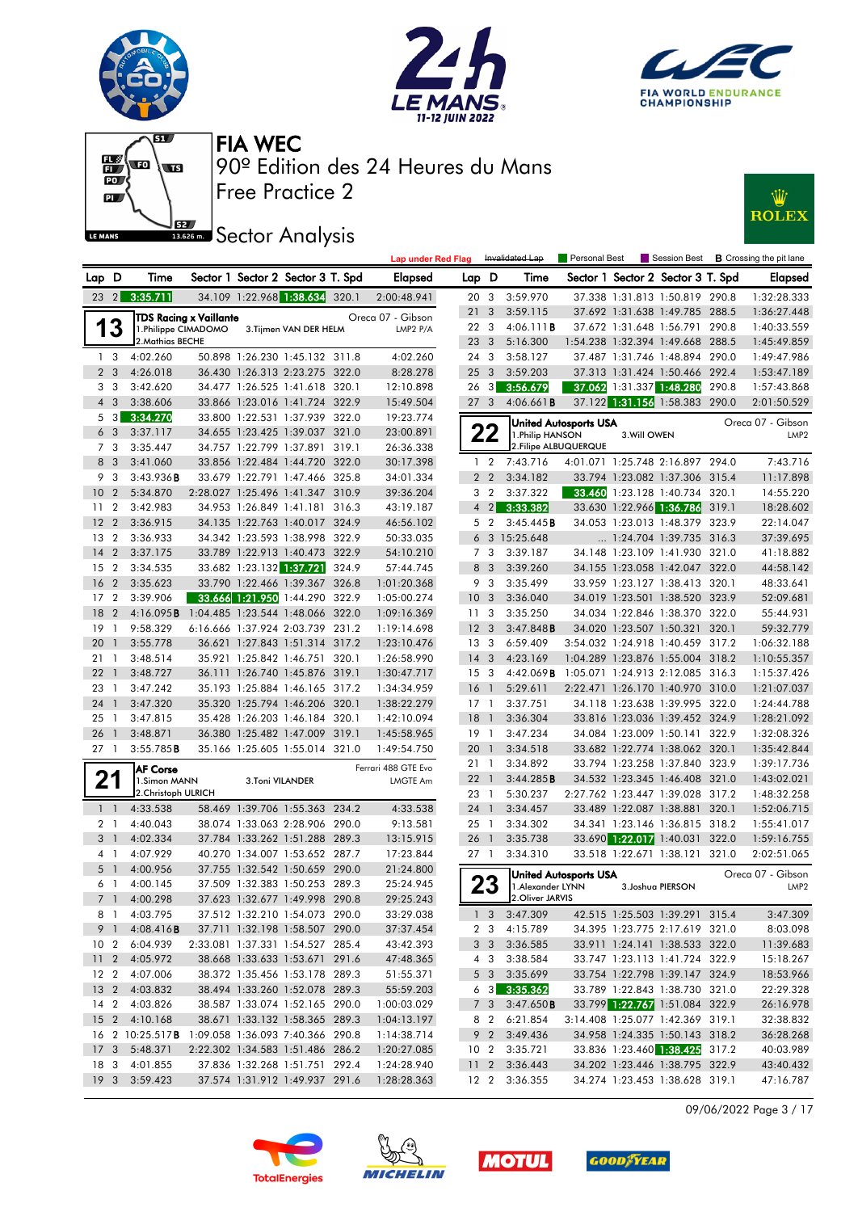







#### **SEE Sector Analysis**



|                 |                 |                                                    |                                  |                 |                                   | <b>Lap under Red Flag</b> |                 |                         | Invalidated Lap                | Personal Best                |              | Session Best                                                     |       | <b>B</b> Crossing the pit lane |
|-----------------|-----------------|----------------------------------------------------|----------------------------------|-----------------|-----------------------------------|---------------------------|-----------------|-------------------------|--------------------------------|------------------------------|--------------|------------------------------------------------------------------|-------|--------------------------------|
| Lap D           |                 | Time                                               |                                  |                 | Sector 1 Sector 2 Sector 3 T. Spd | Elapsed                   | Lap D           |                         | Time                           |                              |              | Sector 1 Sector 2 Sector 3 T. Spd                                |       | <b>Elapsed</b>                 |
|                 |                 | 23 2 3:35.711                                      |                                  |                 | 34.109 1:22.968 1:38.634 320.1    | 2:00:48.941               | 20 3            |                         | 3:59.970                       |                              |              | 37.338 1:31.813 1:50.819 290.8                                   |       | 1:32:28.333                    |
|                 |                 |                                                    | <b>TDS Racing x Vaillante</b>    |                 |                                   | Oreca 07 - Gibson         | 21              | $\overline{\mathbf{3}}$ | 3:59.115                       |                              |              | 37.692 1:31.638 1:49.785 288.5                                   |       | 1:36:27.448                    |
|                 | 3               | 1.Philippe CIMADOMO                                |                                  |                 | 3. Tijmen VAN DER HELM            | LMP2 P/A                  | 22 3            |                         | 4:06.111B                      |                              |              | 37.672 1:31.648 1:56.791 290.8                                   |       | 1:40:33.559                    |
|                 |                 | 2. Mathias BECHE                                   |                                  |                 |                                   |                           | 23 3            |                         | 5:16.300                       |                              |              | 1:54.238 1:32.394 1:49.668 288.5                                 |       | 1:45:49.859                    |
|                 | 1 <sup>3</sup>  | 4:02.260                                           |                                  |                 | 50.898 1:26.230 1:45.132 311.8    | 4:02.260                  | 24 3            |                         | 3:58.127                       |                              |              | 37.487 1:31.746 1:48.894 290.0                                   |       | 1:49:47.986                    |
|                 | 2 <sub>3</sub>  | 4:26.018                                           |                                  |                 | 36.430 1:26.313 2:23.275 322.0    | 8:28.278                  | 25 <sub>3</sub> |                         | 3:59.203                       |                              |              | 37.313 1:31.424 1:50.466 292.4                                   |       | 1:53:47.189                    |
|                 | 3 <sub>3</sub>  | 3:42.620                                           |                                  |                 | 34.477 1:26.525 1:41.618 320.1    | 12:10.898                 | $26 \quad 3$    |                         | 3:56.679                       |                              |              | 37.062 1:31.337 1:48.280                                         | 290.8 | 1:57:43.868                    |
|                 | $4 \quad 3$     | 3:38.606                                           |                                  |                 | 33.866 1:23.016 1:41.724 322.9    | 15:49.504                 | 27 <sub>3</sub> |                         | 4:06.661B                      |                              |              | 37.122 1:31.156 1:58.383 290.0                                   |       | 2:01:50.529                    |
| 5               | 3               | 3:34.270                                           |                                  |                 | 33.800 1:22.531 1:37.939 322.0    | 19:23.774                 |                 |                         |                                | <b>United Autosports USA</b> |              |                                                                  |       | Oreca 07 - Gibson              |
|                 | 6 <sub>3</sub>  | 3:37.117                                           |                                  |                 | 34.655 1:23.425 1:39.037 321.0    | 23:00.891                 |                 | 22                      | 1. Philip HANSON               |                              | 3. Will OWEN |                                                                  |       | LMP <sub>2</sub>               |
|                 | 7 3             | 3:35.447                                           |                                  |                 | 34.757 1:22.799 1:37.891 319.1    | 26:36.338                 |                 |                         | 2. Filipe ALBUQUERQUE          |                              |              |                                                                  |       |                                |
|                 | 8 3             | 3:41.060                                           |                                  |                 | 33.856 1:22.484 1:44.720 322.0    | 30:17.398                 | $\mathbf{1}$    | $\overline{2}$          | 7:43.716                       |                              |              | 4:01.071 1:25.748 2:16.897 294.0                                 |       | 7:43.716                       |
| 9               | 3               | 3:43.936B                                          |                                  |                 | 33.679 1:22.791 1:47.466 325.8    | 34:01.334                 |                 | 2 <sub>2</sub>          | 3:34.182                       |                              |              | 33.794 1:23.082 1:37.306 315.4                                   |       | 11:17.898                      |
| 10              | $\overline{2}$  | 5:34.870                                           |                                  |                 | 2:28.027 1:25.496 1:41.347 310.9  | 39:36.204                 |                 | 3 <sub>2</sub>          | 3:37.322                       | 33.460                       |              | 1:23.128 1:40.734 320.1                                          |       | 14:55.220                      |
| 11              | $\overline{2}$  | 3:42.983                                           |                                  |                 | 34.953 1:26.849 1:41.181 316.3    | 43:19.187                 |                 | $4 \quad 2$             | 3:33.382                       |                              |              | 33.630 1:22.966 1:36.786 319.1                                   |       | 18:28.602                      |
| 12              | $\overline{2}$  | 3:36.915                                           |                                  |                 | 34.135 1:22.763 1:40.017 324.9    | 46:56.102                 |                 | 5 2                     | 3:45.445B                      |                              |              | 34.053 1:23.013 1:48.379 323.9                                   |       | 22:14.047                      |
| 13              | $\overline{2}$  | 3:36.933                                           |                                  |                 | 34.342 1:23.593 1:38.998 322.9    | 50:33.035                 |                 |                         | 6 3 15:25.648                  |                              |              | $\ldots$ 1:24.704 1:39.735 316.3                                 |       | 37:39.695                      |
| 14              | $\overline{2}$  | 3:37.175                                           |                                  |                 | 33.789 1:22.913 1:40.473 322.9    | 54:10.210                 |                 | 7 <sub>3</sub>          | 3:39.187                       |                              |              | 34.148 1:23.109 1:41.930 321.0                                   |       | 41:18.882                      |
| 15              | $\overline{2}$  | 3:34.535                                           |                                  |                 | 33.682 1:23.132 1:37.721 324.9    | 57:44.745                 |                 | 8 3                     | 3:39.260                       |                              |              | 34.155 1:23.058 1:42.047 322.0                                   |       | 44:58.142                      |
| 16              | $\overline{2}$  | 3:35.623                                           |                                  |                 | 33.790 1:22.466 1:39.367 326.8    | 1:01:20.368               |                 | 9 3                     | 3:35.499                       |                              |              | 33.959 1:23.127 1:38.413 320.1                                   |       | 48:33.641                      |
| 17              | $\overline{2}$  | 3:39.906                                           |                                  |                 | 33.666 1:21.950 1:44.290 322.9    | 1:05:00.274               | 10 <sub>3</sub> |                         | 3:36.040                       |                              |              | 34.019 1:23.501 1:38.520 323.9                                   |       | 52:09.681                      |
| 18              | $\overline{2}$  | 4:16.095 <b>B</b> 1:04.485 1:23.544 1:48.066 322.0 |                                  |                 |                                   | 1:09:16.369               | 11 <sub>3</sub> |                         | 3:35.250                       |                              |              | 34.034 1:22.846 1:38.370 322.0                                   |       | 55:44.931                      |
| 19              | - 1             | 9:58.329                                           |                                  |                 | 6:16.666 1:37.924 2:03.739 231.2  | 1:19:14.698               | 12 <sub>3</sub> |                         | 3:47.848B                      |                              |              | 34.020 1:23.507 1:50.321 320.1                                   |       | 59:32.779                      |
| 20              | $\mathbf{1}$    | 3:55.778                                           |                                  |                 | 36.621 1:27.843 1:51.314 317.2    | 1:23:10.476               | 13 <sub>3</sub> |                         | 6:59.409                       |                              |              | 3:54.032 1:24.918 1:40.459 317.2                                 |       | 1:06:32.188                    |
| 21              | -1              | 3:48.514                                           |                                  |                 | 35.921 1:25.842 1:46.751 320.1    | 1:26:58.990               | $14 \quad 3$    |                         | 4:23.169                       |                              |              | 1:04.289 1:23.876 1:55.004 318.2                                 |       | 1:10:55.357                    |
| 22              | $\mathbf{1}$    | 3:48.727                                           |                                  |                 | 36.111 1:26.740 1:45.876 319.1    | 1:30:47.717               | 15 <sup>3</sup> |                         | 4:42.069B                      |                              |              | 1:05.071 1:24.913 2:12.085 316.3                                 |       | 1:15:37.426                    |
| 23              | - 1             | 3:47.242                                           |                                  |                 | 35.193 1:25.884 1:46.165 317.2    | 1:34:34.959               | 16              | $\overline{1}$          | 5:29.611                       |                              |              | 2:22.471 1:26.170 1:40.970 310.0                                 |       | 1:21:07.037                    |
| 24              | $\overline{1}$  | 3:47.320                                           |                                  |                 | 35.320 1:25.794 1:46.206 320.1    | 1:38:22.279               | $17-1$          |                         | 3:37.751                       |                              |              | 34.118 1:23.638 1:39.995 322.0                                   |       | 1:24:44.788                    |
| 25              | $\overline{1}$  | 3:47.815                                           |                                  |                 | 35.428 1:26.203 1:46.184 320.1    | 1:42:10.094               | 18              | $\overline{1}$          | 3:36.304                       |                              |              | 33.816 1:23.036 1:39.452 324.9                                   |       | 1:28:21.092                    |
| 26              | $\mathbf{1}$    | 3:48.871                                           |                                  |                 | 36.380 1:25.482 1:47.009 319.1    | 1:45:58.965               | $19-1$          |                         | 3:47.234                       |                              |              | 34.084 1:23.009 1:50.141 322.9                                   |       | 1:32:08.326                    |
| 27 1            |                 | 3:55.785B                                          |                                  |                 | 35.166 1:25.605 1:55.014 321.0    | 1:49:54.750               | 20              | $\overline{1}$          | 3:34.518                       |                              |              | 33.682 1:22.774 1:38.062 320.1                                   |       | 1:35:42.844                    |
|                 |                 | <b>AF Corse</b>                                    |                                  |                 |                                   | Ferrari 488 GTE Evo       | 21 1            |                         | 3:34.892                       |                              |              | 33.794 1:23.258 1:37.840 323.9                                   |       | 1:39:17.736                    |
|                 | 21              | 1.Simon MANN                                       |                                  | 3.Toni VILANDER |                                   | LMGTE Am                  | 22              | $\overline{1}$          | 3:44.285B                      |                              |              | 34.532 1:23.345 1:46.408 321.0                                   |       | 1:43:02.021                    |
|                 |                 | 2. Christoph ULRICH                                |                                  |                 |                                   |                           | 23 1            |                         | 5:30.237                       |                              |              | 2:27.762 1:23.447 1:39.028 317.2                                 |       | 1:48:32.258                    |
|                 | $1\quad$        | 4:33.538                                           |                                  |                 | 58.469 1:39.706 1:55.363 234.2    | 4:33.538                  | 24 1            |                         | 3:34.457                       |                              |              | 33.489 1:22.087 1:38.881 320.1                                   |       | 1:52:06.715                    |
|                 | 2 <sub>1</sub>  | 4:40.043                                           |                                  |                 | 38.074 1:33.063 2:28.906 290.0    | 9:13.581                  | 25 1            |                         | 3:34.302                       |                              |              | 34.341 1:23.146 1:36.815 318.2                                   |       | 1:55:41.017                    |
|                 | 3 <sup>1</sup>  | 4:02.334                                           |                                  |                 | 37.784 1:33.262 1:51.288 289.3    | 13:15.915                 | 26 1            |                         | 3:35.738                       |                              |              | 33.690 1:22.017 1:40.031 322.0                                   |       | 1:59:16.755                    |
|                 | 4 1             | 4:07.929                                           |                                  |                 | 40.270 1:34.007 1:53.652 287.7    | 17:23.844                 | 27 <sub>1</sub> |                         | 3:34.310                       |                              |              | 33.518 1:22.671 1:38.121 321.0                                   |       | 2:02:51.065                    |
|                 | 5 <sub>1</sub>  | 4:00.956                                           |                                  |                 | 37.755 1:32.542 1:50.659 290.0    | 21:24.800                 |                 |                         |                                | United Autosports USA        |              |                                                                  |       | Oreca 07 - Gibson              |
|                 | 6 1             | 4:00.145                                           |                                  |                 | 37.509 1:32.383 1:50.253 289.3    | 25:24.945                 |                 | 23                      | 1. Alexander LYNN              |                              |              | 3. Joshua PIERSON                                                |       | LMP <sub>2</sub>               |
|                 |                 | 7 1 4:00.298                                       |                                  |                 | 37.623 1:32.677 1:49.998 290.8    | 29:25.243                 |                 |                         | 2. Oliver JARVIS               |                              |              |                                                                  |       |                                |
|                 |                 | 8 1 4:03.795                                       |                                  |                 | 37.512 1:32.210 1:54.073 290.0    | 33:29.038                 |                 |                         | $1 \quad 3 \quad 3:47.309$     |                              |              | 42.515 1:25.503 1:39.291 315.4                                   |       | 3:47.309                       |
|                 |                 | 9 1 4:08.416 <b>B</b>                              |                                  |                 | 37.711 1:32.198 1:58.507 290.0    | 37:37.454                 |                 |                         | 2 3 4:15.789                   |                              |              | 34.395 1:23.775 2:17.619 321.0                                   |       | 8:03.098                       |
|                 |                 | 10 2 6:04.939                                      |                                  |                 | 2:33.081 1:37.331 1:54.527 285.4  | 43:42.393                 |                 |                         | 3 3 3:36.585                   |                              |              | 33.911 1:24.141 1:38.533 322.0                                   |       | 11:39.683                      |
|                 |                 | 11 2 4:05.972                                      |                                  |                 | 38.668 1:33.633 1:53.671 291.6    | 47:48.365                 |                 | 4 3                     | 3:38.584                       |                              |              | 33.747 1:23.113 1:41.724 322.9                                   |       | 15:18.267                      |
|                 |                 | 12 2 4:07.006                                      |                                  |                 | 38.372 1:35.456 1:53.178 289.3    | 51:55.371                 |                 | 5 <sub>3</sub>          | 3:35.699                       |                              |              | 33.754 1:22.798 1:39.147 324.9                                   |       | 18:53.966                      |
|                 |                 | 13 2 4:03.832                                      |                                  |                 | 38.494 1:33.260 1:52.078 289.3    | 55:59.203                 |                 |                         | $6\quad 3\quad 3:35.362$       |                              |              | 33.789 1:22.843 1:38.730 321.0                                   |       | 22:29.328                      |
|                 |                 | 14 2 4:03.826                                      |                                  |                 | 38.587 1:33.074 1:52.165 290.0    | 1:00:03.029               |                 | 7 <sub>3</sub>          | $3:47.650$ B                   |                              |              | 33.799 1:22.767 1:51.084 322.9                                   |       | 26:16.978                      |
|                 |                 | 15 2 4:10.168                                      |                                  |                 | 38.671 1:33.132 1:58.365 289.3    | 1:04:13.197               |                 | 8 2                     | 6:21.854                       |                              |              | 3:14.408 1:25.077 1:42.369 319.1                                 |       | 32:38.832                      |
|                 |                 | 16 2 10:25.517 <b>B</b>                            | 1:09.058 1:36.093 7:40.366 290.8 |                 | 2:22.302 1:34.583 1:51.486 286.2  | 1:14:38.714               |                 |                         | 9 2 3:49.436                   |                              |              | 34.958 1:24.335 1:50.143 318.2<br>33.836 1:23.460 1:38.425 317.2 |       | 36:28.268                      |
| 17 <sub>3</sub> |                 | 5:48.371                                           |                                  |                 | 37.836 1:32.268 1:51.751 292.4    | 1:20:27.085               |                 |                         | 10 2 3:35.721<br>11 2 3:36.443 |                              |              |                                                                  |       | 40:03.989                      |
| 18 3            |                 | 4:01.855                                           |                                  |                 | 37.574 1:31.912 1:49.937 291.6    | 1:24:28.940               |                 |                         |                                |                              |              | 34.202 1:23.446 1:38.795 322.9                                   |       | 43:40.432                      |
|                 | 19 <sup>3</sup> | 3:59.423                                           |                                  |                 |                                   | 1:28:28.363               |                 |                         | 12 2 3:36.355                  |                              |              | 34.274 1:23.453 1:38.628 319.1                                   |       | 47:16.787                      |

09/06/2022 Page 3 / 17







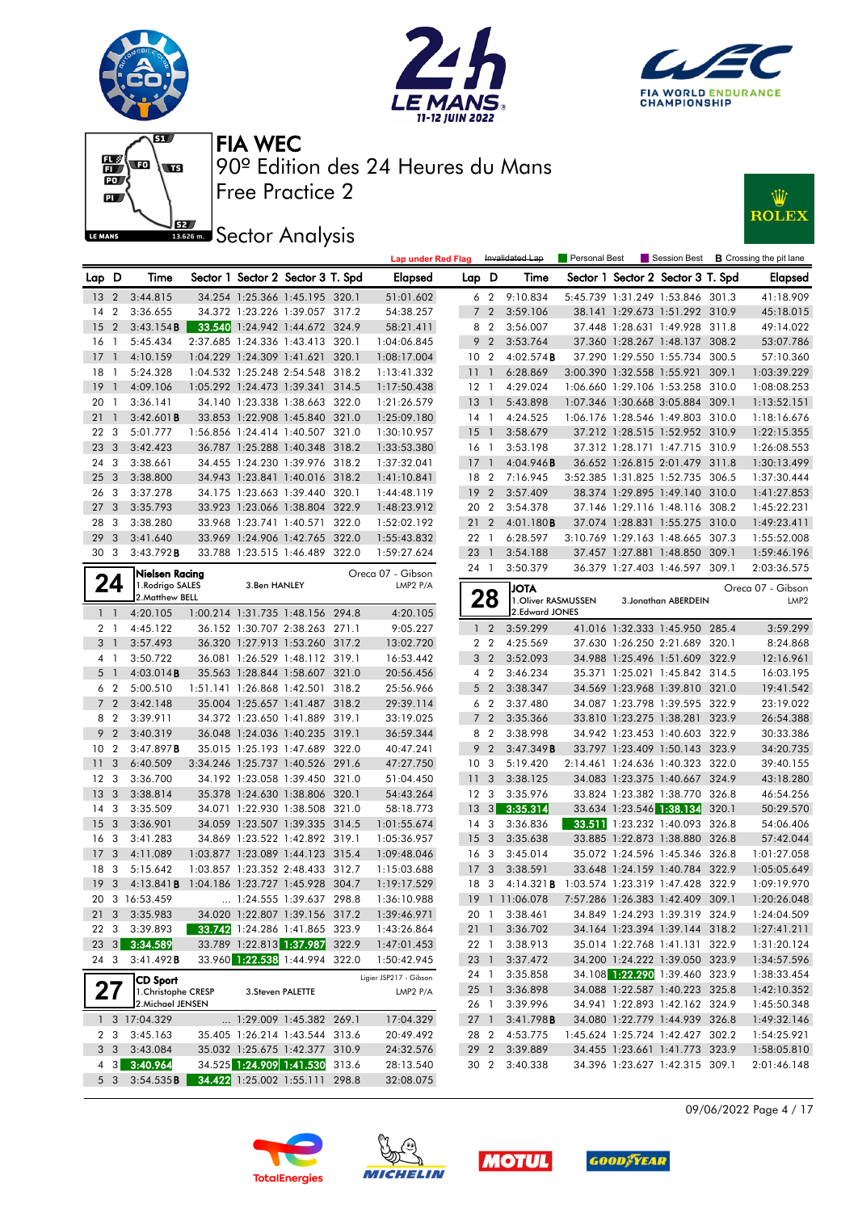











|                 |                         |                                          |              |                                   | <b>Lap under Red Flag</b> |                 |                | Invalidated Lap                            | Personal Best |                                                                  |       | Session Best <b>B</b> Crossing the pit lane |
|-----------------|-------------------------|------------------------------------------|--------------|-----------------------------------|---------------------------|-----------------|----------------|--------------------------------------------|---------------|------------------------------------------------------------------|-------|---------------------------------------------|
| Lap D           |                         | Time                                     |              | Sector 1 Sector 2 Sector 3 T. Spd | <b>Elapsed</b>            | Lap D           |                | Time                                       |               | Sector 1 Sector 2 Sector 3 T. Spd                                |       | Elapsed                                     |
| 13 <sub>2</sub> |                         | 3:44.815                                 |              | 34.254 1:25.366 1:45.195 320.1    | 51:01.602                 |                 | 6 <sub>2</sub> | 9:10.834                                   |               | 5:45.739 1:31.249 1:53.846 301.3                                 |       | 41:18.909                                   |
| 14 2            |                         | 3:36.655                                 |              | 34.372 1:23.226 1:39.057 317.2    | 54:38.257                 |                 | 7 <sup>2</sup> | 3:59.106                                   |               | 38.141 1:29.673 1:51.292 310.9                                   |       | 45:18.015                                   |
| 15              | $\overline{2}$          | 3:43.154B                                |              | 33.540 1:24.942 1:44.672 324.9    | 58:21.411                 | 8               | $\overline{2}$ | 3:56.007                                   |               | 37.448 1:28.631 1:49.928 311.8                                   |       | 49:14.022                                   |
| 16              | $\overline{1}$          | 5:45.434                                 |              | 2:37.685 1:24.336 1:43.413 320.1  | 1:04:06.845               | 9               | $\overline{2}$ | 3:53.764                                   |               | 37.360 1:28.267 1:48.137 308.2                                   |       | 53:07.786                                   |
| $17-1$          |                         | 4:10.159                                 |              | 1:04.229 1:24.309 1:41.621 320.1  | 1:08:17.004               | 10 <sub>2</sub> |                | 4:02.574B                                  |               | 37.290 1:29.550 1:55.734 300.5                                   |       | 57:10.360                                   |
| 18              | $\overline{1}$          | 5:24.328                                 |              | 1:04.532 1:25.248 2:54.548 318.2  | 1:13:41.332               | 11 <sub>1</sub> |                | 6:28.869                                   |               | 3:00.390 1:32.558 1:55.921 309.1                                 |       | 1:03:39.229                                 |
| 19              | $\overline{1}$          | 4:09.106                                 |              | 1:05.292 1:24.473 1:39.341 314.5  | 1:17:50.438               | $12-1$          |                | 4:29.024                                   |               | 1:06.660 1:29.106 1:53.258                                       | 310.0 | 1:08:08.253                                 |
| 20 <sub>1</sub> |                         | 3:36.141                                 |              | 34.140 1:23.338 1:38.663 322.0    | 1:21:26.579               | 13              | $\overline{1}$ | 5:43.898                                   |               | 1:07.346 1:30.668 3:05.884 309.1                                 |       | 1:13:52.151                                 |
| 21              | $\overline{1}$          | 3:42.601B                                |              | 33.853 1:22.908 1:45.840 321.0    | 1:25:09.180               | 14 1            |                | 4:24.525                                   |               | 1:06.176 1:28.546 1:49.803 310.0                                 |       | 1:18:16.676                                 |
| 22              | - 3                     | 5:01.777                                 |              | 1:56.856 1:24.414 1:40.507 321.0  | 1:30:10.957               | $15-1$          |                | 3:58.679                                   |               | 37.212 1:28.515 1:52.952 310.9                                   |       | 1:22:15.355                                 |
| 23              | $\overline{\mathbf{3}}$ | 3:42.423                                 |              | 36.787 1:25.288 1:40.348 318.2    | 1:33:53.380               | 16 1            |                | 3:53.198                                   |               | 37.312 1:28.171 1:47.715 310.9                                   |       | 1:26:08.553                                 |
| 24 3            |                         | 3:38.661                                 |              | 34.455 1:24.230 1:39.976 318.2    | 1:37:32.041               | 17              | $\overline{1}$ | 4:04.946B                                  |               | 36.652 1:26.815 2:01.479 311.8                                   |       | 1:30:13.499                                 |
| 25              | $\overline{\mathbf{3}}$ | 3:38.800                                 |              | 34.943 1:23.841 1:40.016 318.2    | 1:41:10.841               | 18 2            |                | 7:16.945                                   |               | 3:52.385 1:31.825 1:52.735 306.5                                 |       | 1:37:30.444                                 |
| 26              | $\overline{\mathbf{3}}$ | 3:37.278                                 |              | 34.175 1:23.663 1:39.440 320.1    | 1:44:48.119               | 192             |                | 3:57.409                                   |               | 38.374 1:29.895 1:49.140 310.0                                   |       | 1:41:27.853                                 |
| 27              | $\overline{\mathbf{3}}$ | 3:35.793                                 |              | 33.923 1:23.066 1:38.804 322.9    | 1:48:23.912               | 20 2            |                | 3:54.378                                   |               | 37.146 1:29.116 1:48.116 308.2                                   |       | 1:45:22.231                                 |
| 28              | - 3                     | 3:38.280                                 |              | 33.968 1:23.741 1:40.571 322.0    | 1:52:02.192               | 21              | $\overline{2}$ | 4:01.180B                                  |               | 37.074 1:28.831 1:55.275 310.0                                   |       | 1:49:23.411                                 |
| 29              | $\overline{3}$          | 3:41.640                                 |              | 33.969 1:24.906 1:42.765 322.0    | 1:55:43.832               | 22 1            |                | 6:28.597                                   |               | 3:10.769 1:29.163 1:48.665 307.3                                 |       | 1:55:52.008                                 |
| 30 3            |                         | 3:43.792B                                |              | 33.788 1:23.515 1:46.489 322.0    | 1:59:27.624               | 23              | $\overline{1}$ | 3:54.188                                   |               | 37.457 1:27.881 1:48.850 309.1                                   |       | 1:59:46.196                                 |
|                 |                         | Nielsen Racing                           |              |                                   | Oreca 07 - Gibson         | 24 1            |                | 3:50.379                                   |               | 36.379 1:27.403 1:46.597 309.1                                   |       | 2:03:36.575                                 |
|                 | 24                      | 1. Rodrigo SALES                         | 3.Ben HANLEY |                                   | LMP2 P/A                  |                 |                | <b>ATOL</b>                                |               |                                                                  |       | Oreca 07 - Gibson                           |
|                 |                         | 2. Matthew BELL                          |              |                                   |                           |                 | 28             | 1. Oliver RASMUSSEN                        |               | 3. Jonathan ABERDEIN                                             |       | LMP2                                        |
|                 | $1\quad1$               | 4:20.105                                 |              | 1:00.214 1:31.735 1:48.156 294.8  | 4:20.105                  |                 |                | 2. Edward JONES                            |               |                                                                  |       |                                             |
|                 | 2 <sub>1</sub>          | 4:45.122                                 |              | 36.152 1:30.707 2:38.263 271.1    | 9:05.227                  |                 | $1\quad 2$     | 3:59.299                                   |               | 41.016 1:32.333 1:45.950 285.4                                   |       | 3:59.299                                    |
| 3 1             |                         | 3:57.493                                 |              | 36.320 1:27.913 1:53.260 317.2    | 13:02.720                 |                 | 2 <sub>2</sub> | 4:25.569                                   |               | 37.630 1:26.250 2:21.689 320.1                                   |       | 8:24.868                                    |
|                 | 4 1                     | 3:50.722                                 |              | 36.081 1:26.529 1:48.112 319.1    | 16:53.442                 |                 | 3 <sub>2</sub> | 3:52.093                                   |               | 34.988 1:25.496 1:51.609 322.9                                   |       | 12:16.961                                   |
| 5 1             |                         | 4:03.014B                                |              | 35.563 1:28.844 1:58.607 321.0    | 20:56.456                 |                 | 4 <sup>2</sup> | 3:46.234                                   |               | 35.371 1:25.021 1:45.842 314.5                                   |       | 16:03.195                                   |
|                 | 6 <sub>2</sub>          | 5:00.510                                 |              | 1:51.141 1:26.868 1:42.501 318.2  | 25:56.966                 |                 | 5 <sub>2</sub> | 3:38.347                                   |               | 34.569 1:23.968 1:39.810 321.0                                   |       | 19:41.542                                   |
|                 | 7 <sub>2</sub>          | 3:42.148                                 |              | 35.004 1:25.657 1:41.487 318.2    | 29:39.114                 |                 | 6 <sub>2</sub> | 3:37.480                                   |               | 34.087 1:23.798 1:39.595 322.9                                   |       | 23:19.022                                   |
|                 | 8 2                     | 3:39.911                                 |              | 34.372 1:23.650 1:41.889 319.1    | 33:19.025                 |                 | 7 <sup>2</sup> | 3:35.366                                   |               | 33.810 1:23.275 1:38.281 323.9                                   |       | 26:54.388                                   |
| 9               | $\overline{2}$          | 3:40.319                                 |              | 36.048 1:24.036 1:40.235 319.1    | 36:59.344                 | 8               | $\overline{2}$ | 3:38.998                                   |               | 34.942 1:23.453 1:40.603 322.9                                   |       | 30:33.386                                   |
| 10 <sub>2</sub> |                         | 3:47.897B                                |              | 35.015 1:25.193 1:47.689 322.0    | 40:47.241                 | 9               | $\overline{2}$ | 3:47.349B                                  |               | 33.797 1:23.409 1:50.143 323.9                                   |       | 34:20.735                                   |
| 11              | $\overline{\mathbf{3}}$ | 6:40.509                                 |              | 3:34.246 1:25.737 1:40.526 291.6  | 47:27.750                 | 10 <sup>3</sup> |                | 5:19.420                                   |               | 2:14.461 1:24.636 1:40.323 322.0                                 |       | 39:40.155                                   |
| 12 <sup>3</sup> |                         | 3:36.700                                 |              | 34.192 1:23.058 1:39.450 321.0    | 51:04.450                 | 11              | 3              | 3:38.125                                   |               | 34.083 1:23.375 1:40.667 324.9                                   |       | 43:18.280                                   |
| 13              | $\overline{\mathbf{3}}$ | 3:38.814                                 |              | 35.378 1:24.630 1:38.806 320.1    | 54:43.264                 | 12 <sup>3</sup> |                | 3:35.976                                   |               | 33.824 1:23.382 1:38.770 326.8                                   |       | 46:54.256                                   |
| 14 3            |                         | 3:35.509                                 |              | 34.071 1:22.930 1:38.508 321.0    | 58:18.773                 | 13              | 3              | 3:35.314                                   |               | 33.634 1:23.546 1:38.134                                         | 320.1 | 50:29.570                                   |
| 15              | $\overline{\mathbf{3}}$ | 3:36.901                                 |              | 34.059 1:23.507 1:39.335 314.5    | 1:01:55.674               | 14 <sup>3</sup> |                | 3:36.836                                   |               | 33.511 1:23.232 1:40.093 326.8                                   |       | 54:06.406                                   |
| 16              | $\overline{\mathbf{3}}$ | 3:41.283                                 |              | 34.869 1:23.522 1:42.892 319.1    | 1:05:36.957               | 15 <sub>3</sub> |                | 3:35.638                                   |               | 33.885 1:22.873 1:38.880 326.8                                   |       | 57:42.044                                   |
| 17              | $\overline{\mathbf{3}}$ | 4:11.089                                 |              | 1:03.877 1:23.089 1:44.123 315.4  | 1:09:48.046               | 16 <sub>3</sub> |                | 3:45.014                                   |               | 35.072 1:24.596 1:45.346 326.8                                   |       | 1:01:27.058                                 |
| 18 3            |                         | 5:15.642                                 |              | 1:03.857 1:23.352 2:48.433 312.7  | 1:15:03.688               | 17 <sub>3</sub> |                | 3:38.591                                   |               | 33.648 1:24.159 1:40.784 322.9                                   |       | 1:05:05.649                                 |
| 19              | $\overline{\mathbf{3}}$ | 4:13.841B                                |              | 1:04.186 1:23.727 1:45.928 304.7  | 1:19:17.529               | 18              | -3             | 4:14.321B 1:03.574 1:23.319 1:47.428 322.9 |               |                                                                  |       | 1:09:19.970                                 |
|                 |                         | 20 3 16:53.459                           |              | 1:24.555 1:39.637 298.8           | 1:36:10.988               |                 |                | 19 1 11:06.078                             |               | 7:57.286 1:26.383 1:42.409 309.1                                 |       | 1:20:26.048                                 |
|                 | 21 3                    | 3:35.983                                 |              | 34.020 1:22.807 1:39.156 317.2    | 1:39:46.971               | 20 1            |                | 3:38.461                                   |               | 34.849 1:24.293 1:39.319 324.9                                   |       | 1:24:04.509                                 |
|                 | 22 3                    | 3:39.893                                 |              | 33.742 1:24.286 1:41.865 323.9    | 1:43:26.864               | $21 \quad 1$    |                | 3:36.702                                   |               | 34.164 1:23.394 1:39.144 318.2                                   |       | 1:27:41.211                                 |
|                 |                         | 23 3 3:34.589                            |              | 33.789 1:22.813 1:37.987 322.9    | 1:47:01.453               | 22 1            |                | 3:38.913                                   |               | 35.014 1:22.768 1:41.131 322.9                                   |       | 1:31:20.124                                 |
|                 | 24 3                    | 3:41.492B                                |              | 33.960 1:22.538 1:44.994 322.0    | 1:50:42.945               | 23 1            |                | 3:37.472                                   |               | 34.200 1:24.222 1:39.050 323.9                                   |       | 1:34:57.596                                 |
|                 |                         | <b>CD Sport</b>                          |              |                                   | Ligier JSP217 - Gibson    | 24 1            |                | 3:35.858                                   |               | 34.108 1:22.290 1:39.460 323.9                                   |       | 1:38:33.454                                 |
|                 |                         | 1. Christophe CRESP<br>2. Michael JENSEN |              | 3.Steven PALETTE                  | LMP2 P/A                  | 25 1            |                | 3:36.898                                   |               | 34.088 1:22.587 1:40.223 325.8<br>34.941 1:22.893 1:42.162 324.9 |       | 1:42:10.352                                 |
|                 |                         | 1 3 17:04.329                            |              | 1:29.009 1:45.382 269.1           | 17:04.329                 | 26 1<br>$27-1$  |                | 3:39.996<br>3:41.798B                      |               | 34.080 1:22.779 1:44.939 326.8                                   |       | 1:45:50.348<br>1:49:32.146                  |
|                 |                         |                                          |              |                                   |                           |                 |                |                                            |               |                                                                  |       |                                             |

09/06/2022 Page 4 / 17



 2 3 3:45.163 35.405 1:26.214 1:43.544 313.6 20:49.492 3 3 3:43.084 35.032 1:25.675 1:42.377 310.9 24:32.576 4 3 3:40.964 34.525 1:24.909 1:41.530 313.6 28:13.540<br>5 3 3:54.535 **34.422** 1:25.002 1:55.111 298.8 32:08.075

5 3 3:54.535**B** 34.422 1:25.002 1:55.111 298.8







 28 2 4:53.775 1:45.624 1:25.724 1:42.427 302.2 1:54:25.921 29 2 3:39.889 34.455 1:23.661 1:41.773 323.9 1:58:05.810 30 2 3:40.338 34.396 1:23.627 1:42.315 309.1 2:01:46.148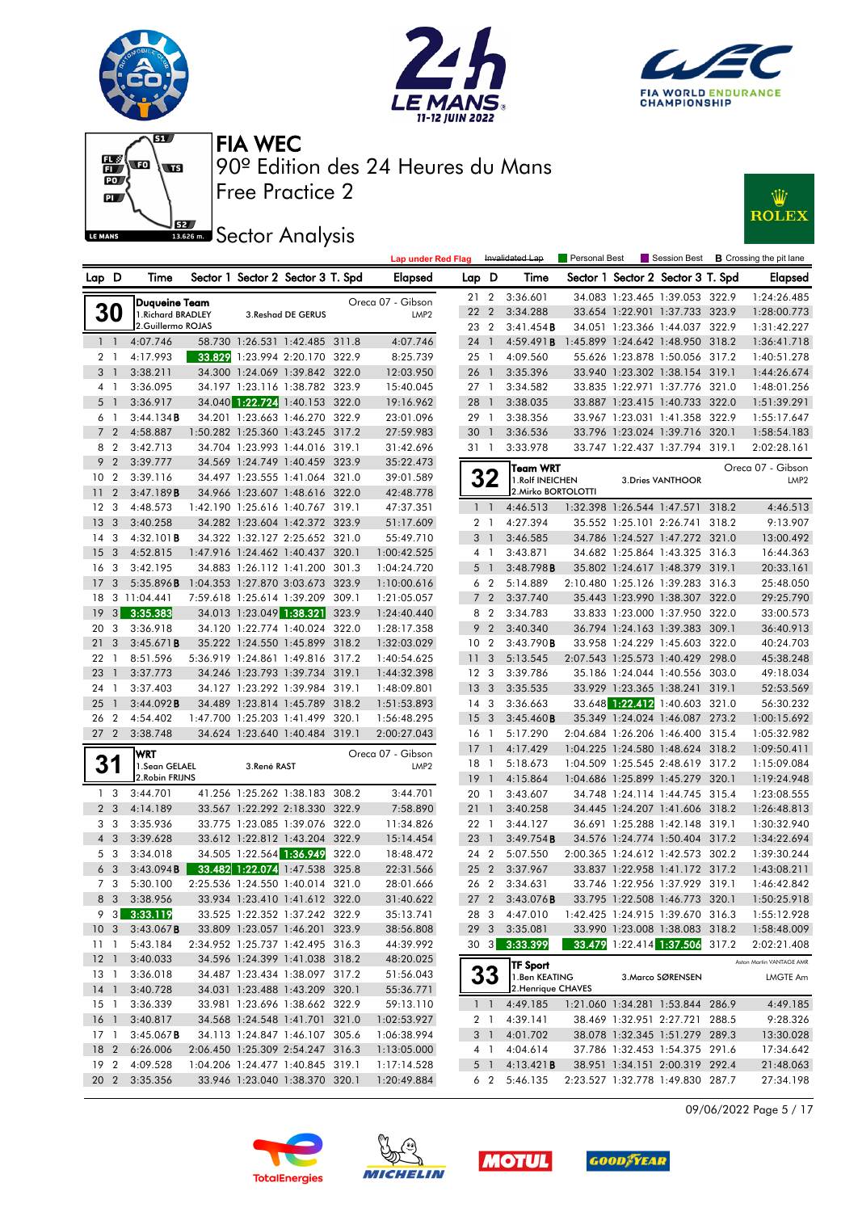











|                        |                         |                          |             |                                                                    |       | <b>Lap under Red Flag</b> |                 |                | Invalidated Lap                     | Personal Best |                                   | Session Best <b>B</b> Crossing the pit lane |
|------------------------|-------------------------|--------------------------|-------------|--------------------------------------------------------------------|-------|---------------------------|-----------------|----------------|-------------------------------------|---------------|-----------------------------------|---------------------------------------------|
| Lap D                  |                         | Time                     |             | Sector 1 Sector 2 Sector 3 T. Spd                                  |       | <b>Elapsed</b>            | Lap D           |                | Time                                |               | Sector 1 Sector 2 Sector 3 T. Spd | <b>Elapsed</b>                              |
|                        |                         | <b>Duqueine Team</b>     |             |                                                                    |       | Oreca 07 - Gibson         | $21 \t2$        |                | 3:36.601                            |               | 34.083 1:23.465 1:39.053 322.9    | 1:24:26.485                                 |
| <b>30</b>              |                         | 1. Richard BRADLEY       |             | 3. Reshad DE GERUS                                                 |       | LMP <sub>2</sub>          | 22 2            |                | 3:34.288                            |               | 33.654 1:22.901 1:37.733 323.9    | 1:28:00.773                                 |
|                        |                         | 2.Guillermo ROJAS        |             |                                                                    |       |                           | 23 2            |                | 3:41.454B                           |               | 34.051 1:23.366 1:44.037 322.9    | 1:31:42.227                                 |
| $1\quad$               |                         | 4:07.746                 |             | 58.730 1:26.531 1:42.485 311.8                                     |       | 4:07.746                  | 24              | $\overline{1}$ | 4:59.491B                           |               | 1:45.899 1:24.642 1:48.950 318.2  | 1:36:41.718                                 |
| 2 <sub>1</sub>         |                         | 4:17.993                 |             | 33.829 1:23.994 2:20.170 322.9                                     |       | 8:25.739                  | 25 1            |                | 4:09.560                            |               | 55.626 1:23.878 1:50.056 317.2    | 1:40:51.278                                 |
| 3 <sup>1</sup>         |                         | 3:38.211                 |             | 34.300 1:24.069 1:39.842 322.0                                     |       | 12:03.950                 | 26 1            |                | 3:35.396                            |               | 33.940 1:23.302 1:38.154 319.1    | 1:44:26.674                                 |
| 4 1                    |                         | 3:36.095                 |             | 34.197 1:23.116 1:38.782 323.9                                     |       | 15:40.045                 | $27-1$          |                | 3:34.582                            |               | 33.835 1:22.971 1:37.776 321.0    | 1:48:01.256                                 |
| 5 <sub>1</sub>         |                         | 3:36.917                 |             | 34.040 1:22.724 1:40.153 322.0                                     |       | 19:16.962                 | 28              | $\overline{1}$ | 3:38.035                            |               | 33.887 1:23.415 1:40.733 322.0    | 1:51:39.291                                 |
| 6 1                    |                         | 3:44.134B                |             | 34.201 1:23.663 1:46.270 322.9                                     |       | 23:01.096                 | 29 1            |                | 3:38.356                            |               | 33.967 1:23.031 1:41.358 322.9    | 1:55:17.647                                 |
|                        | 7 <sub>2</sub>          | 4:58.887                 |             | 1:50.282 1:25.360 1:43.245 317.2                                   |       | 27:59.983                 | 30 <sub>1</sub> |                | 3:36.536                            |               | 33.796 1:23.024 1:39.716 320.1    | 1:58:54.183                                 |
|                        | 8 2                     | 3:42.713                 |             | 34.704 1:23.993 1:44.016 319.1                                     |       | 31:42.696                 | 31 1            |                | 3:33.978                            |               | 33.747 1:22.437 1:37.794 319.1    | 2:02:28.161                                 |
| 9 <sub>2</sub>         |                         | 3:39.777                 |             | 34.569 1:24.749 1:40.459 323.9                                     |       | 35:22.473                 |                 |                | <b>Team WRT</b>                     |               |                                   | Oreca 07 - Gibson                           |
| 10 <sub>2</sub>        |                         | 3:39.116                 |             | 34.497 1:23.555 1:41.064 321.0                                     |       | 39:01.589                 |                 | 32             | 1. Rolf INEICHEN                    |               | 3. Dries VANTHOOR                 | LMP <sub>2</sub>                            |
| 11                     | $\overline{2}$          | 3:47.189B                |             | 34.966 1:23.607 1:48.616 322.0                                     |       | 42:48.778                 |                 |                | 2. Mirko BORTOLOTTI                 |               |                                   |                                             |
| 12 <sup>3</sup>        |                         | 4:48.573                 |             | 1:42.190 1:25.616 1:40.767 319.1                                   |       | 47:37.351                 |                 | $1\quad1$      | 4:46.513                            |               | 1:32.398 1:26.544 1:47.571 318.2  | 4:46.513                                    |
| 13 <sub>3</sub>        |                         | 3:40.258                 |             | 34.282 1:23.604 1:42.372 323.9                                     |       | 51:17.609                 |                 | 2 1            | 4:27.394                            |               | 35.552 1:25.101 2:26.741 318.2    | 9:13.907                                    |
| 14 <sup>3</sup>        |                         | $4:32.101$ <b>B</b>      |             | 34.322 1:32.127 2:25.652 321.0                                     |       | 55:49.710                 |                 | 3 <sup>1</sup> | 3:46.585                            |               | 34.786 1:24.527 1:47.272 321.0    | 13:00.492                                   |
| 15                     | $\overline{\mathbf{3}}$ | 4:52.815                 |             | 1:47.916 1:24.462 1:40.437 320.1                                   |       | 1:00:42.525               |                 | $4-1$          | 3:43.871                            |               | 34.682 1:25.864 1:43.325 316.3    | 16:44.363                                   |
| 16                     | -3                      | 3:42.195                 |             | 34.883 1:26.112 1:41.200 301.3                                     |       | 1:04:24.720               |                 | 5 <sub>1</sub> | 3:48.798B                           |               | 35.802 1:24.617 1:48.379 319.1    | 20:33.161                                   |
| 17                     | 3                       | 5:35.896B                |             | 1:04.353 1:27.870 3:03.673 323.9                                   |       | 1:10:00.616               |                 | 6 2            | 5:14.889                            |               | 2:10.480 1:25.126 1:39.283 316.3  | 25:48.050                                   |
| 18                     |                         | 3 11:04.441              |             | 7:59.618 1:25.614 1:39.209 309.1                                   |       | 1:21:05.057               |                 | 7 <sub>2</sub> | 3:37.740                            |               | 35.443 1:23.990 1:38.307 322.0    | 29:25.790                                   |
| <sup>19</sup>          | 3                       | 3:35.383                 |             | 34.013 1:23.049 1:38.321 323.9                                     |       | 1:24:40.440               | 8               | $\overline{2}$ | 3:34.783                            |               | 33.833 1:23.000 1:37.950 322.0    | 33:00.573                                   |
| 20                     | 3                       | 3:36.918                 |             | 34.120 1:22.774 1:40.024 322.0                                     |       | 1:28:17.358               |                 | 9 <sub>2</sub> | 3:40.340                            |               | 36.794 1:24.163 1:39.383 309.1    | 36:40.913                                   |
| 21                     | $\overline{\mathbf{3}}$ | 3:45.671B                |             | 35.222 1:24.550 1:45.899 318.2                                     |       | 1:32:03.029               | 10 <sub>2</sub> |                | 3:43.790B                           |               | 33.958 1:24.229 1:45.603 322.0    | 40:24.703                                   |
| 221                    |                         | 8:51.596                 |             | 5:36.919 1:24.861 1:49.816 317.2                                   |       | 1:40:54.625               | 11 <sub>3</sub> |                | 5:13.545                            |               | 2:07.543 1:25.573 1:40.429 298.0  | 45:38.248                                   |
| 23                     | $\overline{1}$          | 3:37.773                 |             | 34.246 1:23.793 1:39.734 319.1                                     |       | 1:44:32.398               | 12 <sup>3</sup> |                | 3:39.786                            |               | 35.186 1:24.044 1:40.556 303.0    | 49:18.034                                   |
| 24                     | -1                      | 3:37.403                 |             | 34.127 1:23.292 1:39.984 319.1                                     |       | 1:48:09.801               | 13 <sub>3</sub> |                | 3:35.535                            |               | 33.929 1:23.365 1:38.241 319.1    | 52:53.569                                   |
| 25                     | $\overline{1}$          | 3:44.092B                |             | 34.489 1:23.814 1:45.789 318.2                                     |       | 1:51:53.893               | 14 <sup>3</sup> |                | 3:36.663                            |               | 33.648 1:22.412 1:40.603 321.0    | 56:30.232                                   |
| 26 2                   |                         | 4:54.402                 |             | 1:47.700 1:25.203 1:41.499 320.1                                   |       | 1:56:48.295               | 15 <sub>3</sub> |                | 3:45.460B                           |               | 35.349 1:24.024 1:46.087 273.2    | 1:00:15.692                                 |
| 27 <sub>2</sub>        |                         | 3:38.748                 |             | 34.624 1:23.640 1:40.484 319.1                                     |       | 2:00:27.043               | 16 <sub>1</sub> |                | 5:17.290                            |               | 2:04.684 1:26.206 1:46.400 315.4  | 1:05:32.982                                 |
|                        |                         | <b>WRT</b>               |             |                                                                    |       | Oreca 07 - Gibson         | 17              | $\bigcap$      | 4:17.429                            |               | 1:04.225 1:24.580 1:48.624 318.2  | 1:09:50.411                                 |
| 31                     |                         | 1.Sean GELAEL            | 3.René RAST |                                                                    |       | LMP <sub>2</sub>          | 18 1            |                | 5:18.673                            |               | 1:04.509 1:25.545 2:48.619 317.2  | 1:15:09.084                                 |
|                        |                         | 2. Robin FRIJNS          |             |                                                                    |       |                           | $19-1$          |                | 4:15.864                            |               | 1:04.686 1:25.899 1:45.279 320.1  | 1:19:24.948                                 |
|                        | 1 <sub>3</sub>          | 3:44.701                 |             | 41.256 1:25.262 1:38.183 308.2                                     |       | 3:44.701                  | 20 1            |                | 3:43.607                            |               | 34.748 1:24.114 1:44.745 315.4    | 1:23:08.555                                 |
|                        | 2 <sub>3</sub>          | 4:14.189                 |             | 33.567 1:22.292 2:18.330 322.9                                     |       | 7:58.890                  | 21              | $\overline{1}$ | 3:40.258                            |               | 34.445 1:24.207 1:41.606 318.2    | 1:26:48.813                                 |
|                        | 3 3                     | 3:35.936                 |             | 33.775 1:23.085 1:39.076 322.0                                     |       | 11:34.826                 | 22 1            |                | 3:44.127                            |               | 36.691 1:25.288 1:42.148 319.1    | 1:30:32.940                                 |
| $4 \quad 3$            |                         | 3:39.628                 |             | 33.612 1:22.812 1:43.204 322.9                                     |       | 15:14.454                 | $23 \quad 1$    |                | 3:49.754B                           |               | 34.576 1:24.774 1:50.404 317.2    | 1:34:22.694                                 |
|                        | 5 3                     | 3:34.018                 |             | 34.505 1:22.564 1:36.949                                           | 322.0 | 18:48.472                 | 24 2            |                | 5:07.550                            |               | 2:00.365 1:24.612 1:42.573 302.2  | 1:39:30.244                                 |
|                        | 6 <sub>3</sub>          | 3:43.094B                |             | 33.482 1:22.074 1:47.538 325.8                                     |       | 22:31.566                 | 25 2            |                | 3:37.967                            |               | 33.837 1:22.958 1:41.172 317.2    | 1:43:08.211                                 |
|                        | 7 3                     | 5:30.100<br>8 3 3:38.956 |             | 2:25.536 1:24.550 1:40.014 321.0                                   |       | 28:01.666                 |                 | 26 2           | 3:34.631                            |               | 33.746 1:22.956 1:37.929 319.1    | 1:46:42.842                                 |
|                        |                         |                          |             | 33.934 1:23.410 1:41.612 322.0                                     |       | 31:40.622                 |                 |                | 27 2 3:43.076 <b>B</b>              |               | 33.795 1:22.508 1:46.773 320.1    | 1:50:25.918                                 |
|                        |                         | $9\quad 3\quad 3:33.119$ |             | 33.525 1:22.352 1:37.242 322.9                                     |       | 35:13.741                 |                 |                | 28 3 4:47.010                       |               | 1:42.425 1:24.915 1:39.670 316.3  | 1:55:12.928                                 |
| 10 <sub>3</sub>        |                         | 3:43.067B                |             | 33.809 1:23.057 1:46.201 323.9                                     |       | 38:56.808                 | 29 <sub>3</sub> |                | 3:35.081                            |               | 33.990 1:23.008 1:38.083 318.2    | 1:58:48.009                                 |
| $11-1$<br>$12 \quad 1$ |                         | 5:43.184<br>3:40.033     |             | 2:34.952 1:25.737 1:42.495 316.3<br>34.596 1:24.399 1:41.038 318.2 |       | 44:39.992                 |                 |                | 30 3 3:33.399                       |               | 33.479 1:22.414 1:37.506 317.2    | 2:02:21.408                                 |
| $13-1$                 |                         |                          |             | 34.487 1:23.434 1:38.097 317.2                                     |       | 48:20.025                 |                 |                | <b>TF Sport</b>                     |               |                                   | Aston Martin VANTAGE AMR                    |
|                        |                         | 3:36.018                 |             | 34.031 1:23.488 1:43.209 320.1                                     |       | 51:56.043                 |                 | 33             | 1.Ben KEATING<br>2. Henrique CHAVES |               | 3. Marco SØRENSEN                 | LMGTE Am                                    |
| $14-1$<br>$15-1$       |                         | 3:40.728<br>3:36.339     |             | 33.981 1:23.696 1:38.662 322.9                                     |       | 55:36.771<br>59:13.110    |                 | $1\quad1$      | 4:49.185                            |               | 1:21.060 1:34.281 1:53.844 286.9  | 4:49.185                                    |
| 16 <sub>1</sub>        |                         | 3:40.817                 |             | 34.568 1:24.548 1:41.701 321.0                                     |       | 1:02:53.927               |                 | 2 1            | 4:39.141                            |               | 38.469 1:32.951 2:27.721 288.5    | 9:28.326                                    |
| $17-1$                 |                         | $3:45.067$ <b>B</b>      |             | 34.113 1:24.847 1:46.107 305.6                                     |       | 1:06:38.994               |                 | 3 1            | 4:01.702                            |               | 38.078 1:32.345 1:51.279 289.3    | 13:30.028                                   |
| 18 <sub>2</sub>        |                         | 6:26.006                 |             | 2:06.450 1:25.309 2:54.247 316.3                                   |       | 1:13:05.000               |                 | 4 1            | 4:04.614                            |               | 37.786 1:32.453 1:54.375 291.6    | 17:34.642                                   |
| 19 <sup>2</sup>        |                         | 4:09.528                 |             | 1:04.206 1:24.477 1:40.845 319.1                                   |       | 1:17:14.528               |                 | 5 1            | 4:13.421B                           |               | 38.951 1:34.151 2:00.319 292.4    | 21:48.063                                   |
|                        |                         | 20 2 3:35.356            |             | 33.946 1:23.040 1:38.370 320.1                                     |       | 1:20:49.884               |                 | 6 2            | 5:46.135                            |               | 2:23.527 1:32.778 1:49.830 287.7  | 27:34.198                                   |
|                        |                         |                          |             |                                                                    |       |                           |                 |                |                                     |               |                                   |                                             |

09/06/2022 Page 5 / 17







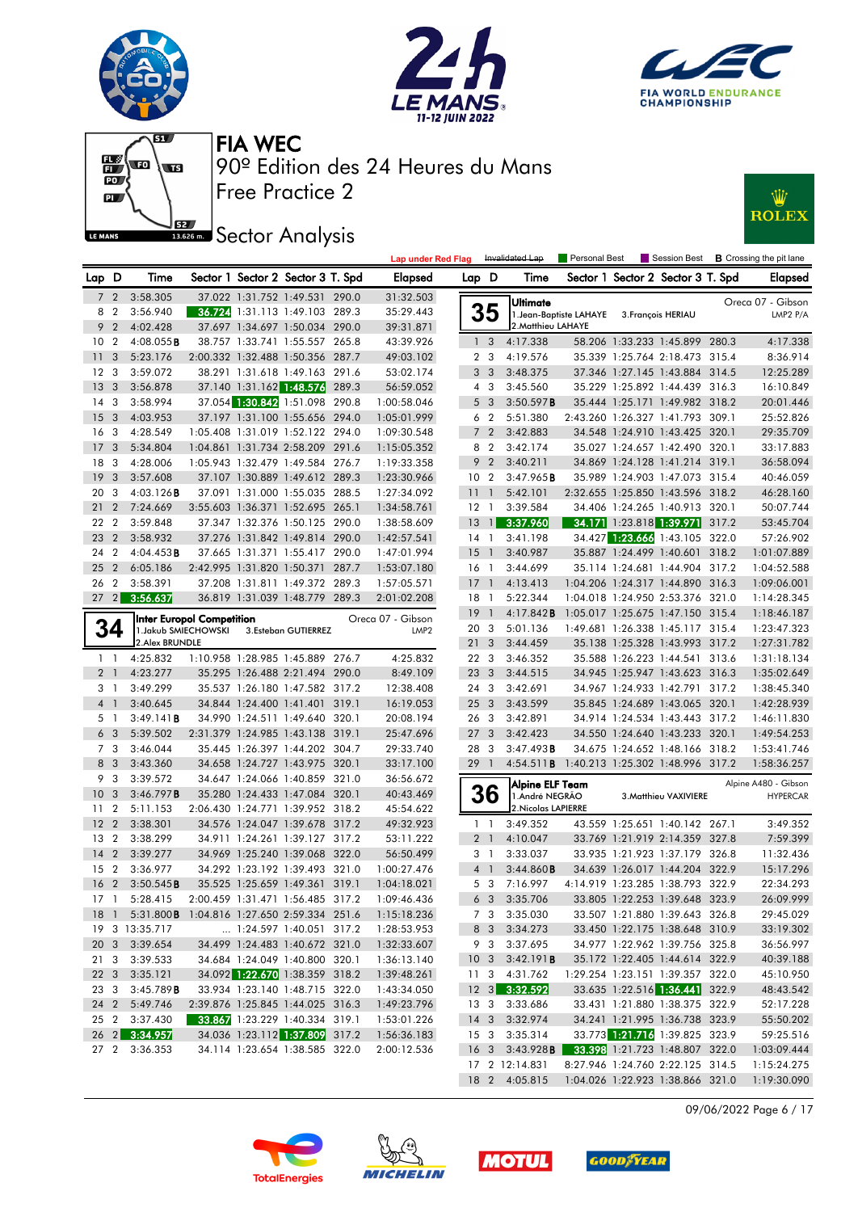











|                 |                 |                                                  |  |                                   |       | <b>Lap under Red Flag</b> |                 |                 | Invalidated Lap                                    | Personal Best           |                          | Session Best                      |       | <b>B</b> Crossing the pit lane |
|-----------------|-----------------|--------------------------------------------------|--|-----------------------------------|-------|---------------------------|-----------------|-----------------|----------------------------------------------------|-------------------------|--------------------------|-----------------------------------|-------|--------------------------------|
| Lap D           |                 | Time                                             |  | Sector 1 Sector 2 Sector 3 T. Spd |       | Elapsed                   | Lap D           |                 | Time                                               |                         |                          | Sector 1 Sector 2 Sector 3 T. Spd |       | <b>Elapsed</b>                 |
|                 | 7 <sub>2</sub>  | 3:58.305                                         |  | 37.022 1:31.752 1:49.531 290.0    |       | 31:32.503                 |                 |                 | Ultimate                                           |                         |                          |                                   |       | Oreca 07 - Gibson              |
| 8               | $\overline{2}$  | 3:56.940                                         |  | 36.724 1:31.113 1:49.103 289.3    |       | 35:29.443                 |                 | 35              |                                                    | 1. Jean-Baptiste LAHAYE |                          | 3. François HERIAU                |       | LMP2 P/A                       |
| 9               | $\overline{2}$  | 4:02.428                                         |  | 37.697 1:34.697 1:50.034 290.0    |       | 39:31.871                 |                 |                 | 2. Matthieu LAHAYE                                 |                         |                          |                                   |       |                                |
| 10 <sub>2</sub> |                 | $4:08.055$ B                                     |  | 38.757 1:33.741 1:55.557 265.8    |       | 43:39.926                 |                 | 1 <sub>3</sub>  | 4:17.338                                           |                         |                          | 58.206 1:33.233 1:45.899 280.3    |       | 4:17.338                       |
| 11              | 3               | 5:23.176                                         |  | 2:00.332 1:32.488 1:50.356 287.7  |       | 49:03.102                 |                 | 2 <sub>3</sub>  | 4:19.576                                           |                         |                          | 35.339 1:25.764 2:18.473 315.4    |       | 8:36.914                       |
| $12 \,$         | -3              | 3:59.072                                         |  | 38.291 1:31.618 1:49.163 291.6    |       | 53:02.174                 |                 | 3 <sub>3</sub>  | 3:48.375                                           |                         |                          | 37.346 1:27.145 1:43.884 314.5    |       | 12:25.289                      |
| 13              | -3              | 3:56.878                                         |  | 37.140 1:31.162 1:48.576 289.3    |       | 56:59.052                 |                 | $4\quad 3$      | 3:45.560                                           |                         |                          | 35.229 1:25.892 1:44.439 316.3    |       | 16:10.849                      |
| 14              | -3              | 3:58.994                                         |  | 37.054 1:30.842 1:51.098 290.8    |       | 1:00:58.046               |                 | 5 <sub>3</sub>  | 3:50.597B                                          |                         |                          | 35.444 1:25.171 1:49.982 318.2    |       | 20:01.446                      |
| 15              | 3               | 4:03.953                                         |  | 37.197 1:31.100 1:55.656 294.0    |       | 1:05:01.999               |                 | 6 <sub>2</sub>  | 5:51.380                                           |                         |                          | 2:43.260 1:26.327 1:41.793 309.1  |       | 25:52.826                      |
| 16              | 3               | 4:28.549                                         |  | 1:05.408 1:31.019 1:52.122 294.0  |       | 1:09:30.548               |                 | 7 <sub>2</sub>  | 3:42.883                                           |                         |                          | 34.548 1:24.910 1:43.425 320.1    |       | 29:35.709                      |
| 17              | 3               | 5:34.804                                         |  | 1:04.861 1:31.734 2:58.209 291.6  |       | 1:15:05.352               |                 | 8 2             | 3:42.174                                           |                         |                          | 35.027 1:24.657 1:42.490 320.1    |       | 33:17.883                      |
| 18              | -3              | 4:28.006                                         |  | 1:05.943 1:32.479 1:49.584 276.7  |       | 1:19:33.358               |                 | 9 <sub>2</sub>  | 3:40.211                                           |                         |                          | 34.869 1:24.128 1:41.214 319.1    |       | 36:58.094                      |
| 19              | 3               | 3:57.608                                         |  | 37.107 1:30.889 1:49.612 289.3    |       | 1:23:30.966               | 10 <sup>°</sup> | $\overline{2}$  | 3:47.965B                                          |                         |                          | 35.989 1:24.903 1:47.073 315.4    |       | 40:46.059                      |
| 20              | 3               | $4:03.126$ <b>B</b>                              |  | 37.091 1:31.000 1:55.035 288.5    |       | 1:27:34.092               | 11              | $\overline{1}$  | 5:42.101                                           |                         |                          | 2:32.655 1:25.850 1:43.596 318.2  |       | 46:28.160                      |
| 21              | $\overline{2}$  | 7:24.669                                         |  | 3:55.603 1:36.371 1:52.695 265.1  |       | 1:34:58.761               | $12 \quad 1$    |                 | 3:39.584                                           |                         |                          | 34.406 1:24.265 1:40.913 320.1    |       | 50:07.744                      |
| 22              | $\overline{2}$  | 3:59.848                                         |  | 37.347 1:32.376 1:50.125 290.0    |       | 1:38:58.609               | $13 \quad 1$    |                 | 3:37.960                                           |                         |                          | 34.171 1:23.818 1:39.971          | 317.2 | 53:45.704                      |
| 23              | $\overline{2}$  | 3:58.932                                         |  | 37.276 1:31.842 1:49.814 290.0    |       | 1:42:57.541               | $14-1$          |                 | 3:41.198                                           |                         | 34.427 1:23.666 1:43.105 |                                   | 322.0 | 57:26.902                      |
| 24              | $\overline{2}$  | 4:04.453B                                        |  | 37.665 1:31.371 1:55.417 290.0    |       | 1:47:01.994               | 15              | $\overline{1}$  | 3:40.987                                           |                         |                          | 35.887 1:24.499 1:40.601          | 318.2 | 1:01:07.889                    |
| 25              | $\overline{2}$  | 6:05.186                                         |  | 2:42.995 1:31.820 1:50.371 287.7  |       | 1:53:07.180               | 16 1            |                 | 3:44.699                                           |                         |                          | 35.114 1:24.681 1:44.904 317.2    |       | 1:04:52.588                    |
| 26              | $\overline{2}$  | 3:58.391                                         |  | 37.208 1:31.811 1:49.372 289.3    |       | 1:57:05.571               | $17-1$          |                 | 4:13.413                                           |                         |                          | 1:04.206 1:24.317 1:44.890 316.3  |       | 1:09:06.001                    |
| 27              | $\vert$ 2       | 3:56.637                                         |  | 36.819 1:31.039 1:48.779 289.3    |       | 2:01:02.208               | 18              | $\overline{1}$  | 5:22.344                                           |                         |                          | 1:04.018 1:24.950 2:53.376 321.0  |       | 1:14:28.345                    |
|                 |                 | <b>Inter Europol Competition</b>                 |  |                                   |       | Oreca 07 - Gibson         | 19              | $\overline{1}$  | 4:17.842B                                          |                         |                          | 1:05.017 1:25.675 1:47.150 315.4  |       | 1:18:46.187                    |
|                 | 34              | 1. Jakub SMIECHOWSKI                             |  | 3.Esteban GUTIERREZ               |       | LMP <sub>2</sub>          | 20 3            |                 | 5:01.136                                           |                         |                          | 1:49.681 1:26.338 1:45.117 315.4  |       | 1:23:47.323                    |
|                 |                 | 2.Alex BRUNDLE                                   |  |                                   |       |                           | 21 <sub>3</sub> |                 | 3:44.459                                           |                         |                          | 35.138 1:25.328 1:43.993 317.2    |       | 1:27:31.782                    |
|                 | $1\quad$        | 4:25.832                                         |  | 1:10.958 1:28.985 1:45.889 276.7  |       | 4:25.832                  | 22 3            |                 | 3:46.352                                           |                         |                          | 35.588 1:26.223 1:44.541 313.6    |       | 1:31:18.134                    |
|                 | 2 <sub>1</sub>  | 4:23.277                                         |  | 35.295 1:26.488 2:21.494 290.0    |       | 8:49.109                  | 23 3            |                 | 3:44.515                                           |                         |                          | 34.945 1:25.947 1:43.623 316.3    |       | 1:35:02.649                    |
|                 | 31              | 3:49.299                                         |  | 35.537 1:26.180 1:47.582 317.2    |       | 12:38.408                 | 24 3            |                 | 3:42.691                                           |                         |                          | 34.967 1:24.933 1:42.791 317.2    |       | 1:38:45.340                    |
|                 | 4 <sup>1</sup>  | 3:40.645                                         |  | 34.844 1:24.400 1:41.401 319.1    |       | 16:19.053                 | 25 <sub>3</sub> |                 | 3:43.599                                           |                         |                          | 35.845 1:24.689 1:43.065 320.1    |       | 1:42:28.939                    |
|                 | 5 1             | 3:49.141B                                        |  | 34.990 1:24.511 1:49.640          | 320.1 | 20:08.194                 | 26 3            |                 | 3:42.891                                           |                         |                          | 34.914 1:24.534 1:43.443 317.2    |       | 1:46:11.830                    |
|                 | 6 3             | 5:39.502                                         |  | 2:31.379 1:24.985 1:43.138 319.1  |       | 25:47.696                 | 27              | 3               | 3:42.423                                           |                         |                          | 34.550 1:24.640 1:43.233 320.1    |       | 1:49:54.253                    |
|                 | 7 <sub>3</sub>  | 3:46.044                                         |  | 35.445 1:26.397 1:44.202 304.7    |       | 29:33.740                 | 28 3            |                 | 3:47.493B                                          |                         |                          | 34.675 1:24.652 1:48.166 318.2    |       | 1:53:41.746                    |
|                 | 8 3             | 3:43.360                                         |  | 34.658 1:24.727 1:43.975 320.1    |       | 33:17.100                 | 29              | $\overline{1}$  | 4:54.511 <b>B</b> 1:40.213 1:25.302 1:48.996 317.2 |                         |                          |                                   |       | 1:58:36.257                    |
|                 | 9 3             | 3:39.572                                         |  | 34.647 1:24.066 1:40.859 321.0    |       | 36:56.672                 |                 |                 | Alpine ELF Team                                    |                         |                          |                                   |       | Alpine A480 - Gibson           |
| 10              | -3              | 3:46.797B                                        |  | 35.280 1:24.433 1:47.084 320.1    |       | 40:43.469                 |                 | 36              | 1.André NEGRÃO                                     |                         |                          | 3. Matthieu VAXIVIERE             |       | <b>HYPERCAR</b>                |
| 11              | $\overline{2}$  | 5:11.153                                         |  | 2:06.430 1:24.771 1:39.952 318.2  |       | 45:54.622                 |                 |                 | 2. Nicolas LAPIERRE                                |                         |                          |                                   |       |                                |
| 12              | $\overline{2}$  | 3:38.301                                         |  | 34.576 1:24.047 1:39.678 317.2    |       | 49:32.923                 |                 | $1\quad$        | 3:49.352                                           |                         |                          | 43.559 1:25.651 1:40.142 267.1    |       | 3:49.352                       |
| 13              | $\overline{2}$  | 3:38.299                                         |  | 34.911 1:24.261 1:39.127 317.2    |       | 53:11.222                 |                 | 2 <sub>1</sub>  | 4:10.047                                           |                         |                          | 33.769 1:21.919 2:14.359 327.8    |       | 7:59.399                       |
| 14              | $\overline{2}$  | 3:39.277                                         |  | 34.969 1:25.240 1:39.068 322.0    |       | 56:50.499                 |                 | 31              | 3:33.037                                           |                         |                          | 33.935 1:21.923 1:37.179 326.8    |       | 11:32.436                      |
| 15              | $\overline{2}$  | 3:36.977                                         |  | 34.292 1:23.192 1:39.493 321.0    |       | 1:00:27.476               |                 | 4 <sup>1</sup>  | 3:44.860B                                          |                         |                          | 34.639 1:26.017 1:44.204 322.9    |       | 15:17.296                      |
|                 | 16 <sub>2</sub> | 3:50.545B                                        |  | 35.525 1:25.659 1:49.361 319.1    |       | 1:04:18.021               |                 | 5 <sub>3</sub>  | 7:16.997                                           |                         |                          | 4:14.919 1:23.285 1:38.793 322.9  |       | 22:34.293                      |
|                 |                 | 17 1 5:28.415                                    |  | 2:00.459 1:31.471 1:56.485 317.2  |       | 1:09:46.436               |                 |                 | 6 3 3:35.706                                       |                         |                          | 33.805 1:22.253 1:39.648 323.9    |       | 26:09.999                      |
|                 |                 | 18 1 5:31.800 B 1:04.816 1:27.650 2:59.334 251.6 |  |                                   |       | 1:15:18.236               |                 |                 | 7 3 3:35.030                                       |                         |                          | 33.507 1:21.880 1:39.643 326.8    |       | 29:45.029                      |
|                 |                 | 19 3 13:35.717                                   |  | 1:24.597 1:40.051 317.2           |       | 1:28:53.953               |                 |                 | 8 3 3:34.273                                       |                         |                          | 33.450 1:22.175 1:38.648 310.9    |       | 33:19.302                      |
|                 |                 | 20 3 3:39.654                                    |  | 34.499 1:24.483 1:40.672 321.0    |       | 1:32:33.607               |                 |                 | 9 3 3:37.695                                       |                         |                          | 34.977 1:22.962 1:39.756 325.8    |       | 36:56.997                      |
|                 |                 | 21 3 3:39.533                                    |  | 34.684 1:24.049 1:40.800 320.1    |       | 1:36:13.140               |                 |                 | $10 \quad 3 \quad 3:42.191$ <b>B</b>               |                         |                          | 35.172 1:22.405 1:44.614 322.9    |       | 40:39.188                      |
|                 |                 | 22 3 3:35.121                                    |  | 34.092 1:22.670 1:38.359 318.2    |       | 1:39:48.261               |                 |                 | 11 3 4:31.762                                      |                         |                          | 1:29.254 1:23.151 1:39.357 322.0  |       | 45:10.950                      |
|                 |                 | 23 3 3:45.789 <b>B</b>                           |  | 33.934 1:23.140 1:48.715 322.0    |       | 1:43:34.050               |                 |                 | 12 3 3:32.592                                      |                         |                          | 33.635 1:22.516 1:36.441 322.9    |       | 48:43.542                      |
|                 |                 | 24 2 5:49.746                                    |  | 2:39.876 1:25.845 1:44.025 316.3  |       | 1:49:23.796               |                 |                 | 13 3 3:33.686                                      |                         |                          | 33.431 1:21.880 1:38.375 322.9    |       | 52:17.228                      |
|                 |                 | 25 2 3:37.430                                    |  | 33.867 1:23.229 1:40.334 319.1    |       | 1:53:01.226               |                 | 14 <sub>3</sub> | 3:32.974                                           |                         |                          | 34.241 1:21.995 1:36.738 323.9    |       | 55:50.202                      |
|                 |                 | 26 2 3:34.957                                    |  | 34.036 1:23.112 1:37.809 317.2    |       | 1:56:36.183               |                 |                 | 15 3 3:35.314                                      |                         |                          | 33.773 1:21.716 1:39.825 323.9    |       | 59:25.516                      |
|                 |                 | 27 2 3:36.353                                    |  | 34.114 1:23.654 1:38.585 322.0    |       | 2:00:12.536               |                 |                 | 16 3 3:43.928 <b>B</b>                             |                         |                          | 33.398 1:21.723 1:48.807 322.0    |       | 1:03:09.444                    |
|                 |                 |                                                  |  |                                   |       |                           |                 |                 | 17 2 12:14.831                                     |                         |                          | 8:27.946 1:24.760 2:22.125 314.5  |       | 1:15:24.275                    |
|                 |                 |                                                  |  |                                   |       |                           |                 |                 | 18 2 4:05.815                                      |                         |                          | 1:04.026 1:22.923 1:38.866 321.0  |       | 1:19:30.090                    |

09/06/2022 Page 6 / 17







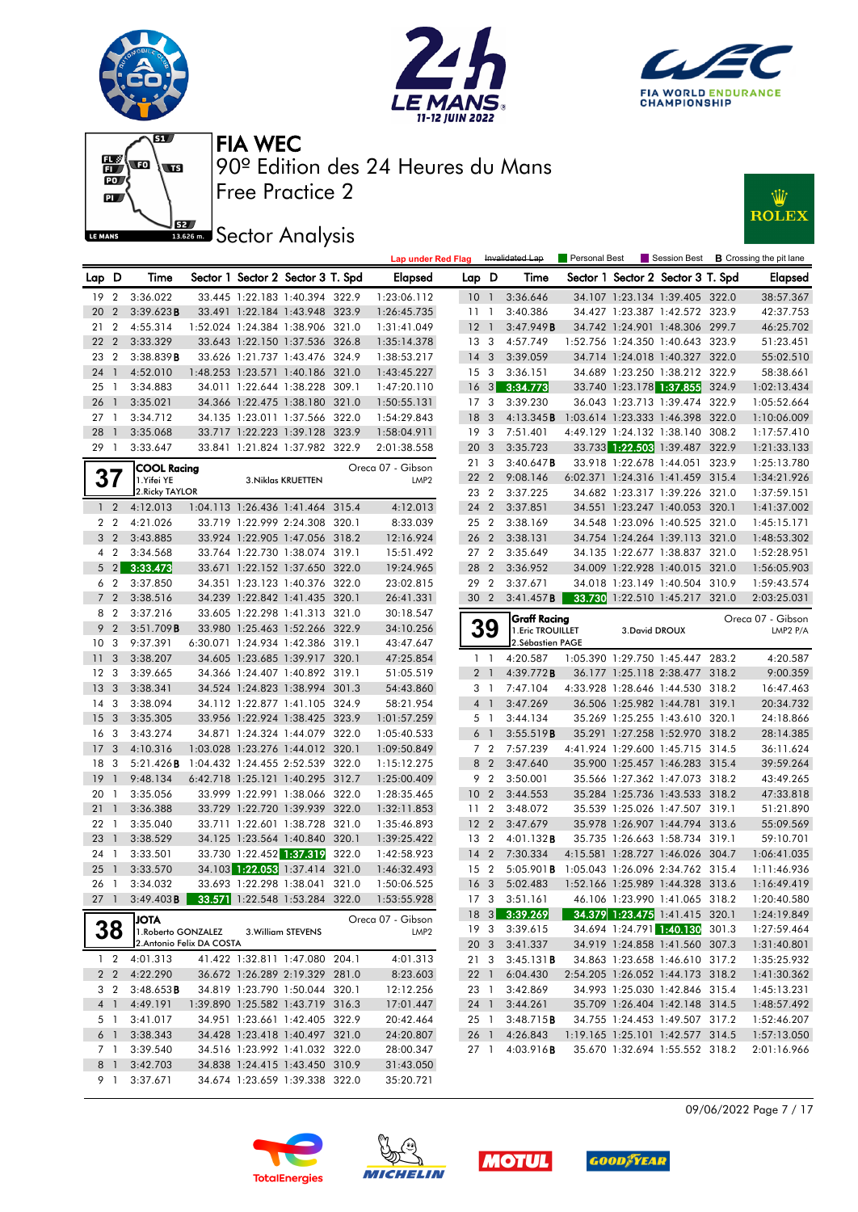







## **J**BEZ Sector Analysis



| Sector 1 Sector 2 Sector 3 T. Spd<br>Sector 1 Sector 2 Sector 3 T. Spd<br>Lap D<br>Time<br>Elapsed<br>Lap D<br>Time<br><b>Elapsed</b><br>3:36.022<br>3:36.646<br>19<br>$\overline{2}$<br>33.445 1:22.183 1:40.394 322.9<br>1:23:06.112<br>34.107 1:23.134 1:39.405 322.0<br>38:57.367<br>10 <sub>1</sub><br>3:39.623B<br>3:40.386<br>$\overline{2}$<br>33.491 1:22.184 1:43.948 323.9<br>1:26:45.735<br>34.427 1:23.387 1:42.572 323.9<br>42:37.753<br>20<br>11 <sub>1</sub><br>46:25.702<br>$\overline{2}$<br>4:55.314<br>1:52.024 1:24.384 1:38.906 321.0<br>$12-1$<br>3:47.949B<br>34.742 1:24.901 1:48.306 299.7<br>21<br>1:31:41.049<br>22<br>$\overline{2}$<br>13 <sub>3</sub><br>1:52.756 1:24.350 1:40.643 323.9<br>3:33.329<br>33.643 1:22.150 1:37.536 326.8<br>1:35:14.378<br>4:57.749<br>51:23.451<br>$\overline{2}$<br>14 <sub>3</sub><br>3:39.059<br>34.714 1:24.018 1:40.327 322.0<br>55:02.510<br>23<br>3:38.839B<br>33.626 1:21.737 1:43.476 324.9<br>1:38:53.217<br>34.689 1:23.250 1:38.212 322.9<br>58:38.661<br>24 <sub>1</sub><br>4:52.010<br>1:48.253 1:23.571 1:40.186 321.0<br>1:43:45.227<br>15 <sub>3</sub><br>3:36.151<br>34.011 1:22.644 1:38.228 309.1<br>$16 \quad 3$<br>3:34.773<br>33.740 1:23.178 1:37.855 324.9<br>1:02:13.434<br>25 1<br>3:34.883<br>1:47:20.110<br>34.366 1:22.475 1:38.180 321.0<br>17 <sub>3</sub><br>3:39.230<br>322.9<br>26<br>$\overline{1}$<br>3:35.021<br>1:50:55.131<br>36.043 1:23.713 1:39.474<br>1:05:52.664<br>27<br>3:34.712<br>34.135 1:23.011 1:37.566 322.0<br>1:54:29.843<br>18<br>3<br>4:13.345B<br>1:03.614 1:23.333 1:46.398 322.0<br>1:10:06.009<br>$\overline{1}$<br>28<br>33.717 1:22.223 1:39.128 323.9<br>7:51.401<br>4:49.129 1:24.132 1:38.140 308.2<br>3:35.068<br>19 <sup>3</sup><br>1:17:57.410<br>-1<br>1:58:04.911<br>33.841 1:21.824 1:37.982 322.9<br>20 <sub>3</sub><br>3:35.723<br>33.733 1:22.503 1:39.487 322.9<br>1:21:33.133<br>291<br>3:33.647<br>2:01:38.558<br>21 3<br>3:40.647B<br>323.9<br>33.918 1:22.678 1:44.051<br>1:25:13.780<br><b>COOL Racing</b><br>Oreca 07 - Gibson<br>37<br>22 2<br>9:08.146<br>6:02.371 1:24.316 1:41.459 315.4<br>1:34:21.926<br>1.Yifei YE<br>3. Niklas KRUETTEN<br>LMP <sub>2</sub><br>2. Ricky TAYLOR<br>3:37.225<br>34.682 1:23.317 1:39.226 321.0<br>23 2<br>1:37:59.151<br>1:04.113 1:26.436 1:41.464 315.4<br>1 <sub>2</sub><br>4:12.013<br>4:12.013<br>24 2<br>3:37.851<br>34.551 1:23.247 1:40.053 320.1<br>1:41:37.002<br>2 <sub>2</sub><br>25 2<br>4:21.026<br>33.719 1:22.999 2:24.308 320.1<br>8:33.039<br>3:38.169<br>34.548 1:23.096 1:40.525 321.0<br>1:45:15.171<br>3 <sub>2</sub><br>3:43.885<br>33.924 1:22.905 1:47.056 318.2<br>12:16.924<br>26 2<br>3:38.131<br>34.754 1:24.264 1:39.113 321.0<br>1:48:53.302<br>4 2<br>3:34.568<br>33.764 1:22.730 1:38.074 319.1<br>15:51.492<br>27 <sub>2</sub><br>3:35.649<br>34.135 1:22.677 1:38.837 321.0<br>1:52:28.951<br>$5 \quad 2$<br>3:33.473<br>33.671 1:22.152 1:37.650 322.0<br>28 2<br>34.009 1:22.928 1:40.015 321.0<br>19:24.965<br>3:36.952<br>1:56:05.903<br>29 2<br>6 <sub>2</sub><br>3:37.850<br>34.351 1:23.123 1:40.376 322.0<br>23:02.815<br>3:37.671<br>34.018 1:23.149 1:40.504 310.9<br>1:59:43.574<br>7 <sub>2</sub><br>34.239 1:22.842 1:41.435 320.1<br>30 2<br>3:41.457B<br>33.730 1:22.510 1:45.217 321.0<br>3:38.516<br>26:41.331<br>2:03:25.031<br>8 2<br>3:37.216<br>33.605 1:22.298 1:41.313 321.0<br>30:18.547<br><b>Graff Racing</b><br>Oreca 07 - Gibson<br>39<br>9 <sub>2</sub><br>3:51.709B<br>33.980 1:25.463 1:52.266 322.9<br>34:10.256<br>1. Eric TROUILLET<br>3. David DROUX<br>LMP2 P/A<br>10 <sub>3</sub><br>9:37.391<br>6:30.071 1:24.934 1:42.386 319.1<br>43:47.647<br>2. Sébastien PAGE<br>4:20.587<br>4:20.587<br>11<br>$\overline{\mathbf{3}}$<br>3:38.207<br>34.605 1:23.685 1:39.917 320.1<br>47:25.854<br>1:05.390 1:29.750 1:45.447 283.2<br>$1\quad$<br>12 <sup>3</sup><br>3:39.665<br>34.366 1:24.407 1:40.892 319.1<br>51:05.519<br>2 <sub>1</sub><br>4:39.772B<br>36.177 1:25.118 2:38.477 318.2<br>9:00.359<br>13<br>$\overline{\mathbf{3}}$<br>3:38.341<br>34.524 1:24.823 1:38.994 301.3<br>54:43.860<br>3 1<br>7:47.104<br>4:33.928 1:28.646 1:44.530 318.2<br>16:47.463<br>3:47.269<br>20:34.732<br>14<br>3<br>3:38.094<br>34.112 1:22.877 1:41.105 324.9<br>58:21.954<br>4 <sup>1</sup><br>36.506 1:25.982 1:44.781 319.1<br>15<br>$\overline{\mathbf{3}}$<br>3:35.305<br>33.956 1:22.924 1:38.425 323.9<br>1:01:57.259<br>3:44.134<br>35.269 1:25.255 1:43.610 320.1<br>24:18.866<br>5 1<br>3<br>16<br>3:43.274<br>34.871 1:24.324 1:44.079 322.0<br>3:55.519B<br>35.291 1:27.258 1:52.970 318.2<br>28:14.385<br>1:05:40.533<br>6 1<br>7 <sub>2</sub><br>17<br>3<br>4:10.316<br>1:03.028 1:23.276 1:44.012 320.1<br>1:09:50.849<br>7:57.239<br>4:41.924 1:29.600 1:45.715 314.5<br>36:11.624<br>39:59.264<br>18<br>3<br>5:21.426B<br>1:04.432 1:24.455 2:52.539 322.0<br>1:15:12.275<br>8 2<br>3:47.640<br>35.900 1:25.457 1:46.283 315.4<br>43:49.265<br>19<br>9:48.134<br>6:42.718 1:25.121 1:40.295 312.7<br>1:25:00.409<br>9 2<br>3:50.001<br>35.566 1:27.362 1:47.073 318.2<br>$\overline{1}$<br>33.999 1:22.991 1:38.066 322.0<br>47:33.818<br>3:35.056<br>1:28:35.465<br>10 <sub>2</sub><br>3:44.553<br>35.284 1:25.736 1:43.533 318.2<br>20 1<br>33.729 1:22.720 1:39.939 322.0<br>21<br>3:36.388<br>1:32:11.853<br>11 <sub>2</sub><br>3:48.072<br>35.539 1:25.026 1:47.507 319.1<br>51:21.890<br>$\overline{1}$<br>33.711 1:22.601 1:38.728 321.0<br>12 <sub>2</sub><br>55:09.569<br>22<br>3:35.040<br>1:35:46.893<br>3:47.679<br>35.978 1:26.907 1:44.794 313.6<br>$\overline{1}$<br>34.125 1:23.564 1:40.840 320.1<br>23<br>3:38.529<br>1:39:25.422<br>13 2<br>4:01.132B<br>35.735 1:26.663 1:58.734 319.1<br>59:10.701<br>- 1<br>33.730 1:22.452 1:37.319<br>322.0<br>$14 \quad 2$<br>24 1<br>7:30.334<br>4:15.581 1:28.727 1:46.026 304.7<br>3:33.501<br>1:42:58.923<br>1:06:41.035<br>34.103 1:22.053 1:37.414<br>321.0<br>15 2<br>25<br>3:33.570<br>$5:05.901$ <b>B</b><br>1:05.043 1:26.096 2:34.762 315.4<br>1:11:46.936<br>$\overline{1}$<br>1:46:32.493<br>33.693 1:22.298 1:38.041 321.0<br>16 <sub>3</sub><br>5:02.483<br>1:16:49.419<br>26 1<br>3:34.032<br>1:50:06.525<br>1:52.166 1:25.989 1:44.328 313.6<br>$27-1$<br>3:49.403 <b>B</b> 33.571 1:22.548 1:53.284 322.0<br>17 3 3:51.161<br>46.106 1:23.990 1:41.065 318.2<br>1:20:40.580<br>1:53:55.928<br>18 3 3:39.269<br>34.379 1:23.475 1:41.415 320.1<br>1:24:19.849<br><b>ATOL</b><br>Oreca 07 - Gibson<br>38<br>34.694 1:24.791 1:40.130 301.3<br>19 3<br>3:39.615<br>1:27:59.464<br>1. Roberto GONZALEZ<br>3. William STEVENS<br>LMP <sub>2</sub><br>2. Antonio Felix DA COSTA<br>20 3<br>3:41.337<br>34.919 1:24.858 1:41.560 307.3<br>1:31:40.801<br>41.422 1:32.811 1:47.080 204.1<br>4:01.313<br>34.863 1:23.658 1:46.610 317.2<br>$1\quad 2$<br>4:01.313<br>3:45.131 B<br>1:35:25.932<br>213<br>2 2 4:22.290<br>36.672 1:26.289 2:19.329 281.0<br>8:23.603<br>22 1<br>6:04.430<br>2:54.205 1:26.052 1:44.173 318.2<br>1:41:30.362<br>3 <sub>2</sub><br>3:48.653B<br>34.819 1:23.790 1:50.044 320.1<br>12:12.256<br>3:42.869<br>34.993 1:25.030 1:42.846 315.4<br>1:45:13.231<br>23 1<br>1:39.890 1:25.582 1:43.719 316.3<br>4 <sup>1</sup><br>4:49.191<br>17:01.447<br>24 1<br>3:44.261<br>35.709 1:26.404 1:42.148 314.5<br>1:48:57.492<br>3:41.017<br>34.951 1:23.661 1:42.405 322.9<br>20:42.464<br>3:48.715B<br>34.755 1:24.453 1:49.507 317.2<br>5 1<br>25 1<br>1:52:46.207<br>$6-1$<br>3:38.343<br>34.428 1:23.418 1:40.497 321.0<br>24:20.807<br>4:26.843<br>1:19.165 1:25.101 1:42.577 314.5<br>1:57:13.050<br>26 1<br>3:39.540<br>34.516 1:23.992 1:41.032 322.0<br>28:00.347<br>27 1 4:03.916 <b>B</b><br>35.670 1:32.694 1:55.552 318.2<br>7 1<br>2:01:16.966<br>3:42.703<br>34.838 1:24.415 1:43.450 310.9<br>8 1<br>31:43.050 |  |          |  |  | <b>Lap under Red Flag</b> |  | Invalidated Lap | <b>Personal Best</b> |  | Session Best <b>B</b> Crossing the pit lane |
|----------------------------------------------------------------------------------------------------------------------------------------------------------------------------------------------------------------------------------------------------------------------------------------------------------------------------------------------------------------------------------------------------------------------------------------------------------------------------------------------------------------------------------------------------------------------------------------------------------------------------------------------------------------------------------------------------------------------------------------------------------------------------------------------------------------------------------------------------------------------------------------------------------------------------------------------------------------------------------------------------------------------------------------------------------------------------------------------------------------------------------------------------------------------------------------------------------------------------------------------------------------------------------------------------------------------------------------------------------------------------------------------------------------------------------------------------------------------------------------------------------------------------------------------------------------------------------------------------------------------------------------------------------------------------------------------------------------------------------------------------------------------------------------------------------------------------------------------------------------------------------------------------------------------------------------------------------------------------------------------------------------------------------------------------------------------------------------------------------------------------------------------------------------------------------------------------------------------------------------------------------------------------------------------------------------------------------------------------------------------------------------------------------------------------------------------------------------------------------------------------------------------------------------------------------------------------------------------------------------------------------------------------------------------------------------------------------------------------------------------------------------------------------------------------------------------------------------------------------------------------------------------------------------------------------------------------------------------------------------------------------------------------------------------------------------------------------------------------------------------------------------------------------------------------------------------------------------------------------------------------------------------------------------------------------------------------------------------------------------------------------------------------------------------------------------------------------------------------------------------------------------------------------------------------------------------------------------------------------------------------------------------------------------------------------------------------------------------------------------------------------------------------------------------------------------------------------------------------------------------------------------------------------------------------------------------------------------------------------------------------------------------------------------------------------------------------------------------------------------------------------------------------------------------------------------------------------------------------------------------------------------------------------------------------------------------------------------------------------------------------------------------------------------------------------------------------------------------------------------------------------------------------------------------------------------------------------------------------------------------------------------------------------------------------------------------------------------------------------------------------------------------------------------------------------------------------------------------------------------------------------------------------------------------------------------------------------------------------------------------------------------------------------------------------------------------------------------------------------------------------------------------------------------------------------------------------------------------------------------------------------------------------------------------------------------------------------------------------------------------------------------------------------------------------------------------------------------------------------------------------------------------------------------------------------------------------------------------------------------------------------------------------------------------------------------------------------------------------------------------------------------------------------------------------------------------------------------------------------------------------------------------------------------------------------------------------------------------------------------------------------------------------------------------------------------------------------------------------------------------------------------------------------------------------------------------------------------------------------------------------------------------------------------------------------------------------------------------------------------------------------------------------------------------------------------------------------------------------------------------------------------------------------------------------------------------------------------------------------------------------------------------------------------------------------------------------------------------------------------------------------------------------------------------------------------------------------------------------------------------------------------------------------------------------------------------------------------------------------------------------------------------------------------------------------------------------------------------------------------------------------------------------------------------------------------------------------------------------------------------------------------------------------------------------------------------------------------------------------------------------------------------------------------------------------------------------------------------------------------------------------------------------------------------------------------------------------------------------------------------------------------------------------------------------------------------------------------------------------------------------------------------------------------------------------------------------------------------------------------------------------------------|--|----------|--|--|---------------------------|--|-----------------|----------------------|--|---------------------------------------------|
|                                                                                                                                                                                                                                                                                                                                                                                                                                                                                                                                                                                                                                                                                                                                                                                                                                                                                                                                                                                                                                                                                                                                                                                                                                                                                                                                                                                                                                                                                                                                                                                                                                                                                                                                                                                                                                                                                                                                                                                                                                                                                                                                                                                                                                                                                                                                                                                                                                                                                                                                                                                                                                                                                                                                                                                                                                                                                                                                                                                                                                                                                                                                                                                                                                                                                                                                                                                                                                                                                                                                                                                                                                                                                                                                                                                                                                                                                                                                                                                                                                                                                                                                                                                                                                                                                                                                                                                                                                                                                                                                                                                                                                                                                                                                                                                                                                                                                                                                                                                                                                                                                                                                                                                                                                                                                                                                                                                                                                                                                                                                                                                                                                                                                                                                                                                                                                                                                                                                                                                                                                                                                                                                                                                                                                                                                                                                                                                                                                                                                                                                                                                                                                                                                                                                                                                                                                                                                                                                                                                                                                                                                                                                                                                                                                                                                                                                                                                                                                                                                                                                                                                                                                                                                                                                                                                                                                                                                              |  |          |  |  |                           |  |                 |                      |  |                                             |
|                                                                                                                                                                                                                                                                                                                                                                                                                                                                                                                                                                                                                                                                                                                                                                                                                                                                                                                                                                                                                                                                                                                                                                                                                                                                                                                                                                                                                                                                                                                                                                                                                                                                                                                                                                                                                                                                                                                                                                                                                                                                                                                                                                                                                                                                                                                                                                                                                                                                                                                                                                                                                                                                                                                                                                                                                                                                                                                                                                                                                                                                                                                                                                                                                                                                                                                                                                                                                                                                                                                                                                                                                                                                                                                                                                                                                                                                                                                                                                                                                                                                                                                                                                                                                                                                                                                                                                                                                                                                                                                                                                                                                                                                                                                                                                                                                                                                                                                                                                                                                                                                                                                                                                                                                                                                                                                                                                                                                                                                                                                                                                                                                                                                                                                                                                                                                                                                                                                                                                                                                                                                                                                                                                                                                                                                                                                                                                                                                                                                                                                                                                                                                                                                                                                                                                                                                                                                                                                                                                                                                                                                                                                                                                                                                                                                                                                                                                                                                                                                                                                                                                                                                                                                                                                                                                                                                                                                                              |  |          |  |  |                           |  |                 |                      |  |                                             |
|                                                                                                                                                                                                                                                                                                                                                                                                                                                                                                                                                                                                                                                                                                                                                                                                                                                                                                                                                                                                                                                                                                                                                                                                                                                                                                                                                                                                                                                                                                                                                                                                                                                                                                                                                                                                                                                                                                                                                                                                                                                                                                                                                                                                                                                                                                                                                                                                                                                                                                                                                                                                                                                                                                                                                                                                                                                                                                                                                                                                                                                                                                                                                                                                                                                                                                                                                                                                                                                                                                                                                                                                                                                                                                                                                                                                                                                                                                                                                                                                                                                                                                                                                                                                                                                                                                                                                                                                                                                                                                                                                                                                                                                                                                                                                                                                                                                                                                                                                                                                                                                                                                                                                                                                                                                                                                                                                                                                                                                                                                                                                                                                                                                                                                                                                                                                                                                                                                                                                                                                                                                                                                                                                                                                                                                                                                                                                                                                                                                                                                                                                                                                                                                                                                                                                                                                                                                                                                                                                                                                                                                                                                                                                                                                                                                                                                                                                                                                                                                                                                                                                                                                                                                                                                                                                                                                                                                                                              |  |          |  |  |                           |  |                 |                      |  |                                             |
|                                                                                                                                                                                                                                                                                                                                                                                                                                                                                                                                                                                                                                                                                                                                                                                                                                                                                                                                                                                                                                                                                                                                                                                                                                                                                                                                                                                                                                                                                                                                                                                                                                                                                                                                                                                                                                                                                                                                                                                                                                                                                                                                                                                                                                                                                                                                                                                                                                                                                                                                                                                                                                                                                                                                                                                                                                                                                                                                                                                                                                                                                                                                                                                                                                                                                                                                                                                                                                                                                                                                                                                                                                                                                                                                                                                                                                                                                                                                                                                                                                                                                                                                                                                                                                                                                                                                                                                                                                                                                                                                                                                                                                                                                                                                                                                                                                                                                                                                                                                                                                                                                                                                                                                                                                                                                                                                                                                                                                                                                                                                                                                                                                                                                                                                                                                                                                                                                                                                                                                                                                                                                                                                                                                                                                                                                                                                                                                                                                                                                                                                                                                                                                                                                                                                                                                                                                                                                                                                                                                                                                                                                                                                                                                                                                                                                                                                                                                                                                                                                                                                                                                                                                                                                                                                                                                                                                                                                              |  |          |  |  |                           |  |                 |                      |  |                                             |
|                                                                                                                                                                                                                                                                                                                                                                                                                                                                                                                                                                                                                                                                                                                                                                                                                                                                                                                                                                                                                                                                                                                                                                                                                                                                                                                                                                                                                                                                                                                                                                                                                                                                                                                                                                                                                                                                                                                                                                                                                                                                                                                                                                                                                                                                                                                                                                                                                                                                                                                                                                                                                                                                                                                                                                                                                                                                                                                                                                                                                                                                                                                                                                                                                                                                                                                                                                                                                                                                                                                                                                                                                                                                                                                                                                                                                                                                                                                                                                                                                                                                                                                                                                                                                                                                                                                                                                                                                                                                                                                                                                                                                                                                                                                                                                                                                                                                                                                                                                                                                                                                                                                                                                                                                                                                                                                                                                                                                                                                                                                                                                                                                                                                                                                                                                                                                                                                                                                                                                                                                                                                                                                                                                                                                                                                                                                                                                                                                                                                                                                                                                                                                                                                                                                                                                                                                                                                                                                                                                                                                                                                                                                                                                                                                                                                                                                                                                                                                                                                                                                                                                                                                                                                                                                                                                                                                                                                                              |  |          |  |  |                           |  |                 |                      |  |                                             |
|                                                                                                                                                                                                                                                                                                                                                                                                                                                                                                                                                                                                                                                                                                                                                                                                                                                                                                                                                                                                                                                                                                                                                                                                                                                                                                                                                                                                                                                                                                                                                                                                                                                                                                                                                                                                                                                                                                                                                                                                                                                                                                                                                                                                                                                                                                                                                                                                                                                                                                                                                                                                                                                                                                                                                                                                                                                                                                                                                                                                                                                                                                                                                                                                                                                                                                                                                                                                                                                                                                                                                                                                                                                                                                                                                                                                                                                                                                                                                                                                                                                                                                                                                                                                                                                                                                                                                                                                                                                                                                                                                                                                                                                                                                                                                                                                                                                                                                                                                                                                                                                                                                                                                                                                                                                                                                                                                                                                                                                                                                                                                                                                                                                                                                                                                                                                                                                                                                                                                                                                                                                                                                                                                                                                                                                                                                                                                                                                                                                                                                                                                                                                                                                                                                                                                                                                                                                                                                                                                                                                                                                                                                                                                                                                                                                                                                                                                                                                                                                                                                                                                                                                                                                                                                                                                                                                                                                                                              |  |          |  |  |                           |  |                 |                      |  |                                             |
|                                                                                                                                                                                                                                                                                                                                                                                                                                                                                                                                                                                                                                                                                                                                                                                                                                                                                                                                                                                                                                                                                                                                                                                                                                                                                                                                                                                                                                                                                                                                                                                                                                                                                                                                                                                                                                                                                                                                                                                                                                                                                                                                                                                                                                                                                                                                                                                                                                                                                                                                                                                                                                                                                                                                                                                                                                                                                                                                                                                                                                                                                                                                                                                                                                                                                                                                                                                                                                                                                                                                                                                                                                                                                                                                                                                                                                                                                                                                                                                                                                                                                                                                                                                                                                                                                                                                                                                                                                                                                                                                                                                                                                                                                                                                                                                                                                                                                                                                                                                                                                                                                                                                                                                                                                                                                                                                                                                                                                                                                                                                                                                                                                                                                                                                                                                                                                                                                                                                                                                                                                                                                                                                                                                                                                                                                                                                                                                                                                                                                                                                                                                                                                                                                                                                                                                                                                                                                                                                                                                                                                                                                                                                                                                                                                                                                                                                                                                                                                                                                                                                                                                                                                                                                                                                                                                                                                                                                              |  |          |  |  |                           |  |                 |                      |  |                                             |
|                                                                                                                                                                                                                                                                                                                                                                                                                                                                                                                                                                                                                                                                                                                                                                                                                                                                                                                                                                                                                                                                                                                                                                                                                                                                                                                                                                                                                                                                                                                                                                                                                                                                                                                                                                                                                                                                                                                                                                                                                                                                                                                                                                                                                                                                                                                                                                                                                                                                                                                                                                                                                                                                                                                                                                                                                                                                                                                                                                                                                                                                                                                                                                                                                                                                                                                                                                                                                                                                                                                                                                                                                                                                                                                                                                                                                                                                                                                                                                                                                                                                                                                                                                                                                                                                                                                                                                                                                                                                                                                                                                                                                                                                                                                                                                                                                                                                                                                                                                                                                                                                                                                                                                                                                                                                                                                                                                                                                                                                                                                                                                                                                                                                                                                                                                                                                                                                                                                                                                                                                                                                                                                                                                                                                                                                                                                                                                                                                                                                                                                                                                                                                                                                                                                                                                                                                                                                                                                                                                                                                                                                                                                                                                                                                                                                                                                                                                                                                                                                                                                                                                                                                                                                                                                                                                                                                                                                                              |  |          |  |  |                           |  |                 |                      |  |                                             |
|                                                                                                                                                                                                                                                                                                                                                                                                                                                                                                                                                                                                                                                                                                                                                                                                                                                                                                                                                                                                                                                                                                                                                                                                                                                                                                                                                                                                                                                                                                                                                                                                                                                                                                                                                                                                                                                                                                                                                                                                                                                                                                                                                                                                                                                                                                                                                                                                                                                                                                                                                                                                                                                                                                                                                                                                                                                                                                                                                                                                                                                                                                                                                                                                                                                                                                                                                                                                                                                                                                                                                                                                                                                                                                                                                                                                                                                                                                                                                                                                                                                                                                                                                                                                                                                                                                                                                                                                                                                                                                                                                                                                                                                                                                                                                                                                                                                                                                                                                                                                                                                                                                                                                                                                                                                                                                                                                                                                                                                                                                                                                                                                                                                                                                                                                                                                                                                                                                                                                                                                                                                                                                                                                                                                                                                                                                                                                                                                                                                                                                                                                                                                                                                                                                                                                                                                                                                                                                                                                                                                                                                                                                                                                                                                                                                                                                                                                                                                                                                                                                                                                                                                                                                                                                                                                                                                                                                                                              |  |          |  |  |                           |  |                 |                      |  |                                             |
|                                                                                                                                                                                                                                                                                                                                                                                                                                                                                                                                                                                                                                                                                                                                                                                                                                                                                                                                                                                                                                                                                                                                                                                                                                                                                                                                                                                                                                                                                                                                                                                                                                                                                                                                                                                                                                                                                                                                                                                                                                                                                                                                                                                                                                                                                                                                                                                                                                                                                                                                                                                                                                                                                                                                                                                                                                                                                                                                                                                                                                                                                                                                                                                                                                                                                                                                                                                                                                                                                                                                                                                                                                                                                                                                                                                                                                                                                                                                                                                                                                                                                                                                                                                                                                                                                                                                                                                                                                                                                                                                                                                                                                                                                                                                                                                                                                                                                                                                                                                                                                                                                                                                                                                                                                                                                                                                                                                                                                                                                                                                                                                                                                                                                                                                                                                                                                                                                                                                                                                                                                                                                                                                                                                                                                                                                                                                                                                                                                                                                                                                                                                                                                                                                                                                                                                                                                                                                                                                                                                                                                                                                                                                                                                                                                                                                                                                                                                                                                                                                                                                                                                                                                                                                                                                                                                                                                                                                              |  |          |  |  |                           |  |                 |                      |  |                                             |
|                                                                                                                                                                                                                                                                                                                                                                                                                                                                                                                                                                                                                                                                                                                                                                                                                                                                                                                                                                                                                                                                                                                                                                                                                                                                                                                                                                                                                                                                                                                                                                                                                                                                                                                                                                                                                                                                                                                                                                                                                                                                                                                                                                                                                                                                                                                                                                                                                                                                                                                                                                                                                                                                                                                                                                                                                                                                                                                                                                                                                                                                                                                                                                                                                                                                                                                                                                                                                                                                                                                                                                                                                                                                                                                                                                                                                                                                                                                                                                                                                                                                                                                                                                                                                                                                                                                                                                                                                                                                                                                                                                                                                                                                                                                                                                                                                                                                                                                                                                                                                                                                                                                                                                                                                                                                                                                                                                                                                                                                                                                                                                                                                                                                                                                                                                                                                                                                                                                                                                                                                                                                                                                                                                                                                                                                                                                                                                                                                                                                                                                                                                                                                                                                                                                                                                                                                                                                                                                                                                                                                                                                                                                                                                                                                                                                                                                                                                                                                                                                                                                                                                                                                                                                                                                                                                                                                                                                                              |  |          |  |  |                           |  |                 |                      |  |                                             |
|                                                                                                                                                                                                                                                                                                                                                                                                                                                                                                                                                                                                                                                                                                                                                                                                                                                                                                                                                                                                                                                                                                                                                                                                                                                                                                                                                                                                                                                                                                                                                                                                                                                                                                                                                                                                                                                                                                                                                                                                                                                                                                                                                                                                                                                                                                                                                                                                                                                                                                                                                                                                                                                                                                                                                                                                                                                                                                                                                                                                                                                                                                                                                                                                                                                                                                                                                                                                                                                                                                                                                                                                                                                                                                                                                                                                                                                                                                                                                                                                                                                                                                                                                                                                                                                                                                                                                                                                                                                                                                                                                                                                                                                                                                                                                                                                                                                                                                                                                                                                                                                                                                                                                                                                                                                                                                                                                                                                                                                                                                                                                                                                                                                                                                                                                                                                                                                                                                                                                                                                                                                                                                                                                                                                                                                                                                                                                                                                                                                                                                                                                                                                                                                                                                                                                                                                                                                                                                                                                                                                                                                                                                                                                                                                                                                                                                                                                                                                                                                                                                                                                                                                                                                                                                                                                                                                                                                                                              |  |          |  |  |                           |  |                 |                      |  |                                             |
|                                                                                                                                                                                                                                                                                                                                                                                                                                                                                                                                                                                                                                                                                                                                                                                                                                                                                                                                                                                                                                                                                                                                                                                                                                                                                                                                                                                                                                                                                                                                                                                                                                                                                                                                                                                                                                                                                                                                                                                                                                                                                                                                                                                                                                                                                                                                                                                                                                                                                                                                                                                                                                                                                                                                                                                                                                                                                                                                                                                                                                                                                                                                                                                                                                                                                                                                                                                                                                                                                                                                                                                                                                                                                                                                                                                                                                                                                                                                                                                                                                                                                                                                                                                                                                                                                                                                                                                                                                                                                                                                                                                                                                                                                                                                                                                                                                                                                                                                                                                                                                                                                                                                                                                                                                                                                                                                                                                                                                                                                                                                                                                                                                                                                                                                                                                                                                                                                                                                                                                                                                                                                                                                                                                                                                                                                                                                                                                                                                                                                                                                                                                                                                                                                                                                                                                                                                                                                                                                                                                                                                                                                                                                                                                                                                                                                                                                                                                                                                                                                                                                                                                                                                                                                                                                                                                                                                                                                              |  |          |  |  |                           |  |                 |                      |  |                                             |
|                                                                                                                                                                                                                                                                                                                                                                                                                                                                                                                                                                                                                                                                                                                                                                                                                                                                                                                                                                                                                                                                                                                                                                                                                                                                                                                                                                                                                                                                                                                                                                                                                                                                                                                                                                                                                                                                                                                                                                                                                                                                                                                                                                                                                                                                                                                                                                                                                                                                                                                                                                                                                                                                                                                                                                                                                                                                                                                                                                                                                                                                                                                                                                                                                                                                                                                                                                                                                                                                                                                                                                                                                                                                                                                                                                                                                                                                                                                                                                                                                                                                                                                                                                                                                                                                                                                                                                                                                                                                                                                                                                                                                                                                                                                                                                                                                                                                                                                                                                                                                                                                                                                                                                                                                                                                                                                                                                                                                                                                                                                                                                                                                                                                                                                                                                                                                                                                                                                                                                                                                                                                                                                                                                                                                                                                                                                                                                                                                                                                                                                                                                                                                                                                                                                                                                                                                                                                                                                                                                                                                                                                                                                                                                                                                                                                                                                                                                                                                                                                                                                                                                                                                                                                                                                                                                                                                                                                                              |  |          |  |  |                           |  |                 |                      |  |                                             |
|                                                                                                                                                                                                                                                                                                                                                                                                                                                                                                                                                                                                                                                                                                                                                                                                                                                                                                                                                                                                                                                                                                                                                                                                                                                                                                                                                                                                                                                                                                                                                                                                                                                                                                                                                                                                                                                                                                                                                                                                                                                                                                                                                                                                                                                                                                                                                                                                                                                                                                                                                                                                                                                                                                                                                                                                                                                                                                                                                                                                                                                                                                                                                                                                                                                                                                                                                                                                                                                                                                                                                                                                                                                                                                                                                                                                                                                                                                                                                                                                                                                                                                                                                                                                                                                                                                                                                                                                                                                                                                                                                                                                                                                                                                                                                                                                                                                                                                                                                                                                                                                                                                                                                                                                                                                                                                                                                                                                                                                                                                                                                                                                                                                                                                                                                                                                                                                                                                                                                                                                                                                                                                                                                                                                                                                                                                                                                                                                                                                                                                                                                                                                                                                                                                                                                                                                                                                                                                                                                                                                                                                                                                                                                                                                                                                                                                                                                                                                                                                                                                                                                                                                                                                                                                                                                                                                                                                                                              |  |          |  |  |                           |  |                 |                      |  |                                             |
|                                                                                                                                                                                                                                                                                                                                                                                                                                                                                                                                                                                                                                                                                                                                                                                                                                                                                                                                                                                                                                                                                                                                                                                                                                                                                                                                                                                                                                                                                                                                                                                                                                                                                                                                                                                                                                                                                                                                                                                                                                                                                                                                                                                                                                                                                                                                                                                                                                                                                                                                                                                                                                                                                                                                                                                                                                                                                                                                                                                                                                                                                                                                                                                                                                                                                                                                                                                                                                                                                                                                                                                                                                                                                                                                                                                                                                                                                                                                                                                                                                                                                                                                                                                                                                                                                                                                                                                                                                                                                                                                                                                                                                                                                                                                                                                                                                                                                                                                                                                                                                                                                                                                                                                                                                                                                                                                                                                                                                                                                                                                                                                                                                                                                                                                                                                                                                                                                                                                                                                                                                                                                                                                                                                                                                                                                                                                                                                                                                                                                                                                                                                                                                                                                                                                                                                                                                                                                                                                                                                                                                                                                                                                                                                                                                                                                                                                                                                                                                                                                                                                                                                                                                                                                                                                                                                                                                                                                              |  |          |  |  |                           |  |                 |                      |  |                                             |
|                                                                                                                                                                                                                                                                                                                                                                                                                                                                                                                                                                                                                                                                                                                                                                                                                                                                                                                                                                                                                                                                                                                                                                                                                                                                                                                                                                                                                                                                                                                                                                                                                                                                                                                                                                                                                                                                                                                                                                                                                                                                                                                                                                                                                                                                                                                                                                                                                                                                                                                                                                                                                                                                                                                                                                                                                                                                                                                                                                                                                                                                                                                                                                                                                                                                                                                                                                                                                                                                                                                                                                                                                                                                                                                                                                                                                                                                                                                                                                                                                                                                                                                                                                                                                                                                                                                                                                                                                                                                                                                                                                                                                                                                                                                                                                                                                                                                                                                                                                                                                                                                                                                                                                                                                                                                                                                                                                                                                                                                                                                                                                                                                                                                                                                                                                                                                                                                                                                                                                                                                                                                                                                                                                                                                                                                                                                                                                                                                                                                                                                                                                                                                                                                                                                                                                                                                                                                                                                                                                                                                                                                                                                                                                                                                                                                                                                                                                                                                                                                                                                                                                                                                                                                                                                                                                                                                                                                                              |  |          |  |  |                           |  |                 |                      |  |                                             |
|                                                                                                                                                                                                                                                                                                                                                                                                                                                                                                                                                                                                                                                                                                                                                                                                                                                                                                                                                                                                                                                                                                                                                                                                                                                                                                                                                                                                                                                                                                                                                                                                                                                                                                                                                                                                                                                                                                                                                                                                                                                                                                                                                                                                                                                                                                                                                                                                                                                                                                                                                                                                                                                                                                                                                                                                                                                                                                                                                                                                                                                                                                                                                                                                                                                                                                                                                                                                                                                                                                                                                                                                                                                                                                                                                                                                                                                                                                                                                                                                                                                                                                                                                                                                                                                                                                                                                                                                                                                                                                                                                                                                                                                                                                                                                                                                                                                                                                                                                                                                                                                                                                                                                                                                                                                                                                                                                                                                                                                                                                                                                                                                                                                                                                                                                                                                                                                                                                                                                                                                                                                                                                                                                                                                                                                                                                                                                                                                                                                                                                                                                                                                                                                                                                                                                                                                                                                                                                                                                                                                                                                                                                                                                                                                                                                                                                                                                                                                                                                                                                                                                                                                                                                                                                                                                                                                                                                                                              |  |          |  |  |                           |  |                 |                      |  |                                             |
|                                                                                                                                                                                                                                                                                                                                                                                                                                                                                                                                                                                                                                                                                                                                                                                                                                                                                                                                                                                                                                                                                                                                                                                                                                                                                                                                                                                                                                                                                                                                                                                                                                                                                                                                                                                                                                                                                                                                                                                                                                                                                                                                                                                                                                                                                                                                                                                                                                                                                                                                                                                                                                                                                                                                                                                                                                                                                                                                                                                                                                                                                                                                                                                                                                                                                                                                                                                                                                                                                                                                                                                                                                                                                                                                                                                                                                                                                                                                                                                                                                                                                                                                                                                                                                                                                                                                                                                                                                                                                                                                                                                                                                                                                                                                                                                                                                                                                                                                                                                                                                                                                                                                                                                                                                                                                                                                                                                                                                                                                                                                                                                                                                                                                                                                                                                                                                                                                                                                                                                                                                                                                                                                                                                                                                                                                                                                                                                                                                                                                                                                                                                                                                                                                                                                                                                                                                                                                                                                                                                                                                                                                                                                                                                                                                                                                                                                                                                                                                                                                                                                                                                                                                                                                                                                                                                                                                                                                              |  |          |  |  |                           |  |                 |                      |  |                                             |
|                                                                                                                                                                                                                                                                                                                                                                                                                                                                                                                                                                                                                                                                                                                                                                                                                                                                                                                                                                                                                                                                                                                                                                                                                                                                                                                                                                                                                                                                                                                                                                                                                                                                                                                                                                                                                                                                                                                                                                                                                                                                                                                                                                                                                                                                                                                                                                                                                                                                                                                                                                                                                                                                                                                                                                                                                                                                                                                                                                                                                                                                                                                                                                                                                                                                                                                                                                                                                                                                                                                                                                                                                                                                                                                                                                                                                                                                                                                                                                                                                                                                                                                                                                                                                                                                                                                                                                                                                                                                                                                                                                                                                                                                                                                                                                                                                                                                                                                                                                                                                                                                                                                                                                                                                                                                                                                                                                                                                                                                                                                                                                                                                                                                                                                                                                                                                                                                                                                                                                                                                                                                                                                                                                                                                                                                                                                                                                                                                                                                                                                                                                                                                                                                                                                                                                                                                                                                                                                                                                                                                                                                                                                                                                                                                                                                                                                                                                                                                                                                                                                                                                                                                                                                                                                                                                                                                                                                                              |  |          |  |  |                           |  |                 |                      |  |                                             |
|                                                                                                                                                                                                                                                                                                                                                                                                                                                                                                                                                                                                                                                                                                                                                                                                                                                                                                                                                                                                                                                                                                                                                                                                                                                                                                                                                                                                                                                                                                                                                                                                                                                                                                                                                                                                                                                                                                                                                                                                                                                                                                                                                                                                                                                                                                                                                                                                                                                                                                                                                                                                                                                                                                                                                                                                                                                                                                                                                                                                                                                                                                                                                                                                                                                                                                                                                                                                                                                                                                                                                                                                                                                                                                                                                                                                                                                                                                                                                                                                                                                                                                                                                                                                                                                                                                                                                                                                                                                                                                                                                                                                                                                                                                                                                                                                                                                                                                                                                                                                                                                                                                                                                                                                                                                                                                                                                                                                                                                                                                                                                                                                                                                                                                                                                                                                                                                                                                                                                                                                                                                                                                                                                                                                                                                                                                                                                                                                                                                                                                                                                                                                                                                                                                                                                                                                                                                                                                                                                                                                                                                                                                                                                                                                                                                                                                                                                                                                                                                                                                                                                                                                                                                                                                                                                                                                                                                                                              |  |          |  |  |                           |  |                 |                      |  |                                             |
|                                                                                                                                                                                                                                                                                                                                                                                                                                                                                                                                                                                                                                                                                                                                                                                                                                                                                                                                                                                                                                                                                                                                                                                                                                                                                                                                                                                                                                                                                                                                                                                                                                                                                                                                                                                                                                                                                                                                                                                                                                                                                                                                                                                                                                                                                                                                                                                                                                                                                                                                                                                                                                                                                                                                                                                                                                                                                                                                                                                                                                                                                                                                                                                                                                                                                                                                                                                                                                                                                                                                                                                                                                                                                                                                                                                                                                                                                                                                                                                                                                                                                                                                                                                                                                                                                                                                                                                                                                                                                                                                                                                                                                                                                                                                                                                                                                                                                                                                                                                                                                                                                                                                                                                                                                                                                                                                                                                                                                                                                                                                                                                                                                                                                                                                                                                                                                                                                                                                                                                                                                                                                                                                                                                                                                                                                                                                                                                                                                                                                                                                                                                                                                                                                                                                                                                                                                                                                                                                                                                                                                                                                                                                                                                                                                                                                                                                                                                                                                                                                                                                                                                                                                                                                                                                                                                                                                                                                              |  |          |  |  |                           |  |                 |                      |  |                                             |
|                                                                                                                                                                                                                                                                                                                                                                                                                                                                                                                                                                                                                                                                                                                                                                                                                                                                                                                                                                                                                                                                                                                                                                                                                                                                                                                                                                                                                                                                                                                                                                                                                                                                                                                                                                                                                                                                                                                                                                                                                                                                                                                                                                                                                                                                                                                                                                                                                                                                                                                                                                                                                                                                                                                                                                                                                                                                                                                                                                                                                                                                                                                                                                                                                                                                                                                                                                                                                                                                                                                                                                                                                                                                                                                                                                                                                                                                                                                                                                                                                                                                                                                                                                                                                                                                                                                                                                                                                                                                                                                                                                                                                                                                                                                                                                                                                                                                                                                                                                                                                                                                                                                                                                                                                                                                                                                                                                                                                                                                                                                                                                                                                                                                                                                                                                                                                                                                                                                                                                                                                                                                                                                                                                                                                                                                                                                                                                                                                                                                                                                                                                                                                                                                                                                                                                                                                                                                                                                                                                                                                                                                                                                                                                                                                                                                                                                                                                                                                                                                                                                                                                                                                                                                                                                                                                                                                                                                                              |  |          |  |  |                           |  |                 |                      |  |                                             |
|                                                                                                                                                                                                                                                                                                                                                                                                                                                                                                                                                                                                                                                                                                                                                                                                                                                                                                                                                                                                                                                                                                                                                                                                                                                                                                                                                                                                                                                                                                                                                                                                                                                                                                                                                                                                                                                                                                                                                                                                                                                                                                                                                                                                                                                                                                                                                                                                                                                                                                                                                                                                                                                                                                                                                                                                                                                                                                                                                                                                                                                                                                                                                                                                                                                                                                                                                                                                                                                                                                                                                                                                                                                                                                                                                                                                                                                                                                                                                                                                                                                                                                                                                                                                                                                                                                                                                                                                                                                                                                                                                                                                                                                                                                                                                                                                                                                                                                                                                                                                                                                                                                                                                                                                                                                                                                                                                                                                                                                                                                                                                                                                                                                                                                                                                                                                                                                                                                                                                                                                                                                                                                                                                                                                                                                                                                                                                                                                                                                                                                                                                                                                                                                                                                                                                                                                                                                                                                                                                                                                                                                                                                                                                                                                                                                                                                                                                                                                                                                                                                                                                                                                                                                                                                                                                                                                                                                                                              |  |          |  |  |                           |  |                 |                      |  |                                             |
|                                                                                                                                                                                                                                                                                                                                                                                                                                                                                                                                                                                                                                                                                                                                                                                                                                                                                                                                                                                                                                                                                                                                                                                                                                                                                                                                                                                                                                                                                                                                                                                                                                                                                                                                                                                                                                                                                                                                                                                                                                                                                                                                                                                                                                                                                                                                                                                                                                                                                                                                                                                                                                                                                                                                                                                                                                                                                                                                                                                                                                                                                                                                                                                                                                                                                                                                                                                                                                                                                                                                                                                                                                                                                                                                                                                                                                                                                                                                                                                                                                                                                                                                                                                                                                                                                                                                                                                                                                                                                                                                                                                                                                                                                                                                                                                                                                                                                                                                                                                                                                                                                                                                                                                                                                                                                                                                                                                                                                                                                                                                                                                                                                                                                                                                                                                                                                                                                                                                                                                                                                                                                                                                                                                                                                                                                                                                                                                                                                                                                                                                                                                                                                                                                                                                                                                                                                                                                                                                                                                                                                                                                                                                                                                                                                                                                                                                                                                                                                                                                                                                                                                                                                                                                                                                                                                                                                                                                              |  |          |  |  |                           |  |                 |                      |  |                                             |
|                                                                                                                                                                                                                                                                                                                                                                                                                                                                                                                                                                                                                                                                                                                                                                                                                                                                                                                                                                                                                                                                                                                                                                                                                                                                                                                                                                                                                                                                                                                                                                                                                                                                                                                                                                                                                                                                                                                                                                                                                                                                                                                                                                                                                                                                                                                                                                                                                                                                                                                                                                                                                                                                                                                                                                                                                                                                                                                                                                                                                                                                                                                                                                                                                                                                                                                                                                                                                                                                                                                                                                                                                                                                                                                                                                                                                                                                                                                                                                                                                                                                                                                                                                                                                                                                                                                                                                                                                                                                                                                                                                                                                                                                                                                                                                                                                                                                                                                                                                                                                                                                                                                                                                                                                                                                                                                                                                                                                                                                                                                                                                                                                                                                                                                                                                                                                                                                                                                                                                                                                                                                                                                                                                                                                                                                                                                                                                                                                                                                                                                                                                                                                                                                                                                                                                                                                                                                                                                                                                                                                                                                                                                                                                                                                                                                                                                                                                                                                                                                                                                                                                                                                                                                                                                                                                                                                                                                                              |  |          |  |  |                           |  |                 |                      |  |                                             |
|                                                                                                                                                                                                                                                                                                                                                                                                                                                                                                                                                                                                                                                                                                                                                                                                                                                                                                                                                                                                                                                                                                                                                                                                                                                                                                                                                                                                                                                                                                                                                                                                                                                                                                                                                                                                                                                                                                                                                                                                                                                                                                                                                                                                                                                                                                                                                                                                                                                                                                                                                                                                                                                                                                                                                                                                                                                                                                                                                                                                                                                                                                                                                                                                                                                                                                                                                                                                                                                                                                                                                                                                                                                                                                                                                                                                                                                                                                                                                                                                                                                                                                                                                                                                                                                                                                                                                                                                                                                                                                                                                                                                                                                                                                                                                                                                                                                                                                                                                                                                                                                                                                                                                                                                                                                                                                                                                                                                                                                                                                                                                                                                                                                                                                                                                                                                                                                                                                                                                                                                                                                                                                                                                                                                                                                                                                                                                                                                                                                                                                                                                                                                                                                                                                                                                                                                                                                                                                                                                                                                                                                                                                                                                                                                                                                                                                                                                                                                                                                                                                                                                                                                                                                                                                                                                                                                                                                                                              |  |          |  |  |                           |  |                 |                      |  |                                             |
|                                                                                                                                                                                                                                                                                                                                                                                                                                                                                                                                                                                                                                                                                                                                                                                                                                                                                                                                                                                                                                                                                                                                                                                                                                                                                                                                                                                                                                                                                                                                                                                                                                                                                                                                                                                                                                                                                                                                                                                                                                                                                                                                                                                                                                                                                                                                                                                                                                                                                                                                                                                                                                                                                                                                                                                                                                                                                                                                                                                                                                                                                                                                                                                                                                                                                                                                                                                                                                                                                                                                                                                                                                                                                                                                                                                                                                                                                                                                                                                                                                                                                                                                                                                                                                                                                                                                                                                                                                                                                                                                                                                                                                                                                                                                                                                                                                                                                                                                                                                                                                                                                                                                                                                                                                                                                                                                                                                                                                                                                                                                                                                                                                                                                                                                                                                                                                                                                                                                                                                                                                                                                                                                                                                                                                                                                                                                                                                                                                                                                                                                                                                                                                                                                                                                                                                                                                                                                                                                                                                                                                                                                                                                                                                                                                                                                                                                                                                                                                                                                                                                                                                                                                                                                                                                                                                                                                                                                              |  |          |  |  |                           |  |                 |                      |  |                                             |
|                                                                                                                                                                                                                                                                                                                                                                                                                                                                                                                                                                                                                                                                                                                                                                                                                                                                                                                                                                                                                                                                                                                                                                                                                                                                                                                                                                                                                                                                                                                                                                                                                                                                                                                                                                                                                                                                                                                                                                                                                                                                                                                                                                                                                                                                                                                                                                                                                                                                                                                                                                                                                                                                                                                                                                                                                                                                                                                                                                                                                                                                                                                                                                                                                                                                                                                                                                                                                                                                                                                                                                                                                                                                                                                                                                                                                                                                                                                                                                                                                                                                                                                                                                                                                                                                                                                                                                                                                                                                                                                                                                                                                                                                                                                                                                                                                                                                                                                                                                                                                                                                                                                                                                                                                                                                                                                                                                                                                                                                                                                                                                                                                                                                                                                                                                                                                                                                                                                                                                                                                                                                                                                                                                                                                                                                                                                                                                                                                                                                                                                                                                                                                                                                                                                                                                                                                                                                                                                                                                                                                                                                                                                                                                                                                                                                                                                                                                                                                                                                                                                                                                                                                                                                                                                                                                                                                                                                                              |  |          |  |  |                           |  |                 |                      |  |                                             |
|                                                                                                                                                                                                                                                                                                                                                                                                                                                                                                                                                                                                                                                                                                                                                                                                                                                                                                                                                                                                                                                                                                                                                                                                                                                                                                                                                                                                                                                                                                                                                                                                                                                                                                                                                                                                                                                                                                                                                                                                                                                                                                                                                                                                                                                                                                                                                                                                                                                                                                                                                                                                                                                                                                                                                                                                                                                                                                                                                                                                                                                                                                                                                                                                                                                                                                                                                                                                                                                                                                                                                                                                                                                                                                                                                                                                                                                                                                                                                                                                                                                                                                                                                                                                                                                                                                                                                                                                                                                                                                                                                                                                                                                                                                                                                                                                                                                                                                                                                                                                                                                                                                                                                                                                                                                                                                                                                                                                                                                                                                                                                                                                                                                                                                                                                                                                                                                                                                                                                                                                                                                                                                                                                                                                                                                                                                                                                                                                                                                                                                                                                                                                                                                                                                                                                                                                                                                                                                                                                                                                                                                                                                                                                                                                                                                                                                                                                                                                                                                                                                                                                                                                                                                                                                                                                                                                                                                                                              |  |          |  |  |                           |  |                 |                      |  |                                             |
|                                                                                                                                                                                                                                                                                                                                                                                                                                                                                                                                                                                                                                                                                                                                                                                                                                                                                                                                                                                                                                                                                                                                                                                                                                                                                                                                                                                                                                                                                                                                                                                                                                                                                                                                                                                                                                                                                                                                                                                                                                                                                                                                                                                                                                                                                                                                                                                                                                                                                                                                                                                                                                                                                                                                                                                                                                                                                                                                                                                                                                                                                                                                                                                                                                                                                                                                                                                                                                                                                                                                                                                                                                                                                                                                                                                                                                                                                                                                                                                                                                                                                                                                                                                                                                                                                                                                                                                                                                                                                                                                                                                                                                                                                                                                                                                                                                                                                                                                                                                                                                                                                                                                                                                                                                                                                                                                                                                                                                                                                                                                                                                                                                                                                                                                                                                                                                                                                                                                                                                                                                                                                                                                                                                                                                                                                                                                                                                                                                                                                                                                                                                                                                                                                                                                                                                                                                                                                                                                                                                                                                                                                                                                                                                                                                                                                                                                                                                                                                                                                                                                                                                                                                                                                                                                                                                                                                                                                              |  |          |  |  |                           |  |                 |                      |  |                                             |
|                                                                                                                                                                                                                                                                                                                                                                                                                                                                                                                                                                                                                                                                                                                                                                                                                                                                                                                                                                                                                                                                                                                                                                                                                                                                                                                                                                                                                                                                                                                                                                                                                                                                                                                                                                                                                                                                                                                                                                                                                                                                                                                                                                                                                                                                                                                                                                                                                                                                                                                                                                                                                                                                                                                                                                                                                                                                                                                                                                                                                                                                                                                                                                                                                                                                                                                                                                                                                                                                                                                                                                                                                                                                                                                                                                                                                                                                                                                                                                                                                                                                                                                                                                                                                                                                                                                                                                                                                                                                                                                                                                                                                                                                                                                                                                                                                                                                                                                                                                                                                                                                                                                                                                                                                                                                                                                                                                                                                                                                                                                                                                                                                                                                                                                                                                                                                                                                                                                                                                                                                                                                                                                                                                                                                                                                                                                                                                                                                                                                                                                                                                                                                                                                                                                                                                                                                                                                                                                                                                                                                                                                                                                                                                                                                                                                                                                                                                                                                                                                                                                                                                                                                                                                                                                                                                                                                                                                                              |  |          |  |  |                           |  |                 |                      |  |                                             |
|                                                                                                                                                                                                                                                                                                                                                                                                                                                                                                                                                                                                                                                                                                                                                                                                                                                                                                                                                                                                                                                                                                                                                                                                                                                                                                                                                                                                                                                                                                                                                                                                                                                                                                                                                                                                                                                                                                                                                                                                                                                                                                                                                                                                                                                                                                                                                                                                                                                                                                                                                                                                                                                                                                                                                                                                                                                                                                                                                                                                                                                                                                                                                                                                                                                                                                                                                                                                                                                                                                                                                                                                                                                                                                                                                                                                                                                                                                                                                                                                                                                                                                                                                                                                                                                                                                                                                                                                                                                                                                                                                                                                                                                                                                                                                                                                                                                                                                                                                                                                                                                                                                                                                                                                                                                                                                                                                                                                                                                                                                                                                                                                                                                                                                                                                                                                                                                                                                                                                                                                                                                                                                                                                                                                                                                                                                                                                                                                                                                                                                                                                                                                                                                                                                                                                                                                                                                                                                                                                                                                                                                                                                                                                                                                                                                                                                                                                                                                                                                                                                                                                                                                                                                                                                                                                                                                                                                                                              |  |          |  |  |                           |  |                 |                      |  |                                             |
|                                                                                                                                                                                                                                                                                                                                                                                                                                                                                                                                                                                                                                                                                                                                                                                                                                                                                                                                                                                                                                                                                                                                                                                                                                                                                                                                                                                                                                                                                                                                                                                                                                                                                                                                                                                                                                                                                                                                                                                                                                                                                                                                                                                                                                                                                                                                                                                                                                                                                                                                                                                                                                                                                                                                                                                                                                                                                                                                                                                                                                                                                                                                                                                                                                                                                                                                                                                                                                                                                                                                                                                                                                                                                                                                                                                                                                                                                                                                                                                                                                                                                                                                                                                                                                                                                                                                                                                                                                                                                                                                                                                                                                                                                                                                                                                                                                                                                                                                                                                                                                                                                                                                                                                                                                                                                                                                                                                                                                                                                                                                                                                                                                                                                                                                                                                                                                                                                                                                                                                                                                                                                                                                                                                                                                                                                                                                                                                                                                                                                                                                                                                                                                                                                                                                                                                                                                                                                                                                                                                                                                                                                                                                                                                                                                                                                                                                                                                                                                                                                                                                                                                                                                                                                                                                                                                                                                                                                              |  |          |  |  |                           |  |                 |                      |  |                                             |
|                                                                                                                                                                                                                                                                                                                                                                                                                                                                                                                                                                                                                                                                                                                                                                                                                                                                                                                                                                                                                                                                                                                                                                                                                                                                                                                                                                                                                                                                                                                                                                                                                                                                                                                                                                                                                                                                                                                                                                                                                                                                                                                                                                                                                                                                                                                                                                                                                                                                                                                                                                                                                                                                                                                                                                                                                                                                                                                                                                                                                                                                                                                                                                                                                                                                                                                                                                                                                                                                                                                                                                                                                                                                                                                                                                                                                                                                                                                                                                                                                                                                                                                                                                                                                                                                                                                                                                                                                                                                                                                                                                                                                                                                                                                                                                                                                                                                                                                                                                                                                                                                                                                                                                                                                                                                                                                                                                                                                                                                                                                                                                                                                                                                                                                                                                                                                                                                                                                                                                                                                                                                                                                                                                                                                                                                                                                                                                                                                                                                                                                                                                                                                                                                                                                                                                                                                                                                                                                                                                                                                                                                                                                                                                                                                                                                                                                                                                                                                                                                                                                                                                                                                                                                                                                                                                                                                                                                                              |  |          |  |  |                           |  |                 |                      |  |                                             |
|                                                                                                                                                                                                                                                                                                                                                                                                                                                                                                                                                                                                                                                                                                                                                                                                                                                                                                                                                                                                                                                                                                                                                                                                                                                                                                                                                                                                                                                                                                                                                                                                                                                                                                                                                                                                                                                                                                                                                                                                                                                                                                                                                                                                                                                                                                                                                                                                                                                                                                                                                                                                                                                                                                                                                                                                                                                                                                                                                                                                                                                                                                                                                                                                                                                                                                                                                                                                                                                                                                                                                                                                                                                                                                                                                                                                                                                                                                                                                                                                                                                                                                                                                                                                                                                                                                                                                                                                                                                                                                                                                                                                                                                                                                                                                                                                                                                                                                                                                                                                                                                                                                                                                                                                                                                                                                                                                                                                                                                                                                                                                                                                                                                                                                                                                                                                                                                                                                                                                                                                                                                                                                                                                                                                                                                                                                                                                                                                                                                                                                                                                                                                                                                                                                                                                                                                                                                                                                                                                                                                                                                                                                                                                                                                                                                                                                                                                                                                                                                                                                                                                                                                                                                                                                                                                                                                                                                                                              |  |          |  |  |                           |  |                 |                      |  |                                             |
|                                                                                                                                                                                                                                                                                                                                                                                                                                                                                                                                                                                                                                                                                                                                                                                                                                                                                                                                                                                                                                                                                                                                                                                                                                                                                                                                                                                                                                                                                                                                                                                                                                                                                                                                                                                                                                                                                                                                                                                                                                                                                                                                                                                                                                                                                                                                                                                                                                                                                                                                                                                                                                                                                                                                                                                                                                                                                                                                                                                                                                                                                                                                                                                                                                                                                                                                                                                                                                                                                                                                                                                                                                                                                                                                                                                                                                                                                                                                                                                                                                                                                                                                                                                                                                                                                                                                                                                                                                                                                                                                                                                                                                                                                                                                                                                                                                                                                                                                                                                                                                                                                                                                                                                                                                                                                                                                                                                                                                                                                                                                                                                                                                                                                                                                                                                                                                                                                                                                                                                                                                                                                                                                                                                                                                                                                                                                                                                                                                                                                                                                                                                                                                                                                                                                                                                                                                                                                                                                                                                                                                                                                                                                                                                                                                                                                                                                                                                                                                                                                                                                                                                                                                                                                                                                                                                                                                                                                              |  |          |  |  |                           |  |                 |                      |  |                                             |
|                                                                                                                                                                                                                                                                                                                                                                                                                                                                                                                                                                                                                                                                                                                                                                                                                                                                                                                                                                                                                                                                                                                                                                                                                                                                                                                                                                                                                                                                                                                                                                                                                                                                                                                                                                                                                                                                                                                                                                                                                                                                                                                                                                                                                                                                                                                                                                                                                                                                                                                                                                                                                                                                                                                                                                                                                                                                                                                                                                                                                                                                                                                                                                                                                                                                                                                                                                                                                                                                                                                                                                                                                                                                                                                                                                                                                                                                                                                                                                                                                                                                                                                                                                                                                                                                                                                                                                                                                                                                                                                                                                                                                                                                                                                                                                                                                                                                                                                                                                                                                                                                                                                                                                                                                                                                                                                                                                                                                                                                                                                                                                                                                                                                                                                                                                                                                                                                                                                                                                                                                                                                                                                                                                                                                                                                                                                                                                                                                                                                                                                                                                                                                                                                                                                                                                                                                                                                                                                                                                                                                                                                                                                                                                                                                                                                                                                                                                                                                                                                                                                                                                                                                                                                                                                                                                                                                                                                                              |  |          |  |  |                           |  |                 |                      |  |                                             |
|                                                                                                                                                                                                                                                                                                                                                                                                                                                                                                                                                                                                                                                                                                                                                                                                                                                                                                                                                                                                                                                                                                                                                                                                                                                                                                                                                                                                                                                                                                                                                                                                                                                                                                                                                                                                                                                                                                                                                                                                                                                                                                                                                                                                                                                                                                                                                                                                                                                                                                                                                                                                                                                                                                                                                                                                                                                                                                                                                                                                                                                                                                                                                                                                                                                                                                                                                                                                                                                                                                                                                                                                                                                                                                                                                                                                                                                                                                                                                                                                                                                                                                                                                                                                                                                                                                                                                                                                                                                                                                                                                                                                                                                                                                                                                                                                                                                                                                                                                                                                                                                                                                                                                                                                                                                                                                                                                                                                                                                                                                                                                                                                                                                                                                                                                                                                                                                                                                                                                                                                                                                                                                                                                                                                                                                                                                                                                                                                                                                                                                                                                                                                                                                                                                                                                                                                                                                                                                                                                                                                                                                                                                                                                                                                                                                                                                                                                                                                                                                                                                                                                                                                                                                                                                                                                                                                                                                                                              |  |          |  |  |                           |  |                 |                      |  |                                             |
|                                                                                                                                                                                                                                                                                                                                                                                                                                                                                                                                                                                                                                                                                                                                                                                                                                                                                                                                                                                                                                                                                                                                                                                                                                                                                                                                                                                                                                                                                                                                                                                                                                                                                                                                                                                                                                                                                                                                                                                                                                                                                                                                                                                                                                                                                                                                                                                                                                                                                                                                                                                                                                                                                                                                                                                                                                                                                                                                                                                                                                                                                                                                                                                                                                                                                                                                                                                                                                                                                                                                                                                                                                                                                                                                                                                                                                                                                                                                                                                                                                                                                                                                                                                                                                                                                                                                                                                                                                                                                                                                                                                                                                                                                                                                                                                                                                                                                                                                                                                                                                                                                                                                                                                                                                                                                                                                                                                                                                                                                                                                                                                                                                                                                                                                                                                                                                                                                                                                                                                                                                                                                                                                                                                                                                                                                                                                                                                                                                                                                                                                                                                                                                                                                                                                                                                                                                                                                                                                                                                                                                                                                                                                                                                                                                                                                                                                                                                                                                                                                                                                                                                                                                                                                                                                                                                                                                                                                              |  |          |  |  |                           |  |                 |                      |  |                                             |
|                                                                                                                                                                                                                                                                                                                                                                                                                                                                                                                                                                                                                                                                                                                                                                                                                                                                                                                                                                                                                                                                                                                                                                                                                                                                                                                                                                                                                                                                                                                                                                                                                                                                                                                                                                                                                                                                                                                                                                                                                                                                                                                                                                                                                                                                                                                                                                                                                                                                                                                                                                                                                                                                                                                                                                                                                                                                                                                                                                                                                                                                                                                                                                                                                                                                                                                                                                                                                                                                                                                                                                                                                                                                                                                                                                                                                                                                                                                                                                                                                                                                                                                                                                                                                                                                                                                                                                                                                                                                                                                                                                                                                                                                                                                                                                                                                                                                                                                                                                                                                                                                                                                                                                                                                                                                                                                                                                                                                                                                                                                                                                                                                                                                                                                                                                                                                                                                                                                                                                                                                                                                                                                                                                                                                                                                                                                                                                                                                                                                                                                                                                                                                                                                                                                                                                                                                                                                                                                                                                                                                                                                                                                                                                                                                                                                                                                                                                                                                                                                                                                                                                                                                                                                                                                                                                                                                                                                                              |  |          |  |  |                           |  |                 |                      |  |                                             |
|                                                                                                                                                                                                                                                                                                                                                                                                                                                                                                                                                                                                                                                                                                                                                                                                                                                                                                                                                                                                                                                                                                                                                                                                                                                                                                                                                                                                                                                                                                                                                                                                                                                                                                                                                                                                                                                                                                                                                                                                                                                                                                                                                                                                                                                                                                                                                                                                                                                                                                                                                                                                                                                                                                                                                                                                                                                                                                                                                                                                                                                                                                                                                                                                                                                                                                                                                                                                                                                                                                                                                                                                                                                                                                                                                                                                                                                                                                                                                                                                                                                                                                                                                                                                                                                                                                                                                                                                                                                                                                                                                                                                                                                                                                                                                                                                                                                                                                                                                                                                                                                                                                                                                                                                                                                                                                                                                                                                                                                                                                                                                                                                                                                                                                                                                                                                                                                                                                                                                                                                                                                                                                                                                                                                                                                                                                                                                                                                                                                                                                                                                                                                                                                                                                                                                                                                                                                                                                                                                                                                                                                                                                                                                                                                                                                                                                                                                                                                                                                                                                                                                                                                                                                                                                                                                                                                                                                                                              |  |          |  |  |                           |  |                 |                      |  |                                             |
|                                                                                                                                                                                                                                                                                                                                                                                                                                                                                                                                                                                                                                                                                                                                                                                                                                                                                                                                                                                                                                                                                                                                                                                                                                                                                                                                                                                                                                                                                                                                                                                                                                                                                                                                                                                                                                                                                                                                                                                                                                                                                                                                                                                                                                                                                                                                                                                                                                                                                                                                                                                                                                                                                                                                                                                                                                                                                                                                                                                                                                                                                                                                                                                                                                                                                                                                                                                                                                                                                                                                                                                                                                                                                                                                                                                                                                                                                                                                                                                                                                                                                                                                                                                                                                                                                                                                                                                                                                                                                                                                                                                                                                                                                                                                                                                                                                                                                                                                                                                                                                                                                                                                                                                                                                                                                                                                                                                                                                                                                                                                                                                                                                                                                                                                                                                                                                                                                                                                                                                                                                                                                                                                                                                                                                                                                                                                                                                                                                                                                                                                                                                                                                                                                                                                                                                                                                                                                                                                                                                                                                                                                                                                                                                                                                                                                                                                                                                                                                                                                                                                                                                                                                                                                                                                                                                                                                                                                              |  |          |  |  |                           |  |                 |                      |  |                                             |
|                                                                                                                                                                                                                                                                                                                                                                                                                                                                                                                                                                                                                                                                                                                                                                                                                                                                                                                                                                                                                                                                                                                                                                                                                                                                                                                                                                                                                                                                                                                                                                                                                                                                                                                                                                                                                                                                                                                                                                                                                                                                                                                                                                                                                                                                                                                                                                                                                                                                                                                                                                                                                                                                                                                                                                                                                                                                                                                                                                                                                                                                                                                                                                                                                                                                                                                                                                                                                                                                                                                                                                                                                                                                                                                                                                                                                                                                                                                                                                                                                                                                                                                                                                                                                                                                                                                                                                                                                                                                                                                                                                                                                                                                                                                                                                                                                                                                                                                                                                                                                                                                                                                                                                                                                                                                                                                                                                                                                                                                                                                                                                                                                                                                                                                                                                                                                                                                                                                                                                                                                                                                                                                                                                                                                                                                                                                                                                                                                                                                                                                                                                                                                                                                                                                                                                                                                                                                                                                                                                                                                                                                                                                                                                                                                                                                                                                                                                                                                                                                                                                                                                                                                                                                                                                                                                                                                                                                                              |  |          |  |  |                           |  |                 |                      |  |                                             |
|                                                                                                                                                                                                                                                                                                                                                                                                                                                                                                                                                                                                                                                                                                                                                                                                                                                                                                                                                                                                                                                                                                                                                                                                                                                                                                                                                                                                                                                                                                                                                                                                                                                                                                                                                                                                                                                                                                                                                                                                                                                                                                                                                                                                                                                                                                                                                                                                                                                                                                                                                                                                                                                                                                                                                                                                                                                                                                                                                                                                                                                                                                                                                                                                                                                                                                                                                                                                                                                                                                                                                                                                                                                                                                                                                                                                                                                                                                                                                                                                                                                                                                                                                                                                                                                                                                                                                                                                                                                                                                                                                                                                                                                                                                                                                                                                                                                                                                                                                                                                                                                                                                                                                                                                                                                                                                                                                                                                                                                                                                                                                                                                                                                                                                                                                                                                                                                                                                                                                                                                                                                                                                                                                                                                                                                                                                                                                                                                                                                                                                                                                                                                                                                                                                                                                                                                                                                                                                                                                                                                                                                                                                                                                                                                                                                                                                                                                                                                                                                                                                                                                                                                                                                                                                                                                                                                                                                                                              |  |          |  |  |                           |  |                 |                      |  |                                             |
|                                                                                                                                                                                                                                                                                                                                                                                                                                                                                                                                                                                                                                                                                                                                                                                                                                                                                                                                                                                                                                                                                                                                                                                                                                                                                                                                                                                                                                                                                                                                                                                                                                                                                                                                                                                                                                                                                                                                                                                                                                                                                                                                                                                                                                                                                                                                                                                                                                                                                                                                                                                                                                                                                                                                                                                                                                                                                                                                                                                                                                                                                                                                                                                                                                                                                                                                                                                                                                                                                                                                                                                                                                                                                                                                                                                                                                                                                                                                                                                                                                                                                                                                                                                                                                                                                                                                                                                                                                                                                                                                                                                                                                                                                                                                                                                                                                                                                                                                                                                                                                                                                                                                                                                                                                                                                                                                                                                                                                                                                                                                                                                                                                                                                                                                                                                                                                                                                                                                                                                                                                                                                                                                                                                                                                                                                                                                                                                                                                                                                                                                                                                                                                                                                                                                                                                                                                                                                                                                                                                                                                                                                                                                                                                                                                                                                                                                                                                                                                                                                                                                                                                                                                                                                                                                                                                                                                                                                              |  |          |  |  |                           |  |                 |                      |  |                                             |
|                                                                                                                                                                                                                                                                                                                                                                                                                                                                                                                                                                                                                                                                                                                                                                                                                                                                                                                                                                                                                                                                                                                                                                                                                                                                                                                                                                                                                                                                                                                                                                                                                                                                                                                                                                                                                                                                                                                                                                                                                                                                                                                                                                                                                                                                                                                                                                                                                                                                                                                                                                                                                                                                                                                                                                                                                                                                                                                                                                                                                                                                                                                                                                                                                                                                                                                                                                                                                                                                                                                                                                                                                                                                                                                                                                                                                                                                                                                                                                                                                                                                                                                                                                                                                                                                                                                                                                                                                                                                                                                                                                                                                                                                                                                                                                                                                                                                                                                                                                                                                                                                                                                                                                                                                                                                                                                                                                                                                                                                                                                                                                                                                                                                                                                                                                                                                                                                                                                                                                                                                                                                                                                                                                                                                                                                                                                                                                                                                                                                                                                                                                                                                                                                                                                                                                                                                                                                                                                                                                                                                                                                                                                                                                                                                                                                                                                                                                                                                                                                                                                                                                                                                                                                                                                                                                                                                                                                                              |  |          |  |  |                           |  |                 |                      |  |                                             |
|                                                                                                                                                                                                                                                                                                                                                                                                                                                                                                                                                                                                                                                                                                                                                                                                                                                                                                                                                                                                                                                                                                                                                                                                                                                                                                                                                                                                                                                                                                                                                                                                                                                                                                                                                                                                                                                                                                                                                                                                                                                                                                                                                                                                                                                                                                                                                                                                                                                                                                                                                                                                                                                                                                                                                                                                                                                                                                                                                                                                                                                                                                                                                                                                                                                                                                                                                                                                                                                                                                                                                                                                                                                                                                                                                                                                                                                                                                                                                                                                                                                                                                                                                                                                                                                                                                                                                                                                                                                                                                                                                                                                                                                                                                                                                                                                                                                                                                                                                                                                                                                                                                                                                                                                                                                                                                                                                                                                                                                                                                                                                                                                                                                                                                                                                                                                                                                                                                                                                                                                                                                                                                                                                                                                                                                                                                                                                                                                                                                                                                                                                                                                                                                                                                                                                                                                                                                                                                                                                                                                                                                                                                                                                                                                                                                                                                                                                                                                                                                                                                                                                                                                                                                                                                                                                                                                                                                                                              |  |          |  |  |                           |  |                 |                      |  |                                             |
|                                                                                                                                                                                                                                                                                                                                                                                                                                                                                                                                                                                                                                                                                                                                                                                                                                                                                                                                                                                                                                                                                                                                                                                                                                                                                                                                                                                                                                                                                                                                                                                                                                                                                                                                                                                                                                                                                                                                                                                                                                                                                                                                                                                                                                                                                                                                                                                                                                                                                                                                                                                                                                                                                                                                                                                                                                                                                                                                                                                                                                                                                                                                                                                                                                                                                                                                                                                                                                                                                                                                                                                                                                                                                                                                                                                                                                                                                                                                                                                                                                                                                                                                                                                                                                                                                                                                                                                                                                                                                                                                                                                                                                                                                                                                                                                                                                                                                                                                                                                                                                                                                                                                                                                                                                                                                                                                                                                                                                                                                                                                                                                                                                                                                                                                                                                                                                                                                                                                                                                                                                                                                                                                                                                                                                                                                                                                                                                                                                                                                                                                                                                                                                                                                                                                                                                                                                                                                                                                                                                                                                                                                                                                                                                                                                                                                                                                                                                                                                                                                                                                                                                                                                                                                                                                                                                                                                                                                              |  |          |  |  |                           |  |                 |                      |  |                                             |
|                                                                                                                                                                                                                                                                                                                                                                                                                                                                                                                                                                                                                                                                                                                                                                                                                                                                                                                                                                                                                                                                                                                                                                                                                                                                                                                                                                                                                                                                                                                                                                                                                                                                                                                                                                                                                                                                                                                                                                                                                                                                                                                                                                                                                                                                                                                                                                                                                                                                                                                                                                                                                                                                                                                                                                                                                                                                                                                                                                                                                                                                                                                                                                                                                                                                                                                                                                                                                                                                                                                                                                                                                                                                                                                                                                                                                                                                                                                                                                                                                                                                                                                                                                                                                                                                                                                                                                                                                                                                                                                                                                                                                                                                                                                                                                                                                                                                                                                                                                                                                                                                                                                                                                                                                                                                                                                                                                                                                                                                                                                                                                                                                                                                                                                                                                                                                                                                                                                                                                                                                                                                                                                                                                                                                                                                                                                                                                                                                                                                                                                                                                                                                                                                                                                                                                                                                                                                                                                                                                                                                                                                                                                                                                                                                                                                                                                                                                                                                                                                                                                                                                                                                                                                                                                                                                                                                                                                                              |  |          |  |  |                           |  |                 |                      |  |                                             |
|                                                                                                                                                                                                                                                                                                                                                                                                                                                                                                                                                                                                                                                                                                                                                                                                                                                                                                                                                                                                                                                                                                                                                                                                                                                                                                                                                                                                                                                                                                                                                                                                                                                                                                                                                                                                                                                                                                                                                                                                                                                                                                                                                                                                                                                                                                                                                                                                                                                                                                                                                                                                                                                                                                                                                                                                                                                                                                                                                                                                                                                                                                                                                                                                                                                                                                                                                                                                                                                                                                                                                                                                                                                                                                                                                                                                                                                                                                                                                                                                                                                                                                                                                                                                                                                                                                                                                                                                                                                                                                                                                                                                                                                                                                                                                                                                                                                                                                                                                                                                                                                                                                                                                                                                                                                                                                                                                                                                                                                                                                                                                                                                                                                                                                                                                                                                                                                                                                                                                                                                                                                                                                                                                                                                                                                                                                                                                                                                                                                                                                                                                                                                                                                                                                                                                                                                                                                                                                                                                                                                                                                                                                                                                                                                                                                                                                                                                                                                                                                                                                                                                                                                                                                                                                                                                                                                                                                                                              |  |          |  |  |                           |  |                 |                      |  |                                             |
|                                                                                                                                                                                                                                                                                                                                                                                                                                                                                                                                                                                                                                                                                                                                                                                                                                                                                                                                                                                                                                                                                                                                                                                                                                                                                                                                                                                                                                                                                                                                                                                                                                                                                                                                                                                                                                                                                                                                                                                                                                                                                                                                                                                                                                                                                                                                                                                                                                                                                                                                                                                                                                                                                                                                                                                                                                                                                                                                                                                                                                                                                                                                                                                                                                                                                                                                                                                                                                                                                                                                                                                                                                                                                                                                                                                                                                                                                                                                                                                                                                                                                                                                                                                                                                                                                                                                                                                                                                                                                                                                                                                                                                                                                                                                                                                                                                                                                                                                                                                                                                                                                                                                                                                                                                                                                                                                                                                                                                                                                                                                                                                                                                                                                                                                                                                                                                                                                                                                                                                                                                                                                                                                                                                                                                                                                                                                                                                                                                                                                                                                                                                                                                                                                                                                                                                                                                                                                                                                                                                                                                                                                                                                                                                                                                                                                                                                                                                                                                                                                                                                                                                                                                                                                                                                                                                                                                                                                              |  |          |  |  |                           |  |                 |                      |  |                                             |
| 34.674 1:23.659 1:39.338 322.0<br>9 1                                                                                                                                                                                                                                                                                                                                                                                                                                                                                                                                                                                                                                                                                                                                                                                                                                                                                                                                                                                                                                                                                                                                                                                                                                                                                                                                                                                                                                                                                                                                                                                                                                                                                                                                                                                                                                                                                                                                                                                                                                                                                                                                                                                                                                                                                                                                                                                                                                                                                                                                                                                                                                                                                                                                                                                                                                                                                                                                                                                                                                                                                                                                                                                                                                                                                                                                                                                                                                                                                                                                                                                                                                                                                                                                                                                                                                                                                                                                                                                                                                                                                                                                                                                                                                                                                                                                                                                                                                                                                                                                                                                                                                                                                                                                                                                                                                                                                                                                                                                                                                                                                                                                                                                                                                                                                                                                                                                                                                                                                                                                                                                                                                                                                                                                                                                                                                                                                                                                                                                                                                                                                                                                                                                                                                                                                                                                                                                                                                                                                                                                                                                                                                                                                                                                                                                                                                                                                                                                                                                                                                                                                                                                                                                                                                                                                                                                                                                                                                                                                                                                                                                                                                                                                                                                                                                                                                                        |  | 3:37.671 |  |  | 35:20.721                 |  |                 |                      |  |                                             |









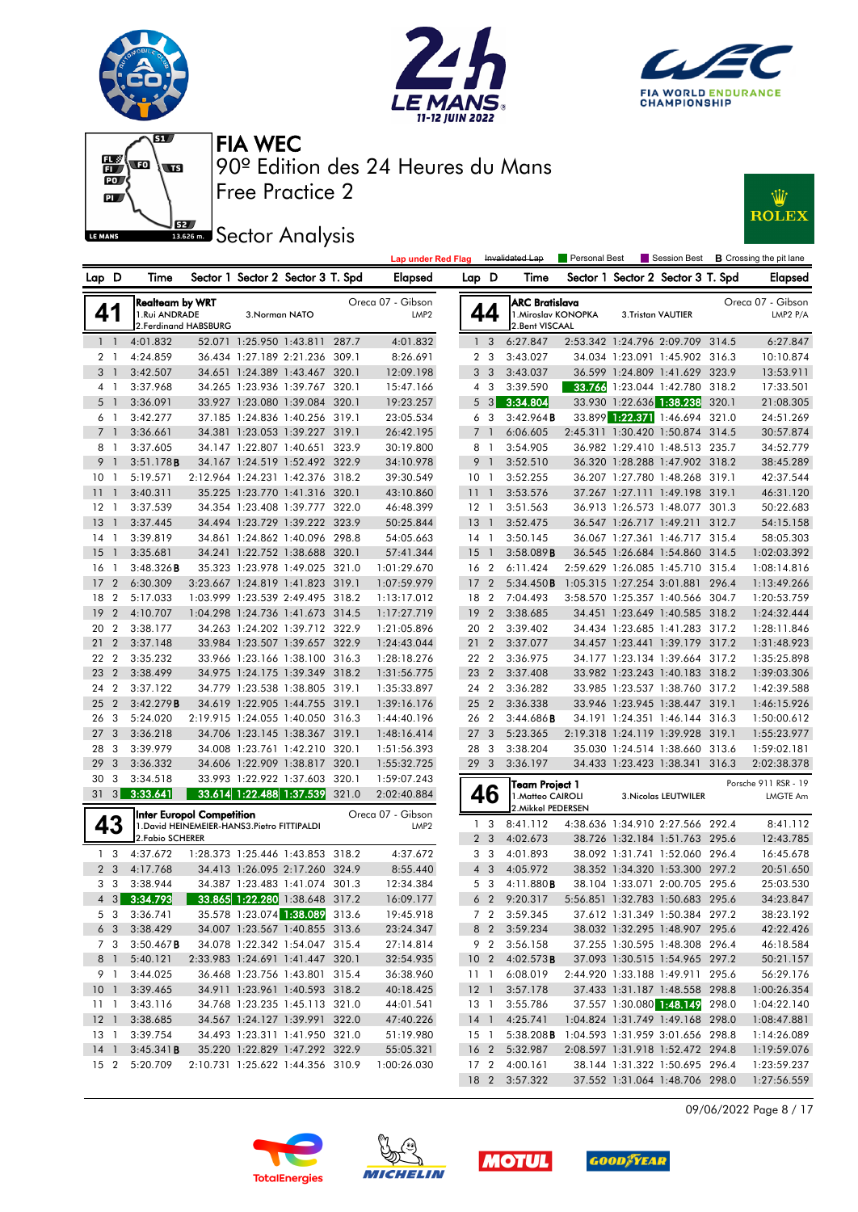







**Sector Analysis** 



|    |                                 |                |                                             |                                              |                |                                                                  |       | <b>Lap under Red Flag</b>             |                 |                  | Invalidated Lap                                                 | Personal Best |                                                                  |       | Session Best <b>B</b> Crossing the pit lane |
|----|---------------------------------|----------------|---------------------------------------------|----------------------------------------------|----------------|------------------------------------------------------------------|-------|---------------------------------------|-----------------|------------------|-----------------------------------------------------------------|---------------|------------------------------------------------------------------|-------|---------------------------------------------|
|    | Lap D                           |                | Time                                        |                                              |                | Sector 1 Sector 2 Sector 3 T. Spd                                |       | Elapsed                               | Lap D           |                  | Time                                                            |               | Sector 1 Sector 2 Sector 3 T. Spd                                |       | <b>Elapsed</b>                              |
|    | 41                              |                | <b>Realteam by WRT</b><br>1.Rui ANDRADE     | 2. Ferdinand HABSBURG                        | 3. Norman NATO |                                                                  |       | Oreca 07 - Gibson<br>LMP <sub>2</sub> |                 | 44               | <b>ARC Bratislava</b><br>1. Miroslav KONOPKA<br>2. Bent VISCAAL |               | 3.Tristan VAUTIER                                                |       | Oreca 07 - Gibson<br>LMP2 P/A               |
|    | 1 <sub>1</sub>                  |                | 4:01.832                                    |                                              |                | 52.071 1:25.950 1:43.811 287.7                                   |       | 4:01.832                              |                 | 1 <sub>3</sub>   | 6:27.847                                                        |               | 2:53.342 1:24.796 2:09.709 314.5                                 |       | 6:27.847                                    |
|    | 2 1                             |                | 4:24.859                                    |                                              |                | 36.434 1:27.189 2:21.236 309.1                                   |       | 8:26.691                              |                 | 2 <sub>3</sub>   | 3:43.027                                                        |               | 34.034 1:23.091 1:45.902 316.3                                   |       | 10:10.874                                   |
|    | 3 <sup>1</sup>                  |                | 3:42.507                                    |                                              |                | 34.651 1:24.389 1:43.467 320.1                                   |       | 12:09.198                             |                 | 3 <sub>3</sub>   | 3:43.037                                                        |               | 36.599 1:24.809 1:41.629 323.9                                   |       | 13:53.911                                   |
|    | $4-1$                           |                | 3:37.968                                    |                                              |                | 34.265 1:23.936 1:39.767 320.1                                   |       | 15:47.166                             |                 | $4 \quad 3$      | 3:39.590                                                        |               | 33.766 1:23.044 1:42.780 318.2                                   |       | 17:33.501                                   |
|    | 5 1                             |                | 3:36.091                                    |                                              |                | 33.927 1:23.080 1:39.084 320.1                                   |       | 19:23.257                             |                 | 5 <sub>3</sub>   | 3:34.804                                                        |               | 33.930 1:22.636 1:38.238                                         | 320.1 | 21:08.305                                   |
|    | 6 1                             |                | 3:42.277                                    |                                              |                | 37.185 1:24.836 1:40.256 319.1                                   |       | 23:05.534                             |                 | 6 <sub>3</sub>   | 3:42.964B                                                       |               | 33.899 1:22.371 1:46.694 321.0                                   |       | 24:51.269                                   |
|    | 7 <sup>1</sup>                  |                | 3:36.661                                    |                                              |                | 34.381 1:23.053 1:39.227 319.1                                   |       | 26:42.195                             |                 | 7 <sup>1</sup>   | 6:06.605                                                        |               | 2:45.311 1:30.420 1:50.874 314.5                                 |       | 30:57.874                                   |
|    | 8                               | -1             | 3:37.605                                    |                                              |                | 34.147 1:22.807 1:40.651 323.9                                   |       | 30:19.800                             |                 | 8 1              | 3:54.905                                                        |               | 36.982 1:29.410 1:48.513 235.7                                   |       | 34:52.779                                   |
|    | 9<br>$\overline{\phantom{0}}$   |                | 3:51.178B                                   |                                              |                | 34.167 1:24.519 1:52.492 322.9                                   |       | 34:10.978                             |                 | 9 <sub>1</sub>   | 3:52.510                                                        |               | 36.320 1:28.288 1:47.902 318.2                                   |       | 38:45.289                                   |
|    | 10                              | - 1            | 5:19.571                                    |                                              |                | 2:12.964 1:24.231 1:42.376 318.2                                 |       | 39:30.549                             | 10 <sub>1</sub> |                  | 3:52.255                                                        |               | 36.207 1:27.780 1:48.268 319.1                                   |       | 42:37.544                                   |
| 11 | $\overline{1}$                  |                | 3:40.311                                    |                                              |                | 35.225 1:23.770 1:41.316 320.1                                   |       | 43:10.860                             | 11 <sub>1</sub> |                  | 3:53.576                                                        |               | 37.267 1:27.111 1:49.198 319.1                                   |       | 46:31.120                                   |
|    | $12-1$                          |                | 3:37.539                                    |                                              |                | 34.354 1:23.408 1:39.777 322.0                                   |       | 46:48.399                             | $12-1$          |                  | 3:51.563                                                        |               | 36.913 1:26.573 1:48.077 301.3                                   |       | 50:22.683                                   |
| 13 |                                 | -1             | 3:37.445                                    |                                              |                | 34.494 1:23.729 1:39.222 323.9                                   |       | 50:25.844                             | $13-1$          |                  | 3:52.475                                                        |               | 36.547 1:26.717 1:49.211 312.7                                   |       | 54:15.158                                   |
|    | 14 1                            |                | 3:39.819                                    |                                              |                | 34.861 1:24.862 1:40.096 298.8                                   |       | 54:05.663                             | $14-1$          |                  | 3:50.145                                                        |               | 36.067 1:27.361 1:46.717 315.4                                   |       | 58:05.303                                   |
| 15 |                                 | $\overline{1}$ | 3:35.681                                    |                                              |                | 34.241 1:22.752 1:38.688 320.1                                   |       | 57:41.344                             | $15-1$          |                  | 3:58.089B                                                       |               | 36.545 1:26.684 1:54.860 314.5                                   |       | 1:02:03.392                                 |
|    | 16                              | -1             | 3:48.326B                                   |                                              |                | 35.323 1:23.978 1:49.025 321.0                                   |       | 1:01:29.670                           | 16 <sub>2</sub> |                  | 6:11.424                                                        |               | 2:59.629 1:26.085 1:45.710 315.4                                 |       | 1:08:14.816                                 |
| 17 |                                 | $\overline{2}$ | 6:30.309                                    |                                              |                | 3:23.667 1:24.819 1:41.823 319.1                                 |       | 1:07:59.979                           | 17              | $\overline{2}$   | 5:34.450B                                                       |               | 1:05.315 1:27.254 3:01.881 296.4                                 |       | 1:13:49.266                                 |
|    | 18                              | $\overline{2}$ | 5:17.033                                    |                                              |                | 1:03.999 1:23.539 2:49.495 318.2                                 |       | 1:13:17.012                           | 18 2            |                  | 7:04.493                                                        |               | 3:58.570 1:25.357 1:40.566 304.7                                 |       | 1:20:53.759                                 |
| 19 |                                 | $\overline{2}$ | 4:10.707                                    |                                              |                | 1:04.298 1:24.736 1:41.673 314.5                                 |       | 1:17:27.719                           | 19              | $\overline{2}$   | 3:38.685                                                        |               | 34.451 1:23.649 1:40.585 318.2                                   |       | 1:24:32.444                                 |
|    | 20 2                            |                | 3:38.177                                    |                                              |                | 34.263 1:24.202 1:39.712 322.9                                   |       | 1:21:05.896                           | 20 2            |                  | 3:39.402                                                        |               | 34.434 1:23.685 1:41.283 317.2                                   |       | 1:28:11.846                                 |
| 21 |                                 | $\overline{2}$ | 3:37.148                                    |                                              |                | 33.984 1:23.507 1:39.657 322.9                                   |       | 1:24:43.044                           | 21 2            |                  | 3:37.077                                                        |               | 34.457 1:23.441 1:39.179 317.2                                   |       | 1:31:48.923                                 |
|    | 22                              | $\overline{2}$ | 3:35.232                                    |                                              |                | 33.966 1:23.166 1:38.100 316.3                                   |       | 1:28:18.276                           | 22 2            |                  | 3:36.975                                                        |               | 34.177 1:23.134 1:39.664 317.2                                   |       | 1:35:25.898                                 |
|    | 23                              | $\overline{2}$ | 3:38.499                                    |                                              |                | 34.975 1:24.175 1:39.349 318.2                                   |       | 1:31:56.775                           | 23 2            |                  | 3:37.408                                                        |               | 33.982 1:23.243 1:40.183 318.2                                   |       | 1:39:03.306                                 |
|    | 24 2                            |                | 3:37.122                                    |                                              |                | 34.779 1:23.538 1:38.805 319.1                                   |       | 1:35:33.897                           | 24 2            |                  | 3:36.282                                                        |               | 33.985 1:23.537 1:38.760 317.2                                   |       | 1:42:39.588                                 |
| 25 |                                 | $\overline{2}$ | 3:42.279B                                   |                                              |                | 34.619 1:22.905 1:44.755 319.1                                   |       | 1:39:16.176                           | 25 <sub>2</sub> |                  | 3:36.338                                                        |               | 33.946 1:23.945 1:38.447 319.1                                   |       | 1:46:15.926                                 |
|    | 26                              | - 3            | 5:24.020                                    |                                              |                | 2:19.915 1:24.055 1:40.050 316.3                                 |       | 1:44:40.196                           | 26 2            |                  | 3:44.686B                                                       |               | 34.191 1:24.351 1:46.144 316.3                                   |       | 1:50:00.612                                 |
|    | 27                              | 3              | 3:36.218                                    |                                              |                | 34.706 1:23.145 1:38.367 319.1                                   |       | 1:48:16.414                           | 27              | 3                | 5:23.365                                                        |               | 2:19.318 1:24.119 1:39.928 319.1                                 |       | 1:55:23.977                                 |
|    | 28                              | - 3            | 3:39.979                                    |                                              |                | 34.008 1:23.761 1:42.210 320.1                                   |       | 1:51:56.393                           | 28 3            |                  | 3:38.204                                                        |               | 35.030 1:24.514 1:38.660 313.6                                   |       | 1:59:02.181                                 |
| 29 |                                 | 3              | 3:36.332                                    |                                              |                | 34.606 1:22.909 1:38.817 320.1                                   |       | 1:55:32.725                           | 29 <sub>3</sub> |                  | 3:36.197                                                        |               | 34.433 1:23.423 1:38.341 316.3                                   |       | 2:02:38.378                                 |
|    | 30                              | 3              | 3:34.518                                    |                                              |                | 33.993 1:22.922 1:37.603 320.1                                   |       | 1:59:07.243                           |                 |                  | Team Project 1                                                  |               |                                                                  |       | Porsche 911 RSR - 19                        |
|    |                                 |                | 31 3 3:33.641                               |                                              |                | 33.614 1:22.488 1:37.539                                         | 321.0 | 2:02:40.884                           |                 | 46               | 1. Matteo CAIROLI<br>2. Mikkel PEDERSEN                         |               | 3. Nicolas LEUTWILER                                             |       | <b>LMGTE Am</b>                             |
|    |                                 |                |                                             | Inter Europol Competition                    |                |                                                                  |       | Oreca 07 - Gibson                     | 1               | 3                | 8:41.112                                                        |               | 4:38.636 1:34.910 2:27.566 292.4                                 |       | 8:41.112                                    |
|    | 43                              |                | 2. Fabio SCHERER                            | 1. David HEINEMEIER-HANS3. Pietro FITTIPALDI |                |                                                                  |       | LMP <sub>2</sub>                      |                 | 2 <sub>3</sub>   | 4:02.673                                                        |               | 38.726 1:32.184 1:51.763 295.6                                   |       | 12:43.785                                   |
|    | 1 <sub>3</sub>                  |                | 4:37.672                                    |                                              |                | 1:28.373 1:25.446 1:43.853 318.2                                 |       | 4:37.672                              |                 | 3 <sub>3</sub>   | 4:01.893                                                        |               | 38.092 1:31.741 1:52.060 296.4                                   |       | 16:45.678                                   |
|    | 2 <sub>3</sub>                  |                | 4:17.768                                    |                                              |                | 34.413 1:26.095 2:17.260 324.9                                   |       | 8:55.440                              |                 | $4 \overline{3}$ | 4:05.972                                                        |               | 38.352 1:34.320 1:53.300 297.2                                   |       | 20:51.650                                   |
|    | 3 <sub>3</sub>                  |                | 3:38.944                                    |                                              |                | 34.387 1:23.483 1:41.074 301.3                                   |       | 12:34.384                             |                 | 5 <sub>3</sub>   | 4:11.880B                                                       |               | 38.104 1:33.071 2:00.705 295.6                                   |       | 25:03.530                                   |
|    |                                 |                | 4 3 3:34.793 33.865 1:22.280 1:38.648 317.2 |                                              |                |                                                                  |       | 16:09.177                             |                 |                  | 6 2 9:20.317 5:56.851 1:32.783 1:50.683 295.6                   |               |                                                                  |       | 34:23.847                                   |
|    |                                 |                | 5 3 3:36.741                                |                                              |                | 35.578 1:23.074 1:38.089 313.6                                   |       | 19:45.918                             |                 |                  | 7 2 3:59.345                                                    |               | 37.612 1:31.349 1:50.384 297.2                                   |       | 38:23.192                                   |
|    |                                 |                |                                             |                                              |                |                                                                  |       |                                       |                 |                  |                                                                 |               |                                                                  |       | 42:22.426                                   |
|    | 6 3<br>7 3                      |                | 3:38.429<br>$3:50.467$ <b>B</b>             |                                              |                | 34.007 1:23.567 1:40.855 313.6<br>34.078 1:22.342 1:54.047 315.4 |       | 23:24.347<br>27:14.814                |                 | 9 2              | 8 2 3:59.234<br>3:56.158                                        |               | 38.032 1:32.295 1:48.907 295.6<br>37.255 1:30.595 1:48.308 296.4 |       | 46:18.584                                   |
|    | 8 1                             |                | 5:40.121                                    |                                              |                | 2:33.983 1:24.691 1:41.447 320.1                                 |       | 32:54.935                             |                 |                  | 10 2 4:02.573 <b>B</b>                                          |               | 37.093 1:30.515 1:54.965 297.2                                   |       | 50:21.157                                   |
|    | 9 1                             |                | 3:44.025                                    |                                              |                | 36.468 1:23.756 1:43.801 315.4                                   |       | 36:38.960                             |                 | $11-1$           | 6:08.019                                                        |               | 2:44.920 1:33.188 1:49.911 295.6                                 |       | 56:29.176                                   |
|    |                                 |                | 3:39.465                                    |                                              |                | 34.911 1:23.961 1:40.593 318.2                                   |       |                                       |                 |                  | 3:57.178                                                        |               | 37.433 1:31.187 1:48.558 298.8                                   |       |                                             |
|    | 10 <sub>1</sub><br>$11 \quad 1$ |                | 3:43.116                                    |                                              |                | 34.768 1:23.235 1:45.113 321.0                                   |       | 40:18.425<br>44:01.541                | 12 <sup>1</sup> | 13 1             | 3:55.786                                                        |               | 37.557 1:30.080 1:48.149 298.0                                   |       | 1:00:26.354<br>1:04:22.140                  |
|    | 12 <sub>1</sub>                 |                | 3:38.685                                    |                                              |                | 34.567 1:24.127 1:39.991 322.0                                   |       | 47:40.226                             |                 |                  | 14 1 4:25.741                                                   |               | 1:04.824 1:31.749 1:49.168 298.0                                 |       | 1:08:47.881                                 |
|    | 13 1                            |                | 3:39.754                                    |                                              |                | 34.493 1:23.311 1:41.950 321.0                                   |       | 51:19.980                             |                 | 15 1             | 5:38.208B 1:04.593 1:31.959 3:01.656 298.8                      |               |                                                                  |       | 1:14:26.089                                 |
|    | 14 <sup>1</sup>                 |                | $3:45.341$ <b>B</b>                         |                                              |                | 35.220 1:22.829 1:47.292 322.9                                   |       | 55:05.321                             |                 |                  | 16 2 5:32.987                                                   |               | 2:08.597 1:31.918 1:52.472 294.8                                 |       | 1:19:59.076                                 |
|    |                                 |                | 15 2 5:20.709                               |                                              |                | 2:10.731 1:25.622 1:44.356 310.9                                 |       | 1:00:26.030                           |                 |                  | 17 2 4:00.161                                                   |               | 38.144 1:31.322 1:50.695 296.4                                   |       | 1:23:59.237                                 |
|    |                                 |                |                                             |                                              |                |                                                                  |       |                                       |                 |                  | 18 2 3:57.322                                                   |               | 37.552 1:31.064 1:48.706 298.0                                   |       | 1:27:56.559                                 |
|    |                                 |                |                                             |                                              |                |                                                                  |       |                                       |                 |                  |                                                                 |               |                                                                  |       |                                             |

09/06/2022 Page 8 / 17







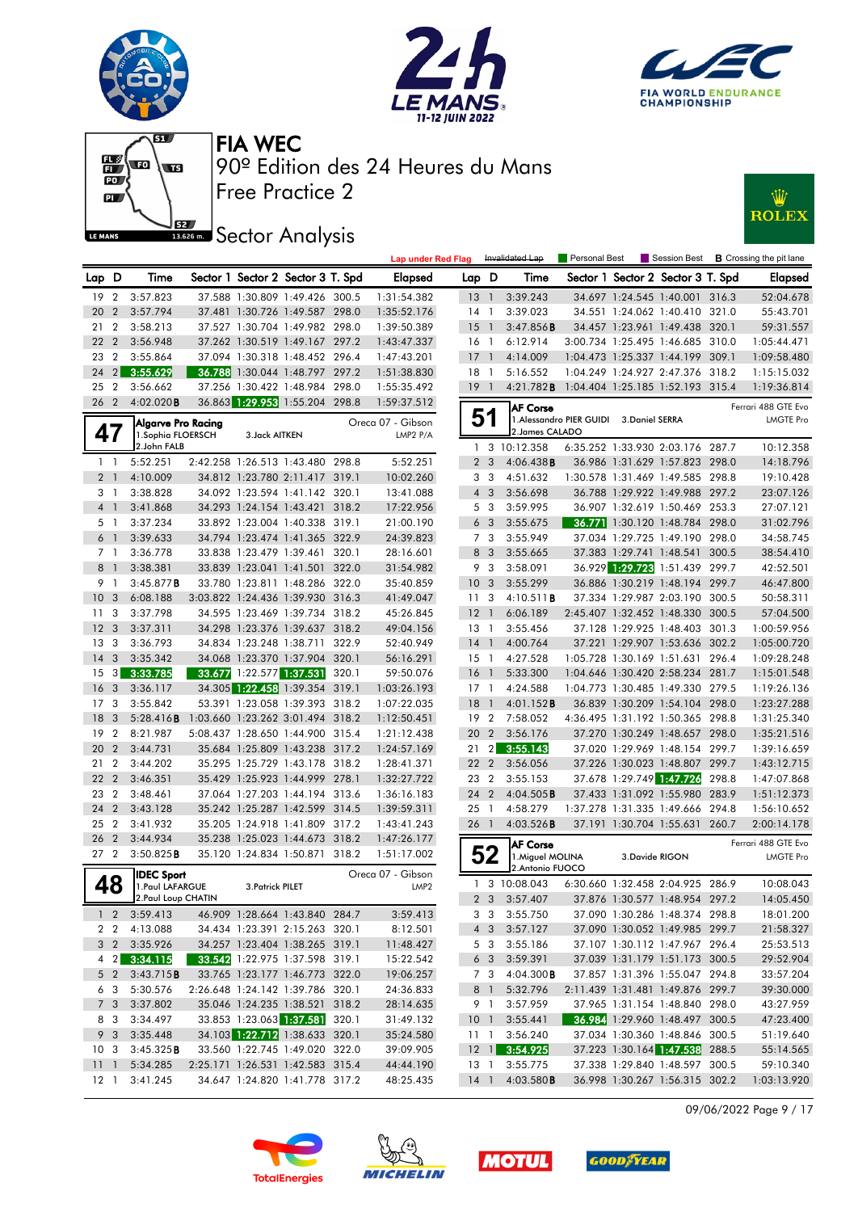











|                        |                   |                                          |                  |                                                                    |       | <b>Lap under Red Flag</b>     |                 |                         | Invalidated Lap                                         | Personal Best                            |                 |                                                                  |       | Session Best <b>B</b> Crossing the pit lane |
|------------------------|-------------------|------------------------------------------|------------------|--------------------------------------------------------------------|-------|-------------------------------|-----------------|-------------------------|---------------------------------------------------------|------------------------------------------|-----------------|------------------------------------------------------------------|-------|---------------------------------------------|
| Lap D                  |                   | Time                                     |                  | Sector 1 Sector 2 Sector 3 T. Spd                                  |       | Elapsed                       | Lap D           |                         | Time                                                    |                                          |                 | Sector 1 Sector 2 Sector 3 T. Spd                                |       | <b>Elapsed</b>                              |
| 19                     | $\overline{2}$    | 3:57.823                                 |                  | 37.588 1:30.809 1:49.426 300.5                                     |       | 1:31:54.382                   | $13-1$          |                         | 3:39.243                                                |                                          |                 | 34.697 1:24.545 1:40.001 316.3                                   |       | 52:04.678                                   |
| 20                     | $\overline{2}$    | 3:57.794                                 |                  | 37.481 1:30.726 1:49.587 298.0                                     |       | 1:35:52.176                   | $14-1$          |                         | 3:39.023                                                |                                          |                 | 34.551 1:24.062 1:40.410 321.0                                   |       | 55:43.701                                   |
| 21                     | $\overline{2}$    | 3:58.213                                 |                  | 37.527 1:30.704 1:49.982 298.0                                     |       | 1:39:50.389                   | 15              | $\overline{1}$          | 3:47.856B                                               |                                          |                 | 34.457 1:23.961 1:49.438 320.1                                   |       | 59:31.557                                   |
| 22                     | $\overline{2}$    | 3:56.948                                 |                  | 37.262 1:30.519 1:49.167 297.2                                     |       | 1:43:47.337                   | $16-1$          |                         | 6:12.914                                                |                                          |                 | 3:00.734 1:25.495 1:46.685 310.0                                 |       | 1:05:44.471                                 |
| 23                     | $\overline{2}$    | 3:55.864                                 |                  | 37.094 1:30.318 1:48.452 296.4                                     |       | 1:47:43.201                   | $17-1$          |                         | 4:14.009                                                |                                          |                 | 1:04.473 1:25.337 1:44.199 309.1                                 |       | 1:09:58.480                                 |
| 24                     | 2                 | 3:55.629                                 |                  | 36.788 1:30.044 1:48.797 297.2                                     |       | 1:51:38.830                   | $18-1$          |                         | 5:16.552                                                |                                          |                 | 1:04.249 1:24.927 2:47.376 318.2                                 |       | 1:15:15.032                                 |
| 25                     | $\overline{2}$    | 3:56.662                                 |                  | 37.256 1:30.422 1:48.984                                           | 298.0 | 1:55:35.492                   | $19-1$          |                         | 4:21.782 <b>B</b>                                       | 1:04.404 1:25.185 1:52.193 315.4         |                 |                                                                  |       | 1:19:36.814                                 |
| 26 2                   |                   | 4:02.020B                                |                  | 36.863 1:29.953 1:55.204 298.8                                     |       | 1:59:37.512                   |                 |                         | <b>AF Corse</b>                                         |                                          |                 |                                                                  |       | Ferrari 488 GTE Evo                         |
| 47                     |                   | Algarve Pro Racing<br>1. Sophia FLOERSCH | 3. Jack AITKEN   |                                                                    |       | Oreca 07 - Gibson<br>LMP2 P/A | 51              |                         | 2. James CALADO                                         | 1. Alessandro PIER GUIDI 3. Daniel SERRA |                 |                                                                  |       | <b>LMGTE Pro</b>                            |
|                        |                   | 2.John FALB                              |                  |                                                                    |       |                               |                 |                         | 1 3 10:12.358                                           |                                          |                 | 6:35.252 1:33.930 2:03.176 287.7                                 |       | 10:12.358                                   |
|                        | $1\quad$          | 5:52.251                                 |                  | 2:42.258 1:26.513 1:43.480 298.8                                   |       | 5:52.251                      |                 | 2 <sub>3</sub>          | 4:06.438B                                               |                                          |                 | 36.986 1:31.629 1:57.823 298.0                                   |       | 14:18.796                                   |
|                        | 2 <sub>1</sub>    | 4:10.009                                 |                  | 34.812 1:23.780 2:11.417 319.1                                     |       | 10:02.260                     | 3 <sub>3</sub>  |                         | 4:51.632                                                |                                          |                 | 1:30.578 1:31.469 1:49.585 298.8                                 |       | 19:10.428                                   |
|                        | 3 1               | 3:38.828                                 |                  | 34.092 1:23.594 1:41.142 320.1                                     |       | 13:41.088                     |                 | $4 \quad 3$             | 3:56.698                                                |                                          |                 | 36.788 1:29.922 1:49.988 297.2                                   |       | 23:07.126                                   |
|                        | 4 <sup>1</sup>    | 3:41.868                                 |                  | 34.293 1:24.154 1:43.421 318.2                                     |       | 17:22.956                     | 5 <sub>3</sub>  |                         | 3:59.995                                                |                                          |                 | 36.907 1:32.619 1:50.469 253.3                                   |       | 27:07.121                                   |
|                        | 5 1               | 3:37.234                                 |                  | 33.892 1:23.004 1:40.338 319.1                                     |       | 21:00.190                     |                 | 6 <sub>3</sub>          | 3:55.675                                                |                                          |                 | 36.771 1:30.120 1:48.784 298.0                                   |       | 31:02.796                                   |
|                        | 6 <sup>1</sup>    | 3:39.633                                 |                  | 34.794 1:23.474 1:41.365 322.9                                     |       | 24:39.823                     |                 | 7 <sub>3</sub>          | 3:55.949                                                |                                          |                 | 37.034 1:29.725 1:49.190 298.0                                   |       | 34:58.745                                   |
| 7 <sub>1</sub>         |                   | 3:36.778                                 |                  | 33.838 1:23.479 1:39.461 320.1                                     |       | 28:16.601                     |                 | 8 3                     | 3:55.665                                                |                                          |                 | 37.383 1:29.741 1:48.541                                         | 300.5 | 38:54.410                                   |
| 8 <sup>1</sup>         |                   | 3:38.381                                 |                  | 33.839 1:23.041 1:41.501 322.0                                     |       | 31:54.982                     | 9               | $\overline{\mathbf{3}}$ | 3:58.091                                                |                                          |                 | 36.929 1:29.723 1:51.439 299.7                                   |       | 42:52.501                                   |
| 9 1                    |                   | $3:45.877$ B                             |                  | 33.780 1:23.811 1:48.286 322.0                                     |       | 35:40.859                     | 10 <sub>3</sub> |                         | 3:55.299                                                |                                          |                 | 36.886 1:30.219 1:48.194 299.7                                   |       | 46:47.800                                   |
| 10 <sup>°</sup>        | 3                 | 6:08.188                                 |                  | 3:03.822 1:24.436 1:39.930 316.3                                   |       | 41:49.047                     | 11              | -3                      | 4:10.511B                                               |                                          |                 | 37.334 1:29.987 2:03.190 300.5                                   |       | 50:58.311                                   |
| 11                     | 3                 | 3:37.798                                 |                  | 34.595 1:23.469 1:39.734 318.2                                     |       | 45:26.845                     | $12-1$          |                         | 6:06.189                                                |                                          |                 | 2:45.407 1:32.452 1:48.330 300.5                                 |       | 57:04.500                                   |
| 12                     | 3                 | 3:37.311                                 |                  | 34.298 1:23.376 1:39.637 318.2                                     |       | 49:04.156                     | $13-1$          |                         | 3:55.456                                                |                                          |                 | 37.128 1:29.925 1:48.403 301.3                                   |       | 1:00:59.956                                 |
| 13                     | -3                | 3:36.793                                 |                  | 34.834 1:23.248 1:38.711 322.9                                     |       | 52:40.949                     | $14-1$          |                         | 4:00.764                                                |                                          |                 | 37.221 1:29.907 1:53.636 302.2                                   |       | 1:05:00.720                                 |
| 14                     | 3                 | 3:35.342                                 |                  | 34.068 1:23.370 1:37.904 320.1                                     |       | 56:16.291                     | $15-1$          |                         | 4:27.528                                                |                                          |                 | 1:05.728 1:30.169 1:51.631 296.4                                 |       | 1:09:28.248                                 |
| 15                     | $\lvert 3 \rvert$ | 3:33.785                                 |                  | 33.677 1:22.577 1:37.531                                           | 320.1 | 59:50.076                     | 16 <sub>1</sub> |                         | 5:33.300                                                |                                          |                 | 1:04.646 1:30.420 2:58.234 281.7                                 |       | 1:15:01.548                                 |
| 16                     | 3                 | 3:36.117                                 |                  | 34.305 1:22.458 1:39.354 319.1                                     |       | 1:03:26.193                   | $17-1$          |                         | 4:24.588                                                |                                          |                 | 1:04.773 1:30.485 1:49.330 279.5                                 |       | 1:19:26.136                                 |
| 17                     | 3                 | 3:55.842                                 |                  | 53.391 1:23.058 1:39.393 318.2                                     |       | 1:07:22.035                   | 18              | $\overline{1}$          | 4:01.152B                                               |                                          |                 | 36.839 1:30.209 1:54.104 298.0                                   |       | 1:23:27.288                                 |
| 18                     | 3                 | 5:28.416B                                |                  | 1:03.660 1:23.262 3:01.494 318.2                                   |       | 1:12:50.451                   | 19 2            |                         | 7:58.052                                                |                                          |                 | 4:36.495 1:31.192 1:50.365 298.8                                 |       | 1:31:25.340                                 |
| 19                     | $\overline{2}$    | 8:21.987                                 |                  | 5:08.437 1:28.650 1:44.900 315.4                                   |       | 1:21:12.438                   | 20              | $\overline{2}$          | 3:56.176                                                |                                          |                 | 37.270 1:30.249 1:48.657 298.0                                   |       | 1:35:21.516                                 |
| 20                     | $\overline{2}$    | 3:44.731                                 |                  | 35.684 1:25.809 1:43.238 317.2                                     |       | 1:24:57.169                   | 21              | $\overline{2}$          | 3:55.143                                                |                                          |                 | 37.020 1:29.969 1:48.154 299.7                                   |       | 1:39:16.659                                 |
| 21                     | $\overline{2}$    | 3:44.202                                 |                  | 35.295 1:25.729 1:43.178 318.2                                     |       | 1:28:41.371                   | 22 2            |                         | 3:56.056                                                |                                          |                 | 37.226 1:30.023 1:48.807 299.7                                   |       | 1:43:12.715                                 |
| 22                     | $\overline{2}$    | 3:46.351                                 |                  | 35.429 1:25.923 1:44.999 278.1                                     |       | 1:32:27.722                   | 23 2            |                         | 3:55.153                                                |                                          |                 | 37.678 1:29.749 1:47.726                                         | 298.8 | 1:47:07.868                                 |
| 23                     | $\overline{2}$    | 3:48.461                                 |                  | 37.064 1:27.203 1:44.194 313.6                                     |       | 1:36:16.183                   | 24 2            |                         | 4:04.505B                                               |                                          |                 | 37.433 1:31.092 1:55.980                                         | 283.9 | 1:51:12.373                                 |
| 24                     | $\overline{2}$    | 3:43.128                                 |                  | 35.242 1:25.287 1:42.599 314.5                                     |       | 1:39:59.311                   | 25 1            |                         | 4:58.279                                                |                                          |                 | 1:37.278 1:31.335 1:49.666 294.8                                 |       | 1:56:10.652                                 |
| 25                     | $\overline{2}$    | 3:41.932                                 |                  | 35.205 1:24.918 1:41.809 317.2                                     |       | 1:43:41.243                   | 26 1            |                         | 4:03.526B                                               |                                          |                 | 37.191 1:30.704 1:55.631 260.7                                   |       | 2:00:14.178                                 |
| 26<br>27 <sub>2</sub>  | $\overline{2}$    | 3:44.934<br>3:50.825B                    |                  | 35.238 1:25.023 1:44.673<br>35.120 1:24.834 1:50.871 318.2         | 318.2 | 1:47:26.177<br>1:51:17.002    |                 | 52                      | <b>AF Corse</b><br>1. Miguel MOLINA<br>2. Antonio FUOCO |                                          | 3. Davide RIGON |                                                                  |       | Ferrari 488 GTE Evo<br><b>LMGTE Pro</b>     |
|                        |                   | <b>IDEC Sport</b>                        |                  |                                                                    |       | Oreca 07 - Gibson             |                 |                         | 1 3 10:08.043                                           |                                          |                 | 6:30.660 1:32.458 2:04.925 286.9                                 |       | 10:08.043                                   |
|                        | 48                | 1. Paul LAFARGUE                         | 3. Patrick PILET |                                                                    |       | LMP <sub>2</sub>              |                 |                         |                                                         |                                          |                 |                                                                  |       |                                             |
|                        |                   | 2. Paul Loup CHATIN                      |                  |                                                                    |       |                               |                 |                         | 2 3 3:57.407 37.876 1:30.577 1:48.954 297.2             |                                          |                 |                                                                  |       | 14:05.450                                   |
|                        |                   | $1 \quad 2 \quad 3:59.413$               |                  | 46.909 1:28.664 1:43.840 284.7                                     |       | 3:59.413                      |                 |                         | 3 3 3:55.750                                            |                                          |                 | 37.090 1:30.286 1:48.374 298.8                                   |       | 18:01.200                                   |
|                        |                   | 2 2 4:13.088                             |                  | 34.434 1:23.391 2:15.263 320.1                                     |       | 8:12.501                      |                 | 4 3                     | 3:57.127                                                |                                          |                 | 37.090 1:30.052 1:49.985 299.7                                   |       | 21:58.327                                   |
|                        |                   | 3 2 3:35.926                             |                  | 34.257 1:23.404 1:38.265 319.1<br>33.542 1:22.975 1:37.598 319.1   |       | 11:48.427                     |                 | 5 3                     | 3:55.186                                                |                                          |                 | 37.107 1:30.112 1:47.967 296.4<br>37.039 1:31.179 1:51.173 300.5 |       | 25:53.513                                   |
|                        |                   | 4 2 3:34.115<br>3:43.715B                |                  |                                                                    |       | 15:22.542                     |                 | 6 3                     | 3:59.391                                                |                                          |                 |                                                                  |       | 29:52.904<br>33:57.204                      |
|                        | $5\quad2$         |                                          |                  | 33.765 1:23.177 1:46.773 322.0                                     |       | 19:06.257                     |                 | 7 3                     | 4:04.300B                                               |                                          |                 | 37.857 1:31.396 1:55.047 294.8                                   |       |                                             |
|                        | 6 3               | 5:30.576                                 |                  | 2:26.648 1:24.142 1:39.786 320.1                                   |       | 24:36.833                     |                 | 8 1                     | 5:32.796                                                |                                          |                 | 2:11.439 1:31.481 1:49.876 299.7                                 |       | 39:30.000                                   |
|                        | 7 3               | 3:37.802<br>3:34.497                     |                  | 35.046 1:24.235 1:38.521 318.2                                     |       | 28:14.635                     |                 | 9 1                     | 3:57.959                                                |                                          |                 | 37.965 1:31.154 1:48.840 298.0                                   |       | 43:27.959                                   |
|                        | 8 3               |                                          |                  | 33.853 1:23.063 1:37.581 320.1<br>34.103 1:22.712 1:38.633 320.1   |       | 31:49.132                     | 10 <sub>1</sub> |                         | 3:55.441                                                |                                          |                 | 36.984 1:29.960 1:48.497 300.5<br>37.034 1:30.360 1:48.846 300.5 |       | 47:23.400                                   |
|                        | 9 3               | 3:35.448                                 |                  |                                                                    |       | 35:24.580                     | 111             |                         | 3:56.240                                                |                                          |                 |                                                                  |       | 51:19.640                                   |
| 10 <sub>3</sub>        |                   | 3:45.325B<br>5:34.285                    |                  | 33.560 1:22.745 1:49.020 322.0                                     |       | 39:09.905                     |                 |                         | 12 1 3:54.925                                           |                                          |                 | 37.223 1:30.164 1:47.538 288.5                                   |       | 55:14.565                                   |
| $11 \quad 1$<br>$12-1$ |                   | 3:41.245                                 |                  | 2:25.171 1:26.531 1:42.583 315.4<br>34.647 1:24.820 1:41.778 317.2 |       | 44:44.190<br>48:25.435        | 13 1            |                         | 3:55.775<br>14 1 4:03.580 <b>B</b>                      |                                          |                 | 37.338 1:29.840 1:48.597 300.5<br>36.998 1:30.267 1:56.315 302.2 |       | 59:10.340<br>1:03:13.920                    |
|                        |                   |                                          |                  |                                                                    |       |                               |                 |                         |                                                         |                                          |                 |                                                                  |       |                                             |

09/06/2022 Page 9 / 17







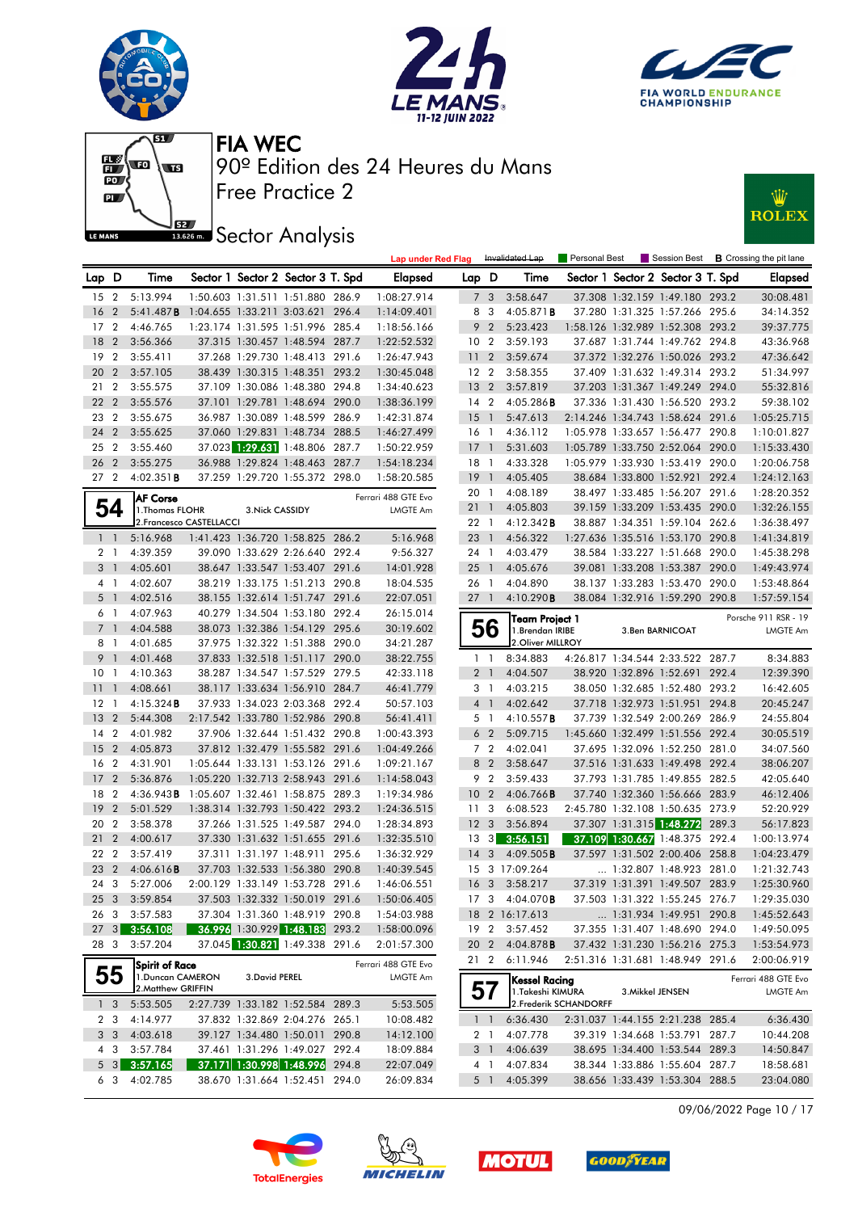







### **J**<br>I<sup>1886</sup> Sector Analysis



|                 |                |                                            |                          |                 |                                   | <b>Lap under Red Flag</b> |                 |                 | Invalidated Lap        | Personal Best          |                  |                                   | Session Best <b>B</b> Crossing the pit lane |
|-----------------|----------------|--------------------------------------------|--------------------------|-----------------|-----------------------------------|---------------------------|-----------------|-----------------|------------------------|------------------------|------------------|-----------------------------------|---------------------------------------------|
| Lap D           |                | Time                                       |                          |                 | Sector 1 Sector 2 Sector 3 T. Spd | <b>Elapsed</b>            | Lap D           |                 | Time                   |                        |                  | Sector 1 Sector 2 Sector 3 T. Spd | Elapsed                                     |
| 15 <sub>2</sub> |                | 5:13.994                                   |                          |                 | 1:50.603 1:31.511 1:51.880 286.9  | 1:08:27.914               |                 | 7 <sub>3</sub>  | 3:58.647               |                        |                  | 37.308 1:32.159 1:49.180 293.2    | 30:08.481                                   |
| 16 <sub>2</sub> |                | 5:41.487B                                  |                          |                 | 1:04.655 1:33.211 3:03.621 296.4  | 1:14:09.401               |                 | 8 3             | 4:05.871 <b>B</b>      |                        |                  | 37.280 1:31.325 1:57.266 295.6    | 34:14.352                                   |
| 17 <sub>2</sub> |                | 4:46.765                                   |                          |                 | 1:23.174 1:31.595 1:51.996 285.4  | 1:18:56.166               |                 | 9 <sub>2</sub>  | 5:23.423               |                        |                  | 1:58.126 1:32.989 1:52.308 293.2  | 39:37.775                                   |
| 18 2            |                | 3:56.366                                   |                          |                 | 37.315 1:30.457 1:48.594 287.7    | 1:22:52.532               | 10 <sub>2</sub> |                 | 3:59.193               |                        |                  | 37.687 1:31.744 1:49.762 294.8    | 43:36.968                                   |
| 19 <sup>2</sup> |                | 3:55.411                                   |                          |                 | 37.268 1:29.730 1:48.413 291.6    | 1:26:47.943               | 11 <sub>2</sub> |                 | 3:59.674               |                        |                  | 37.372 1:32.276 1:50.026 293.2    | 47:36.642                                   |
| 20 2            |                | 3:57.105                                   |                          |                 | 38.439 1:30.315 1:48.351 293.2    | 1:30:45.048               | 12 <sub>2</sub> |                 | 3:58.355               |                        |                  | 37.409 1:31.632 1:49.314 293.2    | 51:34.997                                   |
| 21 2            |                | 3:55.575                                   |                          |                 | 37.109 1:30.086 1:48.380 294.8    | 1:34:40.623               | 13 <sub>2</sub> |                 | 3:57.819               |                        |                  | 37.203 1:31.367 1:49.249 294.0    | 55:32.816                                   |
| 22 <sub>2</sub> |                | 3:55.576                                   |                          |                 | 37.101 1:29.781 1:48.694 290.0    | 1:38:36.199               | 14 <sup>2</sup> |                 | $4:05.286$ <b>B</b>    |                        |                  | 37.336 1:31.430 1:56.520 293.2    | 59:38.102                                   |
| 23 2            |                | 3:55.675                                   |                          |                 | 36.987 1:30.089 1:48.599 286.9    | 1:42:31.874               | $15-1$          |                 | 5:47.613               |                        |                  | 2:14.246 1:34.743 1:58.624 291.6  | 1:05:25.715                                 |
| 24 2            |                | 3:55.625                                   |                          |                 | 37.060 1:29.831 1:48.734 288.5    | 1:46:27.499               | $16-1$          |                 | 4:36.112               |                        |                  | 1:05.978 1:33.657 1:56.477 290.8  | 1:10:01.827                                 |
| 25 2            |                | 3:55.460                                   |                          |                 | 37.023 1:29.631 1:48.806 287.7    | 1:50:22.959               | $17-1$          |                 | 5:31.603               |                        |                  | 1:05.789 1:33.750 2:52.064 290.0  | 1:15:33.430                                 |
| 26 2            |                | 3:55.275                                   |                          |                 | 36.988 1:29.824 1:48.463 287.7    | 1:54:18.234               | 18 1            |                 | 4:33.328               |                        |                  | 1:05.979 1:33.930 1:53.419 290.0  | 1:20:06.758                                 |
| 27 <sub>2</sub> |                | $4:02.351$ <b>B</b>                        |                          |                 | 37.259 1:29.720 1:55.372 298.0    | 1:58:20.585               | 19              | $\overline{1}$  | 4:05.405               |                        |                  | 38.684 1:33.800 1:52.921 292.4    | 1:24:12.163                                 |
|                 |                | <b>AF Corse</b>                            |                          |                 |                                   | Ferrari 488 GTE Evo       | 20 1            |                 | 4:08.189               |                        |                  | 38.497 1:33.485 1:56.207 291.6    | 1:28:20.352                                 |
|                 | 54             | 1. Thomas FLOHR                            |                          | 3. Nick CASSIDY |                                   | LMGTE Am                  | 211             |                 | 4:05.803               |                        |                  | 39.159 1:33.209 1:53.435 290.0    | 1:32:26.155                                 |
|                 |                |                                            | 2. Francesco CASTELLACCI |                 |                                   |                           | 22 1            |                 | 4:12.342B              |                        |                  | 38.887 1:34.351 1:59.104 262.6    | 1:36:38.497                                 |
|                 | $1\quad$       | 5:16.968                                   |                          |                 | 1:41.423 1:36.720 1:58.825 286.2  | 5:16.968                  | 23 1            |                 | 4:56.322               |                        |                  | 1:27.636 1:35.516 1:53.170 290.8  | 1:41:34.819                                 |
|                 | 2 1            | 4:39.359                                   |                          |                 | 39.090 1:33.629 2:26.640 292.4    | 9:56.327                  | 24 1            |                 | 4:03.479               |                        |                  | 38.584 1:33.227 1:51.668 290.0    | 1:45:38.298                                 |
|                 | $3-1$          | 4:05.601                                   |                          |                 | 38.647 1:33.547 1:53.407 291.6    | 14:01.928                 | $25 \quad 1$    |                 | 4:05.676               |                        |                  | 39.081 1:33.208 1:53.387 290.0    | 1:49:43.974                                 |
|                 | 4 <sub>1</sub> | 4:02.607                                   |                          |                 | 38.219 1:33.175 1:51.213 290.8    | 18:04.535                 | 26 1            |                 | 4:04.890               |                        |                  | 38.137 1:33.283 1:53.470 290.0    | 1:53:48.864                                 |
|                 | 5 <sub>1</sub> | 4:02.516                                   |                          |                 | 38.155 1:32.614 1:51.747 291.6    | 22:07.051                 | $27-1$          |                 | 4:10.290B              |                        |                  | 38.084 1:32.916 1:59.290 290.8    | 1:57:59.154                                 |
|                 | 6 1            | 4:07.963                                   |                          |                 | 40.279 1:34.504 1:53.180 292.4    | 26:15.014                 |                 |                 | <b>Team Project 1</b>  |                        |                  |                                   | Porsche 911 RSR - 19                        |
|                 | 7 <sub>1</sub> | 4:04.588                                   |                          |                 | 38.073 1:32.386 1:54.129 295.6    | 30:19.602                 |                 | 56              | 1.Brendan IRIBE        |                        |                  | 3. Ben BARNICOAT                  | <b>LMGTE Am</b>                             |
|                 | 8 1            | 4:01.685                                   |                          |                 | 37.975 1:32.322 1:51.388 290.0    | 34:21.287                 |                 |                 | 2. Oliver MILLROY      |                        |                  |                                   |                                             |
|                 | 9 1            | 4:01.468                                   |                          |                 | 37.833 1:32.518 1:51.117 290.0    | 38:22.755                 |                 | $1\quad$        | 8:34.883               |                        |                  | 4:26.817 1:34.544 2:33.522 287.7  | 8:34.883                                    |
| 10 <sub>1</sub> |                | 4:10.363                                   |                          |                 | 38.287 1:34.547 1:57.529 279.5    | 42:33.118                 |                 | 2 <sub>1</sub>  | 4:04.507               |                        |                  | 38.920 1:32.896 1:52.691 292.4    | 12:39.390                                   |
| $11 - 1$        |                | 4:08.661                                   |                          |                 | 38.117 1:33.634 1:56.910 284.7    | 46:41.779                 | 3 <sub>1</sub>  |                 | 4:03.215               |                        |                  | 38.050 1:32.685 1:52.480 293.2    | 16:42.605                                   |
| $12-1$          |                | $4:15.324$ <b>B</b>                        |                          |                 | 37.933 1:34.023 2:03.368 292.4    | 50:57.103                 |                 | 4 <sup>1</sup>  | 4:02.642               |                        |                  | 37.718 1:32.973 1:51.951 294.8    | 20:45.247                                   |
| 13 <sub>2</sub> |                | 5:44.308                                   |                          |                 | 2:17.542 1:33.780 1:52.986 290.8  | 56:41.411                 | 5 <sub>1</sub>  |                 | 4:10.557B              |                        |                  | 37.739 1:32.549 2:00.269 286.9    | 24:55.804                                   |
| 14 <sup>2</sup> |                | 4:01.982                                   |                          |                 | 37.906 1:32.644 1:51.432 290.8    | 1:00:43.393               |                 | 6 <sub>2</sub>  | 5:09.715               |                        |                  | 1:45.660 1:32.499 1:51.556 292.4  | 30:05.519                                   |
| 15 <sub>2</sub> |                | 4:05.873                                   |                          |                 | 37.812 1:32.479 1:55.582 291.6    | 1:04:49.266               |                 | 7 2             | 4:02.041               |                        |                  | 37.695 1:32.096 1:52.250 281.0    | 34:07.560                                   |
| 16 2            |                | 4:31.901                                   |                          |                 | 1:05.644 1:33.131 1:53.126 291.6  | 1:09:21.167               |                 | 8 2             | 3:58.647               |                        |                  | 37.516 1:31.633 1:49.498 292.4    | 38:06.207                                   |
| 17 <sub>2</sub> |                | 5:36.876                                   |                          |                 | 1:05.220 1:32.713 2:58.943 291.6  | 1:14:58.043               |                 | 9 2             | 3:59.433               |                        |                  | 37.793 1:31.785 1:49.855 282.5    | 42:05.640                                   |
| 18 2            |                | 4:36.943B 1:05.607 1:32.461 1:58.875 289.3 |                          |                 |                                   | 1:19:34.986               | 10 <sub>2</sub> |                 | $4:06.766$ B           |                        |                  | 37.740 1:32.360 1:56.666 283.9    | 46:12.406                                   |
| 19 <sup>2</sup> |                | 5:01.529                                   |                          |                 | 1:38.314 1:32.793 1:50.422 293.2  | 1:24:36.515               | 11 <sub>3</sub> |                 | 6:08.523               |                        |                  | 2:45.780 1:32.108 1:50.635 273.9  | 52:20.929                                   |
| 20 2            |                | 3:58.378                                   |                          |                 | 37.266 1:31.525 1:49.587 294.0    | 1:28:34.893               | 12 <sup>3</sup> |                 | 3:56.894               |                        |                  | 37.307 1:31.315 1:48.272 289.3    | 56:17.823                                   |
| 21 2            |                | 4:00.617                                   |                          |                 | 37.330 1:31.632 1:51.655 291.6    | 1:32:35.510               | $13 \quad 3$    |                 | 3:56.151               |                        |                  | 37.109 1:30.667 1:48.375 292.4    | 1:00:13.974                                 |
| 22 2            |                | 3:57.419                                   |                          |                 | 37.311 1:31.197 1:48.911 295.6    | 1:36:32.929               | $14 \quad 3$    |                 | 4:09.505B              |                        |                  | 37.597 1:31.502 2:00.406 258.8    | 1:04:23.479                                 |
| 23 2            |                | 4:06.616B                                  |                          |                 | 37.703 1:32.533 1:56.380 290.8    | 1:40:39.545               |                 |                 | 15 3 17:09.264         |                        |                  | 1:32.807 1:48.923 281.0           | 1:21:32.743                                 |
| 24 3            |                | 5:27.006                                   |                          |                 | 2:00.129 1:33.149 1:53.728 291.6  | 1:46:06.551               |                 |                 | 16 3 3:58.217          |                        |                  | 37.319 1:31.391 1:49.507 283.9    | 1:25:30.960                                 |
|                 |                | 25 3 3:59.854                              |                          |                 | 37.503 1:32.332 1:50.019 291.6    | 1:50:06.405               |                 |                 | 17 3 4:04.070 <b>B</b> |                        |                  | 37.503 1:31.322 1:55.245 276.7    | 1:29:35.030                                 |
|                 | 26 3           | 3:57.583                                   |                          |                 | 37.304 1:31.360 1:48.919 290.8    | 1:54:03.988               |                 |                 | 18 2 16:17.613         |                        |                  | 1:31.934 1:49.951 290.8           | 1:45:52.643                                 |
|                 |                | 27 3 3:56.108                              |                          |                 | 36.996 1:30.929 1:48.183 293.2    | 1:58:00.096               |                 |                 | 19 2 3:57.452          |                        |                  | 37.355 1:31.407 1:48.690 294.0    | 1:49:50.095                                 |
|                 | 28 3           | 3:57.204                                   |                          |                 | 37.045 1:30.821 1:49.338 291.6    | 2:01:57.300               |                 | 20 <sub>2</sub> | 4:04.878 <b>B</b>      |                        |                  | 37.432 1:31.230 1:56.216 275.3    | 1:53:54.973                                 |
|                 |                | Spirit of Race                             |                          |                 |                                   | Ferrari 488 GTE Evo       |                 | 21 2            | 6:11.946               |                        |                  | 2:51.316 1:31.681 1:48.949 291.6  | 2:00:06.919                                 |
|                 | 55             | 1. Duncan CAMERON                          |                          | 3. David PEREL  |                                   | LMGTE Am                  |                 |                 | Kessel Racing          |                        |                  |                                   | Ferrari 488 GTE Evo                         |
|                 |                | 2. Matthew GRIFFIN                         |                          |                 |                                   |                           | 57              |                 | 1. Takeshi KIMURA      |                        | 3. Mikkel JENSEN |                                   | <b>LMGTE Am</b>                             |
|                 | $1\quad3$      | 5:53.505                                   |                          |                 | 2:27.739 1:33.182 1:52.584 289.3  | 5:53.505                  |                 |                 |                        | 2. Frederik SCHANDORFF |                  |                                   |                                             |
|                 | 2 3            | 4:14.977                                   |                          |                 | 37.832 1:32.869 2:04.276 265.1    | 10:08.482                 |                 | 1 <sup>1</sup>  | 6:36.430               |                        |                  | 2:31.037 1:44.155 2:21.238 285.4  | 6:36.430                                    |
|                 | 3 <sup>3</sup> | 4:03.618                                   |                          |                 | 39.127 1:34.480 1:50.011 290.8    | 14:12.100                 |                 | 2 <sub>1</sub>  | 4:07.778               |                        |                  | 39.319 1:34.668 1:53.791 287.7    | 10:44.208                                   |
|                 | 4 3            | 3:57.784                                   |                          |                 | 37.461 1:31.296 1:49.027 292.4    | 18:09.884                 |                 | 3 1             | 4:06.639               |                        |                  | 38.695 1:34.400 1:53.544 289.3    | 14:50.847                                   |
|                 |                | $5 \quad 3 \quad 3:57.165$                 |                          |                 | 37.171 1:30.998 1:48.996 294.8    | 22:07.049                 |                 | 4 1             | 4:07.834               |                        |                  | 38.344 1:33.886 1:55.604 287.7    | 18:58.681                                   |
|                 | 63             | 4:02.785                                   |                          |                 | 38.670 1:31.664 1:52.451 294.0    | 26:09.834                 |                 | 5 1             | 4:05.399               |                        |                  | 38.656 1:33.439 1:53.304 288.5    | 23:04.080                                   |

09/06/2022 Page 10 / 17







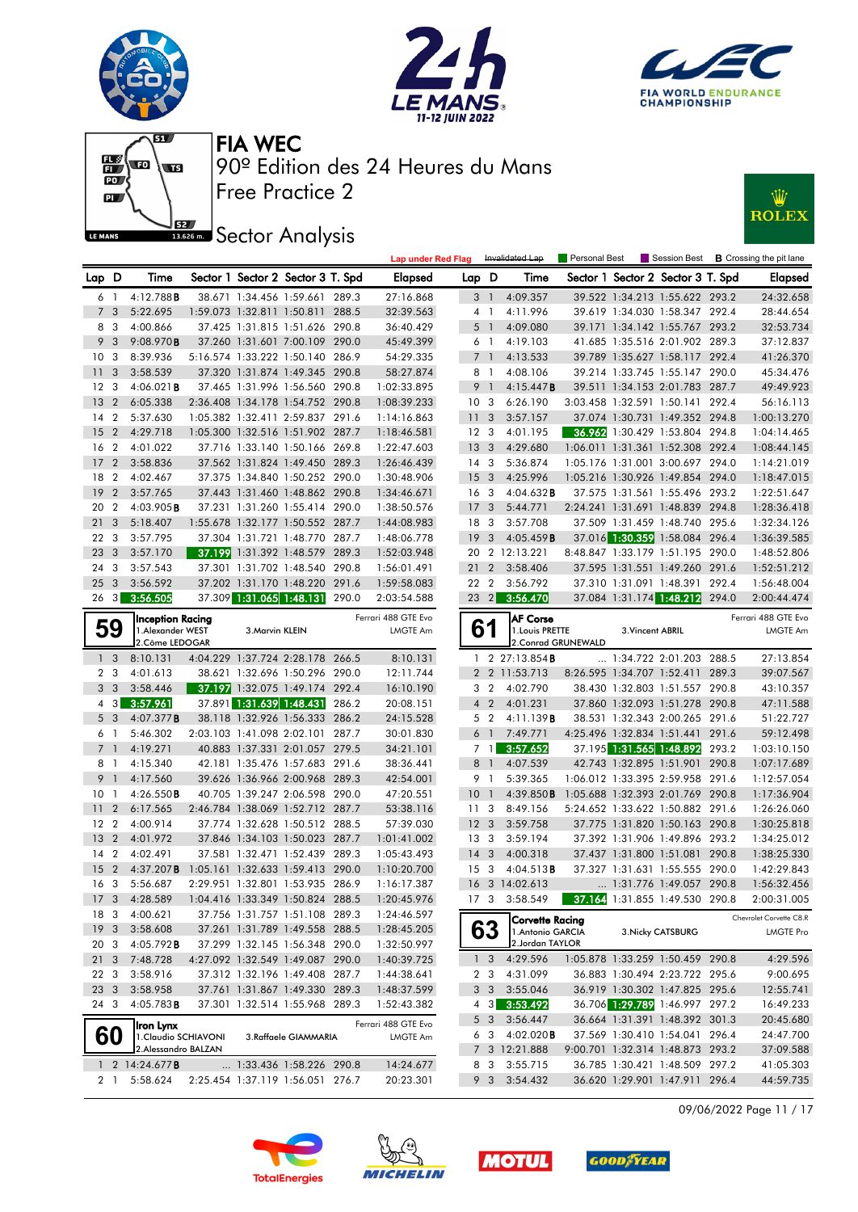











|                 |                |                                             |                                  |                 |                                                                  |       | <b>Lap under Red Flag</b>  |                 |                         | Invalidated Lap                      | <b>Personal Best</b> |                  |                                                                    | Session Best <b>B</b> Crossing the pit lane |
|-----------------|----------------|---------------------------------------------|----------------------------------|-----------------|------------------------------------------------------------------|-------|----------------------------|-----------------|-------------------------|--------------------------------------|----------------------|------------------|--------------------------------------------------------------------|---------------------------------------------|
| Lap D           |                | Time                                        |                                  |                 | Sector 1 Sector 2 Sector 3 T. Spd                                |       | <b>Elapsed</b>             | Lap D           |                         | Time                                 |                      |                  | Sector 1 Sector 2 Sector 3 T. Spd                                  | <b>Elapsed</b>                              |
| 6 1             |                | 4:12.788B                                   |                                  |                 | 38.671 1:34.456 1:59.661 289.3                                   |       | 27:16.868                  |                 | 3 1                     | 4:09.357                             |                      |                  | 39.522 1:34.213 1:55.622 293.2                                     | 24:32.658                                   |
| $\overline{7}$  | - 3            | 5:22.695                                    |                                  |                 | 1:59.073 1:32.811 1:50.811 288.5                                 |       | 32:39.563                  |                 | $4-1$                   | 4:11.996                             |                      |                  | 39.619 1:34.030 1:58.347 292.4                                     | 28:44.654                                   |
| 8 3             |                | 4:00.866                                    |                                  |                 | 37.425 1:31.815 1:51.626 290.8                                   |       | 36:40.429                  |                 | 5 <sup>1</sup>          | 4:09.080                             |                      |                  | 39.171 1:34.142 1:55.767 293.2                                     | 32:53.734                                   |
| 9 <sup>3</sup>  |                | 9:08.970B                                   |                                  |                 | 37.260 1:31.601 7:00.109 290.0                                   |       | 45:49.399                  |                 | 6 1                     | 4:19.103                             |                      |                  | 41.685 1:35.516 2:01.902 289.3                                     | 37:12.837                                   |
| 10 <sub>3</sub> |                | 8:39.936                                    |                                  |                 | 5:16.574 1:33.222 1:50.140 286.9                                 |       | 54:29.335                  |                 | 7 <sup>1</sup>          | 4:13.533                             |                      |                  | 39.789 1:35.627 1:58.117 292.4                                     | 41:26.370                                   |
| $\overline{11}$ | 3              | 3:58.539                                    |                                  |                 | 37.320 1:31.874 1:49.345 290.8                                   |       | 58:27.874                  |                 | 8 1                     | 4:08.106                             |                      |                  | 39.214 1:33.745 1:55.147 290.0                                     | 45:34.476                                   |
| 12              | -3             | 4:06.021B                                   |                                  |                 | 37.465 1:31.996 1:56.560 290.8                                   |       | 1:02:33.895                | 9               | $\overline{1}$          | 4:15.447B                            |                      |                  | 39.511 1:34.153 2:01.783 287.7                                     | 49:49.923                                   |
| 13              | $\overline{2}$ | 6:05.338                                    |                                  |                 | 2:36.408 1:34.178 1:54.752 290.8                                 |       | 1:08:39.233                | 10 <sup>3</sup> |                         | 6:26.190                             |                      |                  | 3:03.458 1:32.591 1:50.141 292.4                                   | 56:16.113                                   |
| 14              | $\overline{2}$ | 5:37.630                                    |                                  |                 | 1:05.382 1:32.411 2:59.837 291.6                                 |       | 1:14:16.863                | 11 <sub>3</sub> |                         | 3:57.157                             |                      |                  | 37.074 1:30.731 1:49.352 294.8                                     | 1:00:13.270                                 |
| 15              |                | 2 4:29.718                                  |                                  |                 | 1:05.300 1:32.516 1:51.902 287.7                                 |       | 1:18:46.581                | 12 <sup>3</sup> |                         | 4:01.195                             |                      |                  | 36.962 1:30.429 1:53.804 294.8                                     | 1:04:14.465                                 |
| 16              | $\overline{2}$ | 4:01.022                                    |                                  |                 | 37.716 1:33.140 1:50.166 269.8                                   |       | 1:22:47.603                | 13 <sup>3</sup> |                         | 4:29.680                             |                      |                  | 1:06.011 1:31.361 1:52.308 292.4                                   | 1:08:44.145                                 |
| 17              | $\overline{2}$ | 3:58.836                                    |                                  |                 | 37.562 1:31.824 1:49.450 289.3                                   |       | 1:26:46.439                | $14 \quad 3$    |                         | 5:36.874                             |                      |                  | 1:05.176 1:31.001 3:00.697 294.0                                   | 1:14:21.019                                 |
| 18              | $\overline{2}$ | 4:02.467                                    |                                  |                 | 37.375 1:34.840 1:50.252 290.0                                   |       | 1:30:48.906                | 15 <sub>3</sub> |                         | 4:25.996                             |                      |                  | 1:05.216 1:30.926 1:49.854 294.0                                   | 1:18:47.015                                 |
| 19              | $\overline{2}$ | 3:57.765                                    |                                  |                 | 37.443 1:31.460 1:48.862 290.8                                   |       | 1:34:46.671                | 16              | $\overline{\mathbf{3}}$ | 4:04.632B                            |                      |                  | 37.575 1:31.561 1:55.496 293.2                                     | 1:22:51.647                                 |
| 20 2            |                | 4:03.905B                                   |                                  |                 | 37.231 1:31.260 1:55.414 290.0                                   |       | 1:38:50.576                | 17 <sub>3</sub> |                         | 5:44.771                             |                      |                  | 2:24.241 1:31.691 1:48.839 294.8                                   | 1:28:36.418                                 |
| 213             |                | 5:18.407                                    |                                  |                 | 1:55.678 1:32.177 1:50.552 287.7                                 |       | 1:44:08.983                | 18              | - 3                     | 3:57.708                             |                      |                  | 37.509 1:31.459 1:48.740 295.6                                     | 1:32:34.126                                 |
| 22 3            |                | 3:57.795                                    |                                  |                 | 37.304 1:31.721 1:48.770 287.7                                   |       | 1:48:06.778                | 19 <sup>3</sup> |                         | 4:05.459B                            |                      |                  | 37.016 1:30.359 1:58.084 296.4                                     | 1:36:39.585                                 |
| 23              | $\mathbf{3}$   | 3:57.170                                    |                                  |                 | 37.199 1:31.392 1:48.579 289.3                                   |       | 1:52:03.948                | 20              |                         | 2 12:13.221                          |                      |                  | 8:48.847 1:33.179 1:51.195 290.0                                   | 1:48:52.806                                 |
| 24              | -3             | 3:57.543                                    |                                  |                 | 37.301 1:31.702 1:48.540 290.8                                   |       | 1:56:01.491                | 21              | $\overline{2}$          | 3:58.406                             |                      |                  | 37.595 1:31.551 1:49.260 291.6                                     | 1:52:51.212                                 |
| 25              | $\mathbf{3}$   | 3:56.592                                    |                                  |                 | 37.202 1:31.170 1:48.220 291.6                                   |       | 1:59:58.083                | 22 2            |                         | 3:56.792                             |                      |                  | 37.310 1:31.091 1:48.391 292.4                                     | 1:56:48.004                                 |
| $26 \quad 3$    |                | 3:56.505                                    |                                  |                 | 37.309 1:31.065 1:48.131                                         | 290.0 | 2:03:54.588                |                 |                         | 23 2 3:56.470                        |                      |                  | 37.084 1:31.174 1:48.212 294.0                                     | 2:00:44.474                                 |
|                 |                | Inception Racing                            |                                  |                 |                                                                  |       | Ferrari 488 GTE Evo        |                 |                         | <b>AF Corse</b>                      |                      |                  |                                                                    | Ferrari 488 GTE Evo                         |
|                 | 59             | 1.Alexander WEST                            |                                  | 3. Marvin KLEIN |                                                                  |       | LMGTE Am                   | 61              |                         | 1. Louis PRETTE                      |                      | 3. Vincent ABRIL |                                                                    | <b>LMGTE Am</b>                             |
|                 |                | 2.Côme LEDOGAR                              |                                  |                 |                                                                  |       |                            |                 |                         |                                      | 2. Conrad GRUNEWALD  |                  |                                                                    |                                             |
|                 | 1 <sub>3</sub> | 8:10.131                                    |                                  |                 | 4:04.229 1:37.724 2:28.178 266.5                                 |       | 8:10.131                   |                 |                         | 1 2 27:13.854 <b>B</b>               |                      |                  | 1:34.722 2:01.203 288.5                                            | 27:13.854                                   |
| 2 <sub>3</sub>  |                | 4:01.613                                    |                                  |                 | 38.621 1:32.696 1:50.296 290.0                                   |       | 12:11.744                  |                 |                         | 2 2 11:53.713                        |                      |                  | 8:26.595 1:34.707 1:52.411 289.3                                   | 39:07.567                                   |
| 3 <sub>3</sub>  |                | 3:58.446                                    |                                  |                 | 37.197 1:32.075 1:49.174 292.4                                   |       | 16:10.190                  |                 | 3 <sub>2</sub>          | 4:02.790                             |                      |                  | 38.430 1:32.803 1:51.557 290.8                                     | 43:10.357                                   |
|                 | $4 \quad 3$    | 3:57.961                                    |                                  |                 | 37.891 1:31.639 1:48.431                                         | 286.2 | 20:08.151                  |                 | 4 <sup>2</sup>          | 4:01.231                             |                      |                  | 37.860 1:32.093 1:51.278 290.8                                     | 47:11.588                                   |
| 5 <sub>3</sub>  |                | 4:07.377B                                   |                                  |                 | 38.118 1:32.926 1:56.333 286.2                                   |       | 24:15.528                  |                 | 5 <sub>2</sub>          | 4:11.139 <b>B</b>                    |                      |                  | 38.531 1:32.343 2:00.265 291.6                                     | 51:22.727                                   |
| 6 1             |                | 5:46.302                                    |                                  |                 | 2:03.103 1:41.098 2:02.101 287.7                                 |       | 30:01.830                  |                 | $6-1$                   | 7:49.771                             |                      |                  | 4:25.496 1:32.834 1:51.441 291.6                                   | 59:12.498                                   |
| 7 <sub>1</sub>  |                | 4:19.271                                    |                                  |                 | 40.883 1:37.331 2:01.057 279.5                                   |       | 34:21.101                  |                 | 7 1 I                   | 3:57.652                             |                      |                  | 37.195 1:31.565 1:48.892 293.2                                     | 1:03:10.150                                 |
| 8 1             |                | 4:15.340                                    |                                  |                 | 42.181 1:35.476 1:57.683 291.6                                   |       | 38:36.441                  |                 | 8 1                     | 4:07.539                             |                      |                  | 42.743 1:32.895 1:51.901 290.8                                     | 1:07:17.689                                 |
| 9               | $\overline{1}$ | 4:17.560                                    |                                  |                 | 39.626 1:36.966 2:00.968 289.3                                   |       | 42:54.001                  |                 | 9 1                     | 5:39.365                             |                      |                  | 1:06.012 1:33.395 2:59.958 291.6                                   | 1:12:57.054                                 |
| 10              | $\overline{1}$ | 4:26.550B                                   |                                  |                 | 40.705 1:39.247 2:06.598 290.0                                   |       | 47:20.551                  | 10              | $\overline{1}$          | 4:39.850B                            |                      |                  | 1:05.688 1:32.393 2:01.769 290.8                                   | 1:17:36.904                                 |
| 11              | $\overline{2}$ | 6:17.565                                    |                                  |                 | 2:46.784 1:38.069 1:52.712 287.7                                 |       | 53:38.116                  | 11 <sub>3</sub> |                         | 8:49.156                             |                      |                  | 5:24.652 1:33.622 1:50.882 291.6                                   | 1:26:26.060                                 |
| 12 <sub>2</sub> |                | 4:00.914                                    |                                  |                 | 37.774 1:32.628 1:50.512 288.5                                   |       | 57:39.030                  | 12 <sup>3</sup> |                         | 3:59.758                             |                      |                  | 37.775 1:31.820 1:50.163 290.8                                     | 1:30:25.818                                 |
| <b>13</b>       | $\overline{2}$ | 4:01.972                                    |                                  |                 | 37.846 1:34.103 1:50.023 287.7                                   |       | 1:01:41.002                | 13 <sub>3</sub> |                         | 3:59.194                             |                      |                  | 37.392 1:31.906 1:49.896 293.2                                     | 1:34:25.012                                 |
| $14 \quad 2$    |                | 4:02.491                                    |                                  |                 | 37.581 1:32.471 1:52.439 289.3                                   |       | 1:05:43.493                | 14 <sub>3</sub> |                         | 4:00.318                             |                      |                  | 37.437 1:31.800 1:51.081 290.8<br>37.327 1:31.631 1:55.555 290.0   | 1:38:25.330                                 |
| 15              | $\overline{2}$ | $4:37.207$ <b>B</b><br>5:56.687             | 1:05.161 1:32.633 1:59.413 290.0 |                 |                                                                  |       | 1:10:20.700                | 15 <sub>3</sub> |                         | 4:04.513B<br>16 3 14:02.613          |                      |                  |                                                                    | 1:42:29.843                                 |
| 16 <sub>3</sub> |                |                                             |                                  |                 | 2:29.951 1:32.801 1:53.935 286.9                                 |       | 1:16:17.387                |                 |                         |                                      |                      |                  | 1:31.776 1:49.057 290.8                                            | 1:56:32.456                                 |
|                 |                | 17 3 4:28.589                               | 1:04.416 1:33.349 1:50.824 288.5 |                 |                                                                  |       | 1:20:45.976                |                 |                         | 17 3 3:58.549                        |                      |                  | 37.164 1:31.855 1:49.530 290.8                                     | 2:00:31.005                                 |
| 18 3            |                | 4:00.621                                    |                                  |                 | 37.756 1:31.757 1:51.108 289.3                                   |       | 1:24:46.597                |                 |                         | Corvette Racing                      |                      |                  |                                                                    | Chevrolet Corvette C8.R                     |
| 19 <sup>3</sup> |                | 3:58.608                                    |                                  |                 | 37.261 1:31.789 1:49.558 288.5                                   |       | 1:28:45.205                |                 | 63                      | 1. Antonio GARCIA<br>2.Jordan TAYLOR |                      |                  | 3. Nicky CATSBURG                                                  | <b>LMGTE Pro</b>                            |
| 20 3            |                | $4:05.792$ <b>B</b>                         |                                  |                 | 37.299 1:32.145 1:56.348 290.0                                   |       | 1:32:50.997                |                 |                         |                                      |                      |                  |                                                                    |                                             |
| 21 <sub>3</sub> |                | 7:48.728                                    |                                  |                 | 4:27.092 1:32.549 1:49.087 290.0                                 |       | 1:40:39.725<br>1:44:38.641 |                 | 1 <sub>3</sub>          | 4:29.596                             |                      |                  | 1:05.878 1:33.259 1:50.459 290.8<br>36.883 1:30.494 2:23.722 295.6 | 4:29.596                                    |
| 22 3            |                | 3:58.916                                    |                                  |                 | 37.312 1:32.196 1:49.408 287.7<br>37.761 1:31.867 1:49.330 289.3 |       |                            |                 | 2 <sub>3</sub>          | 4:31.099                             |                      |                  |                                                                    | 9:00.695                                    |
| 23 3            |                | 3:58.958                                    |                                  |                 |                                                                  |       | 1:48:37.599<br>1:52:43.382 |                 | 3 <sub>3</sub>          | 3:55.046<br>4 3 3:53.492             |                      |                  | 36.919 1:30.302 1:47.825 295.6                                     | 12:55.741                                   |
| 24 3            |                | $4:05.783$ <b>B</b>                         |                                  |                 | 37.301 1:32.514 1:55.968 289.3                                   |       |                            |                 |                         |                                      |                      |                  | 36.706 1:29.789 1:46.997 297.2                                     | 16:49.233                                   |
|                 |                | Iron Lynx                                   |                                  |                 |                                                                  |       | Ferrari 488 GTE Evo        |                 | 5 <sub>3</sub>          | 3:56.447<br>$4:02.020$ <b>B</b>      |                      |                  | 36.664 1:31.391 1:48.392 301.3<br>37.569 1:30.410 1:54.041 296.4   | 20:45.680<br>24:47.700                      |
|                 | 60             | 1. Claudio SCHIAVONI<br>2.Alessandro BALZAN |                                  |                 | 3.Raffaele GIAMMARIA                                             |       | LMGTE Am                   |                 | 6 3                     | 7 3 12:21.888                        |                      |                  | 9:00.701 1:32.314 1:48.873 293.2                                   | 37:09.588                                   |
|                 |                | $1 \quad 2 \quad 14:24.677 \text{ B}$       |                                  |                 | 1:33.436 1:58.226 290.8                                          |       | 14:24.677                  |                 |                         | 8 3 3:55.715                         |                      |                  | 36.785 1:30.421 1:48.509 297.2                                     | 41:05.303                                   |
|                 | 2 1            | 5:58.624                                    |                                  |                 | 2:25.454 1:37.119 1:56.051 276.7                                 |       | 20:23.301                  |                 |                         | 9 3 3:54.432                         |                      |                  | 36.620 1:29.901 1:47.911 296.4                                     | 44:59.735                                   |
|                 |                |                                             |                                  |                 |                                                                  |       |                            |                 |                         |                                      |                      |                  |                                                                    |                                             |

09/06/2022 Page 11 / 17







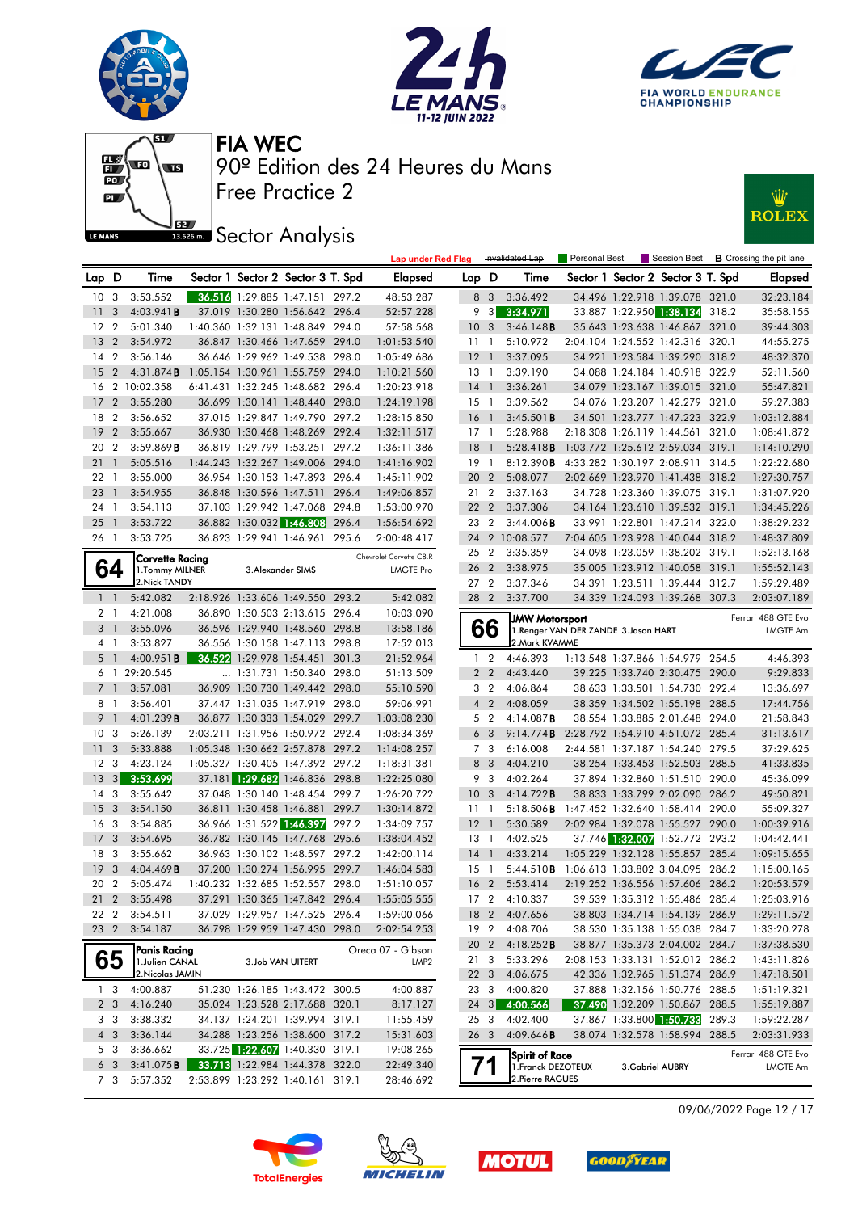











|                  |                |                  |                                  |                                   |       | <b>Lap under Red Flag</b> |                 |                 | Invalidated Lap       | Personal Best                         |                 |                                   |       | Session Best <b>B</b> Crossing the pit lane |
|------------------|----------------|------------------|----------------------------------|-----------------------------------|-------|---------------------------|-----------------|-----------------|-----------------------|---------------------------------------|-----------------|-----------------------------------|-------|---------------------------------------------|
| Lap D            |                | Time             |                                  | Sector 1 Sector 2 Sector 3 T. Spd |       | <b>Elapsed</b>            | Lap D           |                 | Time                  |                                       |                 | Sector 1 Sector 2 Sector 3 T. Spd |       | <b>Elapsed</b>                              |
| 10 <sub>3</sub>  |                | 3:53.552         |                                  | 36.516 1:29.885 1:47.151 297.2    |       | 48:53.287                 |                 | 8 3             | 3:36.492              |                                       |                 | 34.496 1:22.918 1:39.078 321.0    |       | 32:23.184                                   |
| 11               | 3              | 4:03.941B        |                                  | 37.019 1:30.280 1:56.642 296.4    |       | 52:57.228                 |                 | $9 \quad 3$     | 3:34.971              |                                       |                 | 33.887 1:22.950 1:38.134 318.2    |       | 35:58.155                                   |
| 12               | $\overline{2}$ | 5:01.340         |                                  | 1:40.360 1:32.131 1:48.849 294.0  |       | 57:58.568                 | 10 <sub>3</sub> |                 | 3:46.148B             |                                       |                 | 35.643 1:23.638 1:46.867 321.0    |       | 39:44.303                                   |
| 13               | $\overline{2}$ | 3:54.972         |                                  | 36.847 1:30.466 1:47.659 294.0    |       | 1:01:53.540               | 1111            |                 | 5:10.972              |                                       |                 | 2:04.104 1:24.552 1:42.316 320.1  |       | 44:55.275                                   |
| 14               | $\overline{2}$ | 3:56.146         |                                  | 36.646 1:29.962 1:49.538 298.0    |       | 1:05:49.686               | $12-1$          |                 | 3:37.095              |                                       |                 | 34.221 1:23.584 1:39.290 318.2    |       | 48:32.370                                   |
| 15               | $\overline{2}$ | 4:31.874B        | 1:05.154 1:30.961 1:55.759 294.0 |                                   |       | 1:10:21.560               | $13-1$          |                 | 3:39.190              |                                       |                 | 34.088 1:24.184 1:40.918 322.9    |       | 52:11.560                                   |
| 16               |                | 2 10:02.358      |                                  | 6:41.431 1:32.245 1:48.682 296.4  |       | 1:20:23.918               | $14-1$          |                 | 3:36.261              |                                       |                 | 34.079 1:23.167 1:39.015 321.0    |       | 55:47.821                                   |
| 17               | $\overline{2}$ | 3:55.280         |                                  | 36.699 1:30.141 1:48.440 298.0    |       | 1:24:19.198               | 15 <sub>1</sub> |                 | 3:39.562              |                                       |                 | 34.076 1:23.207 1:42.279 321.0    |       | 59:27.383                                   |
| 18               | $\overline{2}$ | 3:56.652         |                                  | 37.015 1:29.847 1:49.790 297.2    |       | 1:28:15.850               | $16-1$          |                 | 3:45.501B             |                                       |                 | 34.501 1:23.777 1:47.223 322.9    |       | 1:03:12.884                                 |
| 19               | $\overline{2}$ | 3:55.667         |                                  | 36.930 1:30.468 1:48.269 292.4    |       | 1:32:11.517               | 17 1            |                 | 5:28.988              |                                       |                 | 2:18.308 1:26.119 1:44.561 321.0  |       | 1:08:41.872                                 |
| 20               | $\overline{2}$ | 3:59.869B        |                                  | 36.819 1:29.799 1:53.251          | 297.2 | 1:36:11.386               | 18              | $\overline{1}$  | 5:28.418B             |                                       |                 | 1:03.772 1:25.612 2:59.034 319.1  |       | 1:14:10.290                                 |
| 21               | $\overline{1}$ | 5:05.516         |                                  | 1:44.243 1:32.267 1:49.006 294.0  |       | 1:41:16.902               | 19 1            |                 | 8:12.390B             |                                       |                 | 4:33.282 1:30.197 2:08.911 314.5  |       | 1:22:22.680                                 |
| 22 <sub>1</sub>  |                | 3:55.000         |                                  | 36.954 1:30.153 1:47.893 296.4    |       | 1:45:11.902               | 20 2            |                 | 5:08.077              |                                       |                 | 2:02.669 1:23.970 1:41.438 318.2  |       | 1:27:30.757                                 |
| 23               | $\overline{1}$ | 3:54.955         |                                  | 36.848 1:30.596 1:47.511 296.4    |       | 1:49:06.857               | 21 2            |                 | 3:37.163              |                                       |                 | 34.728 1:23.360 1:39.075 319.1    |       | 1:31:07.920                                 |
| 24               | $\overline{1}$ | 3:54.113         |                                  | 37.103 1:29.942 1:47.068 294.8    |       | 1:53:00.970               | 22 2            |                 | 3:37.306              |                                       |                 | 34.164 1:23.610 1:39.532 319.1    |       | 1:34:45.226                                 |
| 25               | $\overline{1}$ | 3:53.722         |                                  | 36.882 1:30.032 1:46.808          | 296.4 | 1:56:54.692               | 23 2            |                 | 3:44.006B             |                                       |                 | 33.991 1:22.801 1:47.214 322.0    |       | 1:38:29.232                                 |
| 26 1             |                | 3:53.725         |                                  | 36.823 1:29.941 1:46.961 295.6    |       | 2:00:48.417               |                 |                 | 24 2 10:08.577        |                                       |                 | 7:04.605 1:23.928 1:40.044 318.2  |       | 1:48:37.809                                 |
|                  |                | Corvette Racing  |                                  |                                   |       | Chevrolet Corvette C8.R   | $25 \t2$        |                 | 3:35.359              |                                       |                 | 34.098 1:23.059 1:38.202 319.1    |       | 1:52:13.168                                 |
|                  | 64             | 1. Tommy MILNER  |                                  | 3. Alexander SIMS                 |       | <b>LMGTE Pro</b>          | 26              | $\overline{2}$  | 3:38.975              |                                       |                 | 35.005 1:23.912 1:40.058 319.1    |       | 1:55:52.143                                 |
|                  |                | 2. Nick TANDY    |                                  |                                   |       |                           | 27 2            |                 | 3:37.346              |                                       |                 | 34.391 1:23.511 1:39.444 312.7    |       | 1:59:29.489                                 |
|                  | $1\quad$       | 5:42.082         |                                  | 2:18.926 1:33.606 1:49.550 293.2  |       | 5:42.082                  | 28 2            |                 | 3:37.700              |                                       |                 | 34.339 1:24.093 1:39.268 307.3    |       | 2:03:07.189                                 |
|                  | 2 1            | 4:21.008         |                                  | 36.890 1:30.503 2:13.615 296.4    |       | 10:03.090                 |                 |                 | <b>JMW Motorsport</b> |                                       |                 |                                   |       | Ferrari 488 GTE Evo                         |
|                  | 3 <sup>1</sup> | 3:55.096         |                                  | 36.596 1:29.940 1:48.560 298.8    |       | 13:58.186                 |                 | 66              |                       | 1. Renger VAN DER ZANDE 3. Jason HART |                 |                                   |       | LMGTE Am                                    |
| 4 1              |                | 3:53.827         |                                  | 36.556 1:30.158 1:47.113 298.8    |       | 17:52.013                 |                 |                 | 2. Mark KVAMME        |                                       |                 |                                   |       |                                             |
|                  | 5 1            | 4:00.951B        |                                  | 36.522 1:29.978 1:54.451 301.3    |       | 21:52.964                 |                 | 1 <sup>2</sup>  | 4:46.393              |                                       |                 | 1:13.548 1:37.866 1:54.979 254.5  |       | 4:46.393                                    |
|                  |                | 6 1 29:20.545    |                                  | 1:31.731 1:50.340 298.0           |       | 51:13.509                 |                 | 2 <sub>2</sub>  | 4:43.440              |                                       |                 | 39.225 1:33.740 2:30.475 290.0    |       | 9:29.833                                    |
| 7 <sup>1</sup>   |                | 3:57.081         |                                  | 36.909 1:30.730 1:49.442 298.0    |       | 55:10.590                 |                 | 3 <sub>2</sub>  | 4:06.864              |                                       |                 | 38.633 1:33.501 1:54.730 292.4    |       | 13:36.697                                   |
| 8 1              |                | 3:56.401         |                                  | 37.447 1:31.035 1:47.919 298.0    |       | 59:06.991                 |                 | $4\quad2$       | 4:08.059              |                                       |                 | 38.359 1:34.502 1:55.198 288.5    |       | 17:44.756                                   |
| 9 <sub>1</sub>   |                | 4:01.239B        |                                  | 36.877 1:30.333 1:54.029 299.7    |       | 1:03:08.230               |                 | 5 <sub>2</sub>  | 4:14.087B             |                                       |                 | 38.554 1:33.885 2:01.648 294.0    |       | 21:58.843                                   |
| 10               | 3              | 5:26.139         |                                  | 2:03.211 1:31.956 1:50.972 292.4  |       | 1:08:34.369               |                 | 6 <sub>3</sub>  | 9:14.774B             |                                       |                 | 2:28.792 1:54.910 4:51.072 285.4  |       | 31:13.617                                   |
| 11               | 3              | 5:33.888         |                                  | 1:05.348 1:30.662 2:57.878 297.2  |       | 1:14:08.257               |                 | 7 3             | 6:16.008              |                                       |                 | 2:44.581 1:37.187 1:54.240 279.5  |       | 37:29.625                                   |
| 12 <sup>12</sup> | 3              | 4:23.124         |                                  | 1:05.327 1:30.405 1:47.392 297.2  |       | 1:18:31.381               |                 | 8 3             | 4:04.210              |                                       |                 | 38.254 1:33.453 1:52.503 288.5    |       | 41:33.835                                   |
| 13               | 3              | 3:53.699         |                                  | 37.181 1:29.682 1:46.836 298.8    |       | 1:22:25.080               |                 | 9 3             | 4:02.264              |                                       |                 | 37.894 1:32.860 1:51.510 290.0    |       | 45:36.099                                   |
| 14               | 3              | 3:55.642         |                                  | 37.048 1:30.140 1:48.454 299.7    |       | 1:26:20.722               | 10 <sub>3</sub> |                 | 4:14.722B             |                                       |                 | 38.833 1:33.799 2:02.090          | 286.2 | 49:50.821                                   |
| 15               | 3              | 3:54.150         |                                  | 36.811 1:30.458 1:46.881 299.7    |       | 1:30:14.872               | 11              | $\overline{1}$  | $5:18.506$ <b>B</b>   | 1:47.452 1:32.640 1:58.414 290.0      |                 |                                   |       | 55:09.327                                   |
| 16 <sub>3</sub>  |                | 3:54.885         |                                  | 36.966 1:31.522 1:46.397          | 297.2 | 1:34:09.757               | $12-1$          |                 | 5:30.589              |                                       |                 | 2:02.984 1:32.078 1:55.527 290.0  |       | 1:00:39.916                                 |
| 17               | 3              | 3:54.695         |                                  | 36.782 1:30.145 1:47.768 295.6    |       | 1:38:04.452               | $13-1$          |                 | 4:02.525              |                                       |                 | 37.746 1:32.007 1:52.772 293.2    |       | 1:04:42.441                                 |
| 18               | 3              | 3:55.662         |                                  | 36.963 1:30.102 1:48.597 297.2    |       | 1:42:00.114               | 14              | $\overline{1}$  | 4:33.214              |                                       |                 | 1:05.229 1:32.128 1:55.857 285.4  |       | 1:09:15.655                                 |
| 19               | 3              | 4:04.469B        |                                  | 37.200 1:30.274 1:56.995 299.7    |       | 1:46:04.583               | 15 <sub>1</sub> |                 | 5:44.510B             | 1:06.613 1:33.802 3:04.095 286.2      |                 |                                   |       | 1:15:00.165                                 |
| 20 2             |                | 5:05.474         |                                  | 1:40.232 1:32.685 1:52.557 298.0  |       | 1:51:10.057               |                 | 16 <sub>2</sub> | 5:53.414              |                                       |                 | 2:19.252 1:36.556 1:57.606 286.2  |       | 1:20:53.579                                 |
|                  |                | 21 2 3:55.498    |                                  | 37.291 1:30.365 1:47.842 296.4    |       | 1:55:05.555               |                 |                 | 17 2 4:10.337         |                                       |                 | 39.539 1:35.312 1:55.486 285.4    |       | 1:25:03.916                                 |
| 22 2             |                | 3:54.511         |                                  | 37.029 1:29.957 1:47.525 296.4    |       | 1:59:00.066               |                 |                 | 18 2 4:07.656         |                                       |                 | 38.803 1:34.714 1:54.139 286.9    |       | 1:29:11.572                                 |
| 23 2             |                | 3:54.187         |                                  | 36.798 1:29.959 1:47.430 298.0    |       | 2:02:54.253               |                 | 19 2            | 4:08.706              |                                       |                 | 38.530 1:35.138 1:55.038 284.7    |       | 1:33:20.278                                 |
|                  |                | Panis Racing     |                                  |                                   |       | Oreca 07 - Gibson         |                 | 20 2            | 4:18.252B             |                                       |                 | 38.877 1:35.373 2:04.002 284.7    |       | 1:37:38.530                                 |
|                  | 65             | 1. Julien CANAL  |                                  | 3.Job VAN UITERT                  |       | LMP <sub>2</sub>          | 21 3            |                 | 5:33.296              |                                       |                 | 2:08.153 1:33.131 1:52.012 286.2  |       | 1:43:11.826                                 |
|                  |                | 2. Nicolas JAMIN |                                  |                                   |       |                           |                 | $22 \quad 3$    | 4:06.675              |                                       |                 | 42.336 1:32.965 1:51.374 286.9    |       | 1:47:18.501                                 |
|                  | 1 <sub>3</sub> | 4:00.887         |                                  | 51.230 1:26.185 1:43.472 300.5    |       | 4:00.887                  | 233             |                 | 4:00.820              |                                       |                 | 37.888 1:32.156 1:50.776 288.5    |       | 1:51:19.321                                 |
|                  | 2 3            | 4:16.240         |                                  | 35.024 1:23.528 2:17.688 320.1    |       | 8:17.127                  |                 | $24 \quad 3$    | 4:00.566              |                                       |                 | 37.490 1:32.209 1:50.867 288.5    |       | 1:55:19.887                                 |
|                  | 3 3            | 3:38.332         |                                  | 34.137 1:24.201 1:39.994 319.1    |       | 11:55.459                 | 253             |                 | 4:02.400              |                                       |                 | 37.867 1:33.800 1:50.733 289.3    |       | 1:59:22.287                                 |
|                  | 4 3            | 3:36.144         |                                  | 34.288 1:23.256 1:38.600 317.2    |       | 15:31.603                 | 26 3            |                 | 4:09.646B             |                                       |                 | 38.074 1:32.578 1:58.994 288.5    |       | 2:03:31.933                                 |
|                  | 5 3            | 3:36.662         |                                  | 33.725 1:22.607 1:40.330 319.1    |       | 19:08.265                 |                 |                 | Spirit of Race        |                                       |                 |                                   |       | Ferrari 488 GTE Evo                         |
|                  | 6 3            | 3:41.075B        |                                  | 33.713 1:22.984 1:44.378 322.0    |       | 22:49.340                 |                 |                 | 1. Franck DEZOTEUX    |                                       | 3.Gabriel AUBRY |                                   |       | <b>LMGTE Am</b>                             |
|                  | 7 3            | 5:57.352         |                                  | 2:53.899 1:23.292 1:40.161 319.1  |       | 28:46.692                 |                 |                 | 2. Pierre RAGUES      |                                       |                 |                                   |       |                                             |

09/06/2022 Page 12 / 17







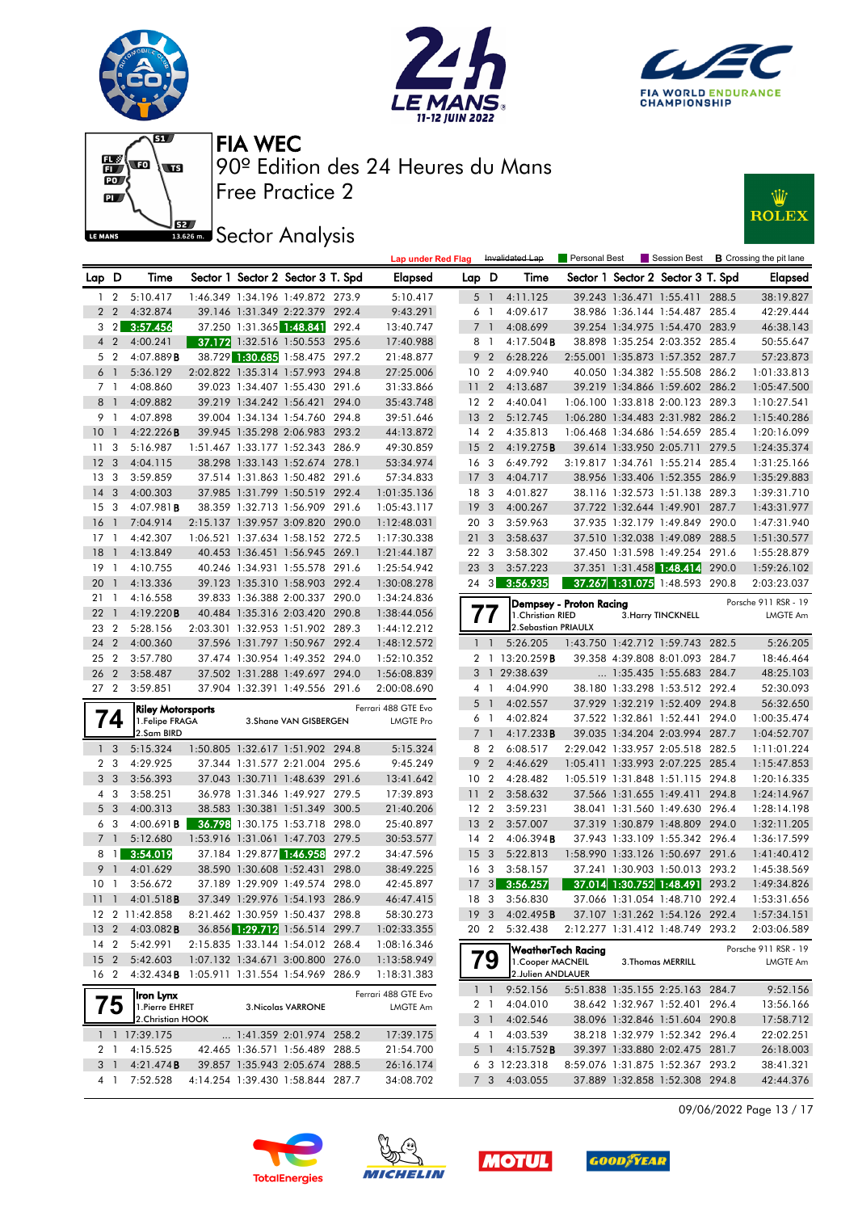







**JEZ Sector Analysis** 



|                 |                 |                                             |                          |                                   |       | <b>Lap under Red Flag</b>               |                 |                | Invalidated Lap        | Personal Best             |                                   |       | Session Best <b>B</b> Crossing the pit lane |
|-----------------|-----------------|---------------------------------------------|--------------------------|-----------------------------------|-------|-----------------------------------------|-----------------|----------------|------------------------|---------------------------|-----------------------------------|-------|---------------------------------------------|
| Lap D           |                 | Time                                        |                          | Sector 1 Sector 2 Sector 3 T. Spd |       | <b>Elapsed</b>                          | Lap D           |                | Time                   |                           | Sector 1 Sector 2 Sector 3 T. Spd |       | <b>Elapsed</b>                              |
| $\mathbf{1}$    | $\overline{2}$  | 5:10.417                                    |                          | 1:46.349 1:34.196 1:49.872 273.9  |       | 5:10.417                                |                 | 5 <sub>1</sub> | 4:11.125               |                           | 39.243 1:36.471 1:55.411 288.5    |       | 38:19.827                                   |
|                 | 2 <sub>2</sub>  | 4:32.874                                    |                          | 39.146 1:31.349 2:22.379 292.4    |       | 9:43.291                                |                 | 6 1            | 4:09.617               |                           | 38.986 1:36.144 1:54.487 285.4    |       | 42:29.444                                   |
|                 |                 | $3 \quad 2 \quad 3:57.456$                  | 37.250 1:31.365 1:48.841 |                                   | 292.4 | 13:40.747                               |                 | 7 <sup>1</sup> | 4:08.699               |                           | 39.254 1:34.975 1:54.470 283.9    |       | 46:38.143                                   |
|                 | $4\quad2$       | 4:00.241                                    |                          | 37.172 1:32.516 1:50.553 295.6    |       | 17:40.988                               | 8 1             |                | $4:17.504$ <b>B</b>    |                           | 38.898 1:35.254 2:03.352 285.4    |       | 50:55.647                                   |
|                 | 5 2             | 4:07.889B                                   |                          | 38.729 1:30.685 1:58.475 297.2    |       | 21:48.877                               |                 | 9 <sub>2</sub> | 6:28.226               |                           | 2:55.001 1:35.873 1:57.352 287.7  |       | 57:23.873                                   |
| 6 <sup>1</sup>  |                 | 5:36.129                                    |                          | 2:02.822 1:35.314 1:57.993 294.8  |       | 27:25.006                               | 10 <sub>2</sub> |                | 4:09.940               |                           | 40.050 1:34.382 1:55.508 286.2    |       | 1:01:33.813                                 |
| 7 <sub>1</sub>  |                 | 4:08.860                                    |                          | 39.023 1:34.407 1:55.430 291.6    |       | 31:33.866                               | 11              | $\overline{2}$ | 4:13.687               |                           | 39.219 1:34.866 1:59.602 286.2    |       | 1:05:47.500                                 |
| 8 <sup>1</sup>  |                 | 4:09.882                                    |                          | 39.219 1:34.242 1:56.421 294.0    |       | 35:43.748                               | 12 <sub>2</sub> |                | 4:40.041               |                           | 1:06.100 1:33.818 2:00.123 289.3  |       | 1:10:27.541                                 |
| 9 1             |                 | 4:07.898                                    |                          | 39.004 1:34.134 1:54.760 294.8    |       | 39:51.646                               | 13 <sub>2</sub> |                | 5:12.745               |                           | 1:06.280 1:34.483 2:31.982 286.2  |       | 1:15:40.286                                 |
| 10              | $\mathbf{1}$    | 4:22.226B                                   |                          | 39.945 1:35.298 2:06.983 293.2    |       | 44:13.872                               | 14 <sup>2</sup> |                | 4:35.813               |                           | 1:06.468 1:34.686 1:54.659 285.4  |       | 1:20:16.099                                 |
| 11 <sub>3</sub> |                 | 5:16.987                                    |                          | 1:51.467 1:33.177 1:52.343 286.9  |       | 49:30.859                               | 15 <sub>2</sub> |                | 4:19.275B              |                           | 39.614 1:33.950 2:05.711 279.5    |       | 1:24:35.374                                 |
| 12              | $\overline{3}$  | 4:04.115                                    |                          | 38.298 1:33.143 1:52.674 278.1    |       | 53:34.974                               | 16              | 3              | 6:49.792               |                           | 3:19.817 1:34.761 1:55.214 285.4  |       | 1:31:25.166                                 |
| 13              | -3              | 3:59.859                                    |                          | 37.514 1:31.863 1:50.482 291.6    |       | 57:34.833                               | 17              | 3              | 4:04.717               |                           | 38.956 1:33.406 1:52.355 286.9    |       | 1:35:29.883                                 |
| 14              | 3               | 4:00.303                                    |                          | 37.985 1:31.799 1:50.519 292.4    |       | 1:01:35.136                             | 18 3            |                | 4:01.827               |                           | 38.116 1:32.573 1:51.138 289.3    |       | 1:39:31.710                                 |
| 15 <sup>3</sup> |                 | 4:07.981B                                   |                          | 38.359 1:32.713 1:56.909 291.6    |       | 1:05:43.117                             | 19              | 3              | 4:00.267               |                           | 37.722 1:32.644 1:49.901          | 287.7 | 1:43:31.977                                 |
| 16              | -1              | 7:04.914                                    |                          | 2:15.137 1:39.957 3:09.820 290.0  |       | 1:12:48.031                             | 20 3            |                | 3:59.963               |                           | 37.935 1:32.179 1:49.849 290.0    |       | 1:47:31.940                                 |
| 17              | $\overline{1}$  | 4:42.307                                    |                          | 1:06.521 1:37.634 1:58.152 272.5  |       | 1:17:30.338                             | 21              | 3              | 3:58.637               |                           | 37.510 1:32.038 1:49.089 288.5    |       | 1:51:30.577                                 |
| 18              | $\mathbf{1}$    | 4:13.849                                    |                          | 40.453 1:36.451 1:56.945 269.1    |       | 1:21:44.187                             | 22 <sub>3</sub> |                | 3:58.302               |                           | 37.450 1:31.598 1:49.254 291.6    |       | 1:55:28.879                                 |
| 19              | $\overline{1}$  | 4:10.755                                    |                          | 40.246 1:34.931 1:55.578 291.6    |       | 1:25:54.942                             | 23              | 3              | 3:57.223               |                           | 37.351 1:31.458 1:48.414 290.0    |       | 1:59:26.102                                 |
| 20              | $\mathbf{1}$    | 4:13.336                                    |                          | 39.123 1:35.310 1:58.903 292.4    |       | 1:30:08.278                             | $24 \quad 3$    |                | 3:56.935               |                           | 37.267 1:31.075 1:48.593 290.8    |       | 2:03:23.037                                 |
| 21              | $\overline{1}$  | 4:16.558                                    |                          | 39.833 1:36.388 2:00.337 290.0    |       | 1:34:24.836                             |                 |                |                        |                           |                                   |       |                                             |
| 22              | $\overline{1}$  | 4:19.220B                                   |                          | 40.484 1:35.316 2:03.420 290.8    |       | 1:38:44.056                             |                 |                | 1. Christian RIED      | Dempsey - Proton Racing   | 3. Harry TINCKNELL                |       | Porsche 911 RSR - 19<br><b>LMGTE Am</b>     |
| 23              | $\overline{2}$  | 5:28.156                                    |                          | 2:03.301 1:32.953 1:51.902 289.3  |       | 1:44:12.212                             |                 | 77             | 2. Sebastian PRIAULX   |                           |                                   |       |                                             |
| 24              | $\overline{2}$  | 4:00.360                                    |                          | 37.596 1:31.797 1:50.967 292.4    |       | 1:48:12.572                             |                 | $1\quad1$      | 5:26.205               |                           | 1:43.750 1:42.712 1:59.743 282.5  |       | 5:26.205                                    |
| 25              | $\overline{2}$  | 3:57.780                                    |                          | 37.474 1:30.954 1:49.352 294.0    |       | 1:52:10.352                             |                 |                | 2 1 13:20.259 B        |                           | 39.358 4:39.808 8:01.093 284.7    |       | 18:46.464                                   |
| 26              | $\overline{2}$  | 3:58.487                                    |                          | 37.502 1:31.288 1:49.697 294.0    |       | 1:56:08.839                             |                 |                | 3 1 29:38.639          |                           | 1:35.435 1:55.683 284.7           |       | 48:25.103                                   |
| 27 <sub>2</sub> |                 | 3:59.851                                    |                          | 37.904 1:32.391 1:49.556 291.6    |       | 2:00:08.690                             |                 | 4 <sup>1</sup> | 4:04.990               |                           | 38.180 1:33.298 1:53.512 292.4    |       | 52:30.093                                   |
|                 |                 |                                             |                          |                                   |       |                                         |                 | 5 <sub>1</sub> | 4:02.557               |                           | 37.929 1:32.219 1:52.409 294.8    |       | 56:32.650                                   |
|                 | $\overline{14}$ | <b>Riley Motorsports</b><br>1.Felipe FRAGA  |                          | 3. Shane VAN GISBERGEN            |       | Ferrari 488 GTE Evo<br><b>LMGTE Pro</b> |                 | 6 1            | 4:02.824               |                           | 37.522 1:32.861 1:52.441          | 294.0 | 1:00:35.474                                 |
|                 |                 | 2.Sam BIRD                                  |                          |                                   |       |                                         |                 | 7 1            | 4:17.233B              |                           | 39.035 1:34.204 2:03.994 287.7    |       | 1:04:52.707                                 |
| 1 <sup>3</sup>  |                 | 5:15.324                                    |                          | 1:50.805 1:32.617 1:51.902 294.8  |       | 5:15.324                                |                 | 8 2            | 6:08.517               |                           | 2:29.042 1:33.957 2:05.518 282.5  |       | 1:11:01.224                                 |
|                 | 2 <sub>3</sub>  | 4:29.925                                    |                          | 37.344 1:31.577 2:21.004 295.6    |       | 9:45.249                                |                 | 9 <sub>2</sub> | 4:46.629               |                           | 1:05.411 1:33.993 2:07.225 285.4  |       | 1:15:47.853                                 |
|                 | 3 <sub>3</sub>  | 3:56.393                                    |                          | 37.043 1:30.711 1:48.639 291.6    |       | 13:41.642                               | 10 <sub>2</sub> |                | 4:28.482               |                           | 1:05.519 1:31.848 1:51.115 294.8  |       | 1:20:16.335                                 |
| 4 3             |                 | 3:58.251                                    |                          | 36.978 1:31.346 1:49.927 279.5    |       | 17:39.893                               | 11              | $\overline{2}$ | 3:58.632               |                           | 37.566 1:31.655 1:49.411 294.8    |       | 1:24:14.967                                 |
| 5 <sub>3</sub>  |                 | 4:00.313                                    |                          | 38.583 1:30.381 1:51.349 300.5    |       | 21:40.206                               | 12 <sub>2</sub> |                | 3:59.231               |                           | 38.041 1:31.560 1:49.630 296.4    |       | 1:28:14.198                                 |
|                 | 6 3             | 4:00.691 <b>B</b>                           |                          | 36.798 1:30.175 1:53.718 298.0    |       | 25:40.897                               | $13 \quad 2$    |                | 3:57.007               |                           | 37.319 1:30.879 1:48.809 294.0    |       | 1:32:11.205                                 |
| 7 <sub>1</sub>  |                 | 5:12.680                                    |                          | 1:53.916 1:31.061 1:47.703 279.5  |       | 30:53.577                               | 14 <sup>2</sup> |                | 4:06.394B              |                           | 37.943 1:33.109 1:55.342 296.4    |       | 1:36:17.599                                 |
|                 | 8 1             | 3:54.019                                    |                          | 37.184 1:29.877 1:46.958          | 297.2 | 34:47.596                               | 15              | 3              | 5:22.813               |                           | 1:58.990 1:33.126 1:50.697 291.6  |       | 1:41:40.412                                 |
| 9 1             |                 | 4:01.629                                    |                          | 38.590 1:30.608 1:52.431          | 298.0 | 38:49.225                               | 16 <sub>3</sub> |                | 3:58.157               |                           | 37.241 1:30.903 1:50.013 293.2    |       | 1:45:38.569                                 |
| 10 <sub>1</sub> |                 | 3:56.672                                    |                          | 37.189 1:29.909 1:49.574 298.0    |       | 42:45.897                               |                 |                | 17 3 3:56.257          |                           | 37.014 1:30.752 1:48.491 293.2    |       | 1:49:34.826                                 |
|                 |                 | 11 1 4:01.518B                              |                          | 37.349 1:29.976 1:54.193 286.9    |       | 46:47.415                               |                 |                | 18 3 3:56.830          |                           | 37.066 1:31.054 1:48.710 292.4    |       | 1:53:31.656                                 |
|                 |                 | 12 2 11:42.858                              |                          | 8:21.462 1:30.959 1:50.437 298.8  |       | 58:30.273                               |                 |                | 19 3 4:02.495 <b>B</b> |                           | 37.107 1:31.262 1:54.126 292.4    |       | 1:57:34.151                                 |
| 13 <sub>2</sub> |                 | $4:03.082$ <b>B</b>                         |                          | 36.856 1:29.712 1:56.514 299.7    |       | 1:02:33.355                             | 20 2            |                | 5:32.438               |                           | 2:12.277 1:31.412 1:48.749 293.2  |       | 2:03:06.589                                 |
| 14 <sub>2</sub> |                 | 5:42.991                                    |                          | 2:15.835 1:33.144 1:54.012 268.4  |       | 1:08:16.346                             |                 |                |                        |                           |                                   |       | Porsche 911 RSR - 19                        |
|                 |                 | 15 2 5:42.603                               |                          | 1:07.132 1:34.671 3:00.800 276.0  |       | 1:13:58.949                             |                 | 79             | 1. Cooper MACNEIL      | <b>WeatherTech Racing</b> | 3. Thomas MERRILL                 |       | LMGTE Am                                    |
| 16 2            |                 | 4:32.434 B 1:05.911 1:31.554 1:54.969 286.9 |                          |                                   |       | 1:18:31.383                             |                 |                | 2.Julien ANDLAUER      |                           |                                   |       |                                             |
|                 |                 |                                             |                          |                                   |       | Ferrari 488 GTE Evo                     |                 | $1\quad1$      | 9:52.156               |                           | 5:51.838 1:35.155 2:25.163 284.7  |       | 9:52.156                                    |
|                 | 75              | Iron Lynx<br>1. Pierre EHRET                |                          | 3. Nicolas VARRONE                |       | LMGTE Am                                |                 | 2 1            | 4:04.010               |                           | 38.642 1:32.967 1:52.401 296.4    |       | 13:56.166                                   |
|                 |                 | 2. Christian HOOK                           |                          |                                   |       |                                         |                 | 3 1            | 4:02.546               |                           | 38.096 1:32.846 1:51.604 290.8    |       | 17:58.712                                   |
|                 |                 | 1 1 17:39.175                               |                          | 1:41.359 2:01.974 258.2           |       | 17:39.175                               |                 | 4 1            | 4:03.539               |                           | 38.218 1:32.979 1:52.342 296.4    |       | 22:02.251                                   |
|                 | 2 1             | 4:15.525                                    |                          | 42.465 1:36.571 1:56.489 288.5    |       | 21:54.700                               |                 | 5 1            | 4:15.752B              |                           | 39.397 1:33.880 2:02.475 281.7    |       | 26:18.003                                   |
|                 | 3 1             | 4:21.474B                                   |                          | 39.857 1:35.943 2:05.674 288.5    |       | 26:16.174                               |                 |                | 6 3 12:23.318          |                           | 8:59.076 1:31.875 1:52.367 293.2  |       | 38:41.321                                   |
|                 | 4 1             | 7:52.528                                    |                          | 4:14.254 1:39.430 1:58.844 287.7  |       | 34:08.702                               |                 |                | 7 3 4:03.055           |                           | 37.889 1:32.858 1:52.308 294.8    |       | 42:44.376                                   |

09/06/2022 Page 13 / 17







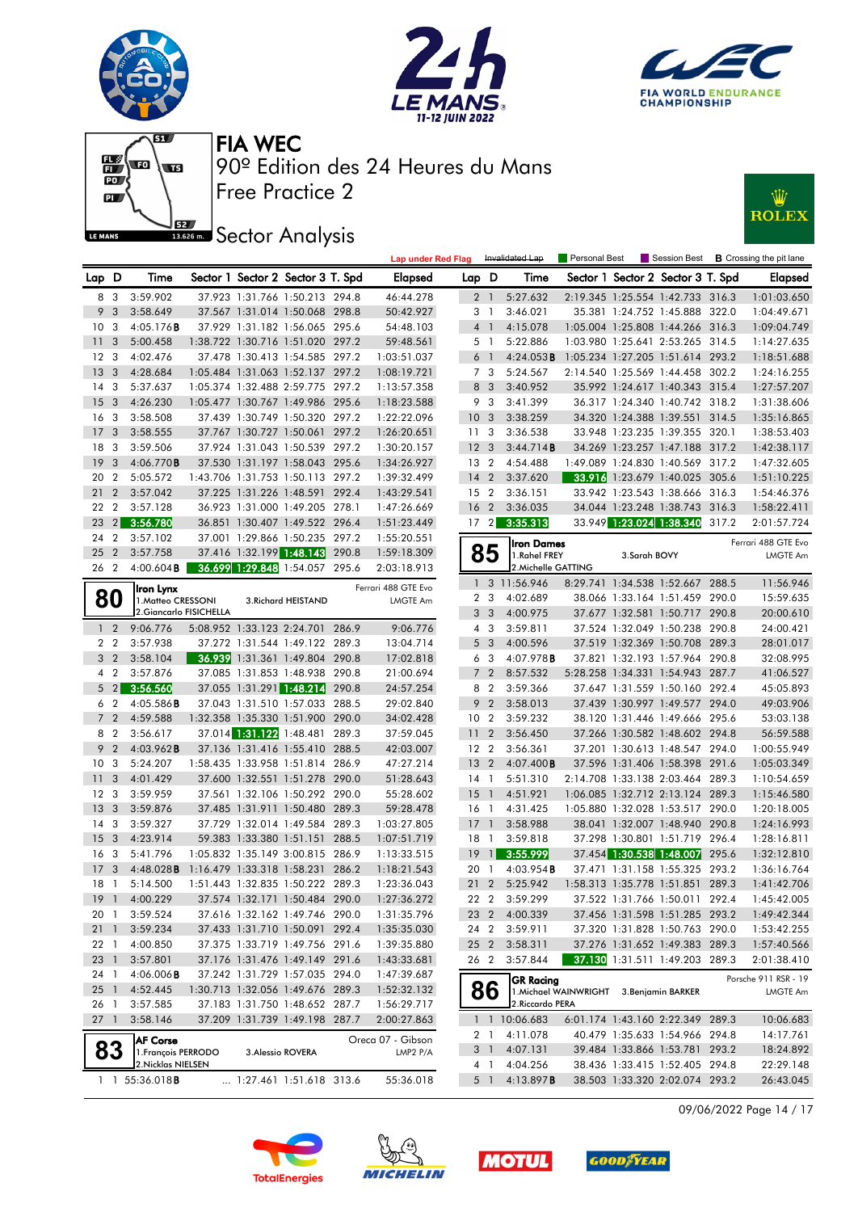











|                                 |                              |                                           |                            |                                   |       | <b>Lap under Red Flag</b>  |                 |                         | Invalidated Lap     | Personal Best                            |                          |                                   |       | Session Best <b>B</b> Crossing the pit lane |
|---------------------------------|------------------------------|-------------------------------------------|----------------------------|-----------------------------------|-------|----------------------------|-----------------|-------------------------|---------------------|------------------------------------------|--------------------------|-----------------------------------|-------|---------------------------------------------|
| Lap D                           |                              | Time                                      |                            | Sector 1 Sector 2 Sector 3 T. Spd |       | Elapsed                    | Lap D           |                         | Time                |                                          |                          | Sector 1 Sector 2 Sector 3 T. Spd |       | <b>Elapsed</b>                              |
|                                 | 8 3                          | 3:59.902                                  |                            | 37.923 1:31.766 1:50.213 294.8    |       | 46:44.278                  |                 | 2 <sub>1</sub>          | 5:27.632            |                                          |                          | 2:19.345 1:25.554 1:42.733 316.3  |       | 1:01:03.650                                 |
| 9                               | 3                            | 3:58.649                                  |                            | 37.567 1:31.014 1:50.068 298.8    |       | 50:42.927                  |                 | 3 1                     | 3:46.021            |                                          |                          | 35.381 1:24.752 1:45.888 322.0    |       | 1:04:49.671                                 |
| 10 <sup>°</sup>                 | -3                           | 4:05.176B                                 |                            | 37.929 1:31.182 1:56.065 295.6    |       | 54:48.103                  |                 | $4-1$                   | 4:15.078            |                                          |                          | 1:05.004 1:25.808 1:44.266 316.3  |       | 1:09:04.749                                 |
| 11                              | 3                            | 5:00.458                                  |                            | 1:38.722 1:30.716 1:51.020 297.2  |       | 59:48.561                  |                 | 5 <sub>1</sub>          | 5:22.886            |                                          |                          | 1:03.980 1:25.641 2:53.265 314.5  |       | 1:14:27.635                                 |
| 12                              | 3                            | 4:02.476                                  |                            | 37.478 1:30.413 1:54.585 297.2    |       | 1:03:51.037                |                 | 6 <sub>1</sub>          | 4:24.053B           | 1:05.234 1:27.205 1:51.614 293.2         |                          |                                   |       | 1:18:51.688                                 |
| 13                              | 3                            | 4:28.684                                  |                            | 1:05.484 1:31.063 1:52.137 297.2  |       | 1:08:19.721                |                 | 7 3                     | 5:24.567            |                                          |                          | 2:14.540 1:25.569 1:44.458 302.2  |       | 1:24:16.255                                 |
| 14                              | 3                            | 5:37.637                                  |                            | 1:05.374 1:32.488 2:59.775 297.2  |       | 1:13:57.358                |                 | 8 3                     | 3:40.952            |                                          |                          | 35.992 1:24.617 1:40.343 315.4    |       | 1:27:57.207                                 |
| 15                              | 3                            | 4:26.230                                  |                            | 1:05.477 1:30.767 1:49.986 295.6  |       | 1:18:23.588                |                 | 9 3                     | 3:41.399            |                                          |                          | 36.317 1:24.340 1:40.742 318.2    |       | 1:31:38.606                                 |
| 16                              | 3                            | 3:58.508                                  |                            | 37.439 1:30.749 1:50.320 297.2    |       | 1:22:22.096                | 10 <sub>3</sub> |                         | 3:38.259            |                                          |                          | 34.320 1:24.388 1:39.551          | 314.5 | 1:35:16.865                                 |
| 17                              | 3                            | 3:58.555                                  |                            | 37.767 1:30.727 1:50.061 297.2    |       | 1:26:20.651                | 11              | 3                       | 3:36.538            |                                          |                          | 33.948 1:23.235 1:39.355 320.1    |       | 1:38:53.403                                 |
| 18                              | 3                            | 3:59.506                                  |                            | 37.924 1:31.043 1:50.539 297.2    |       | 1:30:20.157                | 12              | 3                       | 3:44.714B           |                                          |                          | 34.269 1:23.257 1:47.188 317.2    |       | 1:42:38.117                                 |
| 19                              | 3                            | 4:06.770B                                 |                            | 37.530 1:31.197 1:58.043 295.6    |       | 1:34:26.927                | 13 2            |                         | 4:54.488            |                                          |                          | 1:49.089 1:24.830 1:40.569 317.2  |       | 1:47:32.605                                 |
| 20                              | $\overline{2}$               | 5:05.572                                  |                            | 1:43.706 1:31.753 1:50.113 297.2  |       | 1:39:32.499                | 14              | $\overline{2}$          | 3:37.620            |                                          |                          | 33.916 1:23.679 1:40.025 305.6    |       | 1:51:10.225                                 |
| 21                              | $\overline{2}$               | 3:57.042                                  |                            | 37.225 1:31.226 1:48.591 292.4    |       | 1:43:29.541                | 15 2            |                         | 3:36.151            |                                          |                          | 33.942 1:23.543 1:38.666          | 316.3 | 1:54:46.376                                 |
| 22                              | $\overline{2}$               | 3:57.128                                  |                            | 36.923 1:31.000 1:49.205 278.1    |       | 1:47:26.669                | 16              | $\overline{2}$          | 3:36.035            |                                          |                          | 34.044 1:23.248 1:38.743 316.3    |       | 1:58:22.411                                 |
| 23                              | 2                            | 3:56.780                                  |                            | 36.851 1:30.407 1:49.522 296.4    |       | 1:51:23.449                | 17 <sup>2</sup> |                         | 3:35.313            |                                          | 33.949 1:23.024 1:38.340 |                                   | 317.2 | 2:01:57.724                                 |
| 24                              | $\overline{2}$               | 3:57.102                                  |                            | 37.001 1:29.866 1:50.235 297.2    |       | 1:55:20.551                |                 |                         | <b>Iron Dames</b>   |                                          |                          |                                   |       | Ferrari 488 GTE Evo                         |
| 25                              | $\overline{2}$               | 3:57.758                                  |                            | 37.416 1:32.199 1:48.143 290.8    |       | 1:59:18.309                |                 | 85                      | 1.Rahel FREY        |                                          | 3.Sarah BOVY             |                                   |       | <b>LMGTE Am</b>                             |
| 26 2                            |                              | $4:00.604$ <b>B</b>                       |                            | 36.699 1:29.848 1:54.057 295.6    |       | 2:03:18.913                |                 |                         | 2. Michelle GATTING |                                          |                          |                                   |       |                                             |
|                                 |                              | Iron Lynx                                 |                            |                                   |       | Ferrari 488 GTE Evo        |                 |                         | 1 3 11:56.946       | 8:29.741 1:34.538 1:52.667 288.5         |                          |                                   |       | 11:56.946                                   |
|                                 | 80                           | 1. Matteo CRESSONI                        |                            | 3. Richard HEISTAND               |       | LMGTE Am                   |                 | 2 <sub>3</sub>          | 4:02.689            |                                          |                          | 38.066 1:33.164 1:51.459 290.0    |       | 15:59.635                                   |
|                                 |                              | 2. Giancarlo FISICHELLA                   |                            |                                   |       |                            |                 | 3 <sub>3</sub>          | 4:00.975            |                                          |                          | 37.677 1:32.581 1:50.717 290.8    |       | 20:00.610                                   |
| 1 <sub>2</sub>                  |                              | 9:06.776                                  |                            | 5:08.952 1:33.123 2:24.701 286.9  |       | 9:06.776                   |                 | 4 3                     | 3:59.811            |                                          |                          | 37.524 1:32.049 1:50.238 290.8    |       | 24:00.421                                   |
|                                 | 2 <sub>2</sub>               | 3:57.938                                  |                            | 37.272 1:31.544 1:49.122 289.3    |       | 13:04.714                  |                 | 5 <sub>3</sub>          | 4:00.596            |                                          |                          | 37.519 1:32.369 1:50.708 289.3    |       | 28:01.017                                   |
| 3 <sub>2</sub>                  |                              | 3:58.104                                  |                            | 36.939 1:31.361 1:49.804 290.8    |       | 17:02.818                  | 6               | $\overline{\mathbf{3}}$ | 4:07.978 <b>B</b>   |                                          |                          | 37.821 1:32.193 1:57.964 290.8    |       | 32:08.995                                   |
|                                 | 4 <sup>2</sup>               | 3:57.876                                  |                            | 37.085 1:31.853 1:48.938 290.8    |       | 21:00.694                  |                 | 7 <sub>2</sub>          | 8:57.532            |                                          |                          | 5:28.258 1:34.331 1:54.943 287.7  |       | 41:06.527                                   |
| 5                               | $\left  \frac{2}{2} \right $ | 3:56.560                                  |                            | 37.055 1:31.291 1:48.214          | 290.8 | 24:57.254                  |                 | 8 2                     | 3:59.366            |                                          |                          | 37.647 1:31.559 1:50.160 292.4    |       | 45:05.893                                   |
|                                 | 6 2                          | $4:05.586$ <b>B</b>                       |                            | 37.043 1:31.510 1:57.033 288.5    |       | 29:02.840                  |                 | 9 <sub>2</sub>          | 3:58.013            |                                          |                          | 37.439 1:30.997 1:49.577 294.0    |       | 49:03.906                                   |
| $\overline{7}$                  | $\overline{2}$               | 4:59.588                                  | 1:32.358 1:35.330 1:51.900 |                                   | 290.0 | 34:02.428                  | 10 <sub>2</sub> |                         | 3:59.232            |                                          |                          | 38.120 1:31.446 1:49.666 295.6    |       | 53:03.138                                   |
|                                 | 8 2                          | 3:56.617                                  |                            | 37.014 1:31.122 1:48.481 289.3    |       | 37:59.045                  | 11              | $\overline{2}$          | 3:56.450            |                                          |                          | 37.266 1:30.582 1:48.602 294.8    |       | 56:59.588                                   |
| 9                               | $\overline{2}$               | $4:03.962$ B                              |                            | 37.136 1:31.416 1:55.410 288.5    |       | 42:03.007                  | 12 2            |                         | 3:56.361            |                                          |                          | 37.201 1:30.613 1:48.547 294.0    |       | 1:00:55.949                                 |
| 10                              | 3                            | 5:24.207                                  |                            | 1:58.435 1:33.958 1:51.814 286.9  |       | 47:27.214                  | 13 <sup>7</sup> | $\overline{2}$          | $4:07.400$ B        |                                          |                          | 37.596 1:31.406 1:58.398 291.6    |       | 1:05:03.349                                 |
| 11                              | 3                            | 4:01.429                                  |                            | 37.600 1:32.551 1:51.278 290.0    |       | 51:28.643                  | $14-1$          |                         | 5:51.310            |                                          |                          | 2:14.708 1:33.138 2:03.464 289.3  |       | 1:10:54.659                                 |
| 12 <sup>3</sup>                 |                              | 3:59.959                                  |                            | 37.561 1:32.106 1:50.292 290.0    |       | 55:28.602                  | 15              | $\overline{1}$          | 4:51.921            |                                          |                          | 1:06.085 1:32.712 2:13.124 289.3  |       | 1:15:46.580                                 |
| 13                              | 3                            | 3:59.876                                  |                            | 37.485 1:31.911 1:50.480 289.3    |       | 59:28.478                  | 16 1            |                         | 4:31.425            |                                          |                          | 1:05.880 1:32.028 1:53.517 290.0  |       | 1:20:18.005                                 |
| 14                              | 3                            | 3:59.327                                  |                            | 37.729 1:32.014 1:49.584 289.3    |       | 1:03:27.805                | 17              | $\overline{1}$          | 3:58.988            |                                          |                          | 38.041 1:32.007 1:48.940 290.8    |       | 1:24:16.993                                 |
| 15                              | 3                            | 4:23.914                                  |                            | 59.383 1:33.380 1:51.151          | 288.5 | 1:07:51.719                | 18              | $\overline{1}$          | 3:59.818            |                                          |                          | 37.298 1:30.801 1:51.719 296.4    |       | 1:28:16.811                                 |
| 16                              | 3                            | 5:41.796                                  |                            | 1:05.832 1:35.149 3:00.815 286.9  |       | 1:13:33.515                | 19              | $\vert$                 | 3:55.999            |                                          |                          | 37.454 1:30.538 1:48.007          | 295.6 | 1:32:12.810                                 |
| 17                              | 3                            | $4:48.028$ B                              |                            | 1:16.479 1:33.318 1:58.231        | 286.2 | 1:18:21.543                | 20              | -1                      | $4:03.954$ <b>B</b> |                                          |                          | 37.471 1:31.158 1:55.325 293.2    |       | 1:36:16.764                                 |
| 18                              | $\overline{1}$               | 5:14.500                                  |                            | 1:51.443 1:32.835 1:50.222 289.3  |       | 1:23:36.043                | 21              | $\overline{2}$          | 5:25.942            |                                          |                          | 1:58.313 1:35.778 1:51.851        | 289.3 | 1:41:42.706                                 |
|                                 |                              | 19 1 4:00.229                             |                            | 37.574 1:32.171 1:50.484 290.0    |       | 1:27:36.272                |                 | 22 2                    | 3:59.299            |                                          |                          | 37.522 1:31.766 1:50.011 292.4    |       | 1:45:42.005                                 |
| 20 1                            |                              | 3:59.524                                  |                            | 37.616 1:32.162 1:49.746 290.0    |       | 1:31:35.796                |                 | 23 2                    | 4:00.339            |                                          |                          | 37.456 1:31.598 1:51.285 293.2    |       | 1:49:42.344                                 |
| 211                             |                              | 3:59.234                                  |                            | 37.433 1:31.710 1:50.091 292.4    |       | 1:35:35.030                |                 | 24 2                    | 3:59.911            |                                          |                          | 37.320 1:31.828 1:50.763 290.0    |       | 1:53:42.255                                 |
| 22 <sub>1</sub>                 |                              | 4:00.850                                  |                            | 37.375 1:33.719 1:49.756 291.6    |       | 1:39:35.880                |                 | 25 2                    | 3:58.311            |                                          |                          | 37.276 1:31.652 1:49.383 289.3    |       | 1:57:40.566                                 |
| 23 1                            |                              | 3:57.801                                  |                            | 37.176 1:31.476 1:49.149 291.6    |       | 1:43:33.681                |                 | 262                     | 3:57.844            |                                          |                          | 37.130 1:31.511 1:49.203 289.3    |       |                                             |
| 24 1                            |                              | $4:06.006$ <b>B</b>                       |                            | 37.242 1:31.729 1:57.035 294.0    |       | 1:47:39.687                |                 |                         |                     |                                          |                          |                                   |       | 2:01:38.410                                 |
|                                 |                              |                                           |                            | 1:30.713 1:32.056 1:49.676 289.3  |       |                            |                 |                         | <b>GR Racing</b>    |                                          |                          |                                   |       | Porsche 911 RSR - 19                        |
| $25 \quad 1$<br>26 <sub>1</sub> |                              | 4:52.445<br>3:57.585                      |                            | 37.183 1:31.750 1:48.652 287.7    |       | 1:52:32.132                |                 | 86                      | 2. Riccardo PERA    | 1. Michael WAINWRIGHT 3. Benjamin BARKER |                          |                                   |       | LMGTE Am                                    |
|                                 |                              | 3:58.146                                  |                            |                                   |       | 1:56:29.717<br>2:00:27.863 |                 |                         | 1 1 10:06.683       |                                          |                          | 6:01.174 1:43.160 2:22.349 289.3  |       |                                             |
| $27-1$                          |                              |                                           |                            | 37.209 1:31.739 1:49.198 287.7    |       |                            |                 |                         |                     |                                          |                          | 40.479 1:35.633 1:54.966 294.8    |       | 10:06.683                                   |
|                                 |                              | <b>AF Corse</b>                           |                            |                                   |       | Oreca 07 - Gibson          |                 | 2 1                     | 4:11.078            |                                          |                          |                                   |       | 14:17.761                                   |
|                                 | 83                           | 1. François PERRODO<br>2. Nicklas NIELSEN |                            | 3. Alessio ROVERA                 |       | LMP2 P/A                   |                 | 3 1                     | 4:07.131            |                                          |                          | 39.484 1:33.866 1:53.781 293.2    |       | 18:24.892<br>22:29.148                      |
|                                 |                              |                                           |                            |                                   |       |                            |                 | 4 1                     | 4:04.256            |                                          |                          | 38.436 1:33.415 1:52.405 294.8    |       |                                             |
|                                 |                              | $1 \quad 1 \quad 55:36.018$ <b>B</b>      |                            | 1:27.461 1:51.618 313.6           |       | 55:36.018                  |                 | 5 1                     | 4:13.897 <b>B</b>   |                                          |                          | 38.503 1:33.320 2:02.074 293.2    |       | 26:43.045                                   |

09/06/2022 Page 14 / 17







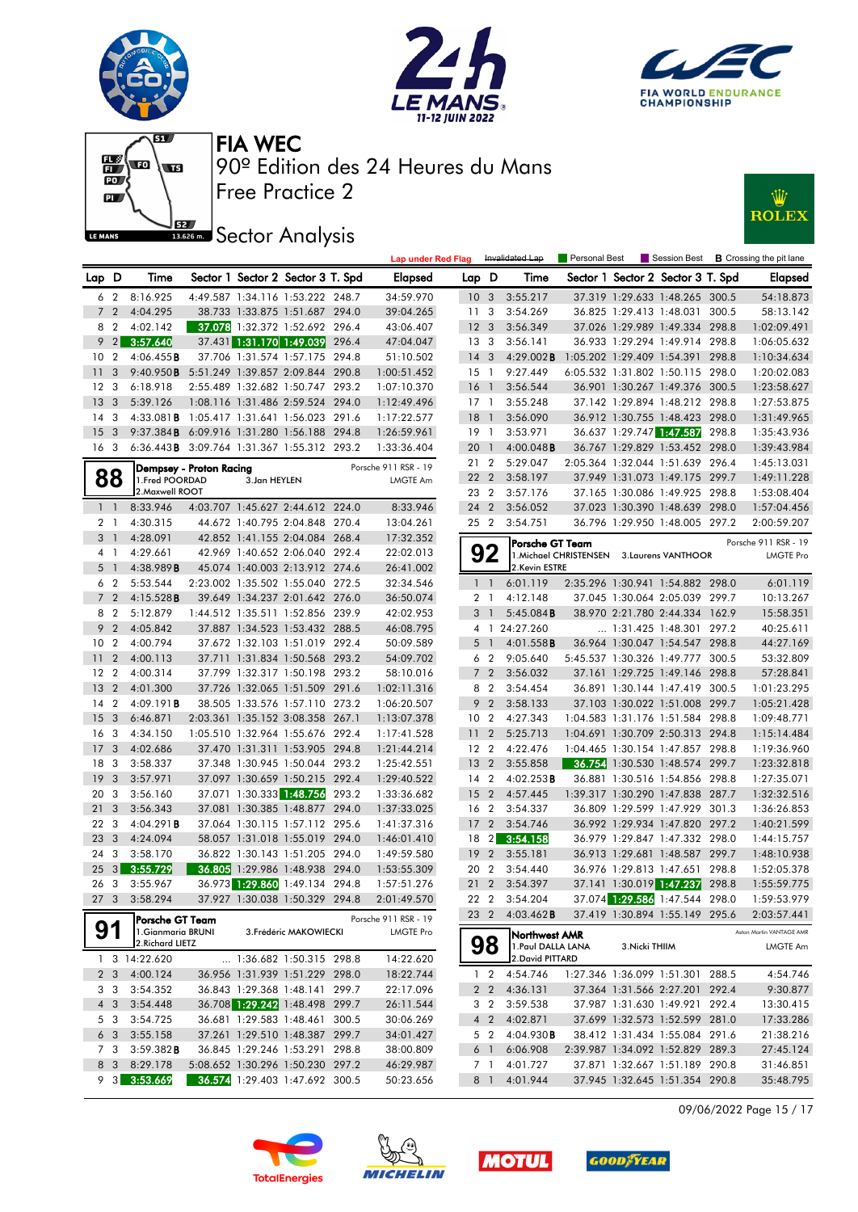







### **J**<br>I<sup>1886</sup> Sector Analysis

| :W           |
|--------------|
| <b>ROLEX</b> |
|              |

|                 |                         |                                            |                         |              |                                                                  |       | <b>Lap under Red Flag</b> |                 |                                  | Invalidated Lap                        | Personal Best                              |                |                                                                    |       | Session Best <b>B</b> Crossing the pit lane |
|-----------------|-------------------------|--------------------------------------------|-------------------------|--------------|------------------------------------------------------------------|-------|---------------------------|-----------------|----------------------------------|----------------------------------------|--------------------------------------------|----------------|--------------------------------------------------------------------|-------|---------------------------------------------|
| Lap D           |                         | Time                                       |                         |              | Sector 1 Sector 2 Sector 3 T. Spd                                |       | <b>Elapsed</b>            | Lap D           |                                  | Time                                   |                                            |                | Sector 1 Sector 2 Sector 3 T. Spd                                  |       | <b>Elapsed</b>                              |
|                 | 6 2                     | 8:16.925                                   |                         |              | 4:49.587 1:34.116 1:53.222 248.7                                 |       | 34:59.970                 | 10 <sub>3</sub> |                                  | 3:55.217                               |                                            |                | 37.319 1:29.633 1:48.265 300.5                                     |       | 54:18.873                                   |
|                 | 7 <sub>2</sub>          | 4:04.295                                   |                         |              | 38.733 1:33.875 1:51.687 294.0                                   |       | 39:04.265                 | 11 <sub>3</sub> |                                  | 3:54.269                               |                                            |                | 36.825 1:29.413 1:48.031 300.5                                     |       | 58:13.142                                   |
| 8               | $\overline{2}$          | 4:02.142                                   |                         |              | 37.078 1:32.372 1:52.692 296.4                                   |       | 43:06.407                 | 12 <sup>3</sup> |                                  | 3:56.349                               |                                            |                | 37.026 1:29.989 1:49.334 298.8                                     |       | 1:02:09.491                                 |
| 9               | $\sqrt{2}$              | 3:57.640                                   |                         |              | 37.431 1:31.170 1:49.039 296.4                                   |       | 47:04.047                 | 13 <sub>3</sub> |                                  | 3:56.141                               |                                            |                | 36.933 1:29.294 1:49.914 298.8                                     |       | 1:06:05.632                                 |
| 10              | $\overline{2}$          | 4:06.455B                                  |                         |              | 37.706 1:31.574 1:57.175                                         | 294.8 | 51:10.502                 | $14 \quad 3$    |                                  | $4:29.002$ <b>B</b>                    |                                            |                | 1:05.202 1:29.409 1:54.391 298.8                                   |       | 1:10:34.634                                 |
| 11              | 3                       | 9:40.950B                                  |                         |              | 5:51.249 1:39.857 2:09.844 290.8                                 |       | 1:00:51.452               | 15 1            |                                  | 9:27.449                               |                                            |                | 6:05.532 1:31.802 1:50.115 298.0                                   |       | 1:20:02.083                                 |
| 12 <sup>3</sup> |                         | 6:18.918                                   |                         |              | 2:55.489 1:32.682 1:50.747 293.2                                 |       | 1:07:10.370               | 16              | $\overline{1}$                   | 3:56.544                               |                                            |                | 36.901 1:30.267 1:49.376 300.5                                     |       | 1:23:58.627                                 |
| 13              | 3                       | 5:39.126                                   |                         |              | 1:08.116 1:31.486 2:59.524 294.0                                 |       | 1:12:49.496               | 17 1            |                                  | 3:55.248                               |                                            |                | 37.142 1:29.894 1:48.212 298.8                                     |       | 1:27:53.875                                 |
| 14              | 3                       | $4:33.081$ <b>B</b>                        |                         |              | 1:05.417 1:31.641 1:56.023 291.6                                 |       | 1:17:22.577               | 18              | $\overline{1}$                   | 3:56.090                               |                                            |                | 36.912 1:30.755 1:48.423 298.0                                     |       | 1:31:49.965                                 |
| 15              | -3                      | 9:37.384B                                  |                         |              | 6:09.916 1:31.280 1:56.188 294.8                                 |       | 1:26:59.961               | 19 1            |                                  | 3:53.971                               |                                            |                | 36.637 1:29.747 1:47.587                                           | 298.8 | 1:35:43.936                                 |
| 16 <sub>3</sub> |                         | 6:36.443B 3:09.764 1:31.367 1:55.312 293.2 |                         |              |                                                                  |       | 1:33:36.404               | 20 1            |                                  | 4:00.048B                              |                                            |                | 36.767 1:29.829 1:53.452 298.0                                     |       | 1:39:43.984                                 |
|                 |                         |                                            | Dempsey - Proton Racing |              |                                                                  |       | Porsche 911 RSR - 19      | 21 2            |                                  | 5:29.047                               |                                            |                | 2:05.364 1:32.044 1:51.639 296.4                                   |       | 1:45:13.031                                 |
|                 | 88                      | 1.Fred POORDAD                             |                         | 3.Jan HEYLEN |                                                                  |       | <b>LMGTE Am</b>           | 22 2            |                                  | 3:58.197                               |                                            |                | 37.949 1:31.073 1:49.175 299.7                                     |       | 1:49:11.228                                 |
|                 |                         | 2. Maxwell ROOT                            |                         |              |                                                                  |       |                           | 23 2            |                                  | 3:57.176                               |                                            |                | 37.165 1:30.086 1:49.925 298.8                                     |       | 1:53:08.404                                 |
| $1\quad$        |                         | 8:33.946                                   |                         |              | 4:03.707 1:45.627 2:44.612 224.0                                 |       | 8:33.946                  | 24 2            |                                  | 3:56.052                               |                                            |                | 37.023 1:30.390 1:48.639 298.0                                     |       | 1:57:04.456                                 |
| 2 1             |                         | 4:30.315                                   |                         |              | 44.672 1:40.795 2:04.848 270.4                                   |       | 13:04.261                 | 25 2            |                                  | 3:54.751                               |                                            |                | 36.796 1:29.950 1:48.005 297.2                                     |       | 2:00:59.207                                 |
| 3 <sub>1</sub>  |                         | 4:28.091                                   |                         |              | 42.852 1:41.155 2:04.084 268.4                                   |       | 17:32.352                 |                 |                                  | Porsche GT Team                        |                                            |                |                                                                    |       | Porsche 911 RSR - 19                        |
|                 | 41                      | 4:29.661                                   |                         |              | 42.969 1:40.652 2:06.040 292.4                                   |       | 22:02.013                 |                 | 92                               |                                        | 1. Michael CHRISTENSEN 3. Laurens VANTHOOR |                |                                                                    |       | LMGTE Pro                                   |
|                 | 5 <sub>1</sub>          | 4:38.989B                                  |                         |              | 45.074 1:40.003 2:13.912 274.6                                   |       | 26:41.002                 |                 |                                  | 2.Kevin ESTRE                          |                                            |                |                                                                    |       |                                             |
| 6               | $\overline{2}$          | 5:53.544                                   |                         |              | 2:23.002 1:35.502 1:55.040 272.5                                 |       | 32:34.546                 |                 | $1\quad1$                        | 6:01.119                               |                                            |                | 2:35.296 1:30.941 1:54.882 298.0                                   |       | 6:01.119                                    |
|                 | 7 <sub>2</sub>          | 4:15.528B                                  |                         |              | 39.649 1:34.237 2:01.642 276.0                                   |       | 36:50.074                 |                 | 2 <sub>1</sub>                   | 4:12.148                               |                                            |                | 37.045 1:30.064 2:05.039 299.7                                     |       | 10:13.267                                   |
|                 | 8 2                     | 5:12.879                                   |                         |              | 1:44.512 1:35.511 1:52.856 239.9                                 |       | 42:02.953                 | 3               | $\overline{1}$                   | 5:45.084B                              |                                            |                | 38.970 2:21.780 2:44.334 162.9                                     |       | 15:58.351                                   |
|                 | 9 <sub>2</sub>          | 4:05.842                                   |                         |              | 37.887 1:34.523 1:53.432 288.5                                   |       | 46:08.795                 |                 |                                  | 4 1 24:27.260                          |                                            |                | $\ldots$ 1:31.425 1:48.301 297.2                                   |       | 40:25.611                                   |
| 10              | $\overline{2}$          | 4:00.794                                   |                         |              | 37.672 1:32.103 1:51.019 292.4                                   |       | 50:09.589                 | 5               | $\overline{1}$                   | 4:01.558B                              |                                            |                | 36.964 1:30.047 1:54.547 298.8                                     |       | 44:27.169                                   |
| 11              | $\overline{2}$          | 4:00.113                                   |                         |              | 37.711 1:31.834 1:50.568 293.2                                   |       | 54:09.702                 |                 | 6 <sub>2</sub>                   | 9:05.640                               |                                            |                | 5:45.537 1:30.326 1:49.777 300.5                                   |       | 53:32.809                                   |
| 12              | $\overline{2}$          | 4:00.314                                   |                         |              | 37.799 1:32.317 1:50.198 293.2                                   |       | 58:10.016                 |                 | 7 <sub>2</sub>                   | 3:56.032                               |                                            |                | 37.161 1:29.725 1:49.146 298.8                                     |       | 57:28.841                                   |
| 13              | $\overline{2}$          | 4:01.300                                   |                         |              | 37.726 1:32.065 1:51.509 291.6                                   |       | 1:02:11.316               |                 | 8 2                              | 3:54.454                               |                                            |                | 36.891 1:30.144 1:47.419 300.5                                     |       | 1:01:23.295                                 |
| 14              | $\overline{2}$          | 4:09.191B                                  |                         |              | 38.505 1:33.576 1:57.110 273.2                                   |       | 1:06:20.507               | 9               | $\overline{2}$                   | 3:58.133                               |                                            |                | 37.103 1:30.022 1:51.008 299.7                                     |       | 1:05:21.428                                 |
| 15              | $\overline{\mathbf{3}}$ | 6:46.871                                   |                         |              | 2:03.361 1:35.152 3:08.358 267.1                                 |       | 1:13:07.378               | 10 <sub>2</sub> |                                  | 4:27.343                               |                                            |                | 1:04.583 1:31.176 1:51.584 298.8                                   |       | 1:09:48.771                                 |
| 16              | -3                      | 4:34.150                                   |                         |              | 1:05.510 1:32.964 1:55.676 292.4                                 |       | 1:17:41.528               | 11              | $\overline{2}$                   | 5:25.713                               |                                            |                | 1:04.691 1:30.709 2:50.313 294.8                                   |       | 1:15:14.484                                 |
| 17              | 3                       | 4:02.686                                   |                         |              | 37.470 1:31.311 1:53.905 294.8                                   |       | 1:21:44.214               | 12 2            |                                  | 4:22.476                               |                                            |                | 1:04.465 1:30.154 1:47.857 298.8                                   |       | 1:19:36.960                                 |
| 18              | -3                      | 3:58.337                                   |                         |              | 37.348 1:30.945 1:50.044 293.2                                   |       | 1:25:42.551               | 13              | $\overline{2}$                   | 3:55.858                               |                                            |                | <b>36.754</b> 1:30.530 1:48.574 299.7                              |       | 1:23:32.818                                 |
| 19              | -3                      | 3:57.971                                   |                         |              | 37.097 1:30.659 1:50.215 292.4                                   |       | 1:29:40.522               | 14 2            |                                  | 4:02.253B                              |                                            |                | 36.881 1:30.516 1:54.856 298.8                                     |       | 1:27:35.071                                 |
| 20              | -3                      | 3:56.160                                   |                         |              | 37.071 1:30.333 1:48.756                                         | 293.2 | 1:33:36.682               | 15 <sub>2</sub> |                                  | 4:57.445                               |                                            |                | 1:39.317 1:30.290 1:47.838 287.7                                   |       | 1:32:32.516                                 |
| 21              | 3                       | 3:56.343                                   |                         |              | 37.081 1:30.385 1:48.877 294.0                                   |       | 1:37:33.025               | 16 2            |                                  | 3:54.337                               |                                            |                | 36.809 1:29.599 1:47.929 301.3                                     |       | 1:36:26.853                                 |
| 22              | -3                      | $4:04.291$ <b>B</b>                        |                         |              | 37.064 1:30.115 1:57.112 295.6                                   |       | 1:41:37.316               | 17 <sub>2</sub> |                                  | 3:54.746                               |                                            |                | 36.992 1:29.934 1:47.820 297.2                                     |       | 1:40:21.599                                 |
| 23              | 3                       | 4:24.094                                   |                         |              | 58.057 1:31.018 1:55.019 294.0                                   |       | 1:46:01.410               | 18 2            |                                  | 3:54.158                               |                                            |                | 36.979 1:29.847 1:47.332 298.0                                     |       | 1:44:15.757                                 |
| 24              | -3                      | 3:58.170                                   |                         |              | 36.822 1:30.143 1:51.205 294.0                                   |       | 1:49:59.580               | 19              | $\overline{2}$                   | 3:55.181                               |                                            |                | 36.913 1:29.681 1:48.587 299.7                                     |       | 1:48:10.938                                 |
| 25              | 3 <sup>1</sup>          | 3:55.729                                   |                         |              | 36.805 1:29.986 1:48.938 294.0                                   |       | 1:53:55.309               | 20              | $\overline{2}$                   | 3:54.440                               |                                            |                | 36.976 1:29.813 1:47.651 298.8                                     |       | 1:52:05.378                                 |
| 26 3            |                         | 3:55.967                                   |                         |              | 36.973 1:29.860 1:49.134 294.8                                   |       | 1:57:51.276               | 21              | $\overline{2}$                   | 3:54.397                               |                                            |                | 37.141 1:30.019 1:47.237                                           | 298.8 | 1:55:59.775                                 |
| 27 3            |                         | 3:58.294                                   |                         |              | 37.927 1:30.038 1:50.329 294.8                                   |       | 2:01:49.570               |                 |                                  | 22 2 3:54.204                          |                                            |                | 37.074 1:29.586 1:47.544 298.0                                     |       | 1:59:53.979                                 |
|                 |                         | Porsche GT Team                            |                         |              |                                                                  |       | Porsche 911 RSR - 19      |                 | 23 2                             | $4:03.462$ B                           |                                            |                | 37.419 1:30.894 1:55.149 295.6                                     |       | 2:03:57.441                                 |
| 91              |                         | 1.Gianmaria BRUNI                          |                         |              | 3. Frédéric MAKOWIECKI                                           |       | LMGTE Pro                 |                 |                                  | Northwest AMR                          |                                            |                |                                                                    |       | Aston Martin VANTAGE AMR                    |
|                 |                         | 2. Richard LIETZ                           |                         |              |                                                                  |       |                           |                 | 98                               | 1. Paul DALLA LANA<br>2. David PITTARD |                                            | 3. Nicki THIIM |                                                                    |       | LMGTE Am                                    |
|                 |                         | 1 3 14:22.620                              |                         |              | 1:36.682 1:50.315 298.8                                          |       | 14:22.620                 |                 |                                  |                                        |                                            |                |                                                                    |       |                                             |
|                 | 2 <sub>3</sub>          | 4:00.124                                   |                         |              | 36.956 1:31.939 1:51.229 298.0                                   |       | 18:22.744                 |                 | $1\quad 2$                       | 4:54.746                               |                                            |                | 1:27.346 1:36.099 1:51.301 288.5                                   |       | 4:54.746                                    |
|                 | 33                      | 3:54.352                                   |                         |              | 36.843 1:29.368 1:48.141 299.7<br>36.708 1:29.242 1:48.498 299.7 |       | 22:17.096                 |                 | 2 <sub>2</sub>                   | 4:36.131                               |                                            |                | 37.364 1:31.566 2:27.201 292.4                                     |       | 9:30.877                                    |
|                 | 4 3                     | 3:54.448<br>3:54.725                       |                         |              |                                                                  |       | 26:11.544                 |                 | 3 <sub>2</sub>                   | 3:59.538                               |                                            |                | 37.987 1:31.630 1:49.921 292.4<br>37.699 1:32.573 1:52.599 281.0   |       | 13:30.415                                   |
|                 | 53<br>6 3               |                                            |                         |              | 36.681 1:29.583 1:48.461 300.5                                   |       | 30:06.269                 |                 | 4 <sub>2</sub><br>5 <sub>2</sub> | 4:02.871<br>4:04.930B                  |                                            |                |                                                                    |       | 17:33.286                                   |
|                 | 7 3                     | 3:55.158<br>3:59.382B                      |                         |              | 37.261 1:29.510 1:48.387 299.7<br>36.845 1:29.246 1:53.291 298.8 |       | 34:01.427                 |                 |                                  | 6:06.908                               |                                            |                | 38.412 1:31.434 1:55.084 291.6                                     |       | 21:38.216                                   |
|                 | 8 3                     | 8:29.178                                   |                         |              | 5:08.652 1:30.296 1:50.230 297.2                                 |       | 38:00.809<br>46:29.987    |                 | 6 1<br>7 1                       | 4:01.727                               |                                            |                | 2:39.987 1:34.092 1:52.829 289.3<br>37.871 1:32.667 1:51.189 290.8 |       | 27:45.124<br>31:46.851                      |
|                 |                         | 9 3 3:53.669                               |                         |              | 36.574 1:29.403 1:47.692 300.5                                   |       | 50:23.656                 |                 | 8 1                              | 4:01.944                               |                                            |                | 37.945 1:32.645 1:51.354 290.8                                     |       | 35:48.795                                   |
|                 |                         |                                            |                         |              |                                                                  |       |                           |                 |                                  |                                        |                                            |                |                                                                    |       |                                             |

09/06/2022 Page 15 / 17







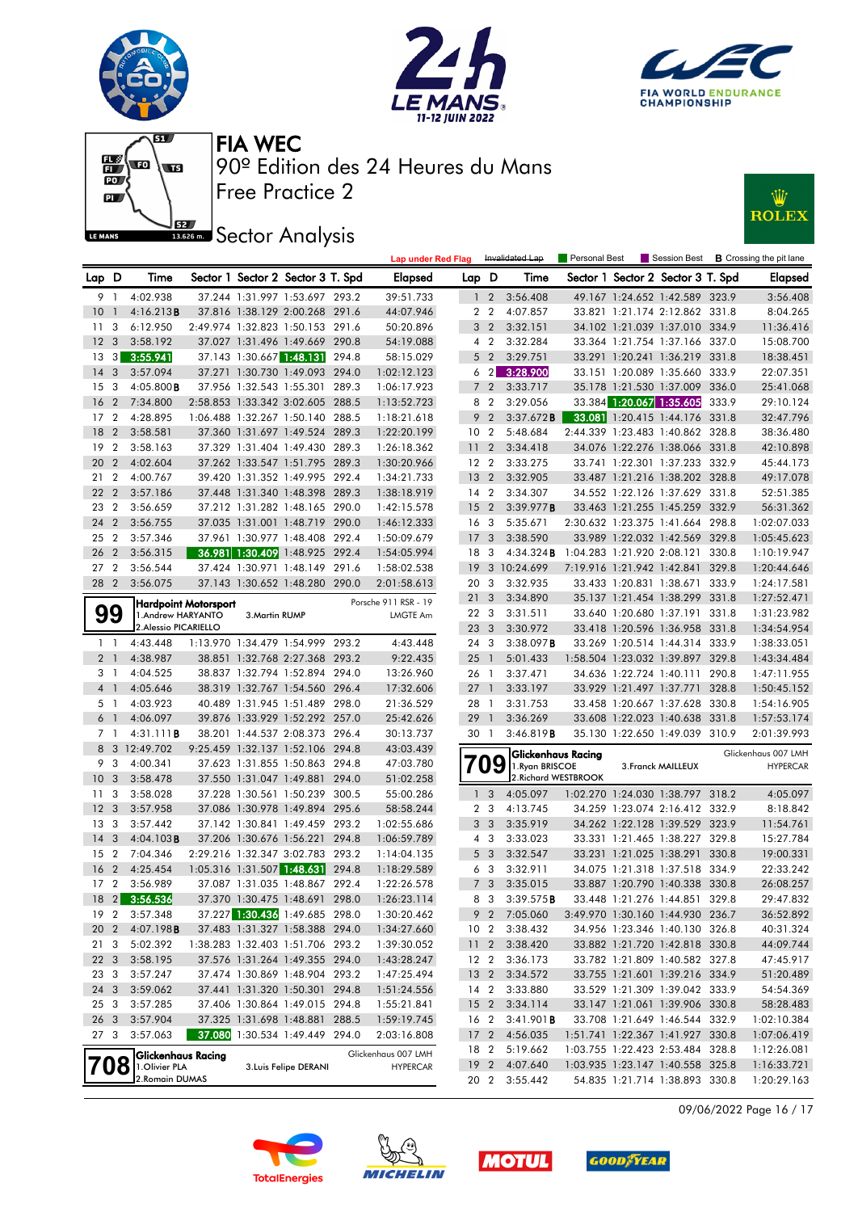











|                 |                         |                           |                      |                |                                   |       | <b>Lap under Red Flag</b> |                 |                         | Invalidated Lap           | Personal Best |                          | Session Best                      |       | <b>B</b> Crossing the pit lane |
|-----------------|-------------------------|---------------------------|----------------------|----------------|-----------------------------------|-------|---------------------------|-----------------|-------------------------|---------------------------|---------------|--------------------------|-----------------------------------|-------|--------------------------------|
| Lap D           |                         | Time                      |                      |                | Sector 1 Sector 2 Sector 3 T. Spd |       | <b>Elapsed</b>            | Lap D           |                         | Time                      |               |                          | Sector 1 Sector 2 Sector 3 T. Spd |       | <b>Elapsed</b>                 |
|                 | 9 1                     | 4:02.938                  |                      |                | 37.244 1:31.997 1:53.697 293.2    |       | 39:51.733                 |                 | $1\quad 2$              | 3:56.408                  |               |                          | 49.167 1:24.652 1:42.589 323.9    |       | 3:56.408                       |
| 10              | $\overline{1}$          | 4:16.213B                 |                      |                | 37.816 1:38.129 2:00.268 291.6    |       | 44:07.946                 |                 | 2 <sub>2</sub>          | 4:07.857                  |               |                          | 33.821 1:21.174 2:12.862 331.8    |       | 8:04.265                       |
| 11              | 3                       | 6:12.950                  |                      |                | 2:49.974 1:32.823 1:50.153 291.6  |       | 50:20.896                 |                 | 3 <sub>2</sub>          | 3:32.151                  |               |                          | 34.102 1:21.039 1:37.010 334.9    |       | 11:36.416                      |
| 12              | $\overline{\mathbf{3}}$ | 3:58.192                  |                      |                | 37.027 1:31.496 1:49.669 290.8    |       | 54:19.088                 |                 | 4 <sup>2</sup>          | 3:32.284                  |               |                          | 33.364 1:21.754 1:37.166 337.0    |       | 15:08.700                      |
| 13              | $\lceil 3 \rceil$       | 3:55.941                  |                      |                | 37.143 1:30.667 1:48.131 294.8    |       | 58:15.029                 |                 | 5 <sub>2</sub>          | 3:29.751                  |               |                          | 33.291 1:20.241 1:36.219 331.8    |       | 18:38.451                      |
| 14              | 3                       | 3:57.094                  |                      |                | 37.271 1:30.730 1:49.093 294.0    |       | 1:02:12.123               |                 | $6\quad2$               | 3:28.900                  |               |                          | 33.151 1:20.089 1:35.660 333.9    |       | 22:07.351                      |
| 15              | 3                       | $4:05.800$ <b>B</b>       |                      |                | 37.956 1:32.543 1:55.301 289.3    |       | 1:06:17.923               |                 | 7 <sub>2</sub>          | 3:33.717                  |               |                          | 35.178 1:21.530 1:37.009          | 336.0 | 25:41.068                      |
| 16              | $\overline{2}$          | 7:34.800                  |                      |                | 2:58.853 1:33.342 3:02.605 288.5  |       | 1:13:52.723               |                 | 8 2                     | 3:29.056                  |               |                          | 33.384 1:20.067 1:35.605          | 333.9 | 29:10.124                      |
| 17 <sub>2</sub> |                         | 4:28.895                  |                      |                | 1:06.488 1:32.267 1:50.140 288.5  |       | 1:18:21.618               | 9               | $\overline{2}$          | 3:37.672B                 |               |                          | 33.081 1:20.415 1:44.176 331.8    |       | 32:47.796                      |
| 18              | $\overline{2}$          | 3:58.581                  |                      |                | 37.360 1:31.697 1:49.524 289.3    |       | 1:22:20.199               | 10 <sub>2</sub> |                         | 5:48.684                  |               |                          | 2:44.339 1:23.483 1:40.862 328.8  |       | 38:36.480                      |
| 19              | $\overline{2}$          | 3:58.163                  |                      |                | 37.329 1:31.404 1:49.430 289.3    |       | 1:26:18.362               | 11 <sub>2</sub> |                         | 3:34.418                  |               |                          | 34.076 1:22.276 1:38.066 331.8    |       | 42:10.898                      |
| 20              | $\overline{2}$          | 4:02.604                  |                      |                | 37.262 1:33.547 1:51.795 289.3    |       | 1:30:20.966               | 12 <sub>2</sub> |                         | 3:33.275                  |               |                          | 33.741 1:22.301 1:37.233 332.9    |       | 45:44.173                      |
| 21              | $\overline{2}$          | 4:00.767                  |                      |                | 39.420 1:31.352 1:49.995 292.4    |       | 1:34:21.733               | 13              | $\overline{2}$          | 3:32.905                  |               |                          | 33.487 1:21.216 1:38.202 328.8    |       | 49:17.078                      |
| 22              | $\overline{2}$          | 3:57.186                  |                      |                | 37.448 1:31.340 1:48.398 289.3    |       | 1:38:18.919               | 14 2            |                         | 3:34.307                  |               |                          | 34.552 1:22.126 1:37.629 331.8    |       | 52:51.385                      |
| 23              | $\overline{2}$          | 3:56.659                  |                      |                | 37.212 1:31.282 1:48.165 290.0    |       | 1:42:15.578               | 15              | $\overline{2}$          | 3:39.977B                 |               |                          | 33.463 1:21.255 1:45.259 332.9    |       | 56:31.362                      |
| 24              | $\overline{2}$          | 3:56.755                  |                      |                | 37.035 1:31.001 1:48.719 290.0    |       | 1:46:12.333               | 16 <sub>3</sub> |                         | 5:35.671                  |               |                          | 2:30.632 1:23.375 1:41.664 298.8  |       | 1:02:07.033                    |
| 25 2            |                         | 3:57.346                  |                      |                | 37.961 1:30.977 1:48.408 292.4    |       | 1:50:09.679               | 17 <sub>3</sub> |                         | 3:38.590                  |               |                          | 33.989 1:22.032 1:42.569 329.8    |       | 1:05:45.623                    |
| 26              | $\overline{2}$          | 3:56.315                  |                      |                | 36.981 1:30.409 1:48.925 292.4    |       | 1:54:05.994               | 18              | - 3                     | 4:34.324B                 |               |                          | 1:04.283 1:21.920 2:08.121 330.8  |       | 1:10:19.947                    |
| 27 <sub>2</sub> |                         | 3:56.544                  |                      |                | 37.424 1:30.971 1:48.149 291.6    |       | 1:58:02.538               | 19              |                         | 3 10:24.699               |               |                          | 7:19.916 1:21.942 1:42.841        | 329.8 | 1:20:44.646                    |
| 28 2            |                         | 3:56.075                  |                      |                | 37.143 1:30.652 1:48.280 290.0    |       | 2:01:58.613               | 20              | - 3                     | 3:32.935                  |               |                          | 33.433 1:20.831 1:38.671          | 333.9 | 1:24:17.581                    |
|                 |                         |                           | Hardpoint Motorsport |                |                                   |       | Porsche 911 RSR - 19      | 21              | 3                       | 3:34.890                  |               |                          | 35.137 1:21.454 1:38.299 331.8    |       | 1:27:52.471                    |
|                 | 99                      | 1.Andrew HARYANTO         |                      | 3. Martin RUMP |                                   |       | <b>LMGTE Am</b>           | 22 3            |                         | 3:31.511                  |               |                          | 33.640 1:20.680 1:37.191 331.8    |       | 1:31:23.982                    |
|                 |                         | 2. Alessio PICARIELLO     |                      |                |                                   |       |                           | 23              | $\overline{\mathbf{3}}$ | 3:30.972                  |               |                          | 33.418 1:20.596 1:36.958 331.8    |       | 1:34:54.954                    |
| $1\quad$        |                         | 4:43.448                  |                      |                | 1:13.970 1:34.479 1:54.999 293.2  |       | 4:43.448                  | 24 3            |                         | 3:38.097B                 |               |                          | 33.269 1:20.514 1:44.314 333.9    |       | 1:38:33.051                    |
|                 | 2 <sub>1</sub>          | 4:38.987                  |                      |                | 38.851 1:32.768 2:27.368 293.2    |       | 9:22.435                  | 25 1            |                         | 5:01.433                  |               |                          | 1:58.504 1:23.032 1:39.897 329.8  |       | 1:43:34.484                    |
|                 | 31                      | 4:04.525                  |                      |                | 38.837 1:32.794 1:52.894 294.0    |       | 13:26.960                 | 26 1            |                         | 3:37.471                  |               |                          | 34.636 1:22.724 1:40.111 290.8    |       | 1:47:11.955                    |
|                 | 4 1                     | 4:05.646                  |                      |                | 38.319 1:32.767 1:54.560 296.4    |       | 17:32.606                 | 27              | $\overline{1}$          | 3:33.197                  |               | 33.929 1:21.497 1:37.771 |                                   | 328.8 | 1:50:45.152                    |
|                 | 51                      | 4:03.923                  |                      |                | 40.489 1:31.945 1:51.489 298.0    |       | 21:36.529                 | 28 1            |                         | 3:31.753                  |               |                          | 33.458 1:20.667 1:37.628 330.8    |       | 1:54:16.905                    |
|                 | 6 1                     | 4:06.097                  |                      |                | 39.876 1:33.929 1:52.292 257.0    |       | 25:42.626                 | 29              | $\overline{1}$          | 3:36.269                  |               |                          | 33.608 1:22.023 1:40.638 331.8    |       | 1:57:53.174                    |
|                 | 7 1                     | 4:31.111B                 |                      |                | 38.201 1:44.537 2:08.373 296.4    |       | 30:13.737                 | 30              | $\overline{1}$          | 3:46.819B                 |               |                          | 35.130 1:22.650 1:49.039 310.9    |       | 2:01:39.993                    |
|                 |                         | 8 3 12:49.702             |                      |                | 9:25.459 1:32.137 1:52.106 294.8  |       | 43:03.439                 |                 |                         | <b>Glickenhaus Racing</b> |               |                          |                                   |       | Glickenhaus 007 LMH            |
| 9               | -3                      | 4:00.341                  |                      |                | 37.623 1:31.855 1:50.863 294.8    |       | 47:03.780                 |                 | 9                       | 1. Ryan BRISCOE           |               | 3. Franck MAILLEUX       |                                   |       | <b>HYPERCAR</b>                |
| 10              | $\mathbf{3}$            | 3:58.478                  |                      |                | 37.550 1:31.047 1:49.881 294.0    |       | 51:02.258                 |                 |                         | 2. Richard WESTBROOK      |               |                          |                                   |       |                                |
| 11              | 3                       | 3:58.028                  |                      |                | 37.228 1:30.561 1:50.239 300.5    |       | 55:00.286                 |                 | 1 <sup>3</sup>          | 4:05.097                  |               |                          | 1:02.270 1:24.030 1:38.797 318.2  |       | 4:05.097                       |
| 12              | $\overline{\mathbf{3}}$ | 3:57.958                  |                      |                | 37.086 1:30.978 1:49.894 295.6    |       | 58:58.244                 |                 | 2 <sub>3</sub>          | 4:13.745                  |               |                          | 34.259 1:23.074 2:16.412 332.9    |       | 8:18.842                       |
| 13              | - 3                     | 3:57.442                  |                      |                | 37.142 1:30.841 1:49.459 293.2    |       | 1:02:55.686               |                 | 3 <sub>3</sub>          | 3:35.919                  |               |                          | 34.262 1:22.128 1:39.529 323.9    |       | 11:54.761                      |
| 14              | 3                       | 4:04.103B                 |                      |                | 37.206 1:30.676 1:56.221 294.8    |       | 1:06:59.789               |                 | 4 3                     | 3:33.023                  |               |                          | 33.331 1:21.465 1:38.227 329.8    |       | 15:27.784                      |
| 15              | $\overline{2}$          | 7:04.346                  |                      |                | 2:29.216 1:32.347 3:02.783 293.2  |       | 1:14:04.135               |                 | 5 <sub>3</sub>          | 3:32.547                  |               |                          | 33.231 1:21.025 1:38.291          | 330.8 | 19:00.331                      |
| 16              | $\overline{2}$          | 4:25.454                  |                      |                | 1:05.316 1:31.507 1:48.631        | 294.8 | 1:18:29.589               |                 | 6 3                     | 3:32.911                  |               |                          | 34.075 1:21.318 1:37.518 334.9    |       | 22:33.242                      |
| 17 <sub>2</sub> |                         | 3:56.989                  |                      |                | 37.087 1:31.035 1:48.867 292.4    |       | 1:22:26.578               |                 | 7 <sub>3</sub>          | 3:35.015                  |               |                          | 33.887 1:20.790 1:40.338 330.8    |       | 26:08.257                      |
|                 |                         | 18 2 3:56.536             |                      |                | 37.370 1:30.475 1:48.691 298.0    |       | 1:26:23.114               |                 | 8 3                     | 3:39.575B                 |               |                          | 33.448 1:21.276 1:44.851 329.8    |       | 29:47.832                      |
| 19 2            |                         | 3:57.348                  |                      |                | 37.227 1:30.436 1:49.685 298.0    |       | 1:30:20.462               |                 |                         | 9 2 7:05.060              |               |                          | 3:49.970 1:30.160 1:44.930 236.7  |       | 36:52.892                      |
| 20 2            |                         | 4:07.198 <b>B</b>         |                      |                | 37.483 1:31.327 1:58.388 294.0    |       | 1:34:27.660               | 10 <sub>2</sub> |                         | 3:38.432                  |               |                          | 34.956 1:23.346 1:40.130 326.8    |       | 40:31.324                      |
| 21 3            |                         | 5:02.392                  |                      |                | 1:38.283 1:32.403 1:51.706 293.2  |       | 1:39:30.052               | 11 <sub>2</sub> |                         | 3:38.420                  |               |                          | 33.882 1:21.720 1:42.818 330.8    |       | 44:09.744                      |
| 22 3            |                         | 3:58.195                  |                      |                | 37.576 1:31.264 1:49.355 294.0    |       | 1:43:28.247               | 12 <sub>2</sub> |                         | 3:36.173                  |               |                          | 33.782 1:21.809 1:40.582 327.8    |       | 47:45.917                      |
| 23 3            |                         | 3:57.247                  |                      |                | 37.474 1:30.869 1:48.904 293.2    |       | 1:47:25.494               | 13 <sub>2</sub> |                         | 3:34.572                  |               |                          | 33.755 1:21.601 1:39.216 334.9    |       | 51:20.489                      |
| 24 3            |                         | 3:59.062                  |                      |                | 37.441 1:31.320 1:50.301 294.8    |       | 1:51:24.556               |                 | $14 \quad 2$            | 3:33.880                  |               |                          | 33.529 1:21.309 1:39.042 333.9    |       | 54:54.369                      |
| 25 3            |                         | 3:57.285                  |                      |                | 37.406 1:30.864 1:49.015 294.8    |       | 1:55:21.841               | 15 <sub>2</sub> |                         | 3:34.114                  |               |                          | 33.147 1:21.061 1:39.906 330.8    |       | 58:28.483                      |
| 26 3            |                         | 3:57.904                  |                      |                | 37.325 1:31.698 1:48.881 288.5    |       | 1:59:19.745               | 16 2            |                         | 3:41.901B                 |               |                          | 33.708 1:21.649 1:46.544 332.9    |       | 1:02:10.384                    |
| 27 3            |                         | 3:57.063                  |                      |                | 37.080 1:30.534 1:49.449 294.0    |       | 2:03:16.808               | 17 <sub>2</sub> |                         | 4:56.035                  |               |                          | 1:51.741 1:22.367 1:41.927 330.8  |       | 1:07:06.419                    |
|                 |                         | <b>Glickenhaus Racing</b> |                      |                |                                   |       | Glickenhaus 007 LMH       | 18 2            |                         | 5:19.662                  |               |                          | 1:03.755 1:22.423 2:53.484 328.8  |       | 1:12:26.081                    |
|                 |                         | 1.Olivier PLA             |                      |                | 3. Luis Felipe DERANI             |       | <b>HYPERCAR</b>           | 19 <sub>2</sub> |                         | 4:07.640                  |               |                          | 1:03.935 1:23.147 1:40.558 325.8  |       | 1:16:33.721                    |
|                 |                         | 2. Romain DUMAS           |                      |                |                                   |       |                           |                 |                         | 20 2 3:55.442             |               |                          | 54.835 1:21.714 1:38.893 330.8    |       | 1:20:29.163                    |

09/06/2022 Page 16 / 17